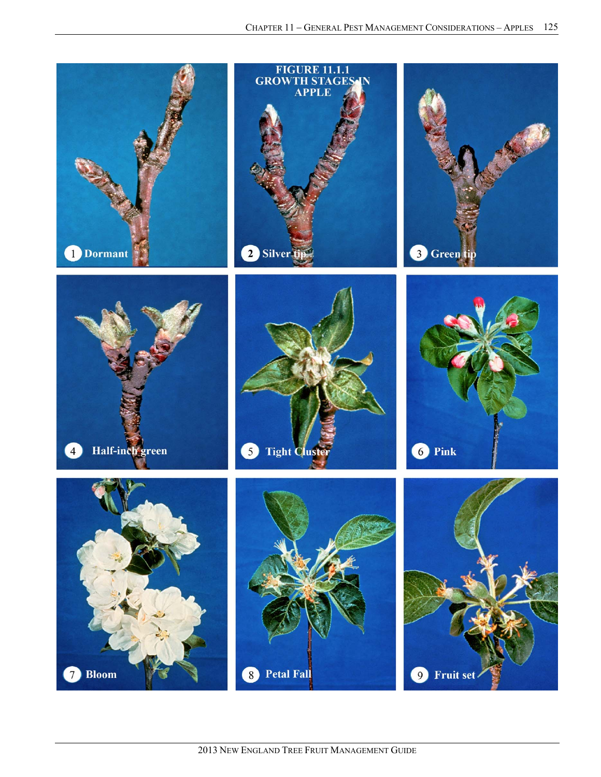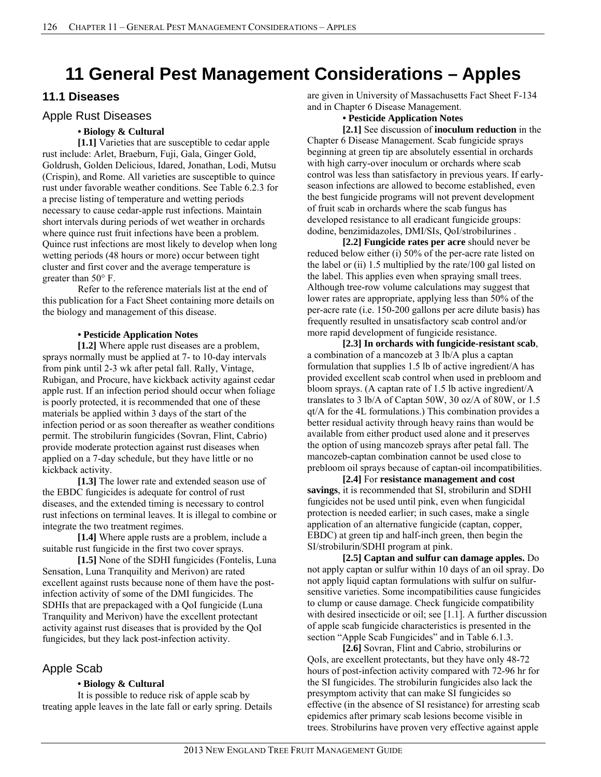# **11 General Pest Management Considerations – Apples**

### **11.1 Diseases**

### Apple Rust Diseases

### **• Biology & Cultural**

**[1.1]** Varieties that are susceptible to cedar apple rust include: Arlet, Braeburn, Fuji, Gala, Ginger Gold, Goldrush, Golden Delicious, Idared, Jonathan, Lodi, Mutsu (Crispin), and Rome. All varieties are susceptible to quince rust under favorable weather conditions. See Table 6.2.3 for a precise listing of temperature and wetting periods necessary to cause cedar-apple rust infections. Maintain short intervals during periods of wet weather in orchards where quince rust fruit infections have been a problem. Quince rust infections are most likely to develop when long wetting periods (48 hours or more) occur between tight cluster and first cover and the average temperature is greater than 50° F.

 Refer to the reference materials list at the end of this publication for a Fact Sheet containing more details on the biology and management of this disease.

### **• Pesticide Application Notes**

**[1.2]** Where apple rust diseases are a problem, sprays normally must be applied at 7- to 10-day intervals from pink until 2-3 wk after petal fall. Rally, Vintage, Rubigan, and Procure, have kickback activity against cedar apple rust. If an infection period should occur when foliage is poorly protected, it is recommended that one of these materials be applied within 3 days of the start of the infection period or as soon thereafter as weather conditions permit. The strobilurin fungicides (Sovran, Flint, Cabrio) provide moderate protection against rust diseases when applied on a 7-day schedule, but they have little or no kickback activity.

**[1.3]** The lower rate and extended season use of the EBDC fungicides is adequate for control of rust diseases, and the extended timing is necessary to control rust infections on terminal leaves. It is illegal to combine or integrate the two treatment regimes.

**[1.4]** Where apple rusts are a problem, include a suitable rust fungicide in the first two cover sprays.

**[1.5]** None of the SDHI fungicides (Fontelis, Luna Sensation, Luna Tranquility and Merivon) are rated excellent against rusts because none of them have the postinfection activity of some of the DMI fungicides. The SDHIs that are prepackaged with a QoI fungicide (Luna Tranquility and Merivon) have the excellent protectant activity against rust diseases that is provided by the QoI fungicides, but they lack post-infection activity.

### Apple Scab

### **• Biology & Cultural**

It is possible to reduce risk of apple scab by treating apple leaves in the late fall or early spring. Details are given in University of Massachusetts Fact Sheet F-134 and in Chapter 6 Disease Management.

#### **• Pesticide Application Notes**

**[2.1]** See discussion of **inoculum reduction** in the Chapter 6 Disease Management. Scab fungicide sprays beginning at green tip are absolutely essential in orchards with high carry-over inoculum or orchards where scab control was less than satisfactory in previous years. If earlyseason infections are allowed to become established, even the best fungicide programs will not prevent development of fruit scab in orchards where the scab fungus has developed resistance to all eradicant fungicide groups: dodine, benzimidazoles, DMI/SIs, QoI/strobilurines .

**[2.2] Fungicide rates per acre** should never be reduced below either (i) 50% of the per-acre rate listed on the label or (ii) 1.5 multiplied by the rate/100 gal listed on the label. This applies even when spraying small trees. Although tree-row volume calculations may suggest that lower rates are appropriate, applying less than 50% of the per-acre rate (i.e. 150-200 gallons per acre dilute basis) has frequently resulted in unsatisfactory scab control and/or more rapid development of fungicide resistance.

**[2.3] In orchards with fungicide-resistant scab**, a combination of a mancozeb at 3 lb/A plus a captan formulation that supplies 1.5 lb of active ingredient/A has provided excellent scab control when used in prebloom and bloom sprays. (A captan rate of 1.5 lb active ingredient/A translates to 3 lb/A of Captan 50W, 30 oz/A of 80W, or 1.5 qt/A for the 4L formulations.) This combination provides a better residual activity through heavy rains than would be available from either product used alone and it preserves the option of using mancozeb sprays after petal fall. The mancozeb-captan combination cannot be used close to prebloom oil sprays because of captan-oil incompatibilities.

**[2.4]** For **resistance management and cost savings**, it is recommended that SI, strobilurin and SDHI fungicides not be used until pink, even when fungicidal protection is needed earlier; in such cases, make a single application of an alternative fungicide (captan, copper, EBDC) at green tip and half-inch green, then begin the SI/strobilurin/SDHI program at pink.

**[2.5] Captan and sulfur can damage apples.** Do not apply captan or sulfur within 10 days of an oil spray. Do not apply liquid captan formulations with sulfur on sulfursensitive varieties. Some incompatibilities cause fungicides to clump or cause damage. Check fungicide compatibility with desired insecticide or oil; see [1.1]. A further discussion of apple scab fungicide characteristics is presented in the section "Apple Scab Fungicides" and in Table 6.1.3.

**[2.6]** Sovran, Flint and Cabrio, strobilurins or QoIs, are excellent protectants, but they have only 48-72 hours of post-infection activity compared with 72-96 hr for the SI fungicides. The strobilurin fungicides also lack the presymptom activity that can make SI fungicides so effective (in the absence of SI resistance) for arresting scab epidemics after primary scab lesions become visible in trees. Strobilurins have proven very effective against apple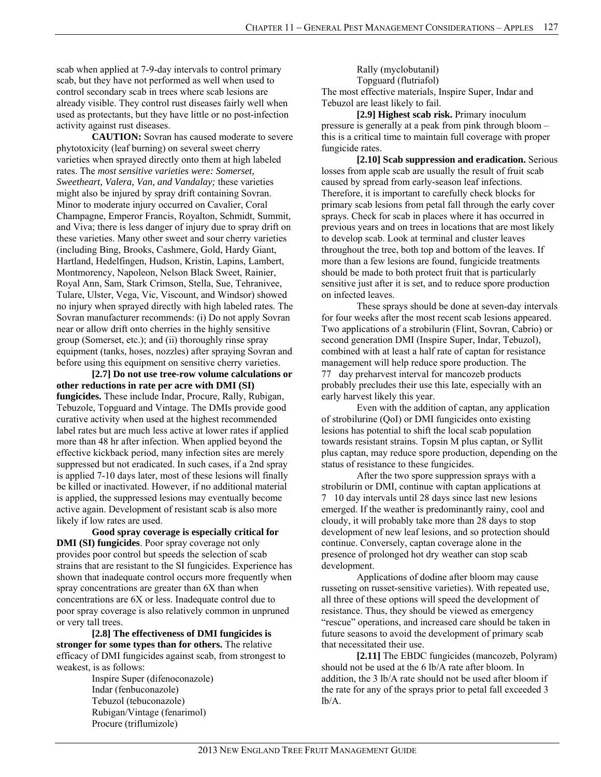scab when applied at 7-9-day intervals to control primary scab, but they have not performed as well when used to control secondary scab in trees where scab lesions are already visible. They control rust diseases fairly well when used as protectants, but they have little or no post-infection activity against rust diseases.

**CAUTION:** Sovran has caused moderate to severe phytotoxicity (leaf burning) on several sweet cherry varieties when sprayed directly onto them at high labeled rates. The *most sensitive varieties were: Somerset, Sweetheart, Valera, Van, and Vandalay;* these varieties might also be injured by spray drift containing Sovran. Minor to moderate injury occurred on Cavalier, Coral Champagne, Emperor Francis, Royalton, Schmidt, Summit, and Viva; there is less danger of injury due to spray drift on these varieties. Many other sweet and sour cherry varieties (including Bing, Brooks, Cashmere, Gold, Hardy Giant, Hartland, Hedelfingen, Hudson, Kristin, Lapins, Lambert, Montmorency, Napoleon, Nelson Black Sweet, Rainier, Royal Ann, Sam, Stark Crimson, Stella, Sue, Tehranivee, Tulare, Ulster, Vega, Vic, Viscount, and Windsor) showed no injury when sprayed directly with high labeled rates. The Sovran manufacturer recommends: (i) Do not apply Sovran near or allow drift onto cherries in the highly sensitive group (Somerset, etc.); and (ii) thoroughly rinse spray equipment (tanks, hoses, nozzles) after spraying Sovran and before using this equipment on sensitive cherry varieties.

**[2.7] Do not use tree-row volume calculations or other reductions in rate per acre with DMI (SI) fungicides.** These include Indar, Procure, Rally, Rubigan, Tebuzole, Topguard and Vintage. The DMIs provide good curative activity when used at the highest recommended label rates but are much less active at lower rates if applied more than 48 hr after infection. When applied beyond the effective kickback period, many infection sites are merely suppressed but not eradicated. In such cases, if a 2nd spray is applied 7-10 days later, most of these lesions will finally be killed or inactivated. However, if no additional material is applied, the suppressed lesions may eventually become active again. Development of resistant scab is also more likely if low rates are used.

**Good spray coverage is especially critical for DMI (SI) fungicides**. Poor spray coverage not only provides poor control but speeds the selection of scab strains that are resistant to the SI fungicides. Experience has shown that inadequate control occurs more frequently when spray concentrations are greater than 6X than when concentrations are 6X or less. Inadequate control due to poor spray coverage is also relatively common in unpruned or very tall trees.

**[2.8] The effectiveness of DMI fungicides is stronger for some types than for others.** The relative efficacy of DMI fungicides against scab, from strongest to weakest, is as follows:

> Inspire Super (difenoconazole) Indar (fenbuconazole) Tebuzol (tebuconazole) Rubigan/Vintage (fenarimol) Procure (triflumizole)

Rally (myclobutanil) Topguard (flutriafol) The most effective materials, Inspire Super, Indar and Tebuzol are least likely to fail.

**[2.9] Highest scab risk.** Primary inoculum pressure is generally at a peak from pink through bloom – this is a critical time to maintain full coverage with proper fungicide rates.

**[2.10] Scab suppression and eradication.** Serious losses from apple scab are usually the result of fruit scab caused by spread from early-season leaf infections. Therefore, it is important to carefully check blocks for primary scab lesions from petal fall through the early cover sprays. Check for scab in places where it has occurred in previous years and on trees in locations that are most likely to develop scab. Look at terminal and cluster leaves throughout the tree, both top and bottom of the leaves. If more than a few lesions are found, fungicide treatments should be made to both protect fruit that is particularly sensitive just after it is set, and to reduce spore production on infected leaves.

These sprays should be done at seven-day intervals for four weeks after the most recent scab lesions appeared. Two applications of a strobilurin (Flint, Sovran, Cabrio) or second generation DMI (Inspire Super, Indar, Tebuzol), combined with at least a half rate of captan for resistance management will help reduce spore production. The 77day preharvest interval for mancozeb products probably precludes their use this late, especially with an early harvest likely this year.

Even with the addition of captan, any application of strobilurine (QoI) or DMI fungicides onto existing lesions has potential to shift the local scab population towards resistant strains. Topsin M plus captan, or Syllit plus captan, may reduce spore production, depending on the status of resistance to these fungicides.

After the two spore suppression sprays with a strobilurin or DMI, continue with captan applications at 710 day intervals until 28 days since last new lesions emerged. If the weather is predominantly rainy, cool and cloudy, it will probably take more than 28 days to stop development of new leaf lesions, and so protection should continue. Conversely, captan coverage alone in the presence of prolonged hot dry weather can stop scab development.

Applications of dodine after bloom may cause russeting on russet-sensitive varieties). With repeated use, all three of these options will speed the development of resistance. Thus, they should be viewed as emergency "rescue" operations, and increased care should be taken in future seasons to avoid the development of primary scab that necessitated their use.

**[2.11]** The EBDC fungicides (mancozeb, Polyram) should not be used at the 6 lb/A rate after bloom. In addition, the 3 lb/A rate should not be used after bloom if the rate for any of the sprays prior to petal fall exceeded 3 lb/A.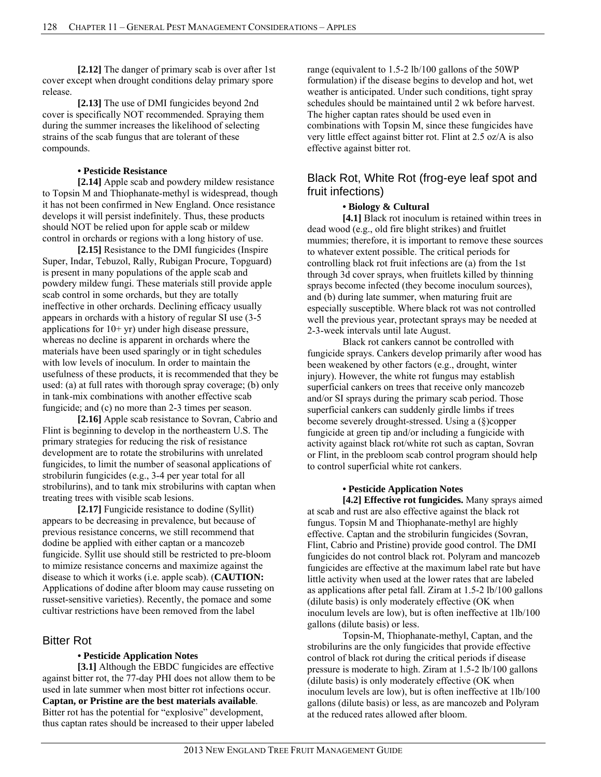**[2.12]** The danger of primary scab is over after 1st cover except when drought conditions delay primary spore release.

**[2.13]** The use of DMI fungicides beyond 2nd cover is specifically NOT recommended. Spraying them during the summer increases the likelihood of selecting strains of the scab fungus that are tolerant of these compounds.

#### **• Pesticide Resistance**

**[2.14]** Apple scab and powdery mildew resistance to Topsin M and Thiophanate-methyl is widespread, though it has not been confirmed in New England. Once resistance develops it will persist indefinitely. Thus, these products should NOT be relied upon for apple scab or mildew control in orchards or regions with a long history of use.

**[2.15]** Resistance to the DMI fungicides (Inspire Super, Indar, Tebuzol, Rally, Rubigan Procure, Topguard) is present in many populations of the apple scab and powdery mildew fungi. These materials still provide apple scab control in some orchards, but they are totally ineffective in other orchards. Declining efficacy usually appears in orchards with a history of regular SI use (3-5 applications for  $10+yr$ ) under high disease pressure, whereas no decline is apparent in orchards where the materials have been used sparingly or in tight schedules with low levels of inoculum. In order to maintain the usefulness of these products, it is recommended that they be used: (a) at full rates with thorough spray coverage; (b) only in tank-mix combinations with another effective scab fungicide; and (c) no more than 2-3 times per season.

**[2.16]** Apple scab resistance to Sovran, Cabrio and Flint is beginning to develop in the northeastern U.S. The primary strategies for reducing the risk of resistance development are to rotate the strobilurins with unrelated fungicides, to limit the number of seasonal applications of strobilurin fungicides (e.g., 3-4 per year total for all strobilurins), and to tank mix strobilurins with captan when treating trees with visible scab lesions.

**[2.17]** Fungicide resistance to dodine (Syllit) appears to be decreasing in prevalence, but because of previous resistance concerns, we still recommend that dodine be applied with either captan or a mancozeb fungicide. Syllit use should still be restricted to pre-bloom to mimize resistance concerns and maximize against the disease to which it works (i.e. apple scab). (**CAUTION:** Applications of dodine after bloom may cause russeting on russet-sensitive varieties). Recently, the pomace and some cultivar restrictions have been removed from the label

### Bitter Rot

### **• Pesticide Application Notes**

**[3.1]** Although the EBDC fungicides are effective against bitter rot, the 77-day PHI does not allow them to be used in late summer when most bitter rot infections occur. **Captan, or Pristine are the best materials available**. Bitter rot has the potential for "explosive" development, thus captan rates should be increased to their upper labeled

range (equivalent to 1.5-2 lb/100 gallons of the 50WP formulation) if the disease begins to develop and hot, wet weather is anticipated. Under such conditions, tight spray schedules should be maintained until 2 wk before harvest. The higher captan rates should be used even in combinations with Topsin M, since these fungicides have very little effect against bitter rot. Flint at 2.5 oz/A is also effective against bitter rot.

### Black Rot, White Rot (frog-eye leaf spot and fruit infections)

### **• Biology & Cultural**

[4.1] Black rot inoculum is retained within trees in dead wood (e.g., old fire blight strikes) and fruitlet mummies; therefore, it is important to remove these sources to whatever extent possible. The critical periods for controlling black rot fruit infections are (a) from the 1st through 3d cover sprays, when fruitlets killed by thinning sprays become infected (they become inoculum sources), and (b) during late summer, when maturing fruit are especially susceptible. Where black rot was not controlled well the previous year, protectant sprays may be needed at 2-3-week intervals until late August.

 Black rot cankers cannot be controlled with fungicide sprays. Cankers develop primarily after wood has been weakened by other factors (e.g., drought, winter injury). However, the white rot fungus may establish superficial cankers on trees that receive only mancozeb and/or SI sprays during the primary scab period. Those superficial cankers can suddenly girdle limbs if trees become severely drought-stressed. Using a (§)copper fungicide at green tip and/or including a fungicide with activity against black rot/white rot such as captan, Sovran or Flint, in the prebloom scab control program should help to control superficial white rot cankers.

### **• Pesticide Application Notes**

**[4.2] Effective rot fungicides.** Many sprays aimed at scab and rust are also effective against the black rot fungus. Topsin M and Thiophanate-methyl are highly effective. Captan and the strobilurin fungicides (Sovran, Flint, Cabrio and Pristine) provide good control. The DMI fungicides do not control black rot. Polyram and mancozeb fungicides are effective at the maximum label rate but have little activity when used at the lower rates that are labeled as applications after petal fall. Ziram at 1.5-2 lb/100 gallons (dilute basis) is only moderately effective (OK when inoculum levels are low), but is often ineffective at 1lb/100 gallons (dilute basis) or less.

Topsin-M, Thiophanate-methyl, Captan, and the strobilurins are the only fungicides that provide effective control of black rot during the critical periods if disease pressure is moderate to high. Ziram at 1.5-2 lb/100 gallons (dilute basis) is only moderately effective (OK when inoculum levels are low), but is often ineffective at 1lb/100 gallons (dilute basis) or less, as are mancozeb and Polyram at the reduced rates allowed after bloom.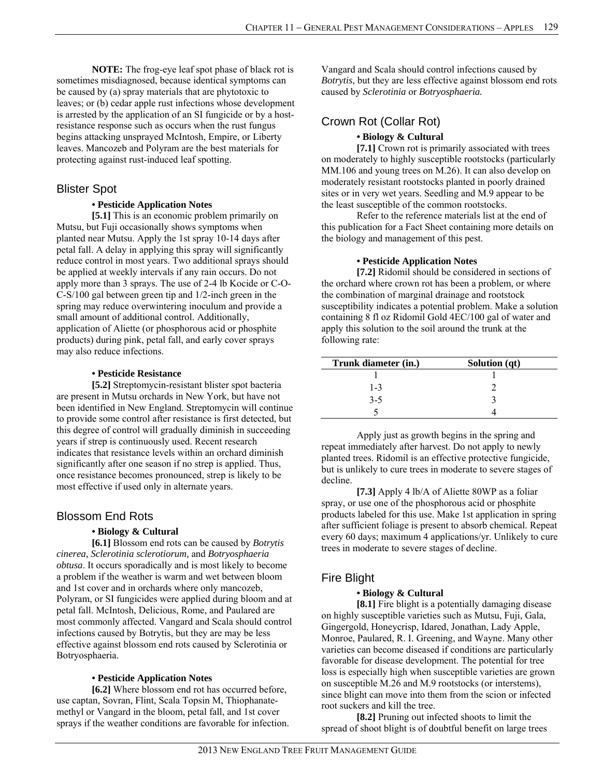**NOTE:** The frog-eye leaf spot phase of black rot is sometimes misdiagnosed, because identical symptoms can be caused by (a) spray materials that are phytotoxic to leaves; or (b) cedar apple rust infections whose development is arrested by the application of an SI fungicide or by a hostresistance response such as occurs when the rust fungus begins attacking unsprayed McIntosh, Empire, or Liberty leaves. Mancozeb and Polyram are the best materials for protecting against rust-induced leaf spotting.

## Blister Spot

### **• Pesticide Application Notes**

**[5.1]** This is an economic problem primarily on Mutsu, but Fuji occasionally shows symptoms when planted near Mutsu. Apply the 1st spray 10-14 days after petal fall. A delay in applying this spray will significantly reduce control in most years. Two additional sprays should be applied at weekly intervals if any rain occurs. Do not apply more than 3 sprays. The use of 2-4 lb Kocide or C-O-C-S/100 gal between green tip and 1/2-inch green in the spring may reduce overwintering inoculum and provide a small amount of additional control. Additionally, application of Aliette (or phosphorous acid or phosphite products) during pink, petal fall, and early cover sprays may also reduce infections.

### **• Pesticide Resistance**

**[5.2]** Streptomycin-resistant blister spot bacteria are present in Mutsu orchards in New York, but have not been identified in New England. Streptomycin will continue to provide some control after resistance is first detected, but this degree of control will gradually diminish in succeeding years if strep is continuously used. Recent research indicates that resistance levels within an orchard diminish significantly after one season if no strep is applied. Thus, once resistance becomes pronounced, strep is likely to be most effective if used only in alternate years.

### Blossom End Rots

### **• Biology & Cultural**

**[6.1]** Blossom end rots can be caused by *Botrytis cinerea, Sclerotinia sclerotiorum,* and *Botryosphaeria obtusa*. It occurs sporadically and is most likely to become a problem if the weather is warm and wet between bloom and 1st cover and in orchards where only mancozeb, Polyram, or SI fungicides were applied during bloom and at petal fall. McIntosh, Delicious, Rome, and Paulared are most commonly affected. Vangard and Scala should control infections caused by Botrytis, but they are may be less effective against blossom end rots caused by Sclerotinia or Botryosphaeria.

### **• Pesticide Application Notes**

**[6.2]** Where blossom end rot has occurred before, use captan, Sovran, Flint, Scala Topsin M, Thiophanatemethyl or Vangard in the bloom, petal fall, and 1st cover sprays if the weather conditions are favorable for infection.

Vangard and Scala should control infections caused by *Botrytis*, but they are less effective against blossom end rots caused by *Sclerotinia* or *Botryosphaeria.* 

# Crown Rot (Collar Rot) **• Biology & Cultural**

**[7.1]** Crown rot is primarily associated with trees on moderately to highly susceptible rootstocks (particularly MM.106 and young trees on M.26). It can also develop on moderately resistant rootstocks planted in poorly drained sites or in very wet years. Seedling and M.9 appear to be the least susceptible of the common rootstocks.

Refer to the reference materials list at the end of this publication for a Fact Sheet containing more details on the biology and management of this pest.

### **• Pesticide Application Notes**

**[7.2]** Ridomil should be considered in sections of the orchard where crown rot has been a problem, or where the combination of marginal drainage and rootstock susceptibility indicates a potential problem. Make a solution containing 8 fl oz Ridomil Gold 4EC/100 gal of water and apply this solution to the soil around the trunk at the following rate:

| Trunk diameter (in.) | Solution (qt) |
|----------------------|---------------|
|                      |               |
| $1 - 3$              |               |
| $3 - 5$              |               |
|                      |               |

 Apply just as growth begins in the spring and repeat immediately after harvest. Do not apply to newly planted trees. Ridomil is an effective protective fungicide, but is unlikely to cure trees in moderate to severe stages of decline.

**[7.3]** Apply 4 lb/A of Aliette 80WP as a foliar spray, or use one of the phosphorous acid or phosphite products labeled for this use. Make 1st application in spring after sufficient foliage is present to absorb chemical. Repeat every 60 days; maximum 4 applications/yr. Unlikely to cure trees in moderate to severe stages of decline.

# Fire Blight

### **• Biology & Cultural**

[8.1] Fire blight is a potentially damaging disease on highly susceptible varieties such as Mutsu, Fuji, Gala, Gingergold, Honeycrisp, Idared, Jonathan, Lady Apple, Monroe, Paulared, R. I. Greening, and Wayne. Many other varieties can become diseased if conditions are particularly favorable for disease development. The potential for tree loss is especially high when susceptible varieties are grown on susceptible M.26 and M.9 rootstocks (or interstems), since blight can move into them from the scion or infected root suckers and kill the tree.

**[8.2]** Pruning out infected shoots to limit the spread of shoot blight is of doubtful benefit on large trees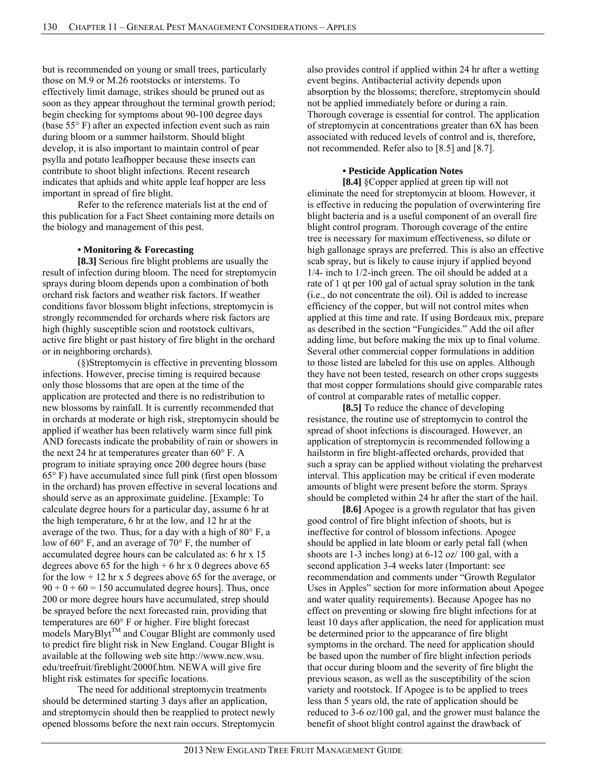but is recommended on young or small trees, particularly those on M.9 or M.26 rootstocks or interstems. To effectively limit damage, strikes should be pruned out as soon as they appear throughout the terminal growth period; begin checking for symptoms about 90-100 degree days (base 55° F) after an expected infection event such as rain during bloom or a summer hailstorm. Should blight develop, it is also important to maintain control of pear psylla and potato leafhopper because these insects can contribute to shoot blight infections. Recent research indicates that aphids and white apple leaf hopper are less important in spread of fire blight.

 Refer to the reference materials list at the end of this publication for a Fact Sheet containing more details on the biology and management of this pest.

### **• Monitoring & Forecasting**

**[8.3]** Serious fire blight problems are usually the result of infection during bloom. The need for streptomycin sprays during bloom depends upon a combination of both orchard risk factors and weather risk factors. If weather conditions favor blossom blight infections, streptomycin is strongly recommended for orchards where risk factors are high (highly susceptible scion and rootstock cultivars, active fire blight or past history of fire blight in the orchard or in neighboring orchards).

(§)Streptomycin is effective in preventing blossom infections. However, precise timing is required because only those blossoms that are open at the time of the application are protected and there is no redistribution to new blossoms by rainfall. It is currently recommended that in orchards at moderate or high risk, streptomycin should be applied if weather has been relatively warm since full pink AND forecasts indicate the probability of rain or showers in the next 24 hr at temperatures greater than 60° F. A program to initiate spraying once 200 degree hours (base 65° F) have accumulated since full pink (first open blossom in the orchard) has proven effective in several locations and should serve as an approximate guideline. [Example: To calculate degree hours for a particular day, assume 6 hr at the high temperature, 6 hr at the low, and 12 hr at the average of the two. Thus, for a day with a high of 80° F, a low of 60° F, and an average of 70° F, the number of accumulated degree hours can be calculated as: 6 hr x 15 degrees above 65 for the high  $+ 6$  hr x 0 degrees above 65 for the low  $+ 12$  hr x 5 degrees above 65 for the average, or  $90 + 0 + 60 = 150$  accumulated degree hours]. Thus, once 200 or more degree hours have accumulated, strep should be sprayed before the next forecasted rain, providing that temperatures are 60° F or higher. Fire blight forecast models MaryBlyt<sup>TM</sup> and Cougar Blight are commonly used to predict fire blight risk in New England. Cougar Blight is available at the following web site http://www.ncw.wsu. edu/treefruit/fireblight/2000f.htm. NEWA will give fire blight risk estimates for specific locations.

The need for additional streptomycin treatments should be determined starting 3 days after an application, and streptomycin should then be reapplied to protect newly opened blossoms before the next rain occurs. Streptomycin also provides control if applied within 24 hr after a wetting event begins. Antibacterial activity depends upon absorption by the blossoms; therefore, streptomycin should not be applied immediately before or during a rain. Thorough coverage is essential for control. The application of streptomycin at concentrations greater than 6X has been associated with reduced levels of control and is, therefore, not recommended. Refer also to [8.5] and [8.7].

#### **• Pesticide Application Notes**

**[8.4]** §Copper applied at green tip will not eliminate the need for streptomycin at bloom. However, it is effective in reducing the population of overwintering fire blight bacteria and is a useful component of an overall fire blight control program. Thorough coverage of the entire tree is necessary for maximum effectiveness, so dilute or high gallonage sprays are preferred. This is also an effective scab spray, but is likely to cause injury if applied beyond 1/4- inch to 1/2-inch green. The oil should be added at a rate of 1 qt per 100 gal of actual spray solution in the tank (i.e., do not concentrate the oil). Oil is added to increase efficiency of the copper, but will not control mites when applied at this time and rate. If using Bordeaux mix, prepare as described in the section "Fungicides." Add the oil after adding lime, but before making the mix up to final volume. Several other commercial copper formulations in addition to those listed are labeled for this use on apples. Although they have not been tested, research on other crops suggests that most copper formulations should give comparable rates of control at comparable rates of metallic copper.

**[8.5]** To reduce the chance of developing resistance, the routine use of streptomycin to control the spread of shoot infections is discouraged. However, an application of streptomycin is recommended following a hailstorm in fire blight-affected orchards, provided that such a spray can be applied without violating the preharvest interval. This application may be critical if even moderate amounts of blight were present before the storm. Sprays should be completed within 24 hr after the start of the hail.

**[8.6]** Apogee is a growth regulator that has given good control of fire blight infection of shoots, but is ineffective for control of blossom infections. Apogee should be applied in late bloom or early petal fall (when shoots are 1-3 inches long) at 6-12 oz/ 100 gal, with a second application 3-4 weeks later (Important: see recommendation and comments under "Growth Regulator Uses in Apples" section for more information about Apogee and water quality requirements). Because Apogee has no effect on preventing or slowing fire blight infections for at least 10 days after application, the need for application must be determined prior to the appearance of fire blight symptoms in the orchard. The need for application should be based upon the number of fire blight infection periods that occur during bloom and the severity of fire blight the previous season, as well as the susceptibility of the scion variety and rootstock. If Apogee is to be applied to trees less than 5 years old, the rate of application should be reduced to 3-6 oz/100 gal, and the grower must balance the benefit of shoot blight control against the drawback of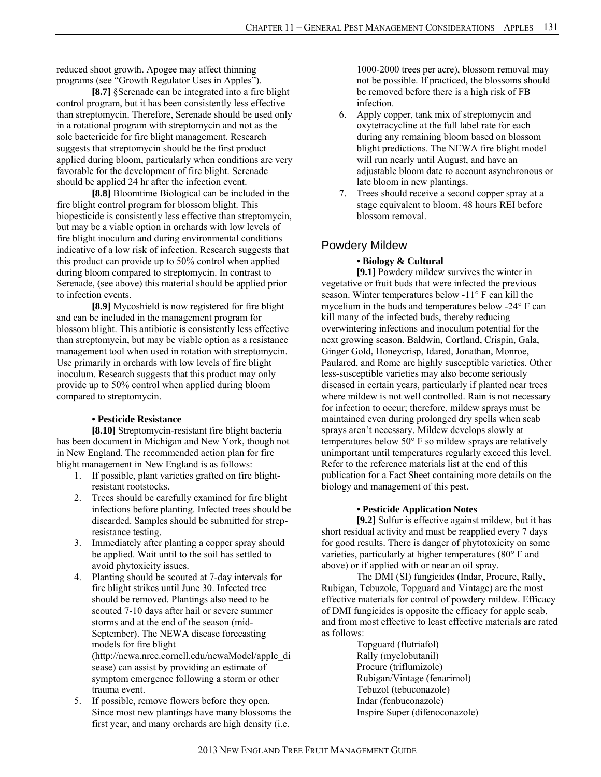reduced shoot growth. Apogee may affect thinning programs (see "Growth Regulator Uses in Apples").

**[8.7]** §Serenade can be integrated into a fire blight control program, but it has been consistently less effective than streptomycin. Therefore, Serenade should be used only in a rotational program with streptomycin and not as the sole bactericide for fire blight management. Research suggests that streptomycin should be the first product applied during bloom, particularly when conditions are very favorable for the development of fire blight. Serenade should be applied 24 hr after the infection event.

**[8.8]** Bloomtime Biological can be included in the fire blight control program for blossom blight. This biopesticide is consistently less effective than streptomycin, but may be a viable option in orchards with low levels of fire blight inoculum and during environmental conditions indicative of a low risk of infection. Research suggests that this product can provide up to 50% control when applied during bloom compared to streptomycin. In contrast to Serenade, (see above) this material should be applied prior to infection events.

**[8.9]** Mycoshield is now registered for fire blight and can be included in the management program for blossom blight. This antibiotic is consistently less effective than streptomycin, but may be viable option as a resistance management tool when used in rotation with streptomycin. Use primarily in orchards with low levels of fire blight inoculum. Research suggests that this product may only provide up to 50% control when applied during bloom compared to streptomycin.

### **• Pesticide Resistance**

**[8.10]** Streptomycin-resistant fire blight bacteria has been document in Michigan and New York, though not in New England. The recommended action plan for fire blight management in New England is as follows:

- 1. If possible, plant varieties grafted on fire blightresistant rootstocks.
- 2. Trees should be carefully examined for fire blight infections before planting. Infected trees should be discarded. Samples should be submitted for strepresistance testing.
- 3. Immediately after planting a copper spray should be applied. Wait until to the soil has settled to avoid phytoxicity issues.
- 4. Planting should be scouted at 7-day intervals for fire blight strikes until June 30. Infected tree should be removed. Plantings also need to be scouted 7-10 days after hail or severe summer storms and at the end of the season (mid-September). The NEWA disease forecasting models for fire blight (http://newa.nrcc.cornell.edu/newaModel/apple\_di sease) can assist by providing an estimate of symptom emergence following a storm or other trauma event.
- 5. If possible, remove flowers before they open. Since most new plantings have many blossoms the first year, and many orchards are high density (i.e.

1000-2000 trees per acre), blossom removal may not be possible. If practiced, the blossoms should be removed before there is a high risk of FB infection.

- 6. Apply copper, tank mix of streptomycin and oxytetracycline at the full label rate for each during any remaining bloom based on blossom blight predictions. The NEWA fire blight model will run nearly until August, and have an adjustable bloom date to account asynchronous or late bloom in new plantings.
- 7. Trees should receive a second copper spray at a stage equivalent to bloom. 48 hours REI before blossom removal.

# Powdery Mildew

### **• Biology & Cultural**

**[9.1]** Powdery mildew survives the winter in vegetative or fruit buds that were infected the previous season. Winter temperatures below -11° F can kill the mycelium in the buds and temperatures below -24° F can kill many of the infected buds, thereby reducing overwintering infections and inoculum potential for the next growing season. Baldwin, Cortland, Crispin, Gala, Ginger Gold, Honeycrisp, Idared, Jonathan, Monroe, Paulared, and Rome are highly susceptible varieties. Other less-susceptible varieties may also become seriously diseased in certain years, particularly if planted near trees where mildew is not well controlled. Rain is not necessary for infection to occur; therefore, mildew sprays must be maintained even during prolonged dry spells when scab sprays aren't necessary. Mildew develops slowly at temperatures below 50° F so mildew sprays are relatively unimportant until temperatures regularly exceed this level. Refer to the reference materials list at the end of this publication for a Fact Sheet containing more details on the biology and management of this pest.

### **• Pesticide Application Notes**

**[9.2]** Sulfur is effective against mildew, but it has short residual activity and must be reapplied every 7 days for good results. There is danger of phytotoxicity on some varieties, particularly at higher temperatures (80° F and above) or if applied with or near an oil spray.

The DMI (SI) fungicides (Indar, Procure, Rally, Rubigan, Tebuzole, Topguard and Vintage) are the most effective materials for control of powdery mildew. Efficacy of DMI fungicides is opposite the efficacy for apple scab, and from most effective to least effective materials are rated as follows:

Topguard (flutriafol) Rally (myclobutanil) Procure (triflumizole) Rubigan/Vintage (fenarimol) Tebuzol (tebuconazole) Indar (fenbuconazole) Inspire Super (difenoconazole)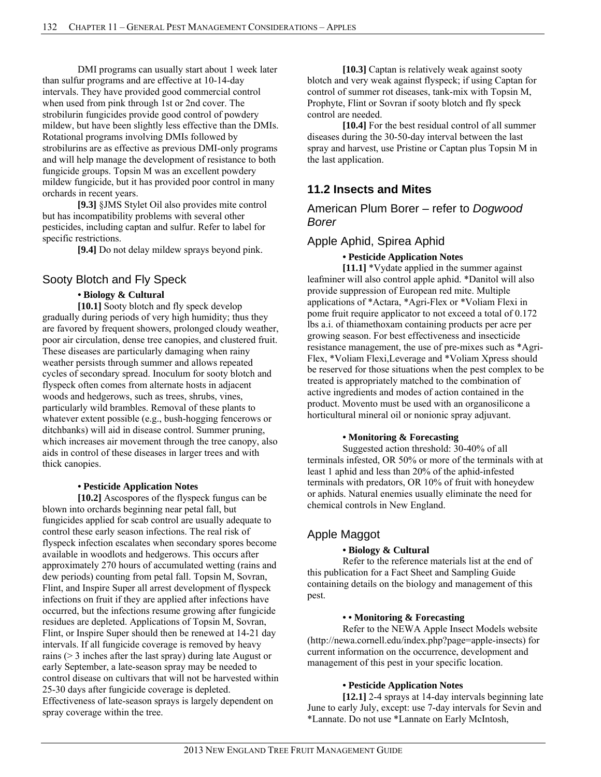DMI programs can usually start about 1 week later than sulfur programs and are effective at 10-14-day intervals. They have provided good commercial control when used from pink through 1st or 2nd cover. The strobilurin fungicides provide good control of powdery mildew, but have been slightly less effective than the DMIs. Rotational programs involving DMIs followed by strobilurins are as effective as previous DMI-only programs and will help manage the development of resistance to both fungicide groups. Topsin M was an excellent powdery mildew fungicide, but it has provided poor control in many orchards in recent years.

**[9.3]** §JMS Stylet Oil also provides mite control but has incompatibility problems with several other pesticides, including captan and sulfur. Refer to label for specific restrictions.

**[9.4]** Do not delay mildew sprays beyond pink.

### Sooty Blotch and Fly Speck

### **• Biology & Cultural**

**[10.1]** Sooty blotch and fly speck develop gradually during periods of very high humidity; thus they are favored by frequent showers, prolonged cloudy weather, poor air circulation, dense tree canopies, and clustered fruit. These diseases are particularly damaging when rainy weather persists through summer and allows repeated cycles of secondary spread. Inoculum for sooty blotch and flyspeck often comes from alternate hosts in adjacent woods and hedgerows, such as trees, shrubs, vines, particularly wild brambles. Removal of these plants to whatever extent possible (e.g., bush-hogging fencerows or ditchbanks) will aid in disease control. Summer pruning, which increases air movement through the tree canopy, also aids in control of these diseases in larger trees and with thick canopies.

#### **• Pesticide Application Notes**

**[10.2]** Ascospores of the flyspeck fungus can be blown into orchards beginning near petal fall, but fungicides applied for scab control are usually adequate to control these early season infections. The real risk of flyspeck infection escalates when secondary spores become available in woodlots and hedgerows. This occurs after approximately 270 hours of accumulated wetting (rains and dew periods) counting from petal fall. Topsin M, Sovran, Flint, and Inspire Super all arrest development of flyspeck infections on fruit if they are applied after infections have occurred, but the infections resume growing after fungicide residues are depleted. Applications of Topsin M, Sovran, Flint, or Inspire Super should then be renewed at 14-21 day intervals. If all fungicide coverage is removed by heavy rains (> 3 inches after the last spray) during late August or early September, a late-season spray may be needed to control disease on cultivars that will not be harvested within 25-30 days after fungicide coverage is depleted. Effectiveness of late-season sprays is largely dependent on spray coverage within the tree.

[10.3] Captan is relatively weak against sooty blotch and very weak against flyspeck; if using Captan for control of summer rot diseases, tank-mix with Topsin M, Prophyte, Flint or Sovran if sooty blotch and fly speck control are needed.

**[10.4]** For the best residual control of all summer diseases during the 30-50-day interval between the last spray and harvest, use Pristine or Captan plus Topsin M in the last application.

### **11.2 Insects and Mites**

American Plum Borer – refer to *Dogwood Borer*

### Apple Aphid, Spirea Aphid

 **• Pesticide Application Notes** 

**[11.1]** \*Vydate applied in the summer against leafminer will also control apple aphid. \*Danitol will also provide suppression of European red mite. Multiple applications of \*Actara, \*Agri-Flex or \*Voliam Flexi in pome fruit require applicator to not exceed a total of 0.172 lbs a.i. of thiamethoxam containing products per acre per growing season. For best effectiveness and insecticide resistance management, the use of pre-mixes such as \*Agri-Flex, \*Voliam Flexi,Leverage and \*Voliam Xpress should be reserved for those situations when the pest complex to be treated is appropriately matched to the combination of active ingredients and modes of action contained in the product. Movento must be used with an organosilicone a horticultural mineral oil or nonionic spray adjuvant.

### **• Monitoring & Forecasting**

Suggested action threshold: 30-40% of all terminals infested, OR 50% or more of the terminals with at least 1 aphid and less than 20% of the aphid-infested terminals with predators, OR 10% of fruit with honeydew or aphids. Natural enemies usually eliminate the need for chemical controls in New England.

### Apple Maggot

### **• Biology & Cultural**

Refer to the reference materials list at the end of this publication for a Fact Sheet and Sampling Guide containing details on the biology and management of this pest.

### **• • Monitoring & Forecasting**

 Refer to the NEWA Apple Insect Models website (http://newa.cornell.edu/index.php?page=apple-insects) for current information on the occurrence, development and management of this pest in your specific location.

### **• Pesticide Application Notes**

**[12.1]** 2-4 sprays at 14-day intervals beginning late June to early July, except: use 7-day intervals for Sevin and \*Lannate. Do not use \*Lannate on Early McIntosh,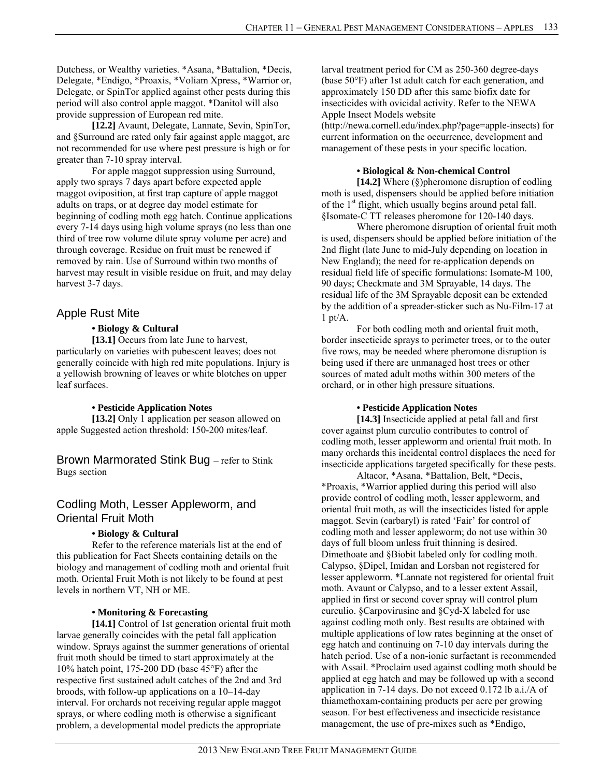Dutchess, or Wealthy varieties. \*Asana, \*Battalion, \*Decis, Delegate, \*Endigo, \*Proaxis, \*Voliam Xpress, \*Warrior or, Delegate, or SpinTor applied against other pests during this period will also control apple maggot. \*Danitol will also provide suppression of European red mite.

**[12.2]** Avaunt, Delegate, Lannate, Sevin, SpinTor, and §Surround are rated only fair against apple maggot, are not recommended for use where pest pressure is high or for greater than 7-10 spray interval.

 For apple maggot suppression using Surround, apply two sprays 7 days apart before expected apple maggot oviposition, at first trap capture of apple maggot adults on traps, or at degree day model estimate for beginning of codling moth egg hatch. Continue applications every 7-14 days using high volume sprays (no less than one third of tree row volume dilute spray volume per acre) and through coverage. Residue on fruit must be renewed if removed by rain. Use of Surround within two months of harvest may result in visible residue on fruit, and may delay harvest 3-7 days.

### Apple Rust Mite

### **• Biology & Cultural**

[13.1] Occurs from late June to harvest, particularly on varieties with pubescent leaves; does not generally coincide with high red mite populations. Injury is a yellowish browning of leaves or white blotches on upper leaf surfaces.

### **• Pesticide Application Notes**

**[13.2]** Only 1 application per season allowed on apple Suggested action threshold: 150-200 mites/leaf.

Brown Marmorated Stink Bug – refer to Stink Bugs section

### Codling Moth, Lesser Appleworm, and Oriental Fruit Moth

### **• Biology & Cultural**

Refer to the reference materials list at the end of this publication for Fact Sheets containing details on the biology and management of codling moth and oriental fruit moth. Oriental Fruit Moth is not likely to be found at pest levels in northern VT, NH or ME.

### **• Monitoring & Forecasting**

**[14.1]** Control of 1st generation oriental fruit moth larvae generally coincides with the petal fall application window. Sprays against the summer generations of oriental fruit moth should be timed to start approximately at the 10% hatch point, 175-200 DD (base 45°F) after the respective first sustained adult catches of the 2nd and 3rd broods, with follow-up applications on a 10–14-day interval. For orchards not receiving regular apple maggot sprays, or where codling moth is otherwise a significant problem, a developmental model predicts the appropriate

larval treatment period for CM as 250-360 degree-days (base 50°F) after 1st adult catch for each generation, and approximately 150 DD after this same biofix date for insecticides with ovicidal activity. Refer to the NEWA Apple Insect Models website

(http://newa.cornell.edu/index.php?page=apple-insects) for current information on the occurrence, development and management of these pests in your specific location.

### **• Biological & Non-chemical Control**

**[14.2]** Where (§)pheromone disruption of codling moth is used, dispensers should be applied before initiation of the 1<sup>st</sup> flight, which usually begins around petal fall. §Isomate-C TT releases pheromone for 120-140 days.

Where pheromone disruption of oriental fruit moth is used, dispensers should be applied before initiation of the 2nd flight (late June to mid-July depending on location in New England); the need for re-application depends on residual field life of specific formulations: Isomate-M 100, 90 days; Checkmate and 3M Sprayable, 14 days. The residual life of the 3M Sprayable deposit can be extended by the addition of a spreader-sticker such as Nu-Film-17 at  $1$  pt/ $A$ .

For both codling moth and oriental fruit moth, border insecticide sprays to perimeter trees, or to the outer five rows, may be needed where pheromone disruption is being used if there are unmanaged host trees or other sources of mated adult moths within 300 meters of the orchard, or in other high pressure situations.

### **• Pesticide Application Notes**

**[14.3]** Insecticide applied at petal fall and first cover against plum curculio contributes to control of codling moth, lesser appleworm and oriental fruit moth. In many orchards this incidental control displaces the need for insecticide applications targeted specifically for these pests.

Altacor, \*Asana, \*Battalion, Belt, \*Decis, \*Proaxis, \*Warrior applied during this period will also provide control of codling moth, lesser appleworm, and oriental fruit moth, as will the insecticides listed for apple maggot. Sevin (carbaryl) is rated 'Fair' for control of codling moth and lesser appleworm; do not use within 30 days of full bloom unless fruit thinning is desired. Dimethoate and §Biobit labeled only for codling moth. Calypso, §Dipel, Imidan and Lorsban not registered for lesser appleworm. \*Lannate not registered for oriental fruit moth. Avaunt or Calypso, and to a lesser extent Assail, applied in first or second cover spray will control plum curculio. §Carpovirusine and §Cyd-X labeled for use against codling moth only. Best results are obtained with multiple applications of low rates beginning at the onset of egg hatch and continuing on 7-10 day intervals during the hatch period. Use of a non-ionic surfactant is recommended with Assail. \*Proclaim used against codling moth should be applied at egg hatch and may be followed up with a second application in 7-14 days. Do not exceed 0.172 lb a.i./A of thiamethoxam-containing products per acre per growing season. For best effectiveness and insecticide resistance management, the use of pre-mixes such as \*Endigo,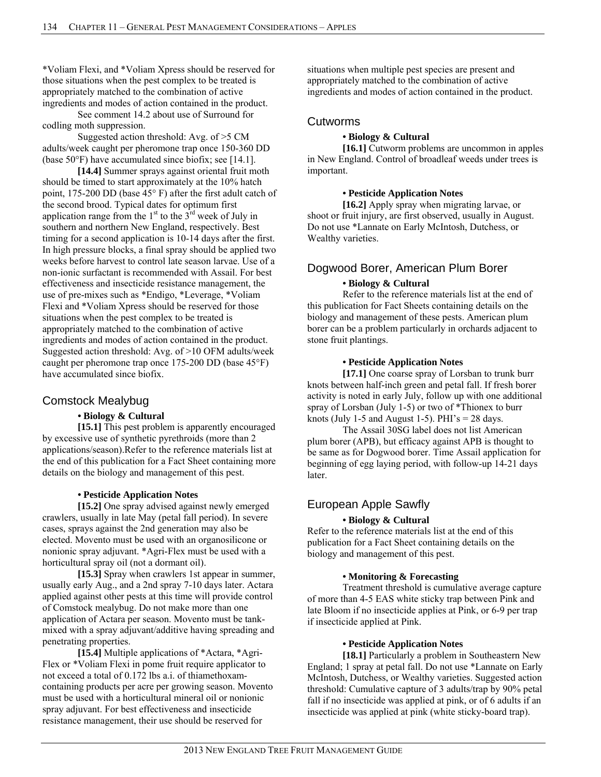\*Voliam Flexi, and \*Voliam Xpress should be reserved for those situations when the pest complex to be treated is appropriately matched to the combination of active ingredients and modes of action contained in the product.

See comment 14.2 about use of Surround for codling moth suppression.

Suggested action threshold: Avg. of >5 CM adults/week caught per pheromone trap once 150-360 DD (base 50°F) have accumulated since biofix; see [14.1].

**[14.4]** Summer sprays against oriental fruit moth should be timed to start approximately at the 10% hatch point, 175-200 DD (base 45° F) after the first adult catch of the second brood. Typical dates for optimum first application range from the  $1<sup>st</sup>$  to the  $3<sup>rd</sup>$  week of July in southern and northern New England, respectively. Best timing for a second application is 10-14 days after the first. In high pressure blocks, a final spray should be applied two weeks before harvest to control late season larvae. Use of a non-ionic surfactant is recommended with Assail. For best effectiveness and insecticide resistance management, the use of pre-mixes such as \*Endigo, \*Leverage, \*Voliam Flexi and \*Voliam Xpress should be reserved for those situations when the pest complex to be treated is appropriately matched to the combination of active ingredients and modes of action contained in the product. Suggested action threshold: Avg. of >10 OFM adults/week caught per pheromone trap once 175-200 DD (base 45°F) have accumulated since biofix.

### Comstock Mealybug

### **• Biology & Cultural**

**[15.1]** This pest problem is apparently encouraged by excessive use of synthetic pyrethroids (more than 2 applications/season).Refer to the reference materials list at the end of this publication for a Fact Sheet containing more details on the biology and management of this pest.

### **• Pesticide Application Notes**

**[15.2]** One spray advised against newly emerged crawlers, usually in late May (petal fall period). In severe cases, sprays against the 2nd generation may also be elected. Movento must be used with an organosilicone or nonionic spray adjuvant. \*Agri-Flex must be used with a horticultural spray oil (not a dormant oil).

**[15.3]** Spray when crawlers 1st appear in summer, usually early Aug., and a 2nd spray 7-10 days later. Actara applied against other pests at this time will provide control of Comstock mealybug. Do not make more than one application of Actara per season. Movento must be tankmixed with a spray adjuvant/additive having spreading and penetrating properties.

**[15.4]** Multiple applications of \*Actara, \*Agri-Flex or \*Voliam Flexi in pome fruit require applicator to not exceed a total of 0.172 lbs a.i. of thiamethoxamcontaining products per acre per growing season. Movento must be used with a horticultural mineral oil or nonionic spray adjuvant. For best effectiveness and insecticide resistance management, their use should be reserved for

situations when multiple pest species are present and appropriately matched to the combination of active ingredients and modes of action contained in the product.

### Cutworms

### **• Biology & Cultural**

**[16.1]** Cutworm problems are uncommon in apples in New England. Control of broadleaf weeds under trees is important.

#### **• Pesticide Application Notes**

**[16.2]** Apply spray when migrating larvae, or shoot or fruit injury, are first observed, usually in August. Do not use \*Lannate on Early McIntosh, Dutchess, or Wealthy varieties.

### Dogwood Borer, American Plum Borer

### **• Biology & Cultural**

Refer to the reference materials list at the end of this publication for Fact Sheets containing details on the biology and management of these pests. American plum borer can be a problem particularly in orchards adjacent to stone fruit plantings.

### **• Pesticide Application Notes**

**[17.1]** One coarse spray of Lorsban to trunk burr knots between half-inch green and petal fall. If fresh borer activity is noted in early July, follow up with one additional spray of Lorsban (July 1-5) or two of \*Thionex to burr knots (July 1-5 and August 1-5). PHI's  $= 28$  days.

The Assail 30SG label does not list American plum borer (APB), but efficacy against APB is thought to be same as for Dogwood borer. Time Assail application for beginning of egg laying period, with follow-up 14-21 days later.

# European Apple Sawfly

### **• Biology & Cultural**

Refer to the reference materials list at the end of this publication for a Fact Sheet containing details on the biology and management of this pest.

### **• Monitoring & Forecasting**

Treatment threshold is cumulative average capture of more than 4-5 EAS white sticky trap between Pink and late Bloom if no insecticide applies at Pink, or 6-9 per trap if insecticide applied at Pink.

### **• Pesticide Application Notes**

**[18.1]** Particularly a problem in Southeastern New England; 1 spray at petal fall. Do not use \*Lannate on Early McIntosh, Dutchess, or Wealthy varieties. Suggested action threshold: Cumulative capture of 3 adults/trap by 90% petal fall if no insecticide was applied at pink, or of 6 adults if an insecticide was applied at pink (white sticky-board trap).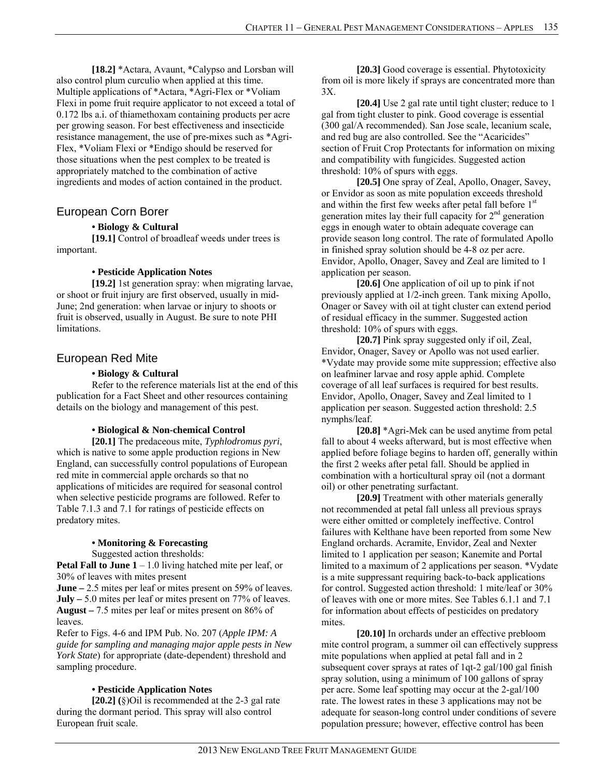**[18.2]** \*Actara, Avaunt, \*Calypso and Lorsban will also control plum curculio when applied at this time. Multiple applications of \*Actara, \*Agri-Flex or \*Voliam Flexi in pome fruit require applicator to not exceed a total of 0.172 lbs a.i. of thiamethoxam containing products per acre per growing season. For best effectiveness and insecticide resistance management, the use of pre-mixes such as \*Agri-Flex, \*Voliam Flexi or \*Endigo should be reserved for those situations when the pest complex to be treated is appropriately matched to the combination of active ingredients and modes of action contained in the product.

### European Corn Borer

### **• Biology & Cultural**

**[19.1]** Control of broadleaf weeds under trees is important.

### **• Pesticide Application Notes**

**[19.2]** 1st generation spray: when migrating larvae, or shoot or fruit injury are first observed, usually in mid-June; 2nd generation: when larvae or injury to shoots or fruit is observed, usually in August. Be sure to note PHI limitations.

### European Red Mite

### **• Biology & Cultural**

Refer to the reference materials list at the end of this publication for a Fact Sheet and other resources containing details on the biology and management of this pest.

### **• Biological & Non-chemical Control**

**[20.1]** The predaceous mite, *Typhlodromus pyri*, which is native to some apple production regions in New England, can successfully control populations of European red mite in commercial apple orchards so that no applications of miticides are required for seasonal control when selective pesticide programs are followed. Refer to Table 7.1.3 and 7.1 for ratings of pesticide effects on predatory mites.

### **• Monitoring & Forecasting**

Suggested action thresholds:

**Petal Fall to June 1** – 1.0 living hatched mite per leaf, or 30% of leaves with mites present

**June –** 2.5 mites per leaf or mites present on 59% of leaves. **July –** 5.0 mites per leaf or mites present on 77% of leaves. **August –** 7.5 mites per leaf or mites present on 86% of leaves.

Refer to Figs. 4-6 and IPM Pub. No. 207 (*Apple IPM: A guide for sampling and managing major apple pests in New York State*) for appropriate (date-dependent) threshold and sampling procedure.

### **• Pesticide Application Notes**

**[20.2] (**§)Oil is recommended at the 2-3 gal rate during the dormant period. This spray will also control European fruit scale.

**[20.3]** Good coverage is essential. Phytotoxicity from oil is more likely if sprays are concentrated more than 3X.

**[20.4]** Use 2 gal rate until tight cluster; reduce to 1 gal from tight cluster to pink. Good coverage is essential (300 gal/A recommended). San Jose scale, lecanium scale, and red bug are also controlled. See the "Acaricides" section of Fruit Crop Protectants for information on mixing and compatibility with fungicides. Suggested action threshold: 10% of spurs with eggs.

**[20.5]** One spray of Zeal, Apollo, Onager, Savey, or Envidor as soon as mite population exceeds threshold and within the first few weeks after petal fall before 1<sup>st</sup> generation mites lay their full capacity for  $2<sup>nd</sup>$  generation eggs in enough water to obtain adequate coverage can provide season long control. The rate of formulated Apollo in finished spray solution should be 4-8 oz per acre. Envidor, Apollo, Onager, Savey and Zeal are limited to 1 application per season.

**[20.6]** One application of oil up to pink if not previously applied at 1/2-inch green. Tank mixing Apollo, Onager or Savey with oil at tight cluster can extend period of residual efficacy in the summer. Suggested action threshold: 10% of spurs with eggs.

**[20.7]** Pink spray suggested only if oil, Zeal, Envidor, Onager, Savey or Apollo was not used earlier. \*Vydate may provide some mite suppression; effective also on leafminer larvae and rosy apple aphid. Complete coverage of all leaf surfaces is required for best results. Envidor, Apollo, Onager, Savey and Zeal limited to 1 application per season. Suggested action threshold: 2.5 nymphs/leaf.

**[20.8]** \*Agri-Mek can be used anytime from petal fall to about 4 weeks afterward, but is most effective when applied before foliage begins to harden off, generally within the first 2 weeks after petal fall. Should be applied in combination with a horticultural spray oil (not a dormant oil) or other penetrating surfactant.

**[20.9]** Treatment with other materials generally not recommended at petal fall unless all previous sprays were either omitted or completely ineffective. Control failures with Kelthane have been reported from some New England orchards. Acramite, Envidor, Zeal and Nexter limited to 1 application per season; Kanemite and Portal limited to a maximum of 2 applications per season. \*Vydate is a mite suppressant requiring back-to-back applications for control. Suggested action threshold: 1 mite/leaf or 30% of leaves with one or more mites. See Tables 6.1.1 and 7.1 for information about effects of pesticides on predatory mites.

**[20.10]** In orchards under an effective prebloom mite control program, a summer oil can effectively suppress mite populations when applied at petal fall and in 2 subsequent cover sprays at rates of 1qt-2 gal/100 gal finish spray solution, using a minimum of 100 gallons of spray per acre. Some leaf spotting may occur at the 2-gal/100 rate. The lowest rates in these 3 applications may not be adequate for season-long control under conditions of severe population pressure; however, effective control has been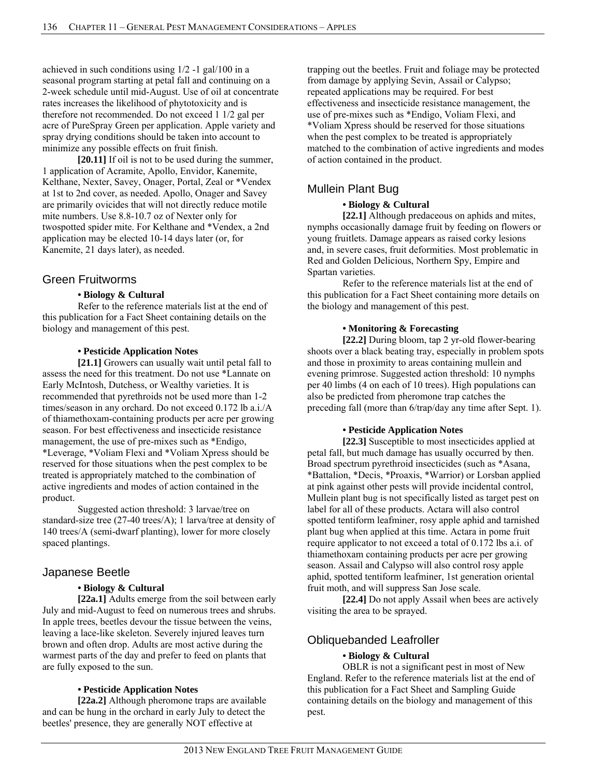achieved in such conditions using 1/2 -1 gal/100 in a seasonal program starting at petal fall and continuing on a 2-week schedule until mid-August. Use of oil at concentrate rates increases the likelihood of phytotoxicity and is therefore not recommended. Do not exceed 1 1/2 gal per acre of PureSpray Green per application. Apple variety and spray drying conditions should be taken into account to minimize any possible effects on fruit finish.

**[20.11]** If oil is not to be used during the summer, 1 application of Acramite, Apollo, Envidor, Kanemite, Kelthane, Nexter, Savey, Onager, Portal, Zeal or \*Vendex at 1st to 2nd cover, as needed. Apollo, Onager and Savey are primarily ovicides that will not directly reduce motile mite numbers. Use 8.8-10.7 oz of Nexter only for twospotted spider mite. For Kelthane and \*Vendex, a 2nd application may be elected 10-14 days later (or, for Kanemite, 21 days later), as needed.

### Green Fruitworms

### **• Biology & Cultural**

Refer to the reference materials list at the end of this publication for a Fact Sheet containing details on the biology and management of this pest.

#### **• Pesticide Application Notes**

**[21.1]** Growers can usually wait until petal fall to assess the need for this treatment. Do not use \*Lannate on Early McIntosh, Dutchess, or Wealthy varieties. It is recommended that pyrethroids not be used more than 1-2 times/season in any orchard. Do not exceed 0.172 lb a.i./A of thiamethoxam-containing products per acre per growing season. For best effectiveness and insecticide resistance management, the use of pre-mixes such as \*Endigo, \*Leverage, \*Voliam Flexi and \*Voliam Xpress should be reserved for those situations when the pest complex to be treated is appropriately matched to the combination of active ingredients and modes of action contained in the product.

Suggested action threshold: 3 larvae/tree on standard-size tree (27-40 trees/A); 1 larva/tree at density of 140 trees/A (semi-dwarf planting), lower for more closely spaced plantings.

### Japanese Beetle

#### **• Biology & Cultural**

**[22a.1]** Adults emerge from the soil between early July and mid-August to feed on numerous trees and shrubs. In apple trees, beetles devour the tissue between the veins, leaving a lace-like skeleton. Severely injured leaves turn brown and often drop. Adults are most active during the warmest parts of the day and prefer to feed on plants that are fully exposed to the sun.

### **• Pesticide Application Notes**

**[22a.2]** Although pheromone traps are available and can be hung in the orchard in early July to detect the beetles' presence, they are generally NOT effective at

trapping out the beetles. Fruit and foliage may be protected from damage by applying Sevin, Assail or Calypso; repeated applications may be required. For best effectiveness and insecticide resistance management, the use of pre-mixes such as \*Endigo, Voliam Flexi, and \*Voliam Xpress should be reserved for those situations when the pest complex to be treated is appropriately matched to the combination of active ingredients and modes of action contained in the product.

# Mullein Plant Bug

### **• Biology & Cultural**

**[22.1]** Although predaceous on aphids and mites, nymphs occasionally damage fruit by feeding on flowers or young fruitlets. Damage appears as raised corky lesions and, in severe cases, fruit deformities. Most problematic in Red and Golden Delicious, Northern Spy, Empire and Spartan varieties.

Refer to the reference materials list at the end of this publication for a Fact Sheet containing more details on the biology and management of this pest.

### **• Monitoring & Forecasting**

**[22.2]** During bloom, tap 2 yr-old flower-bearing shoots over a black beating tray, especially in problem spots and those in proximity to areas containing mullein and evening primrose. Suggested action threshold: 10 nymphs per 40 limbs (4 on each of 10 trees). High populations can also be predicted from pheromone trap catches the preceding fall (more than 6/trap/day any time after Sept. 1).

#### **• Pesticide Application Notes**

**[22.3]** Susceptible to most insecticides applied at petal fall, but much damage has usually occurred by then. Broad spectrum pyrethroid insecticides (such as \*Asana, \*Battalion, \*Decis, \*Proaxis, \*Warrior) or Lorsban applied at pink against other pests will provide incidental control, Mullein plant bug is not specifically listed as target pest on label for all of these products. Actara will also control spotted tentiform leafminer, rosy apple aphid and tarnished plant bug when applied at this time. Actara in pome fruit require applicator to not exceed a total of 0.172 lbs a.i. of thiamethoxam containing products per acre per growing season. Assail and Calypso will also control rosy apple aphid, spotted tentiform leafminer, 1st generation oriental fruit moth, and will suppress San Jose scale.

**[22.4]** Do not apply Assail when bees are actively visiting the area to be sprayed.

### Obliquebanded Leafroller

### **• Biology & Cultural**

OBLR is not a significant pest in most of New England. Refer to the reference materials list at the end of this publication for a Fact Sheet and Sampling Guide containing details on the biology and management of this pest.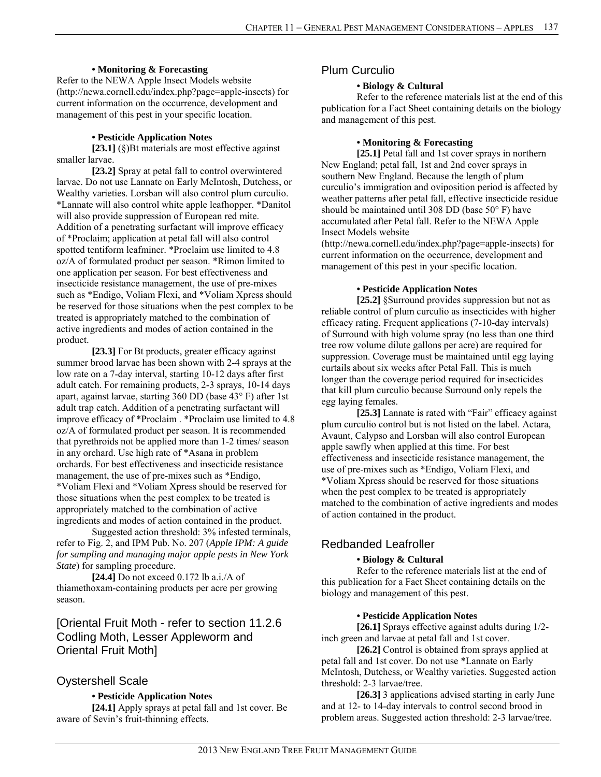### **• Monitoring & Forecasting**

Refer to the NEWA Apple Insect Models website (http://newa.cornell.edu/index.php?page=apple-insects) for current information on the occurrence, development and management of this pest in your specific location.

#### **• Pesticide Application Notes**

**[23.1]** (§)Bt materials are most effective against smaller larvae.

**[23.2]** Spray at petal fall to control overwintered larvae. Do not use Lannate on Early McIntosh, Dutchess, or Wealthy varieties. Lorsban will also control plum curculio. \*Lannate will also control white apple leafhopper. \*Danitol will also provide suppression of European red mite. Addition of a penetrating surfactant will improve efficacy of \*Proclaim; application at petal fall will also control spotted tentiform leafminer. \*Proclaim use limited to 4.8 oz/A of formulated product per season. \*Rimon limited to one application per season. For best effectiveness and insecticide resistance management, the use of pre-mixes such as \*Endigo, Voliam Flexi, and \*Voliam Xpress should be reserved for those situations when the pest complex to be treated is appropriately matched to the combination of active ingredients and modes of action contained in the product.

[23.3] For Bt products, greater efficacy against summer brood larvae has been shown with 2-4 sprays at the low rate on a 7-day interval, starting 10-12 days after first adult catch. For remaining products, 2-3 sprays, 10-14 days apart, against larvae, starting 360 DD (base 43° F) after 1st adult trap catch. Addition of a penetrating surfactant will improve efficacy of \*Proclaim . \*Proclaim use limited to 4.8 oz/A of formulated product per season. It is recommended that pyrethroids not be applied more than 1-2 times/ season in any orchard. Use high rate of \*Asana in problem orchards. For best effectiveness and insecticide resistance management, the use of pre-mixes such as \*Endigo, \*Voliam Flexi and \*Voliam Xpress should be reserved for those situations when the pest complex to be treated is appropriately matched to the combination of active ingredients and modes of action contained in the product.

Suggested action threshold: 3% infested terminals, refer to Fig. 2, and IPM Pub. No. 207 (*Apple IPM: A guide for sampling and managing major apple pests in New York State*) for sampling procedure.

**[24.4]** Do not exceed 0.172 lb a.i./A of thiamethoxam-containing products per acre per growing season.

# [Oriental Fruit Moth - refer to section 11.2.6 Codling Moth, Lesser Appleworm and Oriental Fruit Moth]

### Oystershell Scale

### **• Pesticide Application Notes**

**[24.1]** Apply sprays at petal fall and 1st cover. Be aware of Sevin's fruit-thinning effects.

### Plum Curculio

### **• Biology & Cultural**

Refer to the reference materials list at the end of this publication for a Fact Sheet containing details on the biology and management of this pest.

#### **• Monitoring & Forecasting**

**[25.1]** Petal fall and 1st cover sprays in northern New England; petal fall, 1st and 2nd cover sprays in southern New England. Because the length of plum curculio's immigration and oviposition period is affected by weather patterns after petal fall, effective insecticide residue should be maintained until 308 DD (base 50° F) have accumulated after Petal fall. Refer to the NEWA Apple Insect Models website

(http://newa.cornell.edu/index.php?page=apple-insects) for current information on the occurrence, development and management of this pest in your specific location.

### **• Pesticide Application Notes**

**[25.2]** §Surround provides suppression but not as reliable control of plum curculio as insecticides with higher efficacy rating. Frequent applications (7-10-day intervals) of Surround with high volume spray (no less than one third tree row volume dilute gallons per acre) are required for suppression. Coverage must be maintained until egg laying curtails about six weeks after Petal Fall. This is much longer than the coverage period required for insecticides that kill plum curculio because Surround only repels the egg laying females.

[25.3] Lannate is rated with "Fair" efficacy against plum curculio control but is not listed on the label. Actara, Avaunt, Calypso and Lorsban will also control European apple sawfly when applied at this time. For best effectiveness and insecticide resistance management, the use of pre-mixes such as \*Endigo, Voliam Flexi, and \*Voliam Xpress should be reserved for those situations when the pest complex to be treated is appropriately matched to the combination of active ingredients and modes of action contained in the product.

### Redbanded Leafroller

### **• Biology & Cultural**

Refer to the reference materials list at the end of this publication for a Fact Sheet containing details on the biology and management of this pest.

### **• Pesticide Application Notes**

**[26.1]** Sprays effective against adults during 1/2 inch green and larvae at petal fall and 1st cover.

**[26.2]** Control is obtained from sprays applied at petal fall and 1st cover. Do not use \*Lannate on Early McIntosh, Dutchess, or Wealthy varieties. Suggested action threshold: 2-3 larvae/tree.

**[26.3]** 3 applications advised starting in early June and at 12- to 14-day intervals to control second brood in problem areas. Suggested action threshold: 2-3 larvae/tree.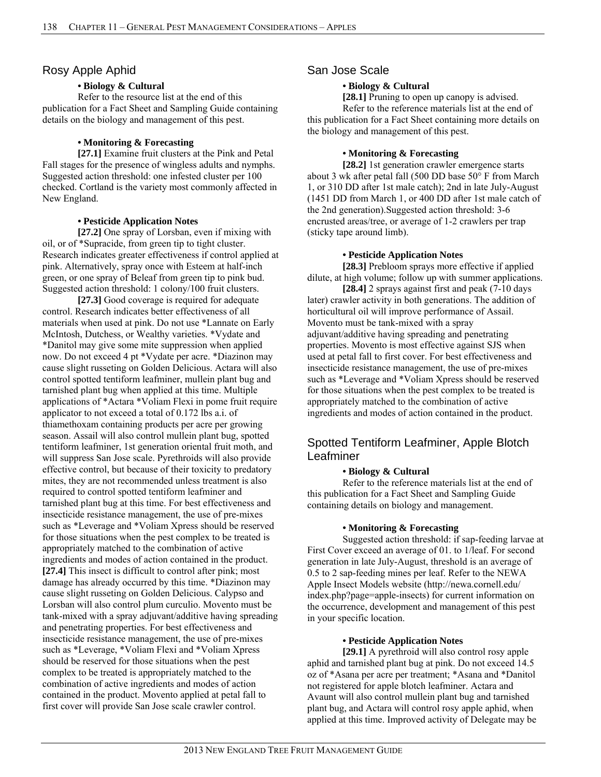### Rosy Apple Aphid

### **• Biology & Cultural**

Refer to the resource list at the end of this publication for a Fact Sheet and Sampling Guide containing details on the biology and management of this pest.

### **• Monitoring & Forecasting**

**[27.1]** Examine fruit clusters at the Pink and Petal Fall stages for the presence of wingless adults and nymphs. Suggested action threshold: one infested cluster per 100 checked. Cortland is the variety most commonly affected in New England.

### **• Pesticide Application Notes**

**[27.2]** One spray of Lorsban, even if mixing with oil, or of \*Supracide, from green tip to tight cluster. Research indicates greater effectiveness if control applied at pink. Alternatively, spray once with Esteem at half-inch green, or one spray of Beleaf from green tip to pink bud. Suggested action threshold: 1 colony/100 fruit clusters.

**[27.3]** Good coverage is required for adequate control. Research indicates better effectiveness of all materials when used at pink. Do not use \*Lannate on Early McIntosh, Dutchess, or Wealthy varieties. \*Vydate and \*Danitol may give some mite suppression when applied now. Do not exceed 4 pt \*Vydate per acre. \*Diazinon may cause slight russeting on Golden Delicious. Actara will also control spotted tentiform leafminer, mullein plant bug and tarnished plant bug when applied at this time. Multiple applications of \*Actara \*Voliam Flexi in pome fruit require applicator to not exceed a total of 0.172 lbs a.i. of thiamethoxam containing products per acre per growing season. Assail will also control mullein plant bug, spotted tentiform leafminer, 1st generation oriental fruit moth, and will suppress San Jose scale. Pyrethroids will also provide effective control, but because of their toxicity to predatory mites, they are not recommended unless treatment is also required to control spotted tentiform leafminer and tarnished plant bug at this time. For best effectiveness and insecticide resistance management, the use of pre-mixes such as \*Leverage and \*Voliam Xpress should be reserved for those situations when the pest complex to be treated is appropriately matched to the combination of active ingredients and modes of action contained in the product. **[27.4]** This insect is difficult to control after pink; most damage has already occurred by this time. \*Diazinon may cause slight russeting on Golden Delicious. Calypso and Lorsban will also control plum curculio. Movento must be tank-mixed with a spray adjuvant/additive having spreading and penetrating properties. For best effectiveness and insecticide resistance management, the use of pre-mixes such as \*Leverage, \*Voliam Flexi and \*Voliam Xpress should be reserved for those situations when the pest complex to be treated is appropriately matched to the combination of active ingredients and modes of action contained in the product. Movento applied at petal fall to first cover will provide San Jose scale crawler control.

### San Jose Scale

### **• Biology & Cultural**

**[28.1]** Pruning to open up canopy is advised. Refer to the reference materials list at the end of this publication for a Fact Sheet containing more details on the biology and management of this pest.

### **• Monitoring & Forecasting**

**[28.2]** 1st generation crawler emergence starts about 3 wk after petal fall (500 DD base 50° F from March 1, or 310 DD after 1st male catch); 2nd in late July-August (1451 DD from March 1, or 400 DD after 1st male catch of the 2nd generation).Suggested action threshold: 3-6 encrusted areas/tree, or average of 1-2 crawlers per trap (sticky tape around limb).

### **• Pesticide Application Notes**

**[28.3]** Prebloom sprays more effective if applied dilute, at high volume; follow up with summer applications.

**[28.4]** 2 sprays against first and peak (7-10 days later) crawler activity in both generations. The addition of horticultural oil will improve performance of Assail. Movento must be tank-mixed with a spray adjuvant/additive having spreading and penetrating properties. Movento is most effective against SJS when used at petal fall to first cover. For best effectiveness and insecticide resistance management, the use of pre-mixes such as \*Leverage and \*Voliam Xpress should be reserved for those situations when the pest complex to be treated is appropriately matched to the combination of active ingredients and modes of action contained in the product.

# Spotted Tentiform Leafminer, Apple Blotch Leafminer

### **• Biology & Cultural**

Refer to the reference materials list at the end of this publication for a Fact Sheet and Sampling Guide containing details on biology and management.

### **• Monitoring & Forecasting**

Suggested action threshold: if sap-feeding larvae at First Cover exceed an average of 01. to 1/leaf. For second generation in late July-August, threshold is an average of 0.5 to 2 sap-feeding mines per leaf. Refer to the NEWA Apple Insect Models website (http://newa.cornell.edu/ index.php?page=apple-insects) for current information on the occurrence, development and management of this pest in your specific location.

### **• Pesticide Application Notes**

**[29.1]** A pyrethroid will also control rosy apple aphid and tarnished plant bug at pink. Do not exceed 14.5 oz of \*Asana per acre per treatment; \*Asana and \*Danitol not registered for apple blotch leafminer. Actara and Avaunt will also control mullein plant bug and tarnished plant bug, and Actara will control rosy apple aphid, when applied at this time. Improved activity of Delegate may be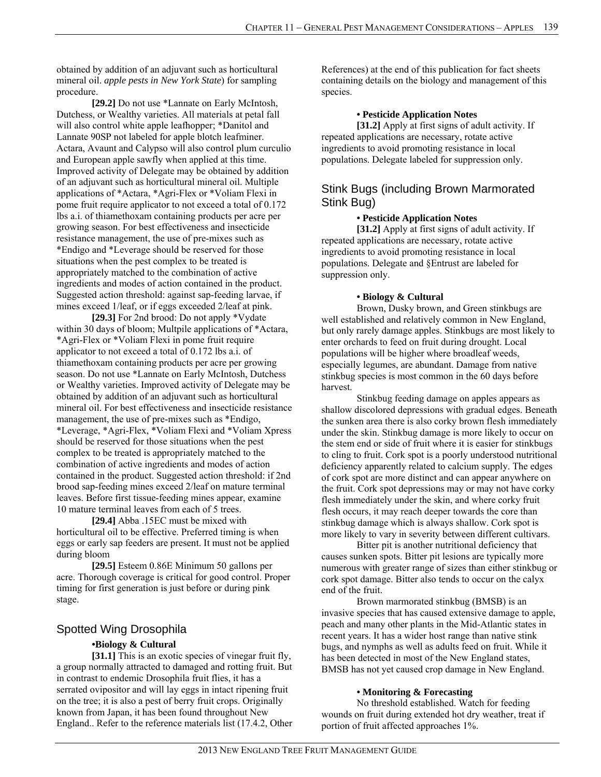obtained by addition of an adjuvant such as horticultural mineral oil. *apple pests in New York State*) for sampling procedure.

**[29.2]** Do not use \*Lannate on Early McIntosh, Dutchess, or Wealthy varieties. All materials at petal fall will also control white apple leafhopper; \*Danitol and Lannate 90SP not labeled for apple blotch leafminer. Actara, Avaunt and Calypso will also control plum curculio and European apple sawfly when applied at this time. Improved activity of Delegate may be obtained by addition of an adjuvant such as horticultural mineral oil. Multiple applications of \*Actara, \*Agri-Flex or \*Voliam Flexi in pome fruit require applicator to not exceed a total of 0.172 lbs a.i. of thiamethoxam containing products per acre per growing season. For best effectiveness and insecticide resistance management, the use of pre-mixes such as \*Endigo and \*Leverage should be reserved for those situations when the pest complex to be treated is appropriately matched to the combination of active ingredients and modes of action contained in the product. Suggested action threshold: against sap-feeding larvae, if mines exceed 1/leaf, or if eggs exceeded 2/leaf at pink.

**[29.3]** For 2nd brood: Do not apply \*Vydate within 30 days of bloom; Multpile applications of \*Actara, \*Agri-Flex or \*Voliam Flexi in pome fruit require applicator to not exceed a total of 0.172 lbs a.i. of thiamethoxam containing products per acre per growing season. Do not use \*Lannate on Early McIntosh, Dutchess or Wealthy varieties. Improved activity of Delegate may be obtained by addition of an adjuvant such as horticultural mineral oil. For best effectiveness and insecticide resistance management, the use of pre-mixes such as \*Endigo, \*Leverage, \*Agri-Flex, \*Voliam Flexi and \*Voliam Xpress should be reserved for those situations when the pest complex to be treated is appropriately matched to the combination of active ingredients and modes of action contained in the product. Suggested action threshold: if 2nd brood sap-feeding mines exceed 2/leaf on mature terminal leaves. Before first tissue-feeding mines appear, examine 10 mature terminal leaves from each of 5 trees.

**[29.4]** Abba .15EC must be mixed with horticultural oil to be effective. Preferred timing is when eggs or early sap feeders are present. It must not be applied during bloom

**[29.5]** Esteem 0.86E Minimum 50 gallons per acre. Thorough coverage is critical for good control. Proper timing for first generation is just before or during pink stage.

### Spotted Wing Drosophila

### **•Biology & Cultural**

[31.1] This is an exotic species of vinegar fruit fly, a group normally attracted to damaged and rotting fruit. But in contrast to endemic Drosophila fruit flies, it has a serrated ovipositor and will lay eggs in intact ripening fruit on the tree; it is also a pest of berry fruit crops. Originally known from Japan, it has been found throughout New England.. Refer to the reference materials list (17.4.2, Other References) at the end of this publication for fact sheets containing details on the biology and management of this species.

#### **• Pesticide Application Notes**

**[31.2]** Apply at first signs of adult activity. If repeated applications are necessary, rotate active ingredients to avoid promoting resistance in local populations. Delegate labeled for suppression only.

### Stink Bugs (including Brown Marmorated Stink Bug)

### **• Pesticide Application Notes**

**[31.2]** Apply at first signs of adult activity. If repeated applications are necessary, rotate active ingredients to avoid promoting resistance in local populations. Delegate and §Entrust are labeled for suppression only.

### **• Biology & Cultural**

Brown, Dusky brown, and Green stinkbugs are well established and relatively common in New England, but only rarely damage apples. Stinkbugs are most likely to enter orchards to feed on fruit during drought. Local populations will be higher where broadleaf weeds, especially legumes, are abundant. Damage from native stinkbug species is most common in the 60 days before harvest.

Stinkbug feeding damage on apples appears as shallow discolored depressions with gradual edges. Beneath the sunken area there is also corky brown flesh immediately under the skin. Stinkbug damage is more likely to occur on the stem end or side of fruit where it is easier for stinkbugs to cling to fruit. Cork spot is a poorly understood nutritional deficiency apparently related to calcium supply. The edges of cork spot are more distinct and can appear anywhere on the fruit. Cork spot depressions may or may not have corky flesh immediately under the skin, and where corky fruit flesh occurs, it may reach deeper towards the core than stinkbug damage which is always shallow. Cork spot is more likely to vary in severity between different cultivars.

Bitter pit is another nutritional deficiency that causes sunken spots. Bitter pit lesions are typically more numerous with greater range of sizes than either stinkbug or cork spot damage. Bitter also tends to occur on the calyx end of the fruit.

Brown marmorated stinkbug (BMSB) is an invasive species that has caused extensive damage to apple, peach and many other plants in the Mid-Atlantic states in recent years. It has a wider host range than native stink bugs, and nymphs as well as adults feed on fruit. While it has been detected in most of the New England states, BMSB has not yet caused crop damage in New England.

### **• Monitoring & Forecasting**

No threshold established. Watch for feeding wounds on fruit during extended hot dry weather, treat if portion of fruit affected approaches 1%.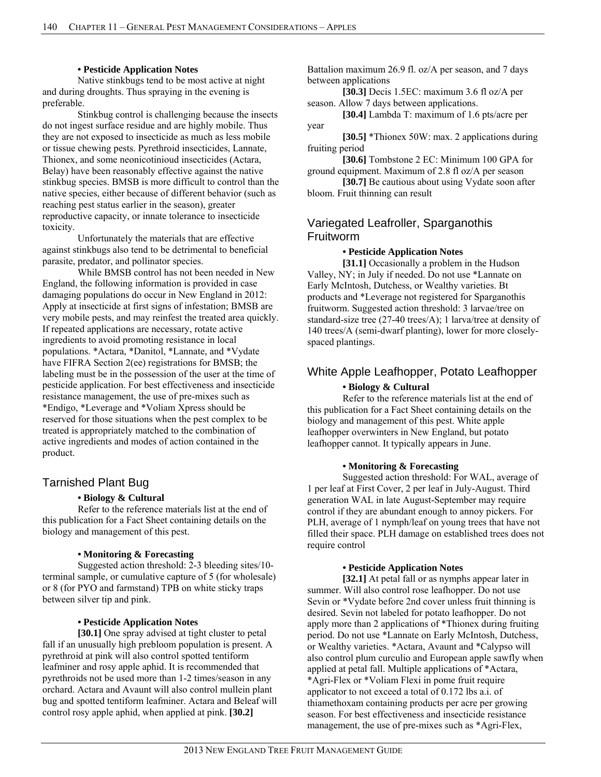### **• Pesticide Application Notes**

Native stinkbugs tend to be most active at night and during droughts. Thus spraying in the evening is preferable.

Stinkbug control is challenging because the insects do not ingest surface residue and are highly mobile. Thus they are not exposed to insecticide as much as less mobile or tissue chewing pests. Pyrethroid insecticides, Lannate, Thionex, and some neonicotinioud insecticides (Actara, Belay) have been reasonably effective against the native stinkbug species. BMSB is more difficult to control than the native species, either because of different behavior (such as reaching pest status earlier in the season), greater reproductive capacity, or innate tolerance to insecticide toxicity.

Unfortunately the materials that are effective against stinkbugs also tend to be detrimental to beneficial parasite, predator, and pollinator species.

While BMSB control has not been needed in New England, the following information is provided in case damaging populations do occur in New England in 2012: Apply at insecticide at first signs of infestation; BMSB are very mobile pests, and may reinfest the treated area quickly. If repeated applications are necessary, rotate active ingredients to avoid promoting resistance in local populations. \*Actara, \*Danitol, \*Lannate, and \*Vydate have FIFRA Section 2(ee) registrations for BMSB; the labeling must be in the possession of the user at the time of pesticide application. For best effectiveness and insecticide resistance management, the use of pre-mixes such as \*Endigo, \*Leverage and \*Voliam Xpress should be reserved for those situations when the pest complex to be treated is appropriately matched to the combination of active ingredients and modes of action contained in the product.

### Tarnished Plant Bug

### **• Biology & Cultural**

Refer to the reference materials list at the end of this publication for a Fact Sheet containing details on the biology and management of this pest.

### **• Monitoring & Forecasting**

Suggested action threshold: 2-3 bleeding sites/10 terminal sample, or cumulative capture of 5 (for wholesale) or 8 (for PYO and farmstand) TPB on white sticky traps between silver tip and pink.

### **• Pesticide Application Notes**

**[30.1]** One spray advised at tight cluster to petal fall if an unusually high prebloom population is present. A pyrethroid at pink will also control spotted tentiform leafminer and rosy apple aphid. It is recommended that pyrethroids not be used more than 1-2 times/season in any orchard. Actara and Avaunt will also control mullein plant bug and spotted tentiform leafminer. Actara and Beleaf will control rosy apple aphid, when applied at pink. **[30.2]**

Battalion maximum 26.9 fl. oz/A per season, and 7 days between applications

**[30.3]** Decis 1.5EC: maximum 3.6 fl oz/A per season. Allow 7 days between applications.

**[30.4]** Lambda T: maximum of 1.6 pts/acre per year

**[30.5]** \*Thionex 50W: max. 2 applications during fruiting period

**[30.6]** Tombstone 2 EC: Minimum 100 GPA for ground equipment. Maximum of 2.8 fl oz/A per season

[30.7] Be cautious about using Vydate soon after bloom. Fruit thinning can result

# Variegated Leafroller, Sparganothis **Fruitworm**

#### **• Pesticide Application Notes**

**[31.1]** Occasionally a problem in the Hudson Valley, NY; in July if needed. Do not use \*Lannate on Early McIntosh, Dutchess, or Wealthy varieties. Bt products and \*Leverage not registered for Sparganothis fruitworm. Suggested action threshold: 3 larvae/tree on standard-size tree (27-40 trees/A); 1 larva/tree at density of 140 trees/A (semi-dwarf planting), lower for more closelyspaced plantings.

# White Apple Leafhopper, Potato Leafhopper

### **• Biology & Cultural**

Refer to the reference materials list at the end of this publication for a Fact Sheet containing details on the biology and management of this pest. White apple leafhopper overwinters in New England, but potato leafhopper cannot. It typically appears in June.

### **• Monitoring & Forecasting**

Suggested action threshold: For WAL, average of 1 per leaf at First Cover, 2 per leaf in July-August. Third generation WAL in late August-September may require control if they are abundant enough to annoy pickers. For PLH, average of 1 nymph/leaf on young trees that have not filled their space. PLH damage on established trees does not require control

### **• Pesticide Application Notes**

**[32.1]** At petal fall or as nymphs appear later in summer. Will also control rose leafhopper. Do not use Sevin or \*Vydate before 2nd cover unless fruit thinning is desired. Sevin not labeled for potato leafhopper. Do not apply more than 2 applications of \*Thionex during fruiting period. Do not use \*Lannate on Early McIntosh, Dutchess, or Wealthy varieties. \*Actara, Avaunt and \*Calypso will also control plum curculio and European apple sawfly when applied at petal fall. Multiple applications of \*Actara, \*Agri-Flex or \*Voliam Flexi in pome fruit require applicator to not exceed a total of 0.172 lbs a.i. of thiamethoxam containing products per acre per growing season. For best effectiveness and insecticide resistance management, the use of pre-mixes such as \*Agri-Flex,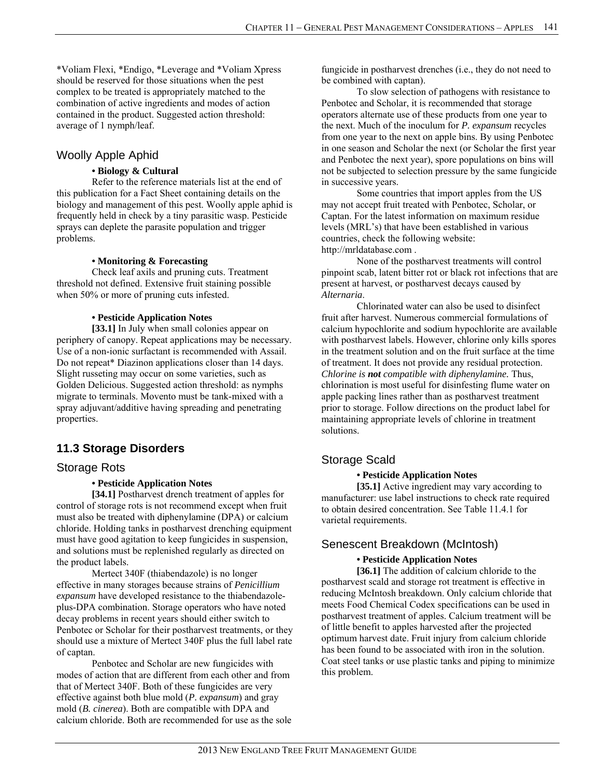\*Voliam Flexi, \*Endigo, \*Leverage and \*Voliam Xpress should be reserved for those situations when the pest complex to be treated is appropriately matched to the combination of active ingredients and modes of action contained in the product. Suggested action threshold: average of 1 nymph/leaf.

### Woolly Apple Aphid

### **• Biology & Cultural**

Refer to the reference materials list at the end of this publication for a Fact Sheet containing details on the biology and management of this pest. Woolly apple aphid is frequently held in check by a tiny parasitic wasp. Pesticide sprays can deplete the parasite population and trigger problems.

### **• Monitoring & Forecasting**

 Check leaf axils and pruning cuts. Treatment threshold not defined. Extensive fruit staining possible when 50% or more of pruning cuts infested.

### **• Pesticide Application Notes**

**[33.1]** In July when small colonies appear on periphery of canopy. Repeat applications may be necessary. Use of a non-ionic surfactant is recommended with Assail. Do not repeat\* Diazinon applications closer than 14 days. Slight russeting may occur on some varieties, such as Golden Delicious. Suggested action threshold: as nymphs migrate to terminals. Movento must be tank-mixed with a spray adjuvant/additive having spreading and penetrating properties.

# **11.3 Storage Disorders**

### Storage Rots

### **• Pesticide Application Notes**

**[34.1]** Postharvest drench treatment of apples for control of storage rots is not recommend except when fruit must also be treated with diphenylamine (DPA) or calcium chloride. Holding tanks in postharvest drenching equipment must have good agitation to keep fungicides in suspension, and solutions must be replenished regularly as directed on the product labels.

Mertect 340F (thiabendazole) is no longer effective in many storages because strains of *Penicillium expansum* have developed resistance to the thiabendazoleplus-DPA combination. Storage operators who have noted decay problems in recent years should either switch to Penbotec or Scholar for their postharvest treatments, or they should use a mixture of Mertect 340F plus the full label rate of captan.

Penbotec and Scholar are new fungicides with modes of action that are different from each other and from that of Mertect 340F. Both of these fungicides are very effective against both blue mold (*P. expansum*) and gray mold (*B. cinerea*). Both are compatible with DPA and calcium chloride. Both are recommended for use as the sole fungicide in postharvest drenches (i.e., they do not need to be combined with captan).

To slow selection of pathogens with resistance to Penbotec and Scholar, it is recommended that storage operators alternate use of these products from one year to the next. Much of the inoculum for *P. expansum* recycles from one year to the next on apple bins. By using Penbotec in one season and Scholar the next (or Scholar the first year and Penbotec the next year), spore populations on bins will not be subjected to selection pressure by the same fungicide in successive years.

Some countries that import apples from the US may not accept fruit treated with Penbotec, Scholar, or Captan. For the latest information on maximum residue levels (MRL's) that have been established in various countries, check the following website: http://mrldatabase.com .

None of the postharvest treatments will control pinpoint scab, latent bitter rot or black rot infections that are present at harvest, or postharvest decays caused by *Alternaria*.

Chlorinated water can also be used to disinfect fruit after harvest. Numerous commercial formulations of calcium hypochlorite and sodium hypochlorite are available with postharvest labels. However, chlorine only kills spores in the treatment solution and on the fruit surface at the time of treatment. It does not provide any residual protection. *Chlorine is not compatible with diphenylamine.* Thus, chlorination is most useful for disinfesting flume water on apple packing lines rather than as postharvest treatment prior to storage. Follow directions on the product label for maintaining appropriate levels of chlorine in treatment solutions.

# Storage Scald

### **• Pesticide Application Notes**

**[35.1]** Active ingredient may vary according to manufacturer: use label instructions to check rate required to obtain desired concentration. See Table 11.4.1 for varietal requirements.

### Senescent Breakdown (McIntosh)

### **• Pesticide Application Notes**

**[36.1]** The addition of calcium chloride to the postharvest scald and storage rot treatment is effective in reducing McIntosh breakdown. Only calcium chloride that meets Food Chemical Codex specifications can be used in postharvest treatment of apples. Calcium treatment will be of little benefit to apples harvested after the projected optimum harvest date. Fruit injury from calcium chloride has been found to be associated with iron in the solution. Coat steel tanks or use plastic tanks and piping to minimize this problem.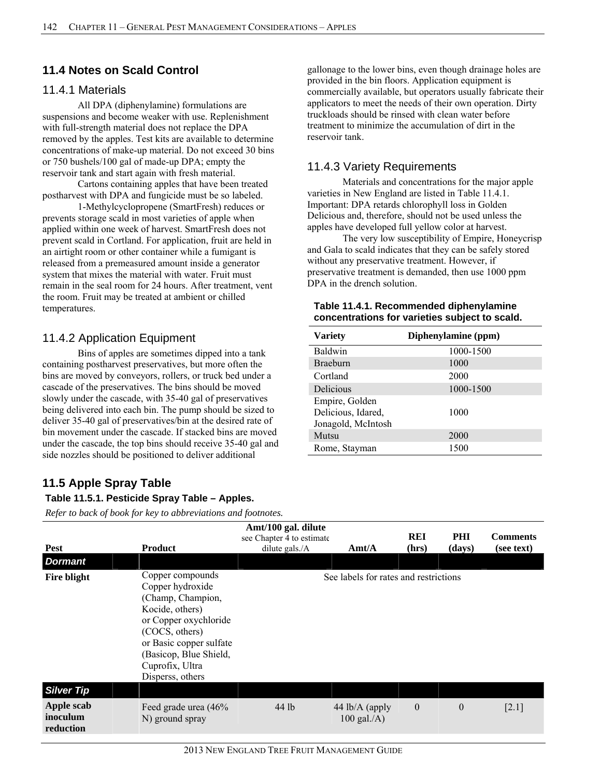## **11.4 Notes on Scald Control**

### 11.4.1 Materials

All DPA (diphenylamine) formulations are suspensions and become weaker with use. Replenishment with full-strength material does not replace the DPA removed by the apples. Test kits are available to determine concentrations of make-up material. Do not exceed 30 bins or 750 bushels/100 gal of made-up DPA; empty the reservoir tank and start again with fresh material.

Cartons containing apples that have been treated postharvest with DPA and fungicide must be so labeled.

1-Methylcyclopropene (SmartFresh) reduces or prevents storage scald in most varieties of apple when applied within one week of harvest. SmartFresh does not prevent scald in Cortland. For application, fruit are held in an airtight room or other container while a fumigant is released from a premeasured amount inside a generator system that mixes the material with water. Fruit must remain in the seal room for 24 hours. After treatment, vent the room. Fruit may be treated at ambient or chilled temperatures.

### 11.4.2 Application Equipment

Bins of apples are sometimes dipped into a tank containing postharvest preservatives, but more often the bins are moved by conveyors, rollers, or truck bed under a cascade of the preservatives. The bins should be moved slowly under the cascade, with 35-40 gal of preservatives being delivered into each bin. The pump should be sized to deliver 35-40 gal of preservatives/bin at the desired rate of bin movement under the cascade. If stacked bins are moved under the cascade, the top bins should receive 35-40 gal and side nozzles should be positioned to deliver additional

gallonage to the lower bins, even though drainage holes are provided in the bin floors. Application equipment is commercially available, but operators usually fabricate their applicators to meet the needs of their own operation. Dirty truckloads should be rinsed with clean water before treatment to minimize the accumulation of dirt in the reservoir tank.

# 11.4.3 Variety Requirements

Materials and concentrations for the major apple varieties in New England are listed in Table 11.4.1. Important: DPA retards chlorophyll loss in Golden Delicious and, therefore, should not be used unless the apples have developed full yellow color at harvest.

The very low susceptibility of Empire, Honeycrisp and Gala to scald indicates that they can be safely stored without any preservative treatment. However, if preservative treatment is demanded, then use 1000 ppm DPA in the drench solution.

| Table 11.4.1. Recommended diphenylamine        |
|------------------------------------------------|
| concentrations for varieties subject to scald. |

| <b>Variety</b>                                             | Diphenylamine (ppm) |
|------------------------------------------------------------|---------------------|
| Baldwin                                                    | 1000-1500           |
| <b>Braeburn</b>                                            | 1000                |
| Cortland                                                   | 2000                |
| Delicious                                                  | 1000-1500           |
| Empire, Golden<br>Delicious, Idared,<br>Jonagold, McIntosh | 1000                |
| Mutsu                                                      | 2000                |
| Rome, Stayman                                              | 1500                |
|                                                            |                     |

# **11.5 Apple Spray Table**

### **Table 11.5.1. Pesticide Spray Table – Apples.**

| <b>Pest</b>                         | <b>Product</b>                                                                                                                                                                                                      | Amt/100 gal. dilute<br>see Chapter 4 to estimate<br>dilute gals./A | $\text{Amt/A}$                        | REI<br>(hrs) | <b>PHI</b><br>(days) | <b>Comments</b><br>(see text) |
|-------------------------------------|---------------------------------------------------------------------------------------------------------------------------------------------------------------------------------------------------------------------|--------------------------------------------------------------------|---------------------------------------|--------------|----------------------|-------------------------------|
| <b>Dormant</b>                      |                                                                                                                                                                                                                     |                                                                    |                                       |              |                      |                               |
| <b>Fire blight</b>                  | Copper compounds<br>Copper hydroxide<br>(Champ, Champion,<br>Kocide, others)<br>or Copper oxychloride<br>(COCS, others)<br>or Basic copper sulfate<br>(Basicop, Blue Shield,<br>Cuprofix, Ultra<br>Disperss, others |                                                                    | See labels for rates and restrictions |              |                      |                               |
| <b>Silver Tip</b>                   |                                                                                                                                                                                                                     |                                                                    |                                       |              |                      |                               |
| Apple scab<br>inoculum<br>reduction | Feed grade urea (46%<br>N) ground spray                                                                                                                                                                             | 44 lb                                                              | 44 lb/A (apply<br>$100$ gal./A)       | $\mathbf{0}$ | $\boldsymbol{0}$     | $[2.1]$                       |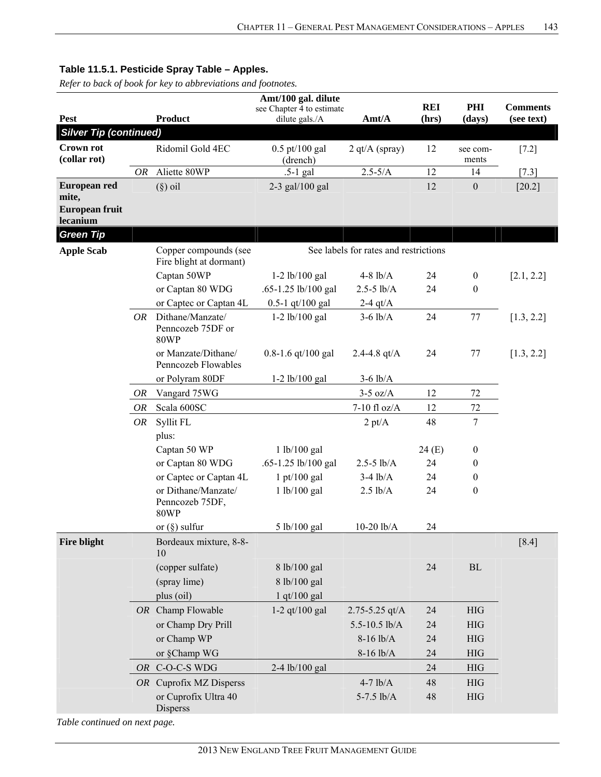*Refer to back of book for key to abbreviations and footnotes.*

|                                                     |           |                                                                                           | Amt/100 gal. dilute                         |                    |                     |                   |                               |  |  |
|-----------------------------------------------------|-----------|-------------------------------------------------------------------------------------------|---------------------------------------------|--------------------|---------------------|-------------------|-------------------------------|--|--|
| <b>Pest</b>                                         |           | <b>Product</b>                                                                            | see Chapter 4 to estimate<br>dilute gals./A | Amt/A              | <b>REI</b><br>(hrs) | PHI<br>(days)     | <b>Comments</b><br>(see text) |  |  |
| <b>Silver Tip (continued)</b>                       |           |                                                                                           |                                             |                    |                     |                   |                               |  |  |
| <b>Crown rot</b><br>(collar rot)                    |           | Ridomil Gold 4EC                                                                          | $0.5$ pt/100 gal<br>(drench)                | $2$ qt/A (spray)   | 12                  | see com-<br>ments | $[7.2]$                       |  |  |
|                                                     | OR        | Aliette 80WP                                                                              | $.5-1$ gal                                  | $2.5 - 5/A$        | 12                  | 14                | $[7.3]$                       |  |  |
| European red<br>mite,<br>European fruit<br>lecanium |           | $(\S)$ oil                                                                                | $2-3$ gal/100 gal                           |                    | 12                  | $\boldsymbol{0}$  | $[20.2]$                      |  |  |
| <b>Green Tip</b>                                    |           |                                                                                           |                                             |                    |                     |                   |                               |  |  |
| <b>Apple Scab</b>                                   |           | See labels for rates and restrictions<br>Copper compounds (see<br>Fire blight at dormant) |                                             |                    |                     |                   |                               |  |  |
|                                                     |           | Captan 50WP                                                                               | $1-2$ lb/100 gal                            | $4-8$ lb/A         | 24                  | $\boldsymbol{0}$  | [2.1, 2.2]                    |  |  |
|                                                     |           | or Captan 80 WDG                                                                          | .65-1.25 lb/100 gal                         | $2.5 - 5$ lb/A     | 24                  | $\boldsymbol{0}$  |                               |  |  |
|                                                     |           | or Captec or Captan 4L                                                                    | $0.5 - 1$ qt/100 gal                        | 2-4 $qt/A$         |                     |                   |                               |  |  |
|                                                     | OR.       | Dithane/Manzate/<br>Penncozeb 75DF or<br><b>80WP</b>                                      | $1-2$ lb/100 gal                            | $3-6$ lb/A         | 24                  | 77                | [1.3, 2.2]                    |  |  |
|                                                     |           | or Manzate/Dithane/<br>Penncozeb Flowables                                                | $0.8 - 1.6$ qt/100 gal                      | 2.4-4.8 $qt/A$     | 24                  | 77                | [1.3, 2.2]                    |  |  |
|                                                     |           | or Polyram 80DF                                                                           | $1-2$ lb/100 gal                            | $3-6$ lb/A         |                     |                   |                               |  |  |
|                                                     | OR        | Vangard 75WG                                                                              |                                             | $3-5$ oz/A         | 12                  | 72                |                               |  |  |
|                                                     | <b>OR</b> | Scala 600SC                                                                               |                                             | 7-10 fl oz/ $A$    | 12                  | 72                |                               |  |  |
|                                                     | OR        | Syllit FL                                                                                 |                                             | $2 \text{ pt/A}$   | 48                  | $\tau$            |                               |  |  |
|                                                     |           | plus:                                                                                     |                                             |                    |                     |                   |                               |  |  |
|                                                     |           | Captan 50 WP                                                                              | 1 lb/100 gal                                |                    | 24(E)               | $\boldsymbol{0}$  |                               |  |  |
|                                                     |           | or Captan 80 WDG                                                                          | .65-1.25 lb/100 gal                         | $2.5 - 5$ lb/A     | 24                  | $\boldsymbol{0}$  |                               |  |  |
|                                                     |           | or Captec or Captan 4L                                                                    | $1$ pt/100 gal                              | $3-4$ $lb/A$       | 24                  | $\boldsymbol{0}$  |                               |  |  |
|                                                     |           | or Dithane/Manzate/<br>Penncozeb 75DF,<br><b>80WP</b>                                     | 1 lb/100 gal                                | $2.5$ lb/A         | 24                  | $\boldsymbol{0}$  |                               |  |  |
|                                                     |           | or $(\S)$ sulfur                                                                          | 5 lb/100 gal                                | $10-20$ $lb/A$     | 24                  |                   |                               |  |  |
| Fire blight                                         |           | Bordeaux mixture, 8-8-<br>10                                                              |                                             |                    |                     |                   | $[8.4]$                       |  |  |
|                                                     |           | (copper sulfate)                                                                          | 8 lb/100 gal                                |                    | 24                  | ${\rm BL}$        |                               |  |  |
|                                                     |           | (spray lime)                                                                              | 8 lb/100 gal                                |                    |                     |                   |                               |  |  |
|                                                     |           | plus (oil)                                                                                | $1$ qt/ $100$ gal                           |                    |                     |                   |                               |  |  |
|                                                     |           | OR Champ Flowable                                                                         | 1-2 $qt/100$ gal                            | $2.75 - 5.25$ qt/A | 24                  | <b>HIG</b>        |                               |  |  |
|                                                     |           | or Champ Dry Prill                                                                        |                                             | 5.5-10.5 lb/A      | 24                  | <b>HIG</b>        |                               |  |  |
|                                                     |           | or Champ WP                                                                               |                                             | $8-16$ lb/A        | 24                  | <b>HIG</b>        |                               |  |  |
|                                                     |           | or §Champ WG                                                                              |                                             | $8-16$ lb/A        | 24                  | <b>HIG</b>        |                               |  |  |
|                                                     |           | OR C-O-C-S WDG                                                                            | 2-4 lb/100 gal                              |                    | 24                  | <b>HIG</b>        |                               |  |  |
|                                                     |           | OR Cuprofix MZ Disperss                                                                   |                                             | $4-7$ $lb/A$       | 48                  | <b>HIG</b>        |                               |  |  |
|                                                     |           | or Cuprofix Ultra 40<br>Disperss                                                          |                                             | $5-7.5$ lb/A       | 48                  | <b>HIG</b>        |                               |  |  |

*Table continued on next page.*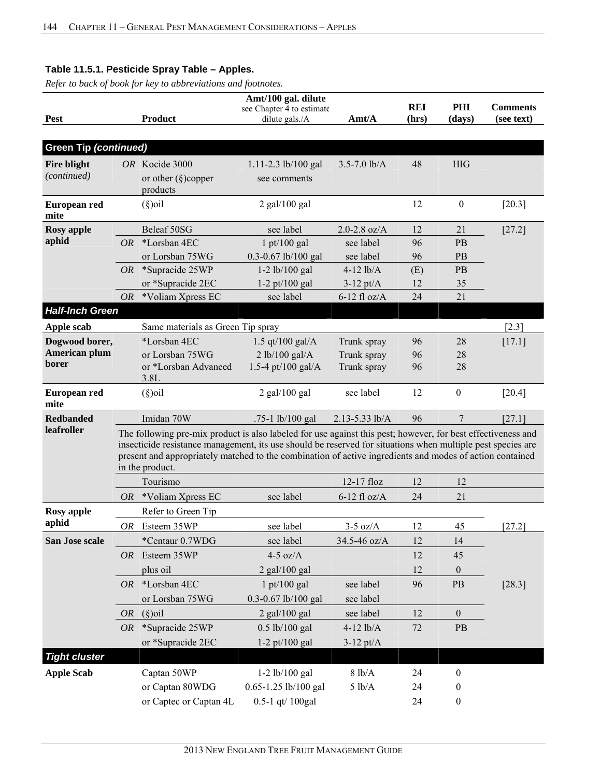|                             |           |                                                                                                                                                                                                                                                                                                                                                            | Amt/100 gal. dilute       |                  |            |                  |                 |  |  |  |
|-----------------------------|-----------|------------------------------------------------------------------------------------------------------------------------------------------------------------------------------------------------------------------------------------------------------------------------------------------------------------------------------------------------------------|---------------------------|------------------|------------|------------------|-----------------|--|--|--|
|                             |           |                                                                                                                                                                                                                                                                                                                                                            | see Chapter 4 to estimate |                  | <b>REI</b> | PHI              | <b>Comments</b> |  |  |  |
| <b>Pest</b>                 |           | <b>Product</b>                                                                                                                                                                                                                                                                                                                                             | dilute gals./A            | Amt/A            | (hrs)      | (days)           | (see text)      |  |  |  |
| Green Tip (continued)       |           |                                                                                                                                                                                                                                                                                                                                                            |                           |                  |            |                  |                 |  |  |  |
| <b>Fire blight</b>          |           | OR Kocide 3000                                                                                                                                                                                                                                                                                                                                             | 1.11-2.3 lb/100 gal       | $3.5 - 7.0$ lb/A | 48         | <b>HIG</b>       |                 |  |  |  |
| (continued)                 |           | or other $(\S)$ copper<br>products                                                                                                                                                                                                                                                                                                                         | see comments              |                  |            |                  |                 |  |  |  |
| <b>European red</b><br>mite |           | $(\S)$ oil                                                                                                                                                                                                                                                                                                                                                 | $2$ gal/100 gal           |                  | 12         | $\boldsymbol{0}$ | [20.3]          |  |  |  |
| <b>Rosy</b> apple           |           | Beleaf 50SG                                                                                                                                                                                                                                                                                                                                                | see label                 | 2.0-2.8 $oz/A$   | 12         | 21               | $[27.2]$        |  |  |  |
| aphid                       | OR.       | *Lorsban 4EC                                                                                                                                                                                                                                                                                                                                               | $1$ pt/100 gal            | see label        | 96         | PB               |                 |  |  |  |
|                             |           | or Lorsban 75WG                                                                                                                                                                                                                                                                                                                                            | 0.3-0.67 lb/100 gal       | see label        | 96         | PB               |                 |  |  |  |
|                             |           | $OR$ *Supracide 25WP                                                                                                                                                                                                                                                                                                                                       | $1-2$ lb/100 gal          | $4-12$ $lb/A$    | (E)        | PB               |                 |  |  |  |
|                             |           | or *Supracide 2EC                                                                                                                                                                                                                                                                                                                                          | $1-2$ pt/100 gal          | $3-12$ pt/A      | 12         | 35               |                 |  |  |  |
|                             | <b>OR</b> | *Voliam Xpress EC                                                                                                                                                                                                                                                                                                                                          | see label                 | $6-12$ fl oz/A   | 24         | 21               |                 |  |  |  |
| <b>Half-Inch Green</b>      |           |                                                                                                                                                                                                                                                                                                                                                            |                           |                  |            |                  |                 |  |  |  |
| Apple scab                  |           | Same materials as Green Tip spray                                                                                                                                                                                                                                                                                                                          |                           |                  |            |                  | $[2.3]$         |  |  |  |
| Dogwood borer,              |           | *Lorsban 4EC                                                                                                                                                                                                                                                                                                                                               | 1.5 qt/100 gal/ $A$       | Trunk spray      | 96         | 28               | [17.1]          |  |  |  |
| American plum               |           | or Lorsban 75WG                                                                                                                                                                                                                                                                                                                                            | 2 lb/100 gal/A            | Trunk spray      | 96         | 28               |                 |  |  |  |
| borer                       |           | or *Lorsban Advanced<br>3.8L                                                                                                                                                                                                                                                                                                                               | 1.5-4 pt/100 gal/A        | Trunk spray      | 96         | 28               |                 |  |  |  |
| European red<br>mite        |           | $(\S)$ oil                                                                                                                                                                                                                                                                                                                                                 | $2$ gal/100 gal           | see label        | 12         | $\boldsymbol{0}$ | [20.4]          |  |  |  |
| <b>Redbanded</b>            |           | Imidan 70W                                                                                                                                                                                                                                                                                                                                                 | .75-1 lb/100 gal          | 2.13-5.33 lb/A   | 96         | $\overline{7}$   | [27.1]          |  |  |  |
| leafroller                  |           | The following pre-mix product is also labeled for use against this pest; however, for best effectiveness and<br>insecticide resistance management, its use should be reserved for situations when multiple pest species are<br>present and appropriately matched to the combination of active ingredients and modes of action contained<br>in the product. |                           |                  |            |                  |                 |  |  |  |
|                             |           | Tourismo                                                                                                                                                                                                                                                                                                                                                   |                           | 12-17 floz       | 12         | 12               |                 |  |  |  |
|                             | <i>OR</i> | *Voliam Xpress EC                                                                                                                                                                                                                                                                                                                                          | see label                 | $6-12$ fl oz/A   | 24         | 21               |                 |  |  |  |
| <b>Rosy</b> apple           |           | Refer to Green Tip                                                                                                                                                                                                                                                                                                                                         |                           |                  |            |                  |                 |  |  |  |
| aphid                       | OR        | Esteem 35WP                                                                                                                                                                                                                                                                                                                                                | see label                 | $3-5$ oz/A       | 12         | 45               | [27.2]          |  |  |  |
| San Jose scale              |           | *Centaur 0.7WDG                                                                                                                                                                                                                                                                                                                                            | see label                 | 34.5-46 oz/A     | 12         | 14               |                 |  |  |  |
|                             | OR        | Esteem 35WP                                                                                                                                                                                                                                                                                                                                                | $4-5$ oz/A                |                  | 12         | 45               |                 |  |  |  |
|                             |           | plus oil                                                                                                                                                                                                                                                                                                                                                   | $2$ gal/100 gal           |                  | 12         | $\boldsymbol{0}$ |                 |  |  |  |
|                             | OR        | *Lorsban 4EC                                                                                                                                                                                                                                                                                                                                               | $1$ pt/100 gal            | see label        | 96         | PB               | $[28.3]$        |  |  |  |
|                             |           | or Lorsban 75WG                                                                                                                                                                                                                                                                                                                                            | 0.3-0.67 lb/100 gal       | see label        |            |                  |                 |  |  |  |
|                             | OR        | $(\S)$ oil                                                                                                                                                                                                                                                                                                                                                 | $2$ gal/100 gal           | see label        | 12         | $\mathbf{0}$     |                 |  |  |  |
|                             | OR        | *Supracide 25WP                                                                                                                                                                                                                                                                                                                                            | $0.5$ lb/100 gal          | $4-12$ lb/A      | 72         | PB               |                 |  |  |  |
|                             |           | or *Supracide 2EC                                                                                                                                                                                                                                                                                                                                          | $1-2$ pt/100 gal          | $3-12$ pt/A      |            |                  |                 |  |  |  |
| <b>Tight cluster</b>        |           |                                                                                                                                                                                                                                                                                                                                                            |                           |                  |            |                  |                 |  |  |  |
| <b>Apple Scab</b>           |           | Captan 50WP                                                                                                                                                                                                                                                                                                                                                | 1-2 lb/100 gal            | 8 lb/A           | 24         | $\boldsymbol{0}$ |                 |  |  |  |
|                             |           | or Captan 80WDG                                                                                                                                                                                                                                                                                                                                            | 0.65-1.25 lb/100 gal      | 5 lb/A           | 24         | $\boldsymbol{0}$ |                 |  |  |  |
|                             |           | or Captec or Captan 4L                                                                                                                                                                                                                                                                                                                                     | 0.5-1 qt/ 100gal          |                  | 24         | $\boldsymbol{0}$ |                 |  |  |  |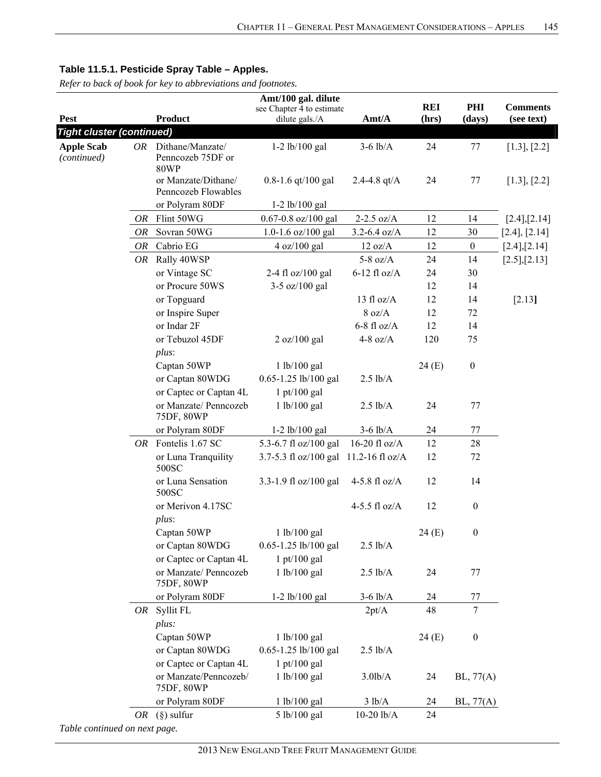|                                  |    |                                     | Amt/100 gal. dilute                         |                     |                     |                  |                               |
|----------------------------------|----|-------------------------------------|---------------------------------------------|---------------------|---------------------|------------------|-------------------------------|
| Pest                             |    | <b>Product</b>                      | see Chapter 4 to estimate<br>dilute gals./A | Amt/A               | <b>REI</b><br>(hrs) | PHI<br>(days)    | <b>Comments</b><br>(see text) |
| <b>Tight cluster (continued)</b> |    |                                     |                                             |                     |                     |                  |                               |
| <b>Apple Scab</b>                |    | OR Dithane/Manzate/                 | $1-2$ lb/100 gal                            | $3-6$ lb/A          | 24                  | 77               | [1.3], [2.2]                  |
| (continued)                      |    | Penncozeb 75DF or                   |                                             |                     |                     |                  |                               |
|                                  |    | <b>80WP</b>                         |                                             |                     |                     |                  |                               |
|                                  |    | or Manzate/Dithane/                 | $0.8 - 1.6$ qt/100 gal                      | 2.4-4.8 $qt/A$      | 24                  | 77               | [1.3], [2.2]                  |
|                                  |    | Penncozeb Flowables                 |                                             |                     |                     |                  |                               |
|                                  |    | or Polyram 80DF                     | $1-2$ lb/100 gal                            |                     |                     |                  |                               |
|                                  | OR | Flint 50WG                          | $0.67 - 0.8$ oz/100 gal                     | $2-2.5$ oz/A        | 12                  | 14               | [2.4],[2.14]                  |
|                                  | OR | Sovran 50WG                         | 1.0-1.6 oz/100 gal                          | $3.2 - 6.4$ oz/A    | 12                  | 30               | [2.4], [2.14]                 |
|                                  | OR | Cabrio EG                           | 4 oz/100 gal                                | 12 oz/A             | 12                  | $\boldsymbol{0}$ | [2.4],[2.14]                  |
|                                  | OR | Rally 40WSP                         |                                             | $5-8$ oz/A          | 24                  | 14               | [2.5],[2.13]                  |
|                                  |    | or Vintage SC                       | 2-4 fl oz/100 gal                           | $6-12$ fl oz/A      | 24                  | 30               |                               |
|                                  |    | or Procure 50WS                     | 3-5 oz/100 gal                              |                     | 12                  | 14               |                               |
|                                  |    | or Topguard                         |                                             | 13 fl $oz/A$        | 12                  | 14               | [2.13]                        |
|                                  |    | or Inspire Super                    |                                             | 8 oz/A              | 12                  | 72               |                               |
|                                  |    | or Indar 2F                         |                                             | $6-8$ fl oz/A       | 12                  | 14               |                               |
|                                  |    | or Tebuzol 45DF                     | 2 oz/100 gal                                | 4-8 oz/ $A$         | 120                 | 75               |                               |
|                                  |    | plus:                               |                                             |                     |                     |                  |                               |
|                                  |    | Captan 50WP                         | 1 lb/100 gal                                |                     | 24(E)               | $\boldsymbol{0}$ |                               |
|                                  |    | or Captan 80WDG                     | 0.65-1.25 lb/100 gal                        | $2.5$ lb/A          |                     |                  |                               |
|                                  |    | or Captec or Captan 4L              | $1$ pt/100 gal                              |                     |                     |                  |                               |
|                                  |    | or Manzate/ Penncozeb               | 1 lb/100 gal                                | $2.5$ lb/A          | 24                  | 77               |                               |
|                                  |    | 75DF, 80WP<br>or Polyram 80DF       | $1-2$ lb/100 gal                            | $3-6$ lb/A          | 24                  | 77               |                               |
|                                  |    | OR Fontelis 1.67 SC                 | 5.3-6.7 fl oz/100 gal                       | 16-20 fl oz/ $A$    | 12                  | 28               |                               |
|                                  |    | or Luna Tranquility                 | 3.7-5.3 fl oz/100 gal                       | $11.2 - 16$ fl oz/A | 12                  | 72               |                               |
|                                  |    | 500SC                               |                                             |                     |                     |                  |                               |
|                                  |    | or Luna Sensation<br>500SC          | 3.3-1.9 fl oz/100 gal                       | 4-5.8 fl $oz/A$     | 12                  | 14               |                               |
|                                  |    | or Merivon 4.17SC                   |                                             | 4-5.5 fl $oz/A$     | 12                  | $\boldsymbol{0}$ |                               |
|                                  |    | $plus$ :                            |                                             |                     |                     |                  |                               |
|                                  |    | Captan 50WP                         | 1 lb/100 gal                                |                     | 24(E)               | $\mathbf{0}$     |                               |
|                                  |    | or Captan 80WDG                     | 0.65-1.25 lb/100 gal                        | $2.5$ lb/A          |                     |                  |                               |
|                                  |    | or Captec or Captan 4L              | $1 \text{ pt}/100 \text{ gal}$              |                     |                     |                  |                               |
|                                  |    | or Manzate/ Penncozeb<br>75DF, 80WP | 1 lb/100 gal                                | $2.5$ lb/A          | 24                  | 77               |                               |
|                                  |    | or Polyram 80DF                     | $1-2$ lb/100 gal                            | $3-6$ lb/A          | 24                  | 77               |                               |
|                                  |    | OR Syllit FL                        |                                             | 2pt/A               | 48                  | $\overline{7}$   |                               |
|                                  |    | plus:                               |                                             |                     |                     |                  |                               |
|                                  |    | Captan 50WP                         | 1 lb/100 gal                                |                     | 24 (E)              | $\boldsymbol{0}$ |                               |
|                                  |    | or Captan 80WDG                     | 0.65-1.25 lb/100 gal                        | $2.5$ lb/A          |                     |                  |                               |
|                                  |    | or Captec or Captan 4L              | $1$ pt/100 gal                              |                     |                     |                  |                               |
|                                  |    | or Manzate/Penncozeb/<br>75DF, 80WP | 1 lb/100 gal                                | $3.0$ lb/A          | 24                  | $BL$ , 77 $(A)$  |                               |
|                                  |    | or Polyram 80DF                     | 1 lb/100 gal                                | 3 lb/A              | 24                  | $BL$ , 77 $(A)$  |                               |
|                                  | OR | $(\S)$ sulfur                       | 5 lb/100 gal                                | $10-20$ $lb/A$      | 24                  |                  |                               |
| Table continued on next page.    |    |                                     |                                             |                     |                     |                  |                               |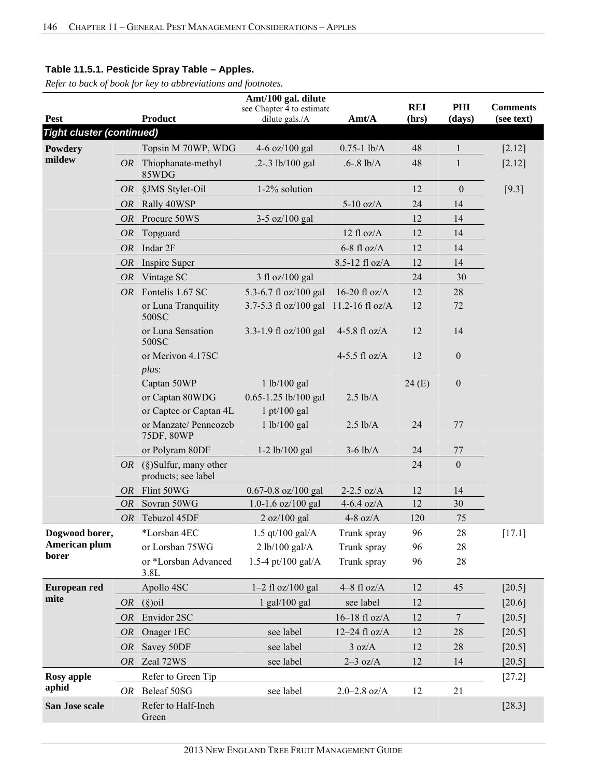|                                  |           |                                                               | Amt/100 gal. dilute                         |                  |                     |                  |                               |
|----------------------------------|-----------|---------------------------------------------------------------|---------------------------------------------|------------------|---------------------|------------------|-------------------------------|
| <b>Pest</b>                      |           | <b>Product</b>                                                | see Chapter 4 to estimate<br>dilute gals./A | Amt/A            | <b>REI</b><br>(hrs) | PHI<br>(days)    | <b>Comments</b><br>(see text) |
| <b>Tight cluster (continued)</b> |           |                                                               |                                             |                  |                     |                  |                               |
| Powdery                          |           | Topsin M 70WP, WDG                                            | 4-6 $oz/100$ gal                            | $0.75 - 1$ lb/A  | 48                  | 1                |                               |
| mildew                           |           |                                                               |                                             |                  |                     |                  | $[2.12]$                      |
|                                  |           | OR Thiophanate-methyl<br>85WDG                                | $.2 - .3$ lb/100 gal                        | $.6 - 8$ lb/A    | 48                  | $\mathbf{1}$     | [2.12]                        |
|                                  | <i>OR</i> | §JMS Stylet-Oil                                               | 1-2% solution                               |                  | 12                  | $\theta$         | $[9.3]$                       |
|                                  | <i>OR</i> | Rally 40WSP                                                   |                                             | $5-10$ oz/A      | 24                  | 14               |                               |
|                                  | <i>OR</i> | Procure 50WS                                                  | 3-5 oz/100 gal                              |                  | 12                  | 14               |                               |
|                                  | OR        | Topguard                                                      |                                             | $12$ fl oz/A     | 12                  | 14               |                               |
|                                  | <i>OR</i> | Indar 2F                                                      |                                             | $6-8$ fl oz/A    | 12                  | 14               |                               |
|                                  | OR        | Inspire Super                                                 |                                             | 8.5-12 fl oz/A   | 12                  | 14               |                               |
|                                  | OR        | Vintage SC                                                    | 3 fl oz/100 gal                             |                  | 24                  | 30               |                               |
|                                  |           | OR Fontelis 1.67 SC                                           | 5.3-6.7 fl oz/100 gal                       | 16-20 fl $oz/A$  | 12                  | 28               |                               |
|                                  |           | or Luna Tranquility<br>500SC                                  | 3.7-5.3 fl oz/100 gal                       | 11.2-16 fl oz/A  | 12                  | 72               |                               |
|                                  |           | or Luna Sensation<br>500SC                                    | 3.3-1.9 fl oz/100 gal                       | 4-5.8 fl $oz/A$  | 12                  | 14               |                               |
|                                  |           | or Merivon 4.17SC<br>$plus$ :                                 |                                             | 4-5.5 fl $oz/A$  | 12                  | $\boldsymbol{0}$ |                               |
|                                  |           | Captan 50WP<br>or Captan 80WDG                                | 1 lb/100 gal<br>0.65-1.25 lb/100 gal        | $2.5$ lb/A       | 24(E)               | $\mathbf{0}$     |                               |
|                                  |           | or Captec or Captan 4L<br>or Manzate/ Penncozeb<br>75DF, 80WP | $1$ pt/100 gal<br>1 lb/100 gal              | $2.5$ lb/A       | 24                  | 77               |                               |
|                                  |           | or Polyram 80DF                                               | $1-2$ lb/100 gal                            | $3-6$ lb/A       | 24                  | 77               |                               |
|                                  | <i>OR</i> | (§)Sulfur, many other<br>products; see label                  |                                             |                  | 24                  | $\boldsymbol{0}$ |                               |
|                                  | <i>OR</i> | Flint 50WG                                                    | $0.67 - 0.8$ oz/100 gal                     | $2-2.5$ oz/A     | 12                  | 14               |                               |
|                                  | <i>OR</i> | Sovran 50WG                                                   | 1.0-1.6 oz/100 gal                          | 4-6.4 oz/ $A$    | 12                  | 30               |                               |
|                                  | <i>OR</i> | Tebuzol 45DF                                                  | 2 oz/100 gal                                | 4-8 oz/ $A$      | 120                 | 75               |                               |
| Dogwood borer,                   |           | *Lorsban 4EC                                                  | 1.5 qt/100 gal/ $A$                         | Trunk spray      | 96                  | $28\,$           | $[17.1]$                      |
| American plum                    |           | or Lorsban 75WG                                               | 2 lb/100 gal/A                              | Trunk spray      | 96                  | 28               |                               |
| borer                            |           | or *Lorsban Advanced<br>3.8L                                  | 1.5-4 pt/100 gal/A                          | Trunk spray      | 96                  | 28               |                               |
| European red                     |           | Apollo 4SC                                                    | $1-2$ fl oz/100 gal                         | $4-8$ fl oz/A    | 12                  | 45               | $[20.5]$                      |
| mite                             | <i>OR</i> | $(\S)$ oil                                                    | $1$ gal/ $100$ gal                          | see label        | 12                  |                  | [20.6]                        |
|                                  | <i>OR</i> | Envidor 2SC                                                   |                                             | $16-18$ fl oz/A  | 12                  | $\tau$           | $[20.5]$                      |
|                                  | <i>OR</i> | Onager 1EC                                                    | see label                                   | $12-24$ fl oz/A  | 12                  | 28               | $[20.5]$                      |
|                                  | <b>OR</b> | Savey 50DF                                                    | see label                                   | 3 oz/A           | 12                  | 28               | $[20.5]$                      |
|                                  | <i>OR</i> | Zeal 72WS                                                     | see label                                   | $2-3$ oz/A       | 12                  | 14               | $[20.5]$                      |
| <b>Rosy</b> apple                |           | Refer to Green Tip                                            |                                             |                  |                     |                  | $[27.2]$                      |
| aphid                            | OR        | Beleaf 50SG                                                   | see label                                   | $2.0 - 2.8$ oz/A | 12                  | 21               |                               |
| San Jose scale                   |           | Refer to Half-Inch<br>Green                                   |                                             |                  |                     |                  | $[28.3]$                      |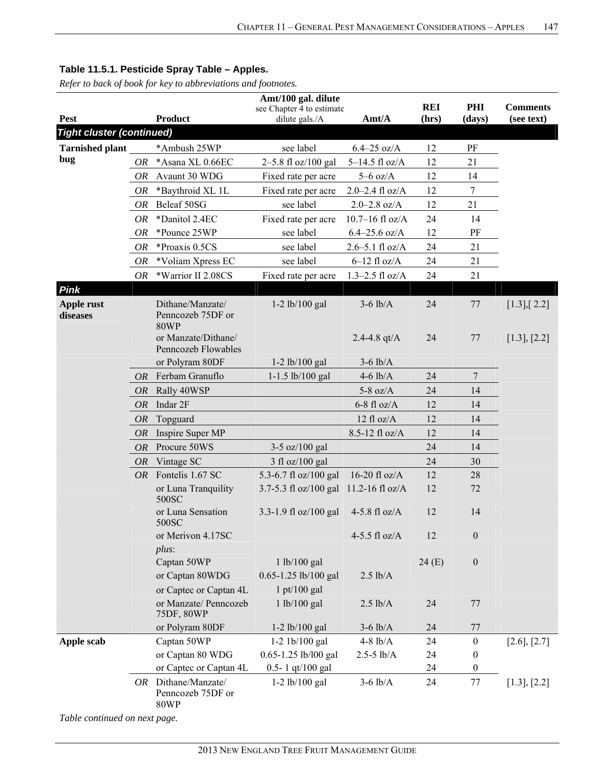*Refer to back of book for key to abbreviations and footnotes.*

| <b>REI</b><br>PHI<br><b>Comments</b><br>see Chapter 4 to estimate<br><b>Product</b><br>Amt/A<br><b>Pest</b><br>dilute gals./A<br>(days)<br>(see text)<br>(hrs)<br><b>Tight cluster (continued)</b><br>*Ambush 25WP<br>see label<br>$6.4 - 25$ oz/A<br>12<br>PF<br><b>Tarnished plant</b><br>bug<br>12<br>*Asana XL 0.66EC<br>2-5.8 fl oz/100 gal<br>$5-14.5$ fl oz/A<br>21<br>OR<br>Avaunt 30 WDG<br>$5-6$ oz/A<br>12<br>14<br>OR<br>Fixed rate per acre<br>$\boldsymbol{7}$<br>$2.0 - 2.4$ fl oz/A<br>12<br>*Baythroid XL 1L<br>OR<br>Fixed rate per acre<br>$2.0 - 2.8$ oz/A<br>12<br>21<br>Beleaf 50SG<br>see label<br>OR<br>OR<br>*Danitol 2.4EC<br>$10.7 - 16$ fl oz/A<br>24<br>14<br>Fixed rate per acre<br>see label<br>$6.4 - 25.6$ oz/A<br>12<br>PF<br>OR<br>*Pounce 25WP<br>*Proaxis 0.5CS<br>see label<br>$2.6 - 5.1$ fl oz/A<br>24<br>21<br>0R<br>$6-12$ fl oz/A<br>24<br>21<br>*Voliam Xpress EC<br>see label<br>OR<br>*Warrior II 2.08CS<br>OR<br>$1.3 - 2.5$ fl oz/A<br>24<br>21<br>Fixed rate per acre<br>Pink<br>Dithane/Manzate/<br>$1-2$ lb/100 gal<br>$3-6$ lb/A<br>24<br>$77\,$<br>$[1.3]$ , $[2.2]$<br>Apple rust<br>Penncozeb 75DF or<br>diseases<br><b>80WP</b><br>or Manzate/Dithane/<br>24<br>2.4-4.8 $qt/A$<br>77<br>[1.3], [2.2]<br>Penncozeb Flowables<br>or Polyram 80DF<br>$3-6$ lb/A<br>$1-2$ lb/100 gal<br>Ferbam Granuflo<br>$4-6$ lb/A<br>24<br>7<br>OR<br>$1-1.5$ lb/100 gal<br>Rally 40WSP<br>$5-8$ oz/A<br>24<br>14<br><i>OR</i><br>Indar 2F<br>$6-8$ fl oz/A<br>12<br>14<br><b>OR</b><br>$12$ fl oz/A<br>12<br>OR<br>Topguard<br>14<br>8.5-12 fl oz/A<br>12<br>14<br>Inspire Super MP<br>OR<br>Procure 50WS<br>14<br>OR<br>$3-5$ oz/100 gal<br>24<br><i>OR</i><br>Vintage SC<br>$3$ fl oz/100 gal<br>24<br>30<br>Fontelis 1.67 SC<br>16-20 fl $oz/A$<br>5.3-6.7 fl oz/100 gal<br>12<br>28<br>OR.<br>3.7-5.3 fl oz/100 gal 11.2-16 fl oz/A<br>12<br>or Luna Tranquility<br>72<br>500SC<br>3.3-1.9 fl oz/100 gal<br>12<br>or Luna Sensation<br>4-5.8 fl $oz/A$<br>14<br>500SC<br>$4-5.5$ fl oz/A<br>or Merivon 4.17SC<br>12<br>$\mathbf{0}$<br>$plus$ :<br>$\boldsymbol{0}$<br>Captan 50WP<br>1 lb/100 gal<br>24(E)<br>or Captan 80WDG<br>0.65-1.25 lb/100 gal<br>$2.5$ lb/A<br>or Captec or Captan 4L<br>$1$ pt/100 gal<br>or Manzate/ Penncozeb<br>1 lb/100 gal<br>$2.5$ lb/A<br>24<br>77<br>75DF, 80WP<br>or Polyram 80DF<br>1-2 lb/100 gal<br>$3-6$ lb/A<br>24<br>77<br>Captan 50WP<br>$1-2$ 1b/100 gal<br>$4-8$ $lb/A$<br>$\boldsymbol{0}$<br>[2.6], [2.7]<br>Apple scab<br>24<br>or Captan 80 WDG<br>0.65-1.25 lb/l00 gal<br>$2.5 - 5$ lb/A<br>24<br>$\boldsymbol{0}$<br>or Captec or Captan 4L<br>0.5-1 qt/100 gal<br>$\boldsymbol{0}$<br>24<br>$3-6$ lb/A<br>OR Dithane/Manzate/<br>$1-2$ lb/100 gal<br>77<br>24<br>[1.3], [2.2]<br>Penncozeb 75DF or<br><b>80WP</b> |  | Amt/100 gal. dilute |  |  |
|-------------------------------------------------------------------------------------------------------------------------------------------------------------------------------------------------------------------------------------------------------------------------------------------------------------------------------------------------------------------------------------------------------------------------------------------------------------------------------------------------------------------------------------------------------------------------------------------------------------------------------------------------------------------------------------------------------------------------------------------------------------------------------------------------------------------------------------------------------------------------------------------------------------------------------------------------------------------------------------------------------------------------------------------------------------------------------------------------------------------------------------------------------------------------------------------------------------------------------------------------------------------------------------------------------------------------------------------------------------------------------------------------------------------------------------------------------------------------------------------------------------------------------------------------------------------------------------------------------------------------------------------------------------------------------------------------------------------------------------------------------------------------------------------------------------------------------------------------------------------------------------------------------------------------------------------------------------------------------------------------------------------------------------------------------------------------------------------------------------------------------------------------------------------------------------------------------------------------------------------------------------------------------------------------------------------------------------------------------------------------------------------------------------------------------------------------------------------------------------------------------------------------------------------------------------------------------------------------------------------------------------------------------------------------------------------------------------------------------------------------------------------------------------------------------------------|--|---------------------|--|--|
|                                                                                                                                                                                                                                                                                                                                                                                                                                                                                                                                                                                                                                                                                                                                                                                                                                                                                                                                                                                                                                                                                                                                                                                                                                                                                                                                                                                                                                                                                                                                                                                                                                                                                                                                                                                                                                                                                                                                                                                                                                                                                                                                                                                                                                                                                                                                                                                                                                                                                                                                                                                                                                                                                                                                                                                                                   |  |                     |  |  |
|                                                                                                                                                                                                                                                                                                                                                                                                                                                                                                                                                                                                                                                                                                                                                                                                                                                                                                                                                                                                                                                                                                                                                                                                                                                                                                                                                                                                                                                                                                                                                                                                                                                                                                                                                                                                                                                                                                                                                                                                                                                                                                                                                                                                                                                                                                                                                                                                                                                                                                                                                                                                                                                                                                                                                                                                                   |  |                     |  |  |
|                                                                                                                                                                                                                                                                                                                                                                                                                                                                                                                                                                                                                                                                                                                                                                                                                                                                                                                                                                                                                                                                                                                                                                                                                                                                                                                                                                                                                                                                                                                                                                                                                                                                                                                                                                                                                                                                                                                                                                                                                                                                                                                                                                                                                                                                                                                                                                                                                                                                                                                                                                                                                                                                                                                                                                                                                   |  |                     |  |  |
|                                                                                                                                                                                                                                                                                                                                                                                                                                                                                                                                                                                                                                                                                                                                                                                                                                                                                                                                                                                                                                                                                                                                                                                                                                                                                                                                                                                                                                                                                                                                                                                                                                                                                                                                                                                                                                                                                                                                                                                                                                                                                                                                                                                                                                                                                                                                                                                                                                                                                                                                                                                                                                                                                                                                                                                                                   |  |                     |  |  |
|                                                                                                                                                                                                                                                                                                                                                                                                                                                                                                                                                                                                                                                                                                                                                                                                                                                                                                                                                                                                                                                                                                                                                                                                                                                                                                                                                                                                                                                                                                                                                                                                                                                                                                                                                                                                                                                                                                                                                                                                                                                                                                                                                                                                                                                                                                                                                                                                                                                                                                                                                                                                                                                                                                                                                                                                                   |  |                     |  |  |
|                                                                                                                                                                                                                                                                                                                                                                                                                                                                                                                                                                                                                                                                                                                                                                                                                                                                                                                                                                                                                                                                                                                                                                                                                                                                                                                                                                                                                                                                                                                                                                                                                                                                                                                                                                                                                                                                                                                                                                                                                                                                                                                                                                                                                                                                                                                                                                                                                                                                                                                                                                                                                                                                                                                                                                                                                   |  |                     |  |  |
|                                                                                                                                                                                                                                                                                                                                                                                                                                                                                                                                                                                                                                                                                                                                                                                                                                                                                                                                                                                                                                                                                                                                                                                                                                                                                                                                                                                                                                                                                                                                                                                                                                                                                                                                                                                                                                                                                                                                                                                                                                                                                                                                                                                                                                                                                                                                                                                                                                                                                                                                                                                                                                                                                                                                                                                                                   |  |                     |  |  |
|                                                                                                                                                                                                                                                                                                                                                                                                                                                                                                                                                                                                                                                                                                                                                                                                                                                                                                                                                                                                                                                                                                                                                                                                                                                                                                                                                                                                                                                                                                                                                                                                                                                                                                                                                                                                                                                                                                                                                                                                                                                                                                                                                                                                                                                                                                                                                                                                                                                                                                                                                                                                                                                                                                                                                                                                                   |  |                     |  |  |
|                                                                                                                                                                                                                                                                                                                                                                                                                                                                                                                                                                                                                                                                                                                                                                                                                                                                                                                                                                                                                                                                                                                                                                                                                                                                                                                                                                                                                                                                                                                                                                                                                                                                                                                                                                                                                                                                                                                                                                                                                                                                                                                                                                                                                                                                                                                                                                                                                                                                                                                                                                                                                                                                                                                                                                                                                   |  |                     |  |  |
|                                                                                                                                                                                                                                                                                                                                                                                                                                                                                                                                                                                                                                                                                                                                                                                                                                                                                                                                                                                                                                                                                                                                                                                                                                                                                                                                                                                                                                                                                                                                                                                                                                                                                                                                                                                                                                                                                                                                                                                                                                                                                                                                                                                                                                                                                                                                                                                                                                                                                                                                                                                                                                                                                                                                                                                                                   |  |                     |  |  |
|                                                                                                                                                                                                                                                                                                                                                                                                                                                                                                                                                                                                                                                                                                                                                                                                                                                                                                                                                                                                                                                                                                                                                                                                                                                                                                                                                                                                                                                                                                                                                                                                                                                                                                                                                                                                                                                                                                                                                                                                                                                                                                                                                                                                                                                                                                                                                                                                                                                                                                                                                                                                                                                                                                                                                                                                                   |  |                     |  |  |
|                                                                                                                                                                                                                                                                                                                                                                                                                                                                                                                                                                                                                                                                                                                                                                                                                                                                                                                                                                                                                                                                                                                                                                                                                                                                                                                                                                                                                                                                                                                                                                                                                                                                                                                                                                                                                                                                                                                                                                                                                                                                                                                                                                                                                                                                                                                                                                                                                                                                                                                                                                                                                                                                                                                                                                                                                   |  |                     |  |  |
|                                                                                                                                                                                                                                                                                                                                                                                                                                                                                                                                                                                                                                                                                                                                                                                                                                                                                                                                                                                                                                                                                                                                                                                                                                                                                                                                                                                                                                                                                                                                                                                                                                                                                                                                                                                                                                                                                                                                                                                                                                                                                                                                                                                                                                                                                                                                                                                                                                                                                                                                                                                                                                                                                                                                                                                                                   |  |                     |  |  |
|                                                                                                                                                                                                                                                                                                                                                                                                                                                                                                                                                                                                                                                                                                                                                                                                                                                                                                                                                                                                                                                                                                                                                                                                                                                                                                                                                                                                                                                                                                                                                                                                                                                                                                                                                                                                                                                                                                                                                                                                                                                                                                                                                                                                                                                                                                                                                                                                                                                                                                                                                                                                                                                                                                                                                                                                                   |  |                     |  |  |
|                                                                                                                                                                                                                                                                                                                                                                                                                                                                                                                                                                                                                                                                                                                                                                                                                                                                                                                                                                                                                                                                                                                                                                                                                                                                                                                                                                                                                                                                                                                                                                                                                                                                                                                                                                                                                                                                                                                                                                                                                                                                                                                                                                                                                                                                                                                                                                                                                                                                                                                                                                                                                                                                                                                                                                                                                   |  |                     |  |  |
|                                                                                                                                                                                                                                                                                                                                                                                                                                                                                                                                                                                                                                                                                                                                                                                                                                                                                                                                                                                                                                                                                                                                                                                                                                                                                                                                                                                                                                                                                                                                                                                                                                                                                                                                                                                                                                                                                                                                                                                                                                                                                                                                                                                                                                                                                                                                                                                                                                                                                                                                                                                                                                                                                                                                                                                                                   |  |                     |  |  |
|                                                                                                                                                                                                                                                                                                                                                                                                                                                                                                                                                                                                                                                                                                                                                                                                                                                                                                                                                                                                                                                                                                                                                                                                                                                                                                                                                                                                                                                                                                                                                                                                                                                                                                                                                                                                                                                                                                                                                                                                                                                                                                                                                                                                                                                                                                                                                                                                                                                                                                                                                                                                                                                                                                                                                                                                                   |  |                     |  |  |
|                                                                                                                                                                                                                                                                                                                                                                                                                                                                                                                                                                                                                                                                                                                                                                                                                                                                                                                                                                                                                                                                                                                                                                                                                                                                                                                                                                                                                                                                                                                                                                                                                                                                                                                                                                                                                                                                                                                                                                                                                                                                                                                                                                                                                                                                                                                                                                                                                                                                                                                                                                                                                                                                                                                                                                                                                   |  |                     |  |  |
|                                                                                                                                                                                                                                                                                                                                                                                                                                                                                                                                                                                                                                                                                                                                                                                                                                                                                                                                                                                                                                                                                                                                                                                                                                                                                                                                                                                                                                                                                                                                                                                                                                                                                                                                                                                                                                                                                                                                                                                                                                                                                                                                                                                                                                                                                                                                                                                                                                                                                                                                                                                                                                                                                                                                                                                                                   |  |                     |  |  |
|                                                                                                                                                                                                                                                                                                                                                                                                                                                                                                                                                                                                                                                                                                                                                                                                                                                                                                                                                                                                                                                                                                                                                                                                                                                                                                                                                                                                                                                                                                                                                                                                                                                                                                                                                                                                                                                                                                                                                                                                                                                                                                                                                                                                                                                                                                                                                                                                                                                                                                                                                                                                                                                                                                                                                                                                                   |  |                     |  |  |
|                                                                                                                                                                                                                                                                                                                                                                                                                                                                                                                                                                                                                                                                                                                                                                                                                                                                                                                                                                                                                                                                                                                                                                                                                                                                                                                                                                                                                                                                                                                                                                                                                                                                                                                                                                                                                                                                                                                                                                                                                                                                                                                                                                                                                                                                                                                                                                                                                                                                                                                                                                                                                                                                                                                                                                                                                   |  |                     |  |  |
|                                                                                                                                                                                                                                                                                                                                                                                                                                                                                                                                                                                                                                                                                                                                                                                                                                                                                                                                                                                                                                                                                                                                                                                                                                                                                                                                                                                                                                                                                                                                                                                                                                                                                                                                                                                                                                                                                                                                                                                                                                                                                                                                                                                                                                                                                                                                                                                                                                                                                                                                                                                                                                                                                                                                                                                                                   |  |                     |  |  |
|                                                                                                                                                                                                                                                                                                                                                                                                                                                                                                                                                                                                                                                                                                                                                                                                                                                                                                                                                                                                                                                                                                                                                                                                                                                                                                                                                                                                                                                                                                                                                                                                                                                                                                                                                                                                                                                                                                                                                                                                                                                                                                                                                                                                                                                                                                                                                                                                                                                                                                                                                                                                                                                                                                                                                                                                                   |  |                     |  |  |
|                                                                                                                                                                                                                                                                                                                                                                                                                                                                                                                                                                                                                                                                                                                                                                                                                                                                                                                                                                                                                                                                                                                                                                                                                                                                                                                                                                                                                                                                                                                                                                                                                                                                                                                                                                                                                                                                                                                                                                                                                                                                                                                                                                                                                                                                                                                                                                                                                                                                                                                                                                                                                                                                                                                                                                                                                   |  |                     |  |  |
|                                                                                                                                                                                                                                                                                                                                                                                                                                                                                                                                                                                                                                                                                                                                                                                                                                                                                                                                                                                                                                                                                                                                                                                                                                                                                                                                                                                                                                                                                                                                                                                                                                                                                                                                                                                                                                                                                                                                                                                                                                                                                                                                                                                                                                                                                                                                                                                                                                                                                                                                                                                                                                                                                                                                                                                                                   |  |                     |  |  |
|                                                                                                                                                                                                                                                                                                                                                                                                                                                                                                                                                                                                                                                                                                                                                                                                                                                                                                                                                                                                                                                                                                                                                                                                                                                                                                                                                                                                                                                                                                                                                                                                                                                                                                                                                                                                                                                                                                                                                                                                                                                                                                                                                                                                                                                                                                                                                                                                                                                                                                                                                                                                                                                                                                                                                                                                                   |  |                     |  |  |
|                                                                                                                                                                                                                                                                                                                                                                                                                                                                                                                                                                                                                                                                                                                                                                                                                                                                                                                                                                                                                                                                                                                                                                                                                                                                                                                                                                                                                                                                                                                                                                                                                                                                                                                                                                                                                                                                                                                                                                                                                                                                                                                                                                                                                                                                                                                                                                                                                                                                                                                                                                                                                                                                                                                                                                                                                   |  |                     |  |  |
|                                                                                                                                                                                                                                                                                                                                                                                                                                                                                                                                                                                                                                                                                                                                                                                                                                                                                                                                                                                                                                                                                                                                                                                                                                                                                                                                                                                                                                                                                                                                                                                                                                                                                                                                                                                                                                                                                                                                                                                                                                                                                                                                                                                                                                                                                                                                                                                                                                                                                                                                                                                                                                                                                                                                                                                                                   |  |                     |  |  |
|                                                                                                                                                                                                                                                                                                                                                                                                                                                                                                                                                                                                                                                                                                                                                                                                                                                                                                                                                                                                                                                                                                                                                                                                                                                                                                                                                                                                                                                                                                                                                                                                                                                                                                                                                                                                                                                                                                                                                                                                                                                                                                                                                                                                                                                                                                                                                                                                                                                                                                                                                                                                                                                                                                                                                                                                                   |  |                     |  |  |
|                                                                                                                                                                                                                                                                                                                                                                                                                                                                                                                                                                                                                                                                                                                                                                                                                                                                                                                                                                                                                                                                                                                                                                                                                                                                                                                                                                                                                                                                                                                                                                                                                                                                                                                                                                                                                                                                                                                                                                                                                                                                                                                                                                                                                                                                                                                                                                                                                                                                                                                                                                                                                                                                                                                                                                                                                   |  |                     |  |  |
|                                                                                                                                                                                                                                                                                                                                                                                                                                                                                                                                                                                                                                                                                                                                                                                                                                                                                                                                                                                                                                                                                                                                                                                                                                                                                                                                                                                                                                                                                                                                                                                                                                                                                                                                                                                                                                                                                                                                                                                                                                                                                                                                                                                                                                                                                                                                                                                                                                                                                                                                                                                                                                                                                                                                                                                                                   |  |                     |  |  |
|                                                                                                                                                                                                                                                                                                                                                                                                                                                                                                                                                                                                                                                                                                                                                                                                                                                                                                                                                                                                                                                                                                                                                                                                                                                                                                                                                                                                                                                                                                                                                                                                                                                                                                                                                                                                                                                                                                                                                                                                                                                                                                                                                                                                                                                                                                                                                                                                                                                                                                                                                                                                                                                                                                                                                                                                                   |  |                     |  |  |
|                                                                                                                                                                                                                                                                                                                                                                                                                                                                                                                                                                                                                                                                                                                                                                                                                                                                                                                                                                                                                                                                                                                                                                                                                                                                                                                                                                                                                                                                                                                                                                                                                                                                                                                                                                                                                                                                                                                                                                                                                                                                                                                                                                                                                                                                                                                                                                                                                                                                                                                                                                                                                                                                                                                                                                                                                   |  |                     |  |  |
|                                                                                                                                                                                                                                                                                                                                                                                                                                                                                                                                                                                                                                                                                                                                                                                                                                                                                                                                                                                                                                                                                                                                                                                                                                                                                                                                                                                                                                                                                                                                                                                                                                                                                                                                                                                                                                                                                                                                                                                                                                                                                                                                                                                                                                                                                                                                                                                                                                                                                                                                                                                                                                                                                                                                                                                                                   |  |                     |  |  |
|                                                                                                                                                                                                                                                                                                                                                                                                                                                                                                                                                                                                                                                                                                                                                                                                                                                                                                                                                                                                                                                                                                                                                                                                                                                                                                                                                                                                                                                                                                                                                                                                                                                                                                                                                                                                                                                                                                                                                                                                                                                                                                                                                                                                                                                                                                                                                                                                                                                                                                                                                                                                                                                                                                                                                                                                                   |  |                     |  |  |
|                                                                                                                                                                                                                                                                                                                                                                                                                                                                                                                                                                                                                                                                                                                                                                                                                                                                                                                                                                                                                                                                                                                                                                                                                                                                                                                                                                                                                                                                                                                                                                                                                                                                                                                                                                                                                                                                                                                                                                                                                                                                                                                                                                                                                                                                                                                                                                                                                                                                                                                                                                                                                                                                                                                                                                                                                   |  |                     |  |  |
|                                                                                                                                                                                                                                                                                                                                                                                                                                                                                                                                                                                                                                                                                                                                                                                                                                                                                                                                                                                                                                                                                                                                                                                                                                                                                                                                                                                                                                                                                                                                                                                                                                                                                                                                                                                                                                                                                                                                                                                                                                                                                                                                                                                                                                                                                                                                                                                                                                                                                                                                                                                                                                                                                                                                                                                                                   |  |                     |  |  |

*Table continued on next page.*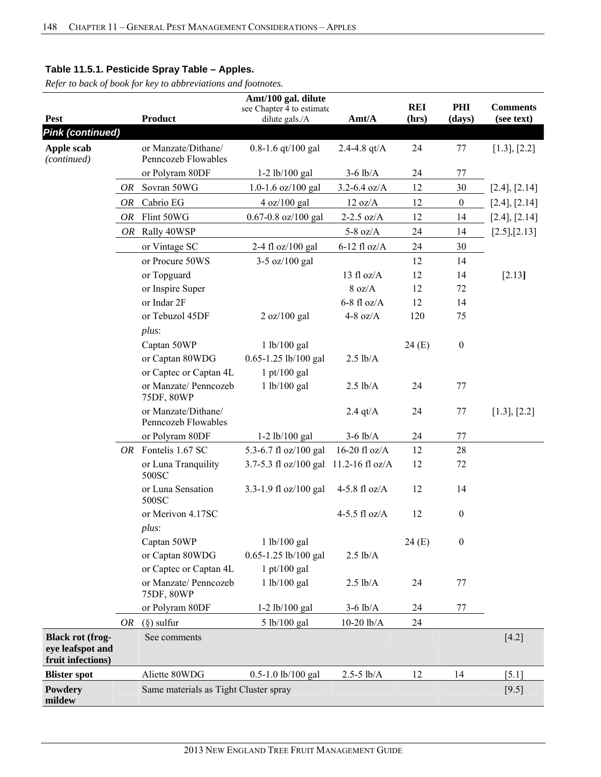|                                                                  |    |                                            | Amt/100 gal. dilute                   |                  |            |                  |                 |
|------------------------------------------------------------------|----|--------------------------------------------|---------------------------------------|------------------|------------|------------------|-----------------|
|                                                                  |    | <b>Product</b>                             | see Chapter 4 to estimate             |                  | <b>REI</b> | PHI              | <b>Comments</b> |
| <b>Pest</b><br><b>Pink (continued)</b>                           |    |                                            | dilute gals./A                        | Amt/A            | (hrs)      | (days)           | (see text)      |
|                                                                  |    |                                            |                                       |                  |            |                  |                 |
| Apple scab<br>(continued)                                        |    | or Manzate/Dithane/<br>Penncozeb Flowables | $0.8 - 1.6$ qt/100 gal                | 2.4-4.8 $qt/A$   | 24         | 77               | [1.3], [2.2]    |
|                                                                  |    | or Polyram 80DF                            | $1-2$ lb/100 gal                      | $3-6$ lb/A       | 24         | 77               |                 |
|                                                                  | OR | Sovran 50WG                                | $1.0 - 1.6$ oz/ $100$ gal             | $3.2 - 6.4$ oz/A | 12         | 30               | [2.4], [2.14]   |
|                                                                  | OR | Cabrio EG                                  | 4 oz/100 gal                          | 12 oz/A          | 12         | $\boldsymbol{0}$ | [2.4], [2.14]   |
|                                                                  | OR | Flint 50WG                                 | $0.67 - 0.8$ oz/100 gal               | $2-2.5$ oz/A     | 12         | 14               | [2.4], [2.14]   |
|                                                                  | OR | Rally 40WSP                                |                                       | 5-8 oz/ $A$      | 24         | 14               | [2.5],[2.13]    |
|                                                                  |    | or Vintage SC                              | 2-4 fl oz/100 gal                     | $6-12$ fl oz/A   | 24         | 30               |                 |
|                                                                  |    | or Procure 50WS                            | $3-5$ oz/100 gal                      |                  | 12         | 14               |                 |
|                                                                  |    | or Topguard                                |                                       | 13 fl $oz/A$     | 12         | 14               | [2.13]          |
|                                                                  |    | or Inspire Super                           |                                       | 8 oz/A           | 12         | 72               |                 |
|                                                                  |    | or Indar 2F                                |                                       | $6-8$ fl oz/A    | 12         | 14               |                 |
|                                                                  |    | or Tebuzol 45DF                            | 2 oz/100 gal                          | 4-8 oz/ $A$      | 120        | 75               |                 |
|                                                                  |    | $plus$ :                                   |                                       |                  |            |                  |                 |
|                                                                  |    | Captan 50WP                                | 1 lb/100 gal                          |                  | 24(E)      | $\boldsymbol{0}$ |                 |
|                                                                  |    | or Captan 80WDG                            | 0.65-1.25 lb/100 gal                  | $2.5$ lb/A       |            |                  |                 |
|                                                                  |    | or Captec or Captan 4L                     | $1$ pt/100 gal                        |                  |            |                  |                 |
|                                                                  |    | or Manzate/ Penncozeb<br>75DF, 80WP        | 1 lb/100 gal                          | $2.5$ lb/A       | 24         | 77               |                 |
|                                                                  |    | or Manzate/Dithane/<br>Penncozeb Flowables |                                       | $2.4$ qt/A       | 24         | 77               | [1.3], [2.2]    |
|                                                                  |    | or Polyram 80DF                            | 1-2 lb/100 gal                        | $3-6$ lb/A       | 24         | 77               |                 |
|                                                                  |    | OR Fontelis 1.67 SC                        | 5.3-6.7 fl oz/100 gal                 | 16-20 fl $oz/A$  | 12         | 28               |                 |
|                                                                  |    | or Luna Tranquility<br>500SC               | 3.7-5.3 fl oz/100 gal 11.2-16 fl oz/A |                  | 12         | 72               |                 |
|                                                                  |    | or Luna Sensation<br>500SC                 | 3.3-1.9 fl oz/100 gal                 | 4-5.8 fl $oz/A$  | 12         | 14               |                 |
|                                                                  |    | or Merivon 4.17SC<br>$plus$ :              |                                       | 4-5.5 fl $oz/A$  | 12         | $\boldsymbol{0}$ |                 |
|                                                                  |    | Captan 50WP                                | 1 lb/100 gal                          |                  | 24(E)      | $\boldsymbol{0}$ |                 |
|                                                                  |    | or Captan 80WDG                            | 0.65-1.25 lb/100 gal                  | $2.5$ lb/A       |            |                  |                 |
|                                                                  |    | or Captec or Captan 4L                     | $1$ pt/100 gal                        |                  |            |                  |                 |
|                                                                  |    | or Manzate/ Penncozeb<br>75DF, 80WP        | 1 lb/100 gal                          | $2.5$ lb/A       | 24         | 77               |                 |
|                                                                  |    | or Polyram 80DF                            | 1-2 lb/100 gal                        | $3-6$ $lb/A$     | 24         | 77               |                 |
|                                                                  | OR | $(\S)$ sulfur                              | 5 lb/100 gal                          | $10-20$ $lb/A$   | 24         |                  |                 |
| <b>Black rot (frog-</b><br>eye leafspot and<br>fruit infections) |    | See comments                               |                                       |                  |            |                  | $[4.2]$         |
| <b>Blister spot</b>                                              |    | Aliette 80WDG                              | 0.5-1.0 lb/100 gal                    | $2.5 - 5$ lb/A   | 12         | 14               | $[5.1]$         |
| Powdery<br>mildew                                                |    | Same materials as Tight Cluster spray      |                                       |                  |            |                  | $[9.5]$         |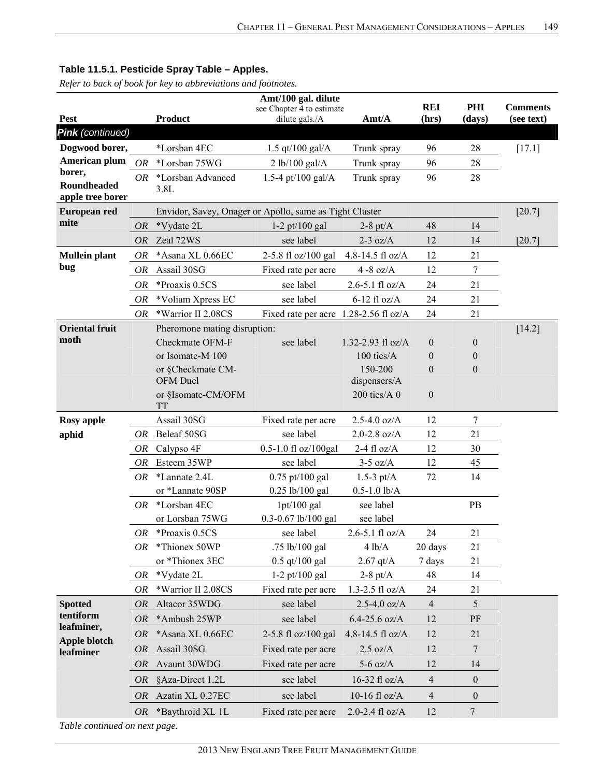#### **Pest Product Amt/100 gal. dilute** see Chapter 4 to estimate dilute gals./A **Amt/A REI (hrs) PHI (days) Comments (see text)**  *Pink (continued)*  **Dogwood borer, American plum borer, Roundheaded apple tree borer**  \*Lorsban 4EC  $1.5 \text{ qt}/100 \text{ gal/A}$  Trunk spray  $96$   $28$  [17.1] *OR* \*Lorsban 75WG 2 lb/100 gal/A Trunk spray 96 28 *OR* \*Lorsban Advanced 3.8L 1.5-4 pt/100 gal/A Trunk spray 96 28 **European red mite** Envidor, Savey, Onager or Apollo, same as Tight Cluster [20.7] *OR* \*Vydate 2L 1-2 pt/100 gal 2-8 pt/A 48 14 *OR* Zeal 72WS see label 2-3 oz/A 12 14 [20.7] **Mullein plant bug**  *OR* \*Asana XL 0.66EC 2-5.8 fl oz/100 gal 4.8-14.5 fl oz/A 12 21 *OR* Assail 30SG Fixed rate per acre 4 -8 oz/A 12 7 *OR* \*Proaxis 0.5CS see label 2.6-5.1 fl oz/A 24 21 *OR* \*Voliam Xpress EC see label 6-12 fl oz/A 24 21 *OR* \*Warrior II 2.08CS Fixed rate per acre 1.28-2.56 fl oz/A 24 21 **Oriental fruit moth**  Pheromone mating disruption: [14.2] [14.2] Checkmate OFM-F see label  $1.32-2.93$  fl oz/A  $0$  0 or Isomate-M  $100$  100 ties/A 0 0 0 or §Checkmate CM-OFM Duel 150-200 dispensers/A 0 0 or §Isomate-CM/OFM TT 200 ties/A 0 0 **Rosy apple Assail 30SG** Fixed rate per acre 2.5-4.0 oz/A 12 7 **aphid** *OR* Beleaf 50SG see label 2.0-2.8 oz/A 12 21 *OR* Calypso 4F 0.5-1.0 fl oz/100gal 2-4 fl oz/A 12 30 *OR* Esteem 35WP see label 3-5 oz/A 12 45 *OR* \*Lannate 2.4L 0.75 pt/100 gal 1.5-3 pt/A 72 14 or \*Lannate 90SP 0.25 lb/100 gal 0.5-1.0 lb/A  *OR* \*Lorsban 4EC 1pt/100 gal see label PB or Lorsban 75WG 0.3-0.67 lb/100 gal see label *OR* \*Proaxis 0.5CS see label  $2.6-5.1$  fl oz/A  $24$  21 *OR* \*Thionex 50WP .75 lb/100 gal  $4 \text{ lb/A}$  20 days 21 or \*Thionex 3EC  $0.5$  qt/100 gal  $2.67$  qt/A  $7$  days  $21$ *OR* \*Vydate 2L 1-2 pt/100 gal 2-8 pt/A 48 14 *OR* \*Warrior II 2.08CS Fixed rate per acre 1.3-2.5 fl oz/A 24 21 **Spotted tentiform leafminer, Apple blotch leafminer**  *OR* Altacor 35WDG see label 2.5-4.0 oz/A 4 5 *OR* \*Ambush 25WP see label 6.4-25.6 oz/A 12 PF *OR* \*Asana XL 0.66EC 2-5.8 fl oz/100 gal 4.8-14.5 fl oz/A 12 21 *OR* Assail 30SG Fixed rate per acre 2.5 oz/A 12 7 *OR* Avaunt 30WDG Fixed rate per acre 5-6 oz/A 12 14 *OR* §Aza-Direct 1.2L see label 16-32 fl oz/A 4 0 *OR* Azatin XL 0.27EC see label  $10-16$  fl oz/A  $4$  0 *OR* \*Baythroid XL 1L Fixed rate per acre 2.0-2.4 fl oz/A 12 7

### **Table 11.5.1. Pesticide Spray Table – Apples.**

*Refer to back of book for key to abbreviations and footnotes.*

*Table continued on next page.*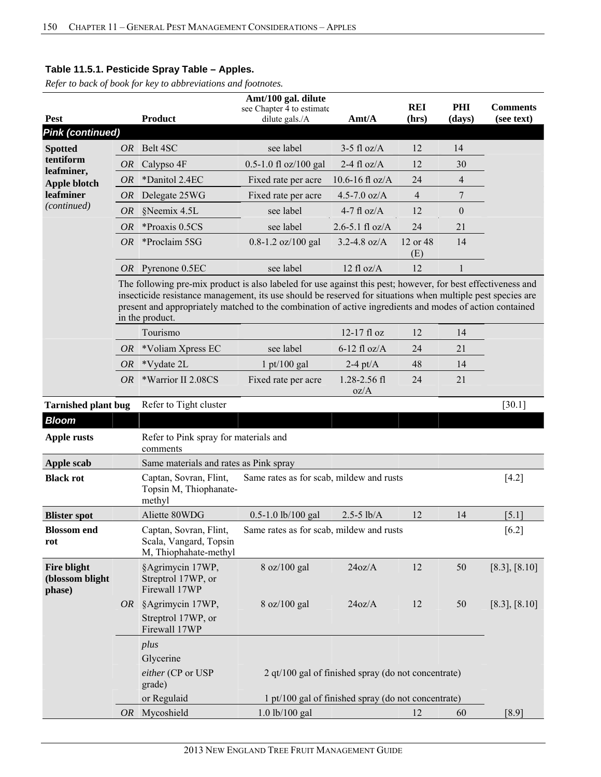|                                                 |           |                                                                                                                                                                                                                                                                                                                                                            | Amt/100 gal. dilute                         |                                                                                                              |                     |                |                               |
|-------------------------------------------------|-----------|------------------------------------------------------------------------------------------------------------------------------------------------------------------------------------------------------------------------------------------------------------------------------------------------------------------------------------------------------------|---------------------------------------------|--------------------------------------------------------------------------------------------------------------|---------------------|----------------|-------------------------------|
| <b>Pest</b>                                     |           | <b>Product</b>                                                                                                                                                                                                                                                                                                                                             | see Chapter 4 to estimate<br>dilute gals./A | Amt/A                                                                                                        | <b>REI</b><br>(hrs) | PHI<br>(days)  | <b>Comments</b><br>(see text) |
| <b>Pink (continued)</b>                         |           |                                                                                                                                                                                                                                                                                                                                                            |                                             |                                                                                                              |                     |                |                               |
| <b>Spotted</b>                                  | OR        | Belt 4SC                                                                                                                                                                                                                                                                                                                                                   | see label                                   | $3-5$ fl oz/A                                                                                                | 12                  | 14             |                               |
| tentiform                                       | OR        | Calypso 4F                                                                                                                                                                                                                                                                                                                                                 | 0.5-1.0 fl oz/100 gal                       | 2-4 fl $oz/A$                                                                                                | 12                  | 30             |                               |
| leafminer,                                      | <b>OR</b> | *Danitol 2.4EC                                                                                                                                                                                                                                                                                                                                             | Fixed rate per acre                         | 10.6-16 fl $oz/A$                                                                                            | 24                  | $\overline{4}$ |                               |
| <b>Apple blotch</b><br>leafminer                | OR        | Delegate 25WG                                                                                                                                                                                                                                                                                                                                              | Fixed rate per acre                         | 4.5-7.0 $oz/A$                                                                                               | $\overline{4}$      | 7              |                               |
| (continued)                                     | OR        | §Neemix 4.5L                                                                                                                                                                                                                                                                                                                                               | see label                                   | $4-7$ fl oz/A                                                                                                | 12                  | $\theta$       |                               |
|                                                 | <b>OR</b> | *Proaxis 0.5CS                                                                                                                                                                                                                                                                                                                                             | see label                                   | 2.6-5.1 fl $oz/A$                                                                                            | 24                  | 21             |                               |
|                                                 | OR        | *Proclaim 5SG                                                                                                                                                                                                                                                                                                                                              | $0.8 - 1.2$ oz/100 gal                      | $3.2 - 4.8$ oz/A                                                                                             | 12 or 48            | 14             |                               |
|                                                 |           |                                                                                                                                                                                                                                                                                                                                                            |                                             |                                                                                                              | (E)                 |                |                               |
|                                                 |           | OR Pyrenone 0.5EC                                                                                                                                                                                                                                                                                                                                          | see label                                   | $12$ fl oz/A                                                                                                 | 12                  | $\mathbf{1}$   |                               |
|                                                 |           | The following pre-mix product is also labeled for use against this pest; however, for best effectiveness and<br>insecticide resistance management, its use should be reserved for situations when multiple pest species are<br>present and appropriately matched to the combination of active ingredients and modes of action contained<br>in the product. |                                             |                                                                                                              |                     |                |                               |
|                                                 |           | Tourismo                                                                                                                                                                                                                                                                                                                                                   |                                             | 12-17 fl oz                                                                                                  | 12                  | 14             |                               |
|                                                 | <i>OR</i> | *Voliam Xpress EC                                                                                                                                                                                                                                                                                                                                          | see label                                   | $6-12$ fl oz/A                                                                                               | 24                  | 21             |                               |
|                                                 | <i>OR</i> | *Vydate 2L                                                                                                                                                                                                                                                                                                                                                 | $1 \frac{\text{pt}}{100}$ gal               | $2-4$ pt/A                                                                                                   | 48                  | 14             |                               |
|                                                 | <i>OR</i> | *Warrior II 2.08CS                                                                                                                                                                                                                                                                                                                                         | Fixed rate per acre                         | 1.28-2.56 fl<br>oz/A                                                                                         | 24                  | 21             |                               |
| <b>Tarnished plant bug</b>                      |           | Refer to Tight cluster                                                                                                                                                                                                                                                                                                                                     |                                             |                                                                                                              |                     |                | $[30.1]$                      |
| <b>Bloom</b>                                    |           |                                                                                                                                                                                                                                                                                                                                                            |                                             |                                                                                                              |                     |                |                               |
| <b>Apple rusts</b>                              |           | Refer to Pink spray for materials and<br>comments                                                                                                                                                                                                                                                                                                          |                                             |                                                                                                              |                     |                |                               |
| Apple scab                                      |           | Same materials and rates as Pink spray                                                                                                                                                                                                                                                                                                                     |                                             |                                                                                                              |                     |                |                               |
| <b>Black rot</b>                                |           | Captan, Sovran, Flint,<br>Topsin M, Thiophanate-<br>methyl                                                                                                                                                                                                                                                                                                 | Same rates as for scab, mildew and rusts    |                                                                                                              |                     |                | $[4.2]$                       |
| <b>Blister spot</b>                             |           | Aliette 80WDG                                                                                                                                                                                                                                                                                                                                              | 0.5-1.0 lb/100 gal                          | $2.5 - 5$ lb/A                                                                                               | 12                  | 14             | [5.1]                         |
| <b>Blossom</b> end<br>rot                       |           | Captan, Sovran, Flint,<br>Scala, Vangard, Topsin<br>M, Thiophahate-methyl                                                                                                                                                                                                                                                                                  | Same rates as for scab, mildew and rusts    |                                                                                                              |                     |                | $[6.2]$                       |
| <b>Fire blight</b><br>(blossom blight<br>phase) |           | §Agrimycin 17WP,<br>Streptrol 17WP, or<br>Firewall 17WP                                                                                                                                                                                                                                                                                                    | 8 oz/100 gal                                | 24oz/A                                                                                                       | 12                  | 50             | [8.3], [8.10]                 |
|                                                 |           | OR §Agrimycin 17WP,<br>Streptrol 17WP, or<br>Firewall 17WP                                                                                                                                                                                                                                                                                                 | 8 oz/100 gal                                | 24oz/A                                                                                                       | 12                  | 50             | $[8.3]$ , $[8.10]$            |
|                                                 |           | plus<br>Glycerine<br>either (CP or USP<br>grade)<br>or Regulaid                                                                                                                                                                                                                                                                                            |                                             | 2 $qt/100$ gal of finished spray (do not concentrate)<br>1 pt/100 gal of finished spray (do not concentrate) |                     |                |                               |
|                                                 |           | OR Mycoshield                                                                                                                                                                                                                                                                                                                                              | $1.0$ lb/ $100$ gal                         |                                                                                                              | 12                  | 60             | [8.9]                         |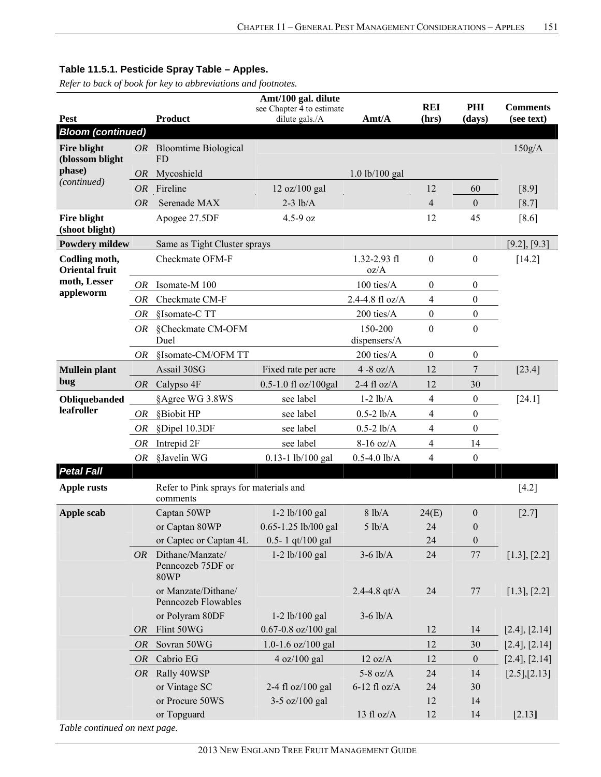*Refer to back of book for key to abbreviations and footnotes.*

|                                        |           |                                                      | Amt/100 gal. dilute                         |                          | <b>REI</b>       | PHI              | <b>Comments</b>   |
|----------------------------------------|-----------|------------------------------------------------------|---------------------------------------------|--------------------------|------------------|------------------|-------------------|
| <b>Pest</b>                            |           | <b>Product</b>                                       | see Chapter 4 to estimate<br>dilute gals./A | Amt/A                    | (hrs)            | (days)           | (see text)        |
| <b>Bloom (continued)</b>               |           |                                                      |                                             |                          |                  |                  |                   |
| <b>Fire blight</b><br>(blossom blight  |           | OR Bloomtime Biological<br>FD.                       |                                             |                          |                  |                  | 150g/A            |
| phase)                                 | <i>OR</i> | Mycoshield                                           |                                             | $1.0$ lb/ $100$ gal      |                  |                  |                   |
| (continued)                            | <b>OR</b> | Fireline                                             | 12 oz/100 gal                               |                          | 12               | 60               | $[8.9]$           |
|                                        | <b>OR</b> | Serenade MAX                                         | $2-3$ lb/A                                  |                          | $\overline{4}$   | $\mathbf{0}$     | [8.7]             |
| Fire blight<br>(shoot blight)          |           | Apogee 27.5DF                                        | $4.5 - 9$ oz                                |                          | 12               | 45               | $[8.6]$           |
| <b>Powdery mildew</b>                  |           | Same as Tight Cluster sprays                         |                                             |                          |                  |                  | $[9.2]$ , $[9.3]$ |
| Codling moth,<br><b>Oriental fruit</b> |           | Checkmate OFM-F                                      |                                             | $1.32 - 2.93$ fl<br>oz/A | $\boldsymbol{0}$ | $\boldsymbol{0}$ | [14.2]            |
| moth, Lesser                           | <i>OR</i> | Isomate-M 100                                        |                                             | 100 ties/A               | $\mathbf{0}$     | $\boldsymbol{0}$ |                   |
| appleworm                              | <i>OR</i> | Checkmate CM-F                                       |                                             | 2.4-4.8 fl oz/A          | 4                | $\boldsymbol{0}$ |                   |
|                                        | <b>OR</b> | §Isomate-C TT                                        |                                             | 200 ties/A               | $\mathbf{0}$     | $\boldsymbol{0}$ |                   |
|                                        | <i>OR</i> | §Checkmate CM-OFM<br>Duel                            |                                             | 150-200<br>dispensers/A  | $\boldsymbol{0}$ | $\boldsymbol{0}$ |                   |
|                                        | <i>OR</i> | §Isomate-CM/OFM TT                                   |                                             | 200 ties/A               | $\mathbf{0}$     | $\mathbf{0}$     |                   |
| <b>Mullein plant</b>                   |           | Assail 30SG                                          | Fixed rate per acre                         | $4 - 8$ oz/A             | 12               | 7                | $[23.4]$          |
| bug                                    | <i>OR</i> | Calypso 4F                                           | $0.5 - 1.0$ fl oz/100gal                    | 2-4 fl $oz/A$            | 12               | 30               |                   |
| Obliquebanded                          |           | §Agree WG 3.8WS                                      | see label                                   | $1-2$ $lb/A$             | 4                | $\boldsymbol{0}$ | $[24.1]$          |
| leafroller                             | <i>OR</i> | §Biobit HP                                           | see label                                   | $0.5 - 2$ lb/A           | $\overline{4}$   | $\boldsymbol{0}$ |                   |
|                                        | OR        | §Dipel 10.3DF                                        | see label                                   | $0.5 - 2$ lb/A           | 4                | $\boldsymbol{0}$ |                   |
|                                        | <i>OR</i> | Intrepid 2F                                          | see label                                   | $8-16$ oz/A              | 4                | 14               |                   |
|                                        | OR        | §Javelin WG                                          | $0.13 - 1$ lb/100 gal                       | $0.5 - 4.0$ lb/A         | 4                | $\boldsymbol{0}$ |                   |
| <b>Petal Fall</b>                      |           |                                                      |                                             |                          |                  |                  |                   |
| <b>Apple rusts</b>                     |           | Refer to Pink sprays for materials and<br>comments   |                                             |                          |                  |                  | $[4.2]$           |
| Apple scab                             |           | Captan 50WP                                          | $1-2$ lb/100 gal                            | 8 lb/A                   | 24(E)            | $\boldsymbol{0}$ | $[2.7]$           |
|                                        |           | or Captan 80WP                                       | 0.65-1.25 lb/l00 gal                        | 5 lb/A                   | 24               | $\mathbf{0}$     |                   |
|                                        |           | or Captec or Captan 4L                               | 0.5-1 qt/100 gal                            |                          | 24               | $\boldsymbol{0}$ |                   |
|                                        | <i>OR</i> | Dithane/Manzate/<br>Penncozeb 75DF or<br><b>80WP</b> | $1-2$ lb/100 gal                            | $3-6$ lb/A               | 24               | 77               | [1.3], [2.2]      |
|                                        |           | or Manzate/Dithane/<br>Penncozeb Flowables           |                                             | 2.4-4.8 $qt/A$           | 24               | 77               | [1.3], [2.2]      |
|                                        |           | or Polyram 80DF                                      | $1-2$ lb/100 gal                            | $3-6$ lb/A               |                  |                  |                   |
|                                        | <i>OR</i> | Flint 50WG                                           | 0.67-0.8 oz/100 gal                         |                          | 12               | 14               | [2.4], [2.14]     |
|                                        | <i>OR</i> | Sovran 50WG                                          | 1.0-1.6 oz/100 gal                          |                          | 12               | 30               | [2.4], [2.14]     |
|                                        | <b>OR</b> | Cabrio EG                                            | 4 oz/100 gal                                | 12 oz/A                  | 12               | $\boldsymbol{0}$ | [2.4], [2.14]     |
|                                        | OR        | Rally 40WSP                                          |                                             | $5-8$ oz/A               | 24               | 14               | [2.5],[2.13]      |
|                                        |           | or Vintage SC                                        | 2-4 fl oz/100 gal                           | $6-12$ fl oz/A           | 24               | 30               |                   |
|                                        |           | or Procure 50WS                                      | 3-5 oz/100 gal                              |                          | 12               | 14               |                   |
| Table continued on next page           |           | or Topguard                                          |                                             | 13 fl oz/ $A$            | 12               | 14               | [2.13]            |

*Table continued on next page.*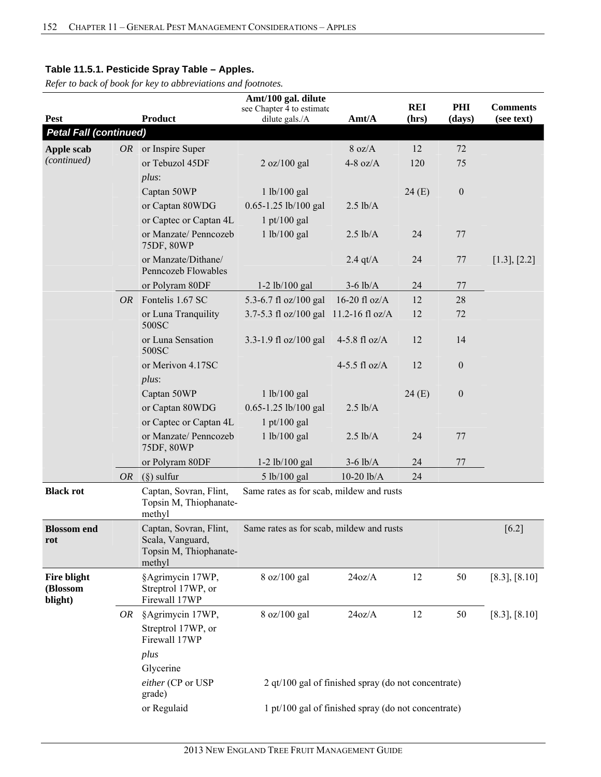|                                    | Amt/100 gal. dilute |                                                                                |                                                          |                                                     |                     |                  |                               |  |  |
|------------------------------------|---------------------|--------------------------------------------------------------------------------|----------------------------------------------------------|-----------------------------------------------------|---------------------|------------------|-------------------------------|--|--|
| <b>Pest</b>                        |                     | Product                                                                        | see Chapter 4 to estimate<br>dilute gals./A              | Amt/A                                               | <b>REI</b><br>(hrs) | PHI<br>(days)    | <b>Comments</b><br>(see text) |  |  |
| <b>Petal Fall (continued)</b>      |                     |                                                                                |                                                          |                                                     |                     |                  |                               |  |  |
|                                    |                     | $OR$ or Inspire Super                                                          |                                                          | 8 oz/A                                              | 12                  | 72               |                               |  |  |
| Apple scab<br>(continued)          |                     | or Tebuzol 45DF                                                                | 2 oz/100 gal                                             | 4-8 oz/ $A$                                         | 120                 | 75               |                               |  |  |
|                                    |                     | $plus$ :                                                                       |                                                          |                                                     |                     |                  |                               |  |  |
|                                    |                     | Captan 50WP                                                                    | 1 lb/100 gal                                             |                                                     | 24(E)               | $\boldsymbol{0}$ |                               |  |  |
|                                    |                     | or Captan 80WDG                                                                | 0.65-1.25 lb/100 gal                                     | $2.5$ lb/A                                          |                     |                  |                               |  |  |
|                                    |                     | or Captec or Captan 4L                                                         | $1$ pt/100 gal                                           |                                                     |                     |                  |                               |  |  |
|                                    |                     | or Manzate/ Penncozeb                                                          | 1 lb/100 gal                                             | $2.5$ lb/A                                          | 24                  | 77               |                               |  |  |
|                                    |                     | 75DF, 80WP                                                                     |                                                          |                                                     |                     |                  |                               |  |  |
|                                    |                     | or Manzate/Dithane/<br>Penncozeb Flowables                                     |                                                          | $2.4$ qt/A                                          | 24                  | 77               | [1.3], [2.2]                  |  |  |
|                                    |                     | or Polyram 80DF                                                                | $1-2$ lb/100 gal                                         | $3-6$ lb/A                                          | 24                  | 77               |                               |  |  |
|                                    | OR-                 | Fontelis 1.67 SC                                                               | 5.3-6.7 fl oz/100 gal                                    | 16-20 fl $oz/A$                                     | 12                  | 28               |                               |  |  |
|                                    |                     | or Luna Tranquility<br>500SC                                                   | 3.7-5.3 fl oz/100 gal 11.2-16 fl oz/A                    |                                                     | 12                  | 72               |                               |  |  |
|                                    |                     | or Luna Sensation<br>500SC                                                     | 3.3-1.9 fl oz/100 gal                                    | 4-5.8 fl $oz/A$                                     | 12                  | 14               |                               |  |  |
|                                    |                     | or Merivon 4.17SC<br>$plus$ :                                                  |                                                          | 4-5.5 fl $oz/A$                                     | 12                  | $\boldsymbol{0}$ |                               |  |  |
|                                    |                     | Captan 50WP                                                                    | 1 lb/100 gal                                             |                                                     | 24(E)               | $\boldsymbol{0}$ |                               |  |  |
|                                    |                     | or Captan 80WDG                                                                | 0.65-1.25 lb/100 gal                                     | $2.5$ lb/A                                          |                     |                  |                               |  |  |
|                                    |                     | or Captec or Captan 4L                                                         | $1$ pt/100 gal                                           |                                                     |                     |                  |                               |  |  |
|                                    |                     | or Manzate/ Penncozeb<br>75DF, 80WP                                            | 1 lb/100 gal                                             | $2.5$ lb/A                                          | 24                  | 77               |                               |  |  |
|                                    |                     | or Polyram 80DF                                                                | $1-2$ lb/100 gal                                         | $3-6$ lb/A                                          | 24                  | 77               |                               |  |  |
|                                    |                     | $(\S)$ sulfur                                                                  |                                                          | $10-20$ $lb/A$                                      | 24                  |                  |                               |  |  |
| <b>Black rot</b>                   | OR                  | Captan, Sovran, Flint,                                                         | 5 lb/100 gal<br>Same rates as for scab, mildew and rusts |                                                     |                     |                  |                               |  |  |
|                                    |                     | Topsin M, Thiophanate-<br>methyl                                               |                                                          |                                                     |                     |                  |                               |  |  |
| <b>Blossom</b> end<br>rot          |                     | Captan, Sovran, Flint,<br>Scala, Vanguard,<br>Topsin M, Thiophanate-<br>methyl | Same rates as for scab, mildew and rusts                 |                                                     |                     |                  | $[6.2]$                       |  |  |
| Fire blight<br>(Blossom<br>blight) |                     | §Agrimycin 17WP,<br>Streptrol 17WP, or<br>Firewall 17WP                        | 8 oz/100 gal                                             | 24oz/A                                              | 12                  | 50               | [8.3], [8.10]                 |  |  |
|                                    | OR                  | §Agrimycin 17WP,<br>Streptrol 17WP, or<br>Firewall 17WP                        | 8 oz/100 gal                                             | 24oz/A                                              | 12                  | 50               | [8.3], [8.10]                 |  |  |
|                                    |                     | plus<br>Glycerine<br>either (CP or USP<br>grade)                               |                                                          | 2 qt/100 gal of finished spray (do not concentrate) |                     |                  |                               |  |  |
|                                    |                     | or Regulaid                                                                    |                                                          | 1 pt/100 gal of finished spray (do not concentrate) |                     |                  |                               |  |  |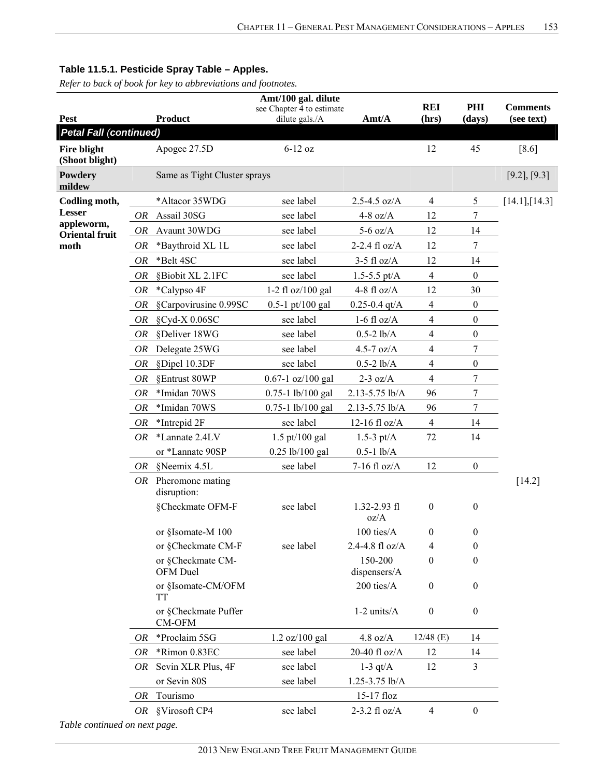*Refer to back of book for key to abbreviations and footnotes.*

|                                      |           |                                      | Amt/100 gal. dilute                         |                          |                     |                  |                               |
|--------------------------------------|-----------|--------------------------------------|---------------------------------------------|--------------------------|---------------------|------------------|-------------------------------|
| <b>Pest</b>                          |           | <b>Product</b>                       | see Chapter 4 to estimate<br>dilute gals./A | Amt/A                    | <b>REI</b><br>(hrs) | PHI<br>(days)    | <b>Comments</b><br>(see text) |
| <b>Petal Fall (continued)</b>        |           |                                      |                                             |                          |                     |                  |                               |
| <b>Fire blight</b><br>(Shoot blight) |           | Apogee 27.5D                         | $6-12$ oz                                   |                          | 12                  | 45               | $[8.6]$                       |
| Powdery<br>mildew                    |           | Same as Tight Cluster sprays         |                                             |                          |                     |                  | $[9.2]$ , $[9.3]$             |
| Codling moth,                        |           | *Altacor 35WDG                       | see label                                   | $2.5 - 4.5$ oz/A         | $\overline{4}$      | 5                | [14.1],[14.3]                 |
| <b>Lesser</b>                        | OR        | Assail 30SG                          | see label                                   | 4-8 oz/ $A$              | 12                  | 7                |                               |
| appleworm,<br><b>Oriental fruit</b>  | OR        | Avaunt 30WDG                         | see label                                   | $5-6$ oz/A               | 12                  | 14               |                               |
| moth                                 | <b>OR</b> | *Baythroid XL 1L                     | see label                                   | 2-2.4 fl oz/A            | 12                  | 7                |                               |
|                                      | OR        | *Belt 4SC                            | see label                                   | $3-5$ fl oz/A            | 12                  | 14               |                               |
|                                      | <b>OR</b> | §Biobit XL 2.1FC                     | see label                                   | $1.5 - 5.5$ pt/A         | $\overline{4}$      | $\boldsymbol{0}$ |                               |
|                                      | OR        | *Calypso 4F                          | 1-2 fl $oz/100$ gal                         | 4-8 fl $oz/A$            | 12                  | 30               |                               |
|                                      | <b>OR</b> | §Carpovirusine 0.99SC                | $0.5 - 1$ pt/100 gal                        | $0.25 - 0.4$ qt/A        | $\overline{4}$      | $\boldsymbol{0}$ |                               |
|                                      | OR        | §Cyd-X 0.06SC                        | see label                                   | $1-6$ fl oz/A            | $\overline{4}$      | $\boldsymbol{0}$ |                               |
|                                      | <b>OR</b> | §Deliver 18WG                        | see label                                   | $0.5 - 2$ lb/A           | $\overline{4}$      | $\boldsymbol{0}$ |                               |
|                                      | OR        | Delegate 25WG                        | see label                                   | 4.5-7 $oz/A$             | $\overline{4}$      | 7                |                               |
|                                      | <b>OR</b> | §Dipel 10.3DF                        | see label                                   | $0.5 - 2$ lb/A           | $\overline{4}$      | $\boldsymbol{0}$ |                               |
|                                      | OR        | §Entrust 80WP                        | $0.67 - 1$ oz/100 gal                       | $2-3$ oz/A               | $\overline{4}$      | 7                |                               |
|                                      | <b>OR</b> | *Imidan 70WS                         | $0.75 - 1$ lb/100 gal                       | 2.13-5.75 lb/A           | 96                  | 7                |                               |
|                                      | OR        | *Imidan 70WS                         | 0.75-1 lb/100 gal                           | 2.13-5.75 lb/A           | 96                  | 7                |                               |
|                                      | OR        | *Intrepid 2F                         | see label                                   | 12-16 fl $oz/A$          | $\overline{4}$      | 14               |                               |
|                                      | OR        | *Lannate 2.4LV                       | $1.5$ pt/100 gal                            | $1.5-3$ pt/A             | 72                  | 14               |                               |
|                                      |           | or *Lannate 90SP                     | 0.25 lb/100 gal                             | $0.5 - 1$ lb/A           |                     |                  |                               |
|                                      | OR        | §Neemix 4.5L                         | see label                                   | $7-16$ fl oz/A           | 12                  | $\boldsymbol{0}$ |                               |
|                                      |           | $OR$ Pheromone mating<br>disruption: |                                             |                          |                     |                  | $[14.2]$                      |
|                                      |           | §Checkmate OFM-F                     | see label                                   | $1.32 - 2.93$ fl<br>oz/A | $\boldsymbol{0}$    | $\theta$         |                               |
|                                      |           | or §Isomate-M 100                    |                                             | 100 ties/A               | $\mathbf{0}$        | $\boldsymbol{0}$ |                               |
|                                      |           | or §Checkmate CM-F                   | see label                                   | 2.4-4.8 fl oz/A          | 4                   | $\theta$         |                               |
|                                      |           | or §Checkmate CM-<br>OFM Duel        |                                             | 150-200<br>dispensers/A  | $\boldsymbol{0}$    | 0                |                               |
|                                      |           | or §Isomate-CM/OFM<br>TT             |                                             | 200 ties/A               | $\boldsymbol{0}$    | $\boldsymbol{0}$ |                               |
|                                      |           | or §Checkmate Puffer<br>$CM-OFM$     |                                             | $1-2$ units/ $A$         | $\boldsymbol{0}$    | $\mathbf{0}$     |                               |
|                                      | 0R        | *Proclaim 5SG                        | 1.2 oz/100 gal                              | $4.8$ oz/A               | $12/48$ (E)         | 14               |                               |
|                                      | 0R        | *Rimon 0.83EC                        | see label                                   | 20-40 fl oz/A            | 12                  | 14               |                               |
|                                      | OR        | Sevin XLR Plus, 4F                   | see label                                   | $1-3$ qt/A               | 12                  | 3                |                               |
|                                      |           | or Sevin 80S                         | see label                                   | $1.25 - 3.75$ lb/A       |                     |                  |                               |
|                                      | 0R        | Tourismo                             |                                             | 15-17 floz               |                     |                  |                               |
|                                      | OR        | §Virosoft CP4                        | see label                                   | $2-3.2$ fl oz/A          | $\overline{4}$      | $\boldsymbol{0}$ |                               |
| Table continued on next page.        |           |                                      |                                             |                          |                     |                  |                               |

2013 NEW ENGLAND TREE FRUIT MANAGEMENT GUIDE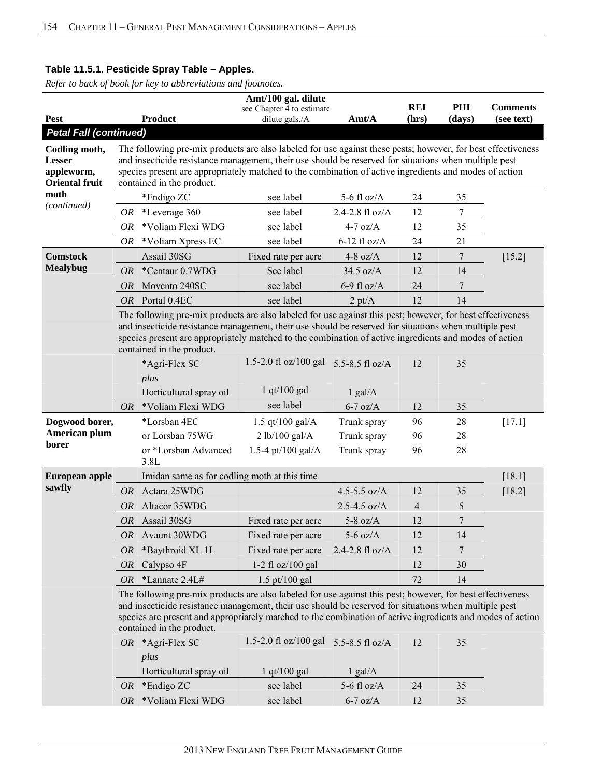|                                                                       |           |                                                                                                                                                                                                                                                                                                                                                                | Amt/100 gal. dilute                         |                  |                     |               |                               |  |  |  |  |
|-----------------------------------------------------------------------|-----------|----------------------------------------------------------------------------------------------------------------------------------------------------------------------------------------------------------------------------------------------------------------------------------------------------------------------------------------------------------------|---------------------------------------------|------------------|---------------------|---------------|-------------------------------|--|--|--|--|
| <b>Pest</b>                                                           |           | <b>Product</b>                                                                                                                                                                                                                                                                                                                                                 | see Chapter 4 to estimate<br>dilute gals./A | Amt/A            | <b>REI</b><br>(hrs) | PHI<br>(days) | <b>Comments</b><br>(see text) |  |  |  |  |
| <b>Petal Fall (continued)</b>                                         |           |                                                                                                                                                                                                                                                                                                                                                                |                                             |                  |                     |               |                               |  |  |  |  |
| Codling moth,<br><b>Lesser</b><br>appleworm,<br><b>Oriental fruit</b> |           | The following pre-mix products are also labeled for use against these pests; however, for best effectiveness<br>and insecticide resistance management, their use should be reserved for situations when multiple pest<br>species present are appropriately matched to the combination of active ingredients and modes of action<br>contained in the product.   |                                             |                  |                     |               |                               |  |  |  |  |
| moth                                                                  |           | *Endigo ZC                                                                                                                                                                                                                                                                                                                                                     | see label                                   | 5-6 fl $oz/A$    | 24                  | 35            |                               |  |  |  |  |
| (continued)                                                           | OR        | *Leverage 360                                                                                                                                                                                                                                                                                                                                                  | see label                                   | 2.4-2.8 fl oz/A  | 12                  | 7             |                               |  |  |  |  |
|                                                                       | 0R        | *Voliam Flexi WDG                                                                                                                                                                                                                                                                                                                                              | see label                                   | $4-7$ oz/A       | 12                  | 35            |                               |  |  |  |  |
|                                                                       | OR        | *Voliam Xpress EC                                                                                                                                                                                                                                                                                                                                              | see label                                   | $6-12$ fl oz/A   | 24                  | 21            |                               |  |  |  |  |
| <b>Comstock</b>                                                       |           | Assail 30SG                                                                                                                                                                                                                                                                                                                                                    | Fixed rate per acre                         | 4-8 oz/ $A$      | 12                  | 7             | $[15.2]$                      |  |  |  |  |
| <b>Mealybug</b>                                                       | <i>OR</i> | *Centaur 0.7WDG                                                                                                                                                                                                                                                                                                                                                | See label                                   | $34.5$ oz/A      | 12                  | 14            |                               |  |  |  |  |
|                                                                       | OR        | Movento 240SC                                                                                                                                                                                                                                                                                                                                                  | see label                                   | $6-9$ fl oz/A    | 24                  | 7             |                               |  |  |  |  |
|                                                                       |           | OR Portal 0.4EC                                                                                                                                                                                                                                                                                                                                                | see label                                   | $2 \text{ pt/A}$ | 12                  | 14            |                               |  |  |  |  |
|                                                                       |           | The following pre-mix products are also labeled for use against this pest; however, for best effectiveness<br>and insecticide resistance management, their use should be reserved for situations when multiple pest<br>species present are appropriately matched to the combination of active ingredients and modes of action<br>contained in the product.     |                                             |                  |                     |               |                               |  |  |  |  |
|                                                                       |           | *Agri-Flex SC<br>plus                                                                                                                                                                                                                                                                                                                                          | 1.5-2.0 fl oz/100 gal                       | 5.5-8.5 fl oz/A  | 12                  | 35            |                               |  |  |  |  |
|                                                                       |           | Horticultural spray oil                                                                                                                                                                                                                                                                                                                                        | $1$ qt/100 gal                              | $1$ gal/A        |                     |               |                               |  |  |  |  |
|                                                                       |           | OR *Voliam Flexi WDG                                                                                                                                                                                                                                                                                                                                           | see label                                   | $6-7$ oz/A       | 12                  | 35            |                               |  |  |  |  |
| Dogwood borer,                                                        |           | *Lorsban 4EC                                                                                                                                                                                                                                                                                                                                                   | 1.5 qt/100 gal/ $A$                         | Trunk spray      | 96                  | 28            | $[17.1]$                      |  |  |  |  |
| American plum                                                         |           | or Lorsban 75WG                                                                                                                                                                                                                                                                                                                                                | 2 lb/100 gal/A                              | Trunk spray      | 96                  | 28            |                               |  |  |  |  |
| borer                                                                 |           | or *Lorsban Advanced                                                                                                                                                                                                                                                                                                                                           | 1.5-4 pt/100 gal/A                          | Trunk spray      | 96                  | 28            |                               |  |  |  |  |
|                                                                       |           | 3.8L                                                                                                                                                                                                                                                                                                                                                           |                                             |                  |                     |               |                               |  |  |  |  |
| European apple                                                        |           | Imidan same as for codling moth at this time                                                                                                                                                                                                                                                                                                                   |                                             |                  |                     |               | [18.1]                        |  |  |  |  |
| sawfly                                                                | <i>OR</i> | Actara 25WDG                                                                                                                                                                                                                                                                                                                                                   |                                             | 4.5-5.5 oz/A     | 12                  | 35            | [18.2]                        |  |  |  |  |
|                                                                       | <i>OR</i> | Altacor 35WDG                                                                                                                                                                                                                                                                                                                                                  |                                             | $2.5 - 4.5$ oz/A | $\overline{4}$      | 5             |                               |  |  |  |  |
|                                                                       | OR        | Assail 30SG                                                                                                                                                                                                                                                                                                                                                    | Fixed rate per acre                         | $5-8$ oz/A       | 12                  | $\sqrt{ }$    |                               |  |  |  |  |
|                                                                       | <i>OR</i> | Avaunt 30WDG                                                                                                                                                                                                                                                                                                                                                   | Fixed rate per acre                         | $5-6$ oz/A       | 12                  | 14            |                               |  |  |  |  |
|                                                                       | OR        | *Baythroid XL 1L                                                                                                                                                                                                                                                                                                                                               | Fixed rate per acre                         | 2.4-2.8 fl oz/A  | 12                  | 7             |                               |  |  |  |  |
|                                                                       | <i>OR</i> | Calypso 4F                                                                                                                                                                                                                                                                                                                                                     | 1-2 fl $oz/100$ gal                         |                  | 12                  | 30            |                               |  |  |  |  |
|                                                                       | <i>OR</i> | *Lannate 2.4L#                                                                                                                                                                                                                                                                                                                                                 | $1.5 \text{ pt}/100 \text{ gal}$            |                  | 72                  | 14            |                               |  |  |  |  |
|                                                                       |           | The following pre-mix products are also labeled for use against this pest; however, for best effectiveness<br>and insecticide resistance management, their use should be reserved for situations when multiple pest<br>species are present and appropriately matched to the combination of active ingredients and modes of action<br>contained in the product. |                                             |                  |                     |               |                               |  |  |  |  |
|                                                                       |           | OR *Agri-Flex SC<br>plus                                                                                                                                                                                                                                                                                                                                       | 1.5-2.0 fl oz/100 gal                       | 5.5-8.5 fl oz/A  | 12                  | 35            |                               |  |  |  |  |
|                                                                       |           | Horticultural spray oil                                                                                                                                                                                                                                                                                                                                        | $1$ qt/100 gal                              | $1$ gal/ $A$     |                     |               |                               |  |  |  |  |
|                                                                       | <i>OR</i> | *Endigo ZC                                                                                                                                                                                                                                                                                                                                                     | see label                                   | 5-6 fl $oz/A$    | 24                  | 35            |                               |  |  |  |  |
|                                                                       | OR        | *Voliam Flexi WDG                                                                                                                                                                                                                                                                                                                                              | see label                                   | $6-7$ oz/A       | 12                  | 35            |                               |  |  |  |  |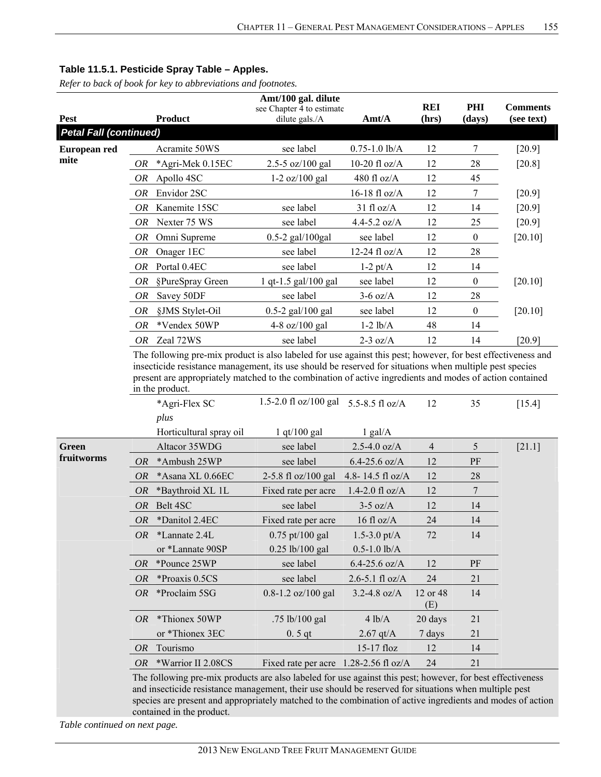*Refer to back of book for key to abbreviations and footnotes.*

|                               |           |                                                                                                                                                                                                                                        | Amt/100 gal. dilute                         |                     |                     |                |                               |
|-------------------------------|-----------|----------------------------------------------------------------------------------------------------------------------------------------------------------------------------------------------------------------------------------------|---------------------------------------------|---------------------|---------------------|----------------|-------------------------------|
| <b>Pest</b>                   |           | <b>Product</b>                                                                                                                                                                                                                         | see Chapter 4 to estimate<br>dilute gals./A | Amt/A               | <b>REI</b><br>(hrs) | PHI<br>(days)  | <b>Comments</b><br>(see text) |
| <b>Petal Fall (continued)</b> |           |                                                                                                                                                                                                                                        |                                             |                     |                     |                |                               |
| European red                  |           | Acramite 50WS                                                                                                                                                                                                                          | see label                                   | $0.75 - 1.0$ lb/A   | 12                  | 7              | $[20.9]$                      |
| mite                          | OR        | *Agri-Mek 0.15EC                                                                                                                                                                                                                       | 2.5-5 $oz/100$ gal                          | 10-20 fl $oz/A$     | 12                  | 28             | $[20.8]$                      |
|                               | OR        | Apollo 4SC                                                                                                                                                                                                                             | $1-2$ oz/100 gal                            | 480 fl oz/A         | 12                  | 45             |                               |
|                               | OR        | Envidor 2SC                                                                                                                                                                                                                            |                                             | $16-18$ fl oz/A     | 12                  | 7              | $[20.9]$                      |
|                               | OR        | Kanemite 15SC                                                                                                                                                                                                                          | see label                                   | $31$ fl oz/A        | 12                  | 14             | $[20.9]$                      |
|                               | OR        | Nexter 75 WS                                                                                                                                                                                                                           | see label                                   | 4.4-5.2 $oz/A$      | 12                  | 25             | $[20.9]$                      |
|                               | OR        | Omni Supreme                                                                                                                                                                                                                           | 0.5-2 gal/100gal                            | see label           | 12                  | $\theta$       | $[20.10]$                     |
|                               | OR        | Onager 1EC                                                                                                                                                                                                                             | see label                                   | 12-24 fl oz/A       | 12                  | 28             |                               |
|                               | OR        | Portal 0.4EC                                                                                                                                                                                                                           | see label                                   | $1-2$ pt/A          | 12                  | 14             |                               |
|                               | OR        |                                                                                                                                                                                                                                        | 1 qt-1.5 gal/100 gal                        | see label           | 12                  | $\mathbf{0}$   | [20.10]                       |
|                               |           | §PureSpray Green                                                                                                                                                                                                                       | see label                                   | $3-6$ oz/A          | 12                  | 28             |                               |
|                               | OR        | Savey 50DF                                                                                                                                                                                                                             |                                             |                     |                     |                |                               |
|                               | <b>OR</b> | §JMS Stylet-Oil                                                                                                                                                                                                                        | $0.5 - 2$ gal/100 gal                       | see label           | 12                  | $\mathbf{0}$   | [20.10]                       |
|                               | OR        | *Vendex 50WP                                                                                                                                                                                                                           | 4-8 oz/100 gal                              | $1-2$ $lb/A$        | 48                  | 14             |                               |
|                               | OR        | Zeal 72WS<br>The following pre-mix product is also labeled for use against this pest; however, for best effectiveness and                                                                                                              | see label                                   | $2-3$ oz/A          | 12                  | 14             | [20.9]                        |
|                               |           | insecticide resistance management, its use should be reserved for situations when multiple pest species<br>present are appropriately matched to the combination of active ingredients and modes of action contained<br>in the product. |                                             |                     |                     |                |                               |
|                               |           | *Agri-Flex SC                                                                                                                                                                                                                          | 1.5-2.0 fl oz/100 gal                       | 5.5-8.5 fl $oz/A$   | 12                  | 35             | $[15.4]$                      |
|                               |           | plus                                                                                                                                                                                                                                   |                                             |                     |                     |                |                               |
|                               |           | Horticultural spray oil                                                                                                                                                                                                                | $1$ qt/ $100$ gal                           | $1$ gal/A           |                     |                |                               |
| <b>Green</b>                  |           | Altacor 35WDG                                                                                                                                                                                                                          | see label                                   | $2.5 - 4.0$ oz/A    | $\overline{4}$      | 5              | $[21.1]$                      |
| fruitworms                    | <i>OR</i> | *Ambush 25WP                                                                                                                                                                                                                           | see label                                   | $6.4 - 25.6$ oz/A   | 12                  | PF             |                               |
|                               | OR        | *Asana XL 0.66EC                                                                                                                                                                                                                       | 2-5.8 fl oz/100 gal                         | 4.8-14.5 fl oz/A    | 12                  | 28             |                               |
|                               | OR        | *Baythroid XL 1L                                                                                                                                                                                                                       | Fixed rate per acre                         | $1.4 - 2.0$ fl oz/A | 12                  | $\overline{7}$ |                               |
|                               | OR        | Belt 4SC                                                                                                                                                                                                                               | see label                                   | $3-5$ oz/A          | 12                  | 14             |                               |
|                               | <b>OR</b> | *Danitol 2.4EC                                                                                                                                                                                                                         | Fixed rate per acre                         | 16 fl $oz/A$        | 24                  | 14             |                               |
|                               | OR        | *Lannate 2.4L                                                                                                                                                                                                                          | $0.75$ pt/100 gal                           | $1.5 - 3.0$ pt/A    | 72                  | 14             |                               |
|                               |           | or *Lannate 90SP                                                                                                                                                                                                                       | 0.25 lb/100 gal                             | $0.5 - 1.0$ lb/A    |                     |                |                               |
|                               | <i>OR</i> | *Pounce 25WP                                                                                                                                                                                                                           | see label                                   | $6.4 - 25.6$ oz/A   | 12                  | PF             |                               |
|                               | <i>OR</i> | *Proaxis 0.5CS                                                                                                                                                                                                                         | see label                                   | $2.6 - 5.1$ fl oz/A | 24                  | 21             |                               |
|                               | OR        | *Proclaim 5SG                                                                                                                                                                                                                          | $0.8 - 1.2$ oz/100 gal                      | 3.2-4.8 $oz/A$      | 12 or 48<br>(E)     | 14             |                               |
|                               | OR        | *Thionex 50WP                                                                                                                                                                                                                          | .75 lb/100 gal                              | 4 lb/A              | 20 days             | 21             |                               |
|                               |           | or *Thionex 3EC                                                                                                                                                                                                                        | $0.5$ qt                                    | $2.67$ qt/A         | 7 days              | 21             |                               |
|                               | OR        | Tourismo                                                                                                                                                                                                                               |                                             | 15-17 floz          | 12                  | 14             |                               |
|                               | OR        | *Warrior II 2.08CS                                                                                                                                                                                                                     | Fixed rate per acre $1.28-2.56$ fl oz/A     |                     | 24                  | 21             |                               |
|                               |           | The following pre-mix products are also labeled for use against this pest; however, for best effectiveness                                                                                                                             |                                             |                     |                     |                |                               |

and insecticide resistance management, their use should be reserved for situations when multiple pest species are present and appropriately matched to the combination of active ingredients and modes of action contained in the product.

*Table continued on next page.*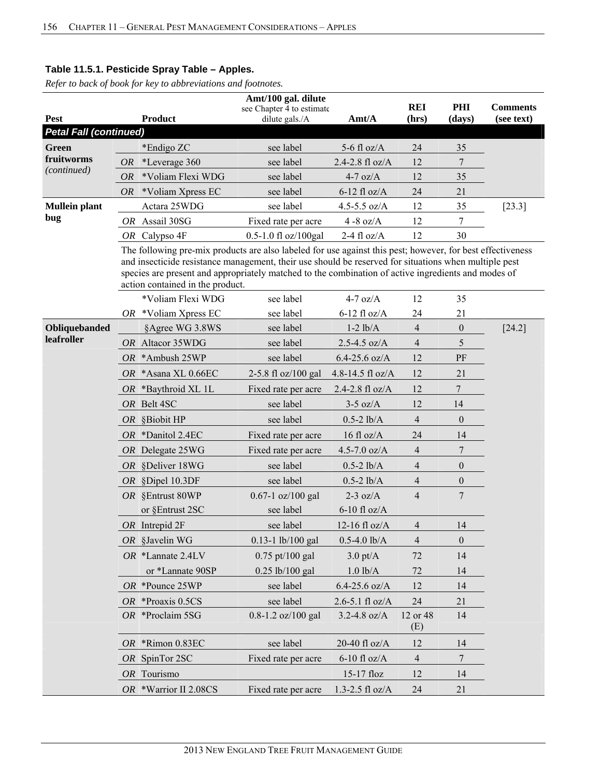|                               |           |                                                                                                                                                                                                                                                                                                                                                                | Amt/100 gal. dilute                         |                     |                     |                  |                               |
|-------------------------------|-----------|----------------------------------------------------------------------------------------------------------------------------------------------------------------------------------------------------------------------------------------------------------------------------------------------------------------------------------------------------------------|---------------------------------------------|---------------------|---------------------|------------------|-------------------------------|
| <b>Pest</b>                   |           | <b>Product</b>                                                                                                                                                                                                                                                                                                                                                 | see Chapter 4 to estimate<br>dilute gals./A | Amt/A               | <b>REI</b><br>(hrs) | PHI<br>(days)    | <b>Comments</b><br>(see text) |
| <b>Petal Fall (continued)</b> |           |                                                                                                                                                                                                                                                                                                                                                                |                                             |                     |                     |                  |                               |
| <b>Green</b>                  |           | *Endigo ZC                                                                                                                                                                                                                                                                                                                                                     | see label                                   | 5-6 fl $oz/A$       | 24                  | 35               |                               |
| fruitworms                    | OR        | *Leverage 360                                                                                                                                                                                                                                                                                                                                                  | see label                                   | 2.4-2.8 fl oz/A     | 12                  | 7                |                               |
| (continued)                   | <i>OR</i> | *Voliam Flexi WDG                                                                                                                                                                                                                                                                                                                                              | see label                                   | $4-7$ oz/A          | 12                  | 35               |                               |
|                               | <i>OR</i> | *Voliam Xpress EC                                                                                                                                                                                                                                                                                                                                              | see label                                   | $6-12$ fl oz/A      | 24                  | 21               |                               |
| <b>Mullein plant</b>          |           | Actara 25WDG                                                                                                                                                                                                                                                                                                                                                   | see label                                   | 4.5-5.5 $oz/A$      | 12                  | 35               | $[23.3]$                      |
| bug                           |           | OR Assail 30SG                                                                                                                                                                                                                                                                                                                                                 | Fixed rate per acre                         | 4 -8 oz/ $A$        | 12                  | 7                |                               |
|                               | OR        | Calypso 4F                                                                                                                                                                                                                                                                                                                                                     | 0.5-1.0 fl oz/100gal                        | 2-4 fl $oz/A$       | 12                  | 30               |                               |
|                               |           | The following pre-mix products are also labeled for use against this pest; however, for best effectiveness<br>and insecticide resistance management, their use should be reserved for situations when multiple pest<br>species are present and appropriately matched to the combination of active ingredients and modes of<br>action contained in the product. |                                             |                     |                     |                  |                               |
|                               |           | *Voliam Flexi WDG                                                                                                                                                                                                                                                                                                                                              | see label                                   | $4-7$ oz/A          | 12                  | 35               |                               |
|                               |           | OR *Voliam Xpress EC                                                                                                                                                                                                                                                                                                                                           | see label                                   | $6-12$ fl oz/A      | 24                  | 21               |                               |
| Obliquebanded                 |           | §Agree WG 3.8WS                                                                                                                                                                                                                                                                                                                                                | see label                                   | $1-2$ lb/A          | $\overline{4}$      | $\boldsymbol{0}$ | $[24.2]$                      |
| leafroller                    |           | OR Altacor 35WDG                                                                                                                                                                                                                                                                                                                                               | see label                                   | $2.5 - 4.5$ oz/A    | $\overline{4}$      | 5                |                               |
|                               | OR.       | *Ambush 25WP                                                                                                                                                                                                                                                                                                                                                   | see label                                   | $6.4 - 25.6$ oz/A   | 12                  | PF               |                               |
|                               |           | OR *Asana XL 0.66EC                                                                                                                                                                                                                                                                                                                                            | 2-5.8 fl oz/100 gal                         | 4.8-14.5 fl oz/A    | 12                  | 21               |                               |
|                               |           | OR *Baythroid XL 1L                                                                                                                                                                                                                                                                                                                                            | Fixed rate per acre                         | 2.4-2.8 $f1 oz/A$   | 12                  | 7                |                               |
|                               |           | OR Belt 4SC                                                                                                                                                                                                                                                                                                                                                    | see label                                   | $3-5$ oz/A          | 12                  | 14               |                               |
|                               | OR        | §Biobit HP                                                                                                                                                                                                                                                                                                                                                     | see label                                   | $0.5 - 2$ lb/A      | $\overline{4}$      | $\boldsymbol{0}$ |                               |
|                               | OR        | *Danitol 2.4EC                                                                                                                                                                                                                                                                                                                                                 | Fixed rate per acre                         | 16 fl $oz/A$        | 24                  | 14               |                               |
|                               |           | OR Delegate 25WG                                                                                                                                                                                                                                                                                                                                               | Fixed rate per acre                         | 4.5-7.0 $oz/A$      | 4                   | 7                |                               |
|                               |           | OR §Deliver 18WG                                                                                                                                                                                                                                                                                                                                               | see label                                   | $0.5 - 2$ lb/A      | 4                   | $\boldsymbol{0}$ |                               |
|                               | OR        | §Dipel 10.3DF                                                                                                                                                                                                                                                                                                                                                  | see label                                   | $0.5 - 2$ lb/A      | 4                   | $\boldsymbol{0}$ |                               |
|                               |           | OR §Entrust 80WP                                                                                                                                                                                                                                                                                                                                               | $0.67 - 1$ oz/100 gal                       | $2-3$ oz/A          | 4                   | 7                |                               |
|                               |           | or §Entrust 2SC                                                                                                                                                                                                                                                                                                                                                | see label                                   | $6-10$ fl oz/A      |                     |                  |                               |
|                               |           | $OR$ Intrepid $2F$                                                                                                                                                                                                                                                                                                                                             | see label                                   | 12-16 fl $oz/A$     | 4                   | 14               |                               |
|                               |           | OR §Javelin WG                                                                                                                                                                                                                                                                                                                                                 | $0.13 - 1$ lb/100 gal                       | $0.5 - 4.0$ lb/A    | 4                   | $\boldsymbol{0}$ |                               |
|                               |           | OR *Lannate 2.4LV                                                                                                                                                                                                                                                                                                                                              | $0.75$ pt/100 gal                           | $3.0$ pt/A          | 72                  | 14               |                               |
|                               |           | or *Lannate 90SP                                                                                                                                                                                                                                                                                                                                               | 0.25 lb/100 gal                             | $1.0$ $lb/A$        | 72                  | 14               |                               |
|                               |           | OR *Pounce 25WP                                                                                                                                                                                                                                                                                                                                                | see label                                   | $6.4 - 25.6$ oz/A   | 12                  | 14               |                               |
|                               |           | OR *Proaxis 0.5CS                                                                                                                                                                                                                                                                                                                                              | see label                                   | $2.6 - 5.1$ fl oz/A | 24                  | 21               |                               |
|                               |           | OR *Proclaim 5SG                                                                                                                                                                                                                                                                                                                                               | $0.8 - 1.2$ oz/100 gal                      | 3.2-4.8 oz/ $A$     | 12 or 48<br>(E)     | 14               |                               |
|                               |           | OR *Rimon 0.83EC                                                                                                                                                                                                                                                                                                                                               | see label                                   | 20-40 fl $oz/A$     | 12                  | 14               |                               |
|                               |           | OR SpinTor 2SC                                                                                                                                                                                                                                                                                                                                                 | Fixed rate per acre                         | $6-10$ fl oz/A      | $\overline{4}$      | 7                |                               |
|                               |           | OR Tourismo                                                                                                                                                                                                                                                                                                                                                    |                                             | 15-17 floz          | 12                  | 14               |                               |
|                               |           | OR *Warrior II 2.08CS                                                                                                                                                                                                                                                                                                                                          | Fixed rate per acre                         | $1.3 - 2.5$ fl oz/A | 24                  | 21               |                               |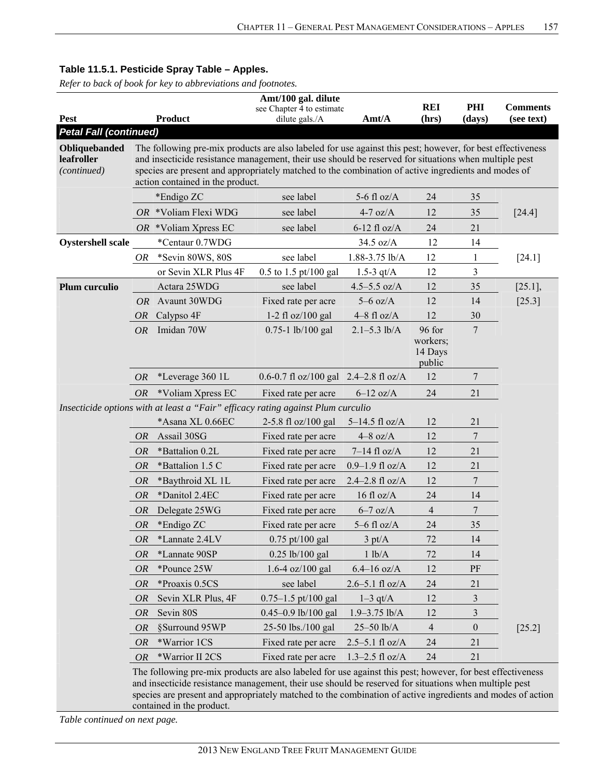*Refer to back of book for key to abbreviations and footnotes.*

|                                            | Amt/100 gal. dilute |                                                                                                                                                                                                                                                                                                                                                                |                                             |                      |                                         |                  |                               |  |  |  |
|--------------------------------------------|---------------------|----------------------------------------------------------------------------------------------------------------------------------------------------------------------------------------------------------------------------------------------------------------------------------------------------------------------------------------------------------------|---------------------------------------------|----------------------|-----------------------------------------|------------------|-------------------------------|--|--|--|
| <b>Pest</b>                                |                     | <b>Product</b>                                                                                                                                                                                                                                                                                                                                                 | see Chapter 4 to estimate<br>dilute gals./A | Amt/A                | <b>REI</b><br>(hrs)                     | PHI<br>(days)    | <b>Comments</b><br>(see text) |  |  |  |
| <b>Petal Fall (continued)</b>              |                     |                                                                                                                                                                                                                                                                                                                                                                |                                             |                      |                                         |                  |                               |  |  |  |
| Obliquebanded<br>leafroller<br>(continued) |                     | The following pre-mix products are also labeled for use against this pest; however, for best effectiveness<br>and insecticide resistance management, their use should be reserved for situations when multiple pest<br>species are present and appropriately matched to the combination of active ingredients and modes of<br>action contained in the product. |                                             |                      |                                         |                  |                               |  |  |  |
|                                            |                     | *Endigo ZC                                                                                                                                                                                                                                                                                                                                                     | see label                                   | 5-6 fl $oz/A$        | 24                                      | 35               |                               |  |  |  |
|                                            |                     | OR *Voliam Flexi WDG                                                                                                                                                                                                                                                                                                                                           | see label                                   | $4-7$ oz/A           | 12                                      | 35               | $[24.4]$                      |  |  |  |
|                                            |                     | OR *Voliam Xpress EC                                                                                                                                                                                                                                                                                                                                           | see label                                   | $6-12$ fl oz/A       | 24                                      | 21               |                               |  |  |  |
| <b>Oystershell scale</b>                   |                     | *Centaur 0.7WDG                                                                                                                                                                                                                                                                                                                                                |                                             | 34.5 oz/A            | 12                                      | 14               |                               |  |  |  |
|                                            | OR                  | *Sevin 80WS, 80S                                                                                                                                                                                                                                                                                                                                               | see label                                   | 1.88-3.75 lb/A       | 12                                      | $\mathbf{1}$     | $[24.1]$                      |  |  |  |
|                                            |                     | or Sevin XLR Plus 4F                                                                                                                                                                                                                                                                                                                                           | $0.5$ to 1.5 pt/100 gal                     | 1.5-3 $qt/A$         | 12                                      | 3                |                               |  |  |  |
| Plum curculio                              |                     | Actara 25WDG                                                                                                                                                                                                                                                                                                                                                   | see label                                   | $4.5 - 5.5$ oz/A     | 12                                      | 35               | $[25.1]$ ,                    |  |  |  |
|                                            | <b>OR</b>           | Avaunt 30WDG                                                                                                                                                                                                                                                                                                                                                   | Fixed rate per acre                         | $5-6$ oz/A           | 12                                      | 14               | [25.3]                        |  |  |  |
|                                            | <i>OR</i>           | Calypso 4F                                                                                                                                                                                                                                                                                                                                                     | 1-2 fl $oz/100$ gal                         | $4-8$ fl oz/A        | 12                                      | 30               |                               |  |  |  |
|                                            | <b>OR</b>           | Imidan 70W                                                                                                                                                                                                                                                                                                                                                     | 0.75-1 lb/100 gal                           | $2.1 - 5.3$ lb/A     | 96 for<br>workers;<br>14 Days<br>public | $\overline{7}$   |                               |  |  |  |
|                                            | <b>OR</b>           | *Leverage 360 1L                                                                                                                                                                                                                                                                                                                                               | 0.6-0.7 fl oz/100 gal $2.4-2.8$ fl oz/A     |                      | 12                                      | 7                |                               |  |  |  |
|                                            | OR                  | *Voliam Xpress EC                                                                                                                                                                                                                                                                                                                                              | Fixed rate per acre                         | $6-12$ oz/A          | 24                                      | 21               |                               |  |  |  |
|                                            |                     | Insecticide options with at least a "Fair" efficacy rating against Plum curculio                                                                                                                                                                                                                                                                               |                                             |                      |                                         |                  |                               |  |  |  |
|                                            |                     | *Asana XL 0.66EC                                                                                                                                                                                                                                                                                                                                               | 2-5.8 fl oz/100 gal                         | $5-14.5$ fl oz/A     | 12                                      | 21               |                               |  |  |  |
|                                            | <i>OR</i>           | Assail 30SG                                                                                                                                                                                                                                                                                                                                                    | Fixed rate per acre                         | $4-8$ oz/A           | 12                                      | $\tau$           |                               |  |  |  |
|                                            | <b>OR</b>           | *Battalion 0.2L                                                                                                                                                                                                                                                                                                                                                | Fixed rate per acre                         | $7-14$ fl oz/A       | 12                                      | 21               |                               |  |  |  |
|                                            | <b>OR</b>           | *Battalion 1.5 C                                                                                                                                                                                                                                                                                                                                               | Fixed rate per acre                         | $0.9 - 1.9$ fl oz/A  | 12                                      | 21               |                               |  |  |  |
|                                            | <i>OR</i>           | *Baythroid XL 1L                                                                                                                                                                                                                                                                                                                                               | Fixed rate per acre                         | $2.4 - 2.8$ fl oz/A  | 12                                      | $\overline{7}$   |                               |  |  |  |
|                                            | <b>OR</b>           | *Danitol 2.4EC                                                                                                                                                                                                                                                                                                                                                 | Fixed rate per acre                         | $16 \text{ fl oz/A}$ | 24                                      | 14               |                               |  |  |  |
|                                            | OR                  | Delegate 25WG                                                                                                                                                                                                                                                                                                                                                  | Fixed rate per acre                         | $6-7$ oz/A           | 4                                       | $\boldsymbol{7}$ |                               |  |  |  |
|                                            | <b>OR</b>           | *Endigo ZC                                                                                                                                                                                                                                                                                                                                                     | Fixed rate per acre                         | $5-6$ fl oz/A        | 24                                      | 35               |                               |  |  |  |
|                                            | <i>OR</i>           | *Lannate 2.4LV                                                                                                                                                                                                                                                                                                                                                 | $0.75$ pt/100 gal                           | $3 \text{ pt/A}$     | 72                                      | 14               |                               |  |  |  |
|                                            | <b>OR</b>           | *Lannate 90SP                                                                                                                                                                                                                                                                                                                                                  | 0.25 lb/100 gal                             | 1 lb/A               | 72                                      | 14               |                               |  |  |  |
|                                            | <i>OR</i>           | *Pounce 25W                                                                                                                                                                                                                                                                                                                                                    | $1.6-4$ oz/100 gal                          | $6.4 - 16$ oz/A      | 12                                      | PF               |                               |  |  |  |
|                                            | <b>OR</b>           | *Proaxis 0.5CS                                                                                                                                                                                                                                                                                                                                                 | see label                                   | $2.6 - 5.1$ fl oz/A  | 24                                      | 21               |                               |  |  |  |
|                                            | <i>OR</i>           | Sevin XLR Plus, 4F                                                                                                                                                                                                                                                                                                                                             | $0.75 - 1.5$ pt/100 gal                     | $1-3$ qt/A           | 12                                      | $\mathfrak{Z}$   |                               |  |  |  |
|                                            | <i>OR</i>           | Sevin 80S                                                                                                                                                                                                                                                                                                                                                      | 0.45-0.9 lb/100 gal                         | $1.9 - 3.75$ lb/A    | 12                                      | 3                |                               |  |  |  |
|                                            | <i>OR</i>           | §Surround 95WP                                                                                                                                                                                                                                                                                                                                                 | 25-50 lbs./100 gal                          | 25-50 lb/A           | 4                                       | $\boldsymbol{0}$ | $[25.2]$                      |  |  |  |
|                                            | <i>OR</i>           | *Warrior 1CS                                                                                                                                                                                                                                                                                                                                                   | Fixed rate per acre                         | $2.5 - 5.1$ fl oz/A  | 24                                      | 21               |                               |  |  |  |
|                                            | OR                  | *Warrior II 2CS                                                                                                                                                                                                                                                                                                                                                | Fixed rate per acre                         | $1.3 - 2.5$ fl oz/A  | 24                                      | 21               |                               |  |  |  |
|                                            |                     | The following pre-mix products are also labeled for use against this pest; however, for best effectiveness<br>and insecticide resistance management, their use should be reserved for situations when multiple pest<br>species are present and appropriately matched to the combination of active ingredients and modes of action                              |                                             |                      |                                         |                  |                               |  |  |  |

contained in the product.

*Table continued on next page.*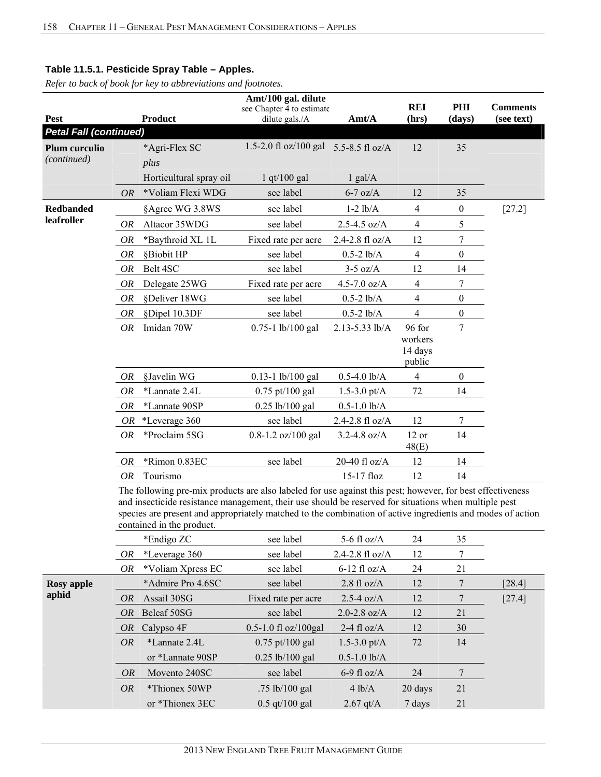*Refer to back of book for key to abbreviations and footnotes.*

|                               |           |                                                                                                                                                                                                                                                                                                                                                                | Amt/100 gal. dilute                         |                       |                     |                  |                               |
|-------------------------------|-----------|----------------------------------------------------------------------------------------------------------------------------------------------------------------------------------------------------------------------------------------------------------------------------------------------------------------------------------------------------------------|---------------------------------------------|-----------------------|---------------------|------------------|-------------------------------|
| <b>Pest</b>                   |           | <b>Product</b>                                                                                                                                                                                                                                                                                                                                                 | see Chapter 4 to estimate<br>dilute gals./A | Amt/A                 | <b>REI</b><br>(hrs) | PHI<br>(days)    | <b>Comments</b><br>(see text) |
| <b>Petal Fall (continued)</b> |           |                                                                                                                                                                                                                                                                                                                                                                |                                             |                       |                     |                  |                               |
| <b>Plum curculio</b>          |           | *Agri-Flex SC                                                                                                                                                                                                                                                                                                                                                  | 1.5-2.0 fl oz/100 gal                       | 5.5-8.5 fl $oz/A$     | 12                  | 35               |                               |
| (continued)                   |           | plus                                                                                                                                                                                                                                                                                                                                                           |                                             |                       |                     |                  |                               |
|                               |           | Horticultural spray oil                                                                                                                                                                                                                                                                                                                                        | $1$ qt/100 gal                              | $1$ gal/ $A$          |                     |                  |                               |
|                               | <i>OR</i> | *Voliam Flexi WDG                                                                                                                                                                                                                                                                                                                                              | see label                                   | $6-7$ oz/A            | 12                  | 35               |                               |
| <b>Redbanded</b>              |           | §Agree WG 3.8WS                                                                                                                                                                                                                                                                                                                                                | see label                                   | $1-2$ $lb/A$          | 4                   | $\boldsymbol{0}$ | $[27.2]$                      |
| leafroller                    | OR        | Altacor 35WDG                                                                                                                                                                                                                                                                                                                                                  | see label                                   | $2.5 - 4.5$ oz/A      | $\overline{4}$      | 5                |                               |
|                               | <b>OR</b> | *Baythroid XL 1L                                                                                                                                                                                                                                                                                                                                               | Fixed rate per acre                         | 2.4-2.8 fl oz/A       | 12                  | $\overline{7}$   |                               |
|                               | <b>OR</b> | §Biobit HP                                                                                                                                                                                                                                                                                                                                                     | see label                                   | $0.5 - 2$ lb/A        | $\overline{4}$      | 0                |                               |
|                               | <b>OR</b> | Belt 4SC                                                                                                                                                                                                                                                                                                                                                       | see label                                   | $3-5$ oz/A            | 12                  | 14               |                               |
|                               | <b>OR</b> | Delegate 25WG                                                                                                                                                                                                                                                                                                                                                  | Fixed rate per acre                         | $4.5 - 7.0$ oz/A      | 4                   | $\overline{7}$   |                               |
|                               | <b>OR</b> | §Deliver 18WG                                                                                                                                                                                                                                                                                                                                                  | see label                                   | $0.5-2$ lb/A          | 4                   | 0                |                               |
|                               | <b>OR</b> | §Dipel 10.3DF                                                                                                                                                                                                                                                                                                                                                  | see label                                   | $0.5 - 2$ lb/A        | 4                   | $\boldsymbol{0}$ |                               |
|                               | OR        | Imidan 70W                                                                                                                                                                                                                                                                                                                                                     | 0.75-1 lb/100 gal                           | 2.13-5.33 lb/A        | 96 for              | $\tau$           |                               |
|                               |           |                                                                                                                                                                                                                                                                                                                                                                |                                             |                       | workers             |                  |                               |
|                               |           |                                                                                                                                                                                                                                                                                                                                                                |                                             |                       | 14 days<br>public   |                  |                               |
|                               | OR        | §Javelin WG                                                                                                                                                                                                                                                                                                                                                    | $0.13 - 1$ lb/100 gal                       | $0.5 - 4.0$ lb/A      | $\overline{4}$      | $\mathbf{0}$     |                               |
|                               | OR        | *Lannate 2.4L                                                                                                                                                                                                                                                                                                                                                  | $0.75$ pt/100 gal                           | 1.5-3.0 pt/ $A$       | 72                  | 14               |                               |
|                               | OR        | *Lannate 90SP                                                                                                                                                                                                                                                                                                                                                  | $0.25$ lb/100 gal                           | $0.5 - 1.0$ lb/A      |                     |                  |                               |
|                               | OR        | *Leverage 360                                                                                                                                                                                                                                                                                                                                                  | see label                                   | 2.4-2.8 fl oz/A       | 12                  | 7                |                               |
|                               | OR        | *Proclaim 5SG                                                                                                                                                                                                                                                                                                                                                  | $0.8 - 1.2$ oz/100 gal                      | $3.2 - 4.8$ oz/A      | 12 or               | 14               |                               |
|                               |           |                                                                                                                                                                                                                                                                                                                                                                |                                             |                       | 48(E)               |                  |                               |
|                               | OR        | *Rimon 0.83EC                                                                                                                                                                                                                                                                                                                                                  | see label                                   | 20-40 fl oz/A         | 12                  | 14               |                               |
|                               | OR        | Tourismo                                                                                                                                                                                                                                                                                                                                                       |                                             | $15-17$ floz          | 12                  | 14               |                               |
|                               |           | The following pre-mix products are also labeled for use against this pest; however, for best effectiveness<br>and insecticide resistance management, their use should be reserved for situations when multiple pest<br>species are present and appropriately matched to the combination of active ingredients and modes of action<br>contained in the product. |                                             |                       |                     |                  |                               |
|                               |           | *Endigo ZC                                                                                                                                                                                                                                                                                                                                                     | see label                                   | 5-6 fl $oz/A$         | 24                  | 35               |                               |
|                               | <b>OR</b> | *Leverage 360                                                                                                                                                                                                                                                                                                                                                  | see label                                   | 2.4-2.8 fl oz/A       | 12                  | 7                |                               |
|                               | OR        | *Voliam Xpress EC                                                                                                                                                                                                                                                                                                                                              | see label                                   | $6-12$ fl oz/A        | 24                  | 21               |                               |
| <b>Rosy</b> apple             |           | *Admire Pro 4.6SC                                                                                                                                                                                                                                                                                                                                              | see label                                   | $2.8 \text{ fl oz/A}$ | 12                  | 7                | $[28.4]$                      |
| aphid                         | <b>OR</b> | Assail 30SG                                                                                                                                                                                                                                                                                                                                                    | Fixed rate per acre                         | $2.5-4$ oz/A          | 12                  | 7                | $[27.4]$                      |
|                               | OR        | Beleaf 50SG                                                                                                                                                                                                                                                                                                                                                    | see label                                   | $2.0 - 2.8$ oz/A      | 12                  | 21               |                               |

|  | 2013 NEW ENGLAND TREE FRUIT MANAGEMENT GUIDE |  |  |  |
|--|----------------------------------------------|--|--|--|
|--|----------------------------------------------|--|--|--|

*OR* Calypso 4F 0.5-1.0 fl oz/100gal 2-4 fl oz/A 12 30 *OR* \*Lannate 2.4L 0.75 pt/100 gal 1.5-3.0 pt/A 72 14

*OR* Movento 240SC see label 6-9 fl oz/A 24 7 *OR* \*Thionex 50WP .75 lb/100 gal 4 lb/A 20 days 21

or \*Thionex 3EC 0.5 qt/100 gal 2.67 qt/A 7 days 21

or \*Lannate 90SP 0.25 lb/100 gal 0.5-1.0 lb/A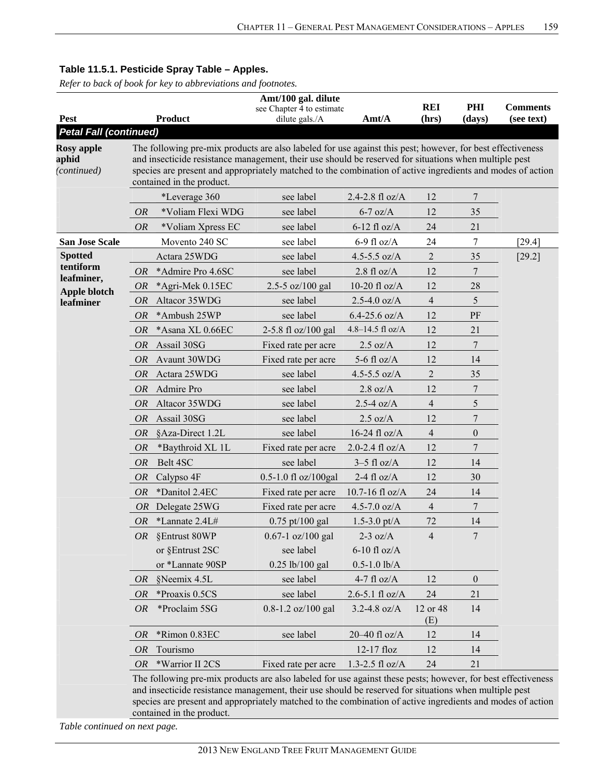*Refer to back of book for key to abbreviations and footnotes.*

|                                           |           |                                                                                                                                                                                                                                                                                                                                                                | Amt/100 gal. dilute                         |                       |                     |                  |                               |  |  |  |  |
|-------------------------------------------|-----------|----------------------------------------------------------------------------------------------------------------------------------------------------------------------------------------------------------------------------------------------------------------------------------------------------------------------------------------------------------------|---------------------------------------------|-----------------------|---------------------|------------------|-------------------------------|--|--|--|--|
| <b>Pest</b>                               |           | <b>Product</b>                                                                                                                                                                                                                                                                                                                                                 | see Chapter 4 to estimate<br>dilute gals./A | Amt/A                 | <b>REI</b><br>(hrs) | PHI<br>(days)    | <b>Comments</b><br>(see text) |  |  |  |  |
| <b>Petal Fall (continued)</b>             |           |                                                                                                                                                                                                                                                                                                                                                                |                                             |                       |                     |                  |                               |  |  |  |  |
| <b>Rosy apple</b><br>aphid<br>(continued) |           | The following pre-mix products are also labeled for use against this pest; however, for best effectiveness<br>and insecticide resistance management, their use should be reserved for situations when multiple pest<br>species are present and appropriately matched to the combination of active ingredients and modes of action<br>contained in the product. |                                             |                       |                     |                  |                               |  |  |  |  |
|                                           |           | *Leverage 360                                                                                                                                                                                                                                                                                                                                                  | see label                                   | 2.4-2.8 fl $oz/A$     | 12                  | 7                |                               |  |  |  |  |
|                                           | <i>OR</i> | *Voliam Flexi WDG                                                                                                                                                                                                                                                                                                                                              | see label                                   | $6-7$ oz/A            | 12                  | 35               |                               |  |  |  |  |
|                                           | <b>OR</b> | *Voliam Xpress EC                                                                                                                                                                                                                                                                                                                                              | see label                                   | $6-12$ fl oz/A        | 24                  | 21               |                               |  |  |  |  |
| <b>San Jose Scale</b>                     |           | Movento 240 SC                                                                                                                                                                                                                                                                                                                                                 | see label                                   | $6-9$ fl oz/A         | 24                  | 7                | [29.4]                        |  |  |  |  |
| <b>Spotted</b>                            |           | Actara 25WDG                                                                                                                                                                                                                                                                                                                                                   | see label                                   | 4.5-5.5 $oz/A$        | $\mathbf{2}$        | 35               | $[29.2]$                      |  |  |  |  |
| tentiform                                 | <i>OR</i> | *Admire Pro 4.6SC                                                                                                                                                                                                                                                                                                                                              | see label                                   | $2.8 \text{ fl oz/A}$ | 12                  | 7                |                               |  |  |  |  |
| leafminer,                                | <b>OR</b> | *Agri-Mek 0.15EC                                                                                                                                                                                                                                                                                                                                               | 2.5-5 $oz/100$ gal                          | 10-20 fl $oz/A$       | 12                  | 28               |                               |  |  |  |  |
| Apple blotch<br>leafminer                 | <i>OR</i> | Altacor 35WDG                                                                                                                                                                                                                                                                                                                                                  | see label                                   | $2.5 - 4.0$ oz/A      | $\overline{4}$      | 5                |                               |  |  |  |  |
|                                           | <b>OR</b> | *Ambush 25WP                                                                                                                                                                                                                                                                                                                                                   | see label                                   | $6.4 - 25.6$ oz/A     | 12                  | PF               |                               |  |  |  |  |
|                                           | <i>OR</i> | *Asana XL 0.66EC                                                                                                                                                                                                                                                                                                                                               | 2-5.8 fl oz/100 gal                         | 4.8-14.5 fl oz/A      | 12                  | 21               |                               |  |  |  |  |
|                                           | <i>OR</i> | Assail 30SG                                                                                                                                                                                                                                                                                                                                                    | Fixed rate per acre                         | $2.5 \text{ oz/A}$    | 12                  | $\tau$           |                               |  |  |  |  |
|                                           | <i>OR</i> | Avaunt 30WDG                                                                                                                                                                                                                                                                                                                                                   | Fixed rate per acre                         | 5-6 fl $oz/A$         | 12                  | 14               |                               |  |  |  |  |
|                                           | <i>OR</i> | Actara 25WDG                                                                                                                                                                                                                                                                                                                                                   | see label                                   | 4.5-5.5 $oz/A$        | $\overline{2}$      | 35               |                               |  |  |  |  |
|                                           | <i>OR</i> | Admire Pro                                                                                                                                                                                                                                                                                                                                                     | see label                                   | $2.8 \text{ oz/A}$    | 12                  | 7                |                               |  |  |  |  |
|                                           | <i>OR</i> | Altacor 35WDG                                                                                                                                                                                                                                                                                                                                                  | see label                                   | $2.5 - 4$ oz/A        | $\overline{4}$      | 5                |                               |  |  |  |  |
|                                           | <i>OR</i> | Assail 30SG                                                                                                                                                                                                                                                                                                                                                    | see label                                   | $2.5 \text{ oz/A}$    | 12                  | 7                |                               |  |  |  |  |
|                                           | <i>OR</i> | §Aza-Direct 1.2L                                                                                                                                                                                                                                                                                                                                               | see label                                   | 16-24 fl $oz/A$       | $\overline{4}$      | $\boldsymbol{0}$ |                               |  |  |  |  |
|                                           | <i>OR</i> | *Baythroid XL 1L                                                                                                                                                                                                                                                                                                                                               | Fixed rate per acre                         | 2.0-2.4 $fl$ oz/A     | 12                  | 7                |                               |  |  |  |  |
|                                           | <i>OR</i> | Belt 4SC                                                                                                                                                                                                                                                                                                                                                       | see label                                   | $3-5$ fl oz/A         | 12                  | 14               |                               |  |  |  |  |
|                                           | <i>OR</i> | Calypso 4F                                                                                                                                                                                                                                                                                                                                                     | 0.5-1.0 fl oz/100gal                        | 2-4 fl $oz/A$         | 12                  | 30               |                               |  |  |  |  |
|                                           | <i>OR</i> | *Danitol 2.4EC                                                                                                                                                                                                                                                                                                                                                 | Fixed rate per acre                         | 10.7-16 fl oz/A       | 24                  | 14               |                               |  |  |  |  |
|                                           | <i>OR</i> | Delegate 25WG                                                                                                                                                                                                                                                                                                                                                  | Fixed rate per acre                         | 4.5-7.0 $oz/A$        | $\overline{4}$      | 7                |                               |  |  |  |  |
|                                           | OR        | *Lannate 2.4L#                                                                                                                                                                                                                                                                                                                                                 | $0.75$ pt/100 gal                           | $1.5 - 3.0$ pt/A      | 72                  | 14               |                               |  |  |  |  |
|                                           |           | OR §Entrust 80WP                                                                                                                                                                                                                                                                                                                                               | $0.67 - 1$ oz/100 gal                       | $2-3$ oz/A            | 4                   |                  |                               |  |  |  |  |
|                                           |           | or §Entrust 2SC                                                                                                                                                                                                                                                                                                                                                | see label                                   | $6-10$ fl oz/A        |                     |                  |                               |  |  |  |  |
|                                           |           | or *Lannate 90SP                                                                                                                                                                                                                                                                                                                                               | $0.25$ lb/100 gal                           | $0.5 - 1.0$ lb/A      |                     |                  |                               |  |  |  |  |
|                                           | OR        | §Neemix 4.5L                                                                                                                                                                                                                                                                                                                                                   | see label                                   | 4-7 fl $oz/A$         | 12                  | $\theta$         |                               |  |  |  |  |
|                                           | OR        | *Proaxis 0.5CS                                                                                                                                                                                                                                                                                                                                                 | see label                                   | $2.6 - 5.1$ fl oz/A   | 24                  | 21               |                               |  |  |  |  |
|                                           | <i>OR</i> | *Proclaim 5SG                                                                                                                                                                                                                                                                                                                                                  | $0.8 - 1.2$ oz/100 gal                      | $3.2 - 4.8$ oz/A      | 12 or 48<br>(E)     | 14               |                               |  |  |  |  |
|                                           | OR        | *Rimon 0.83EC                                                                                                                                                                                                                                                                                                                                                  | see label                                   | $20-40$ fl oz/A       | 12                  | 14               |                               |  |  |  |  |
|                                           | <i>OR</i> | Tourismo                                                                                                                                                                                                                                                                                                                                                       |                                             | 12-17 floz            | 12                  | 14               |                               |  |  |  |  |
|                                           | OR        | *Warrior II 2CS                                                                                                                                                                                                                                                                                                                                                | Fixed rate per acre                         | $1.3 - 2.5$ fl oz/A   | 24                  | 21               |                               |  |  |  |  |
|                                           |           | The following pre-mix products are also labeled for use against these pests; however, for best effectiveness<br>and insecticide resistance management, their use should be reserved for situations when multiple pest                                                                                                                                          |                                             |                       |                     |                  |                               |  |  |  |  |

insecticide resistance management, their use should be reserved for situations when multiple pest species are present and appropriately matched to the combination of active ingredients and modes of action contained in the product.

*Table continued on next page.*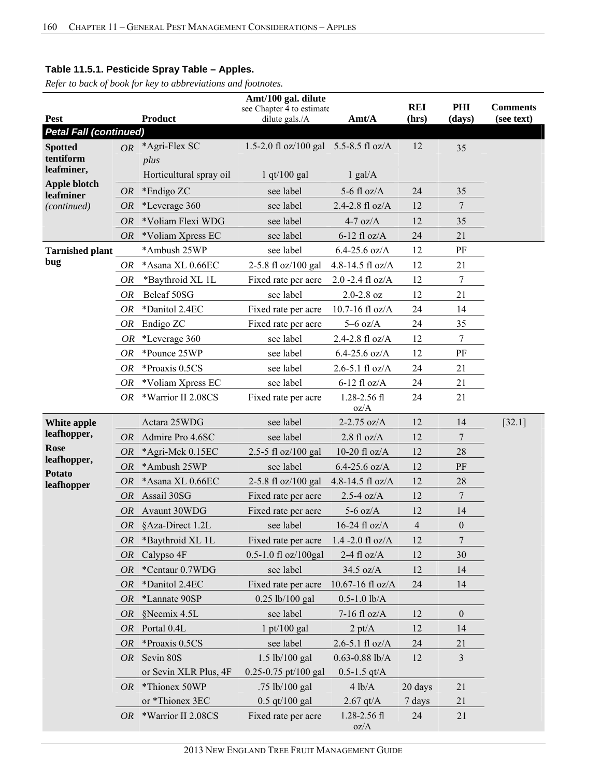|                                  |           |                         | Amt/100 gal. dilute                         |                          |                     |                  |                               |
|----------------------------------|-----------|-------------------------|---------------------------------------------|--------------------------|---------------------|------------------|-------------------------------|
| <b>Pest</b>                      |           | <b>Product</b>          | see Chapter 4 to estimate<br>dilute gals./A | Amt/A                    | <b>REI</b><br>(hrs) | PHI<br>(days)    | <b>Comments</b><br>(see text) |
| <b>Petal Fall (continued)</b>    |           |                         |                                             |                          |                     |                  |                               |
| <b>Spotted</b>                   | OR        | *Agri-Flex SC           | 1.5-2.0 fl oz/100 gal 5.5-8.5 fl oz/A       |                          | 12                  | 35               |                               |
| tentiform                        |           | plus                    |                                             |                          |                     |                  |                               |
| leafminer,                       |           | Horticultural spray oil | $1$ qt/100 gal                              | $1$ gal/A                |                     |                  |                               |
| <b>Apple blotch</b><br>leafminer | <b>OR</b> | *Endigo ZC              | see label                                   | 5-6 fl $oz/A$            | 24                  | 35               |                               |
| (continued)                      | <b>OR</b> | *Leverage 360           | see label                                   | 2.4-2.8 fl oz/A          | 12                  | 7                |                               |
|                                  | <i>OR</i> | *Voliam Flexi WDG       | see label                                   | $4-7$ oz/A               | 12                  | 35               |                               |
|                                  | OR        | *Voliam Xpress EC       | see label                                   | $6-12$ fl oz/A           | 24                  | 21               |                               |
| <b>Tarnished plant</b>           |           | *Ambush 25WP            | see label                                   | $6.4 - 25.6$ oz/A        | 12                  | PF               |                               |
| bug                              | <i>OR</i> | *Asana XL 0.66EC        | 2-5.8 fl oz/100 gal                         | 4.8-14.5 fl oz/A         | 12                  | 21               |                               |
|                                  | <b>OR</b> | *Baythroid XL 1L        | Fixed rate per acre                         | $2.0 - 2.4$ fl oz/A      | 12                  | $\boldsymbol{7}$ |                               |
|                                  | OR        | Beleaf 50SG             | see label                                   | $2.0 - 2.8$ oz           | 12                  | 21               |                               |
|                                  | OR        | *Danitol 2.4EC          | Fixed rate per acre                         | 10.7-16 fl $oz/A$        | 24                  | 14               |                               |
|                                  | OR        | Endigo ZC               | Fixed rate per acre                         | $5-6$ oz/A               | 24                  | 35               |                               |
|                                  | <b>OR</b> | *Leverage 360           | see label                                   | 2.4-2.8 fl oz/A          | 12                  | $\boldsymbol{7}$ |                               |
|                                  | OR        | *Pounce 25WP            | see label                                   | $6.4 - 25.6$ oz/A        | 12                  | PF               |                               |
|                                  | <b>OR</b> | *Proaxis 0.5CS          | see label                                   | $2.6 - 5.1$ fl oz/A      | 24                  | 21               |                               |
|                                  | <i>OR</i> | *Voliam Xpress EC       | see label                                   | $6-12$ fl oz/A           | 24                  | 21               |                               |
|                                  | OR.       | *Warrior II 2.08CS      | Fixed rate per acre                         | $1.28 - 2.56$ fl<br>oz/A | 24                  | 21               |                               |
| White apple                      |           | Actara 25WDG            | see label                                   | 2-2.75 $oz/A$            | 12                  | 14               | [32.1]                        |
| leafhopper,                      | <i>OR</i> | Admire Pro 4.6SC        | see label                                   | $2.8$ fl oz/A            | 12                  | 7                |                               |
| <b>Rose</b>                      | OR        | *Agri-Mek 0.15EC        | 2.5-5 fl oz/100 gal                         | 10-20 fl $oz/A$          | 12                  | 28               |                               |
| leafhopper,                      | <b>OR</b> | *Ambush 25WP            | see label                                   | $6.4 - 25.6$ oz/A        | 12                  | PF               |                               |
| <b>Potato</b><br>leafhopper      | <b>OR</b> | *Asana XL 0.66EC        | 2-5.8 fl oz/100 gal                         | 4.8-14.5 fl oz/A         | 12                  | 28               |                               |
|                                  | <i>OR</i> | Assail 30SG             | Fixed rate per acre                         | $2.5-4$ oz/A             | 12                  | 7                |                               |
|                                  | <i>OR</i> | Avaunt 30WDG            | Fixed rate per acre                         | $5-6$ oz/A               | 12                  | 14               |                               |
|                                  |           | OR §Aza-Direct 1.2L     | see label                                   | $16-24$ fl oz/A          | $\overline{4}$      | $\boldsymbol{0}$ |                               |
|                                  | OR        | *Baythroid XL 1L        | Fixed rate per acre                         | $1.4 - 2.0$ fl oz/A      | 12                  | 7                |                               |
|                                  | <b>OR</b> | Calypso 4F              | $0.5 - 1.0$ fl oz/100gal                    | $2-4$ fl oz/A            | 12                  | 30               |                               |
|                                  | OR        | *Centaur 0.7WDG         | see label                                   | 34.5 oz/A                | 12                  | 14               |                               |
|                                  | <i>OR</i> | *Danitol 2.4EC          | Fixed rate per acre                         | 10.67-16 fl oz/A         | 24                  | 14               |                               |
|                                  | OR        | *Lannate 90SP           | $0.25$ lb/100 gal                           | $0.5 - 1.0$ lb/A         |                     |                  |                               |
|                                  | <i>OR</i> | §Neemix 4.5L            | see label                                   | $7-16$ fl oz/A           | 12                  | $\boldsymbol{0}$ |                               |
|                                  | OR        | Portal 0.4L             | $1 \frac{\text{pt}}{100 \text{ gal}}$       | $2 \text{ pt/A}$         | 12                  | 14               |                               |
|                                  | OR        | *Proaxis 0.5CS          | see label                                   | $2.6 - 5.1$ fl oz/A      | 24                  | 21               |                               |
|                                  | OR        | Sevin 80S               | 1.5 lb/100 gal                              | $0.63 - 0.88$ lb/A       | 12                  | 3                |                               |
|                                  |           | or Sevin XLR Plus, 4F   | 0.25-0.75 pt/100 gal                        | $0.5 - 1.5$ qt/A         |                     |                  |                               |
|                                  |           | OR *Thionex 50WP        | .75 lb/100 gal                              | 4 lb/A                   | 20 days             | 21               |                               |
|                                  |           | or *Thionex 3EC         | $0.5$ qt/100 gal                            | $2.67$ qt/A              | 7 days              | 21               |                               |
|                                  |           | OR *Warrior II 2.08CS   | Fixed rate per acre                         | 1.28-2.56 fl<br>oz/A     | 24                  | 21               |                               |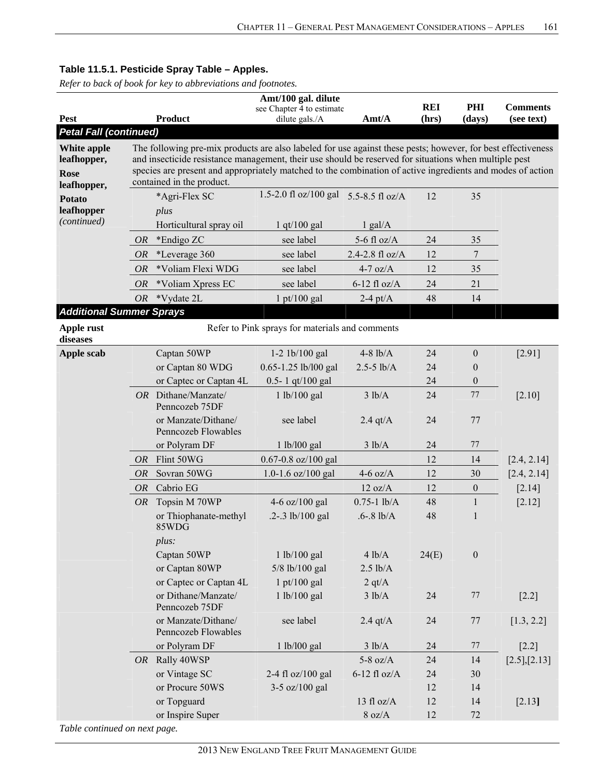|                                 |           |                                                                                                              | Amt/100 gal. dilute                             |                   |                     |                  |                               |
|---------------------------------|-----------|--------------------------------------------------------------------------------------------------------------|-------------------------------------------------|-------------------|---------------------|------------------|-------------------------------|
| Pest                            |           | <b>Product</b>                                                                                               | see Chapter 4 to estimate<br>dilute gals./A     | Amt/A             | <b>REI</b><br>(hrs) | PHI<br>(days)    | <b>Comments</b><br>(see text) |
| <b>Petal Fall (continued)</b>   |           |                                                                                                              |                                                 |                   |                     |                  |                               |
| White apple                     |           | The following pre-mix products are also labeled for use against these pests; however, for best effectiveness |                                                 |                   |                     |                  |                               |
| leafhopper,                     |           | and insecticide resistance management, their use should be reserved for situations when multiple pest        |                                                 |                   |                     |                  |                               |
| Rose                            |           | species are present and appropriately matched to the combination of active ingredients and modes of action   |                                                 |                   |                     |                  |                               |
| leafhopper,                     |           | contained in the product.                                                                                    |                                                 |                   |                     |                  |                               |
| <b>Potato</b>                   |           | *Agri-Flex SC                                                                                                | 1.5-2.0 fl oz/100 gal 5.5-8.5 fl oz/A           |                   | 12                  | 35               |                               |
| leafhopper                      |           | plus                                                                                                         |                                                 |                   |                     |                  |                               |
| (continued)                     |           | Horticultural spray oil                                                                                      | $1$ qt/ $100$ gal                               | $1$ gal/A         |                     |                  |                               |
|                                 | <i>OR</i> | *Endigo ZC                                                                                                   | see label                                       | 5-6 fl $oz/A$     | 24                  | 35               |                               |
|                                 | OR        | *Leverage 360                                                                                                | see label                                       | 2.4-2.8 $fl$ oz/A | 12                  | 7                |                               |
|                                 | <b>OR</b> | *Voliam Flexi WDG                                                                                            | see label                                       | $4-7$ oz/A        | 12                  | 35               |                               |
|                                 | OR        | *Voliam Xpress EC                                                                                            | see label                                       | $6-12$ fl oz/A    | 24                  | 21               |                               |
|                                 | <b>OR</b> | *Vydate 2L                                                                                                   | $1$ pt/100 gal                                  | $2-4$ pt/A        | 48                  | 14               |                               |
| <b>Additional Summer Sprays</b> |           |                                                                                                              |                                                 |                   |                     |                  |                               |
| Apple rust<br>diseases          |           |                                                                                                              | Refer to Pink sprays for materials and comments |                   |                     |                  |                               |
| <b>Apple scab</b>               |           | Captan 50WP                                                                                                  | $1-2$ 1b/100 gal                                | $4-8$ lb/A        | 24                  | $\boldsymbol{0}$ | [2.91]                        |
|                                 |           | or Captan 80 WDG                                                                                             | 0.65-1.25 lb/l00 gal                            | $2.5 - 5$ lb/A    | 24                  | $\boldsymbol{0}$ |                               |
|                                 |           | or Captec or Captan 4L                                                                                       | 0.5-1 qt/100 gal                                |                   | 24                  | $\boldsymbol{0}$ |                               |
|                                 |           | OR Dithane/Manzate/<br>Penncozeb 75DF                                                                        | 1 lb/100 gal                                    | 3 lb/A            | 24                  | 77               | [2.10]                        |
|                                 |           | or Manzate/Dithane/<br>Penncozeb Flowables                                                                   | see label                                       | 2.4 $qt/A$        | 24                  | 77               |                               |
|                                 |           | or Polyram DF                                                                                                | 1 lb/l00 gal                                    | 3 lb/A            | 24                  | 77               |                               |
|                                 | OR        | Flint 50WG                                                                                                   | $0.67 - 0.8$ oz/100 gal                         |                   | 12                  | 14               | [2.4, 2.14]                   |
|                                 | <i>OR</i> | Sovran 50WG                                                                                                  | 1.0-1.6 $oz/100$ gal                            | $4-6$ oz/A        | 12                  | 30               | [2.4, 2.14]                   |
|                                 | <i>OR</i> | Cabrio EG                                                                                                    |                                                 | $12 \text{ oz/A}$ | 12                  | $\boldsymbol{0}$ | [2.14]                        |
|                                 | <i>OR</i> | Topsin M 70WP                                                                                                | 4-6 oz/100 gal                                  | $0.75 - 1$ lb/A   | 48                  | $\mathbf{1}$     | [2.12]                        |
|                                 |           | or Thiophanate-methyl<br>85WDG                                                                               | .2-.3 lb/100 gal                                | $.6 - .8$ lb/A    | 48                  | 1                |                               |
|                                 |           | plus:                                                                                                        |                                                 |                   |                     |                  |                               |
|                                 |           | Captan 50WP                                                                                                  | 1 lb/100 gal                                    | 4 lb/A            | 24(E)               | $\boldsymbol{0}$ |                               |
|                                 |           | or Captan 80WP                                                                                               | 5/8 lb/100 gal                                  | $2.5$ lb/A        |                     |                  |                               |
|                                 |           | or Captec or Captan 4L                                                                                       | $1$ pt/100 gal                                  | 2 qt/ $A$         |                     |                  |                               |
|                                 |           | or Dithane/Manzate/<br>Penncozeb 75DF                                                                        | 1 lb/100 gal                                    | 3 lb/A            | 24                  | 77               | $[2.2]$                       |
|                                 |           | or Manzate/Dithane/<br>Penncozeb Flowables                                                                   | see label                                       | $2.4$ qt/A        | 24                  | 77               | [1.3, 2.2]                    |
|                                 |           | or Polyram DF                                                                                                | 1 lb/l00 gal                                    | 3 lb/A            | 24                  | 77               | $[2.2]$                       |
|                                 |           | OR Rally 40WSP                                                                                               |                                                 | 5-8 oz/ $A$       | 24                  | 14               | [2.5],[2.13]                  |
|                                 |           | or Vintage SC                                                                                                | 2-4 fl oz/100 gal                               | $6-12$ fl oz/A    | 24                  | 30               |                               |
|                                 |           | or Procure 50WS                                                                                              | $3-5$ oz/100 gal                                |                   | 12                  | 14               |                               |
|                                 |           | or Topguard                                                                                                  |                                                 | 13 fl $oz/A$      | 12                  | 14               | [2.13]                        |
|                                 |           | or Inspire Super                                                                                             |                                                 | $8$ oz/A $\,$     | 12                  | 72               |                               |
| Table continued on next page.   |           |                                                                                                              |                                                 |                   |                     |                  |                               |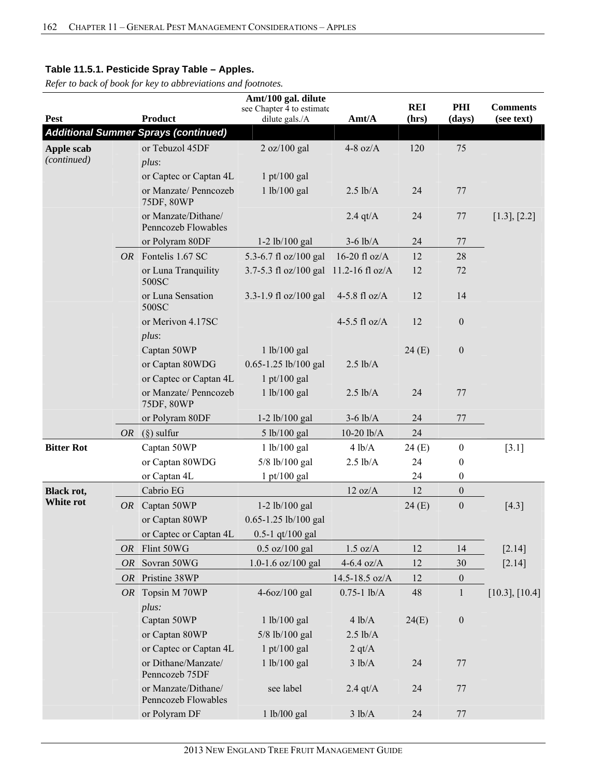|                   |           |                                             | Amt/100 gal. dilute                         |                    |                     |                  |                               |
|-------------------|-----------|---------------------------------------------|---------------------------------------------|--------------------|---------------------|------------------|-------------------------------|
| <b>Pest</b>       |           | <b>Product</b>                              | see Chapter 4 to estimate<br>dilute gals./A | Amt/A              | <b>REI</b><br>(hrs) | PHI<br>(days)    | <b>Comments</b><br>(see text) |
|                   |           | <b>Additional Summer Sprays (continued)</b> |                                             |                    |                     |                  |                               |
| Apple scab        |           | or Tebuzol 45DF                             | 2 oz/100 gal                                | $4-8$ oz/A         | 120                 | 75               |                               |
| (continued)       |           | $plus$ :                                    |                                             |                    |                     |                  |                               |
|                   |           |                                             | $1$ pt/100 gal                              |                    |                     |                  |                               |
|                   |           | or Captec or Captan 4L                      |                                             |                    |                     |                  |                               |
|                   |           | or Manzate/ Penncozeb<br>75DF, 80WP         | 1 lb/100 gal                                | $2.5$ lb/A         | 24                  | 77               |                               |
|                   |           | or Manzate/Dithane/<br>Penncozeb Flowables  |                                             | 2.4 qt/ $A$        | 24                  | 77               | [1.3], [2.2]                  |
|                   |           | or Polyram 80DF                             | $1-2$ lb/100 gal                            | $3-6$ lb/A         | 24                  | 77               |                               |
|                   |           | OR Fontelis 1.67 SC                         | 5.3-6.7 fl oz/100 gal                       | 16-20 fl $oz/A$    | 12                  | 28               |                               |
|                   |           | or Luna Tranquility<br>500SC                | 3.7-5.3 fl oz/100 gal 11.2-16 fl oz/A       |                    | 12                  | 72               |                               |
|                   |           | or Luna Sensation<br>500SC                  | 3.3-1.9 fl oz/100 gal                       | 4-5.8 fl $oz/A$    | 12                  | 14               |                               |
|                   |           | or Merivon 4.17SC<br>$plus$ :               |                                             | 4-5.5 fl $oz/A$    | 12                  | $\boldsymbol{0}$ |                               |
|                   |           | Captan 50WP                                 | 1 lb/100 gal                                |                    | 24(E)               | $\boldsymbol{0}$ |                               |
|                   |           | or Captan 80WDG                             | 0.65-1.25 lb/100 gal                        | $2.5$ lb/A         |                     |                  |                               |
|                   |           | or Captec or Captan 4L                      | $1$ pt/100 gal                              |                    |                     |                  |                               |
|                   |           | or Manzate/ Penncozeb<br>75DF, 80WP         | 1 lb/100 gal                                | $2.5$ lb/A         | 24                  | 77               |                               |
|                   |           | or Polyram 80DF                             | $1-2$ lb/100 gal                            | $3-6$ lb/A         | 24                  | 77               |                               |
|                   |           | OR $(\S)$ sulfur                            | 5 lb/100 gal                                | $10-20$ $lb/A$     | 24                  |                  |                               |
| <b>Bitter Rot</b> |           | Captan 50WP                                 | 1 lb/100 gal                                | 4 lb/A             | 24(E)               | $\boldsymbol{0}$ | $[3.1]$                       |
|                   |           | or Captan 80WDG                             | 5/8 lb/100 gal                              | $2.5$ lb/A         | 24                  | $\boldsymbol{0}$ |                               |
|                   |           | or Captan 4L                                | $1$ pt/100 gal                              |                    | 24                  | $\boldsymbol{0}$ |                               |
| Black rot,        |           | Cabrio EG                                   |                                             | 12 oz/A            | 12                  | $\boldsymbol{0}$ |                               |
| White rot         |           | OR Captan 50WP                              | $1-2$ lb/100 gal                            |                    | 24(E)               | $\boldsymbol{0}$ | $[4.3]$                       |
|                   |           | or Captan 80WP                              | 0.65-1.25 lb/100 gal                        |                    |                     |                  |                               |
|                   |           | or Captec or Captan 4L                      | $0.5 - 1$ qt/100 gal                        |                    |                     |                  |                               |
|                   | <i>OR</i> | Flint 50WG                                  | $0.5 \text{ oz}/100 \text{ gal}$            | $1.5 \text{ oz/A}$ | 12                  | 14               | [2.14]                        |
|                   |           | OR Sovran 50WG                              | 1.0-1.6 oz/100 gal                          | 4-6.4 oz/ $A$      | 12                  | 30               | [2.14]                        |
|                   | OR        | Pristine 38WP                               |                                             | 14.5-18.5 oz/A     | 12                  | $\boldsymbol{0}$ |                               |
|                   |           | OR Topsin M 70WP                            | 4-6oz/100 gal                               | $0.75 - 1$ lb/A    | 48                  | $\mathbf{1}$     | $[10.3]$ , $[10.4]$           |
|                   |           | plus:                                       |                                             |                    |                     |                  |                               |
|                   |           | Captan 50WP                                 | 1 lb/100 gal                                | 4 lb/A             | 24(E)               | $\boldsymbol{0}$ |                               |
|                   |           | or Captan 80WP                              | 5/8 lb/100 gal                              | $2.5$ lb/A         |                     |                  |                               |
|                   |           | or Captec or Captan 4L                      | $1$ pt/100 gal                              | 2 q t/A            |                     |                  |                               |
|                   |           | or Dithane/Manzate/                         | 1 lb/100 gal                                | 3 lb/A             | 24                  | 77               |                               |
|                   |           | Penncozeb 75DF                              |                                             |                    |                     |                  |                               |
|                   |           | or Manzate/Dithane/<br>Penncozeb Flowables  | see label                                   | $2.4$ qt/A         | 24                  | 77               |                               |
|                   |           | or Polyram DF                               | 1 lb/l00 gal                                | 3 lb/A             | 24                  | 77               |                               |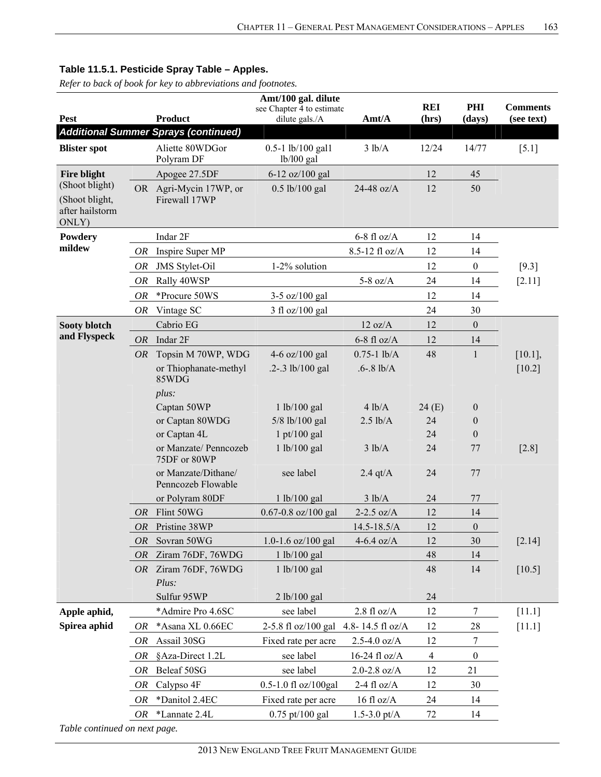*Refer to back of book for key to abbreviations and footnotes.*

|                                                              |           |                                             | Amt/100 gal. dilute                         |                       | <b>REI</b>     | PHI              | <b>Comments</b> |
|--------------------------------------------------------------|-----------|---------------------------------------------|---------------------------------------------|-----------------------|----------------|------------------|-----------------|
| Pest                                                         |           | <b>Product</b>                              | see Chapter 4 to estimate<br>dilute gals./A | Amt/A                 | (hrs)          | (days)           | (see text)      |
|                                                              |           | <b>Additional Summer Sprays (continued)</b> |                                             |                       |                |                  |                 |
| <b>Blister spot</b>                                          |           | Aliette 80WDGor<br>Polyram DF               | 0.5-1 lb/100 gal1<br>lb/100 gal             | 3 lb/A                | 12/24          | 14/77            | $[5.1]$         |
| Fire blight                                                  |           | Apogee 27.5DF                               | 6-12 oz/100 gal                             |                       | 12             | 45               |                 |
| (Shoot blight)<br>(Shoot blight,<br>after hailstorm<br>ONLY) |           | OR Agri-Mycin 17WP, or<br>Firewall 17WP     | $0.5$ lb/100 gal                            | 24-48 oz/A            | 12             | 50               |                 |
| Powdery                                                      |           | Indar 2F                                    |                                             | $6-8$ fl oz/A         | 12             | 14               |                 |
| mildew                                                       | OR        | Inspire Super MP                            |                                             | 8.5-12 fl oz/A        | 12             | 14               |                 |
|                                                              | OR        | <b>JMS</b> Stylet-Oil                       | 1-2% solution                               |                       | 12             | $\boldsymbol{0}$ | $[9.3]$         |
|                                                              | OR        | Rally 40WSP                                 |                                             | 5-8 oz/ $A$           | 24             | 14               | $[2.11]$        |
|                                                              | OR        | *Procure 50WS                               | 3-5 oz/100 gal                              |                       | 12             | 14               |                 |
|                                                              | OR        | Vintage SC                                  | 3 fl oz/100 gal                             |                       | 24             | 30               |                 |
| Sooty blotch                                                 |           | Cabrio EG                                   |                                             | 12 oz/A               | 12             | $\boldsymbol{0}$ |                 |
| and Flyspeck                                                 | OR        | Indar 2F                                    |                                             | $6-8$ fl oz/A         | 12             | 14               |                 |
|                                                              | <i>OR</i> | Topsin M 70WP, WDG                          | 4-6 oz/100 gal                              | $0.75 - 1$ lb/A       | 48             | $\mathbf{1}$     | $[10.1]$ ,      |
|                                                              |           | or Thiophanate-methyl<br>85WDG              | $.2 - .3$ lb/100 gal                        | $.6 - .8$ lb/A        |                |                  | $[10.2]$        |
|                                                              |           | plus:                                       |                                             |                       |                |                  |                 |
|                                                              |           | Captan 50WP                                 | 1 lb/100 gal                                | 4 lb/A                | 24(E)          | $\boldsymbol{0}$ |                 |
|                                                              |           | or Captan 80WDG                             | 5/8 lb/100 gal                              | $2.5$ lb/A            | 24             | $\boldsymbol{0}$ |                 |
|                                                              |           | or Captan 4L                                | $1$ pt/100 gal                              |                       | 24             | $\boldsymbol{0}$ |                 |
|                                                              |           | or Manzate/ Penncozeb<br>75DF or 80WP       | 1 lb/100 gal                                | 3 lb/A                | 24             | 77               | $[2.8]$         |
|                                                              |           | or Manzate/Dithane/<br>Penncozeb Flowable   | see label                                   | $2.4$ qt/A            | 24             | 77               |                 |
|                                                              |           | or Polyram 80DF                             | 1 lb/100 gal                                | 3 lb/A                | 24             | 77               |                 |
|                                                              | OR        | Flint 50WG                                  | $0.67 - 0.8$ oz/100 gal                     | $2-2.5$ oz/A          | 12             | 14               |                 |
|                                                              | OR        | Pristine 38WP                               |                                             | $14.5 - 18.5/A$       | 12             | $\boldsymbol{0}$ |                 |
|                                                              | <i>OR</i> | Sovran 50WG                                 | 1.0-1.6 oz/100 gal                          | $4-6.4$ oz/A          | 12             | 30               | $[2.14]$        |
|                                                              | <b>OR</b> | Ziram 76DF, 76WDG                           | 1 lb/100 gal                                |                       | 48             | 14               |                 |
|                                                              |           | OR Ziram 76DF, 76WDG                        | 1 lb/100 gal                                |                       | 48             | 14               | $[10.5]$        |
|                                                              |           | Plus:                                       |                                             |                       |                |                  |                 |
|                                                              |           | Sulfur 95WP                                 | 2 lb/100 gal                                |                       | 24             |                  |                 |
| Apple aphid,                                                 |           | *Admire Pro 4.6SC                           | see label                                   | $2.8 \text{ fl oz/A}$ | 12             | 7                | $[11.1]$        |
| Spirea aphid                                                 | OR        | *Asana XL 0.66EC                            | 2-5.8 fl oz/100 gal                         | 4.8-14.5 fl oz/A      | 12             | 28               | $[11.1]$        |
|                                                              | OR        | Assail 30SG                                 | Fixed rate per acre                         | $2.5 - 4.0$ oz/A      | 12             | 7                |                 |
|                                                              | OR        | §Aza-Direct 1.2L                            | see label                                   | 16-24 fl oz/A         | $\overline{4}$ | $\boldsymbol{0}$ |                 |
|                                                              | <b>OR</b> | Beleaf 50SG                                 | see label                                   | $2.0 - 2.8$ oz/A      | 12             | 21               |                 |
|                                                              | OR        | Calypso 4F                                  | 0.5-1.0 fl oz/100gal                        | 2-4 fl $oz/A$         | 12             | 30               |                 |
|                                                              | OR        | *Danitol 2.4EC                              | Fixed rate per acre                         | $16 \text{ fl oz/A}$  | 24             | 14               |                 |
| Table continued on next page.                                | OR        | *Lannate 2.4L                               | 0.75 pt/100 gal                             | $1.5 - 3.0$ pt/A      | 72             | 14               |                 |
|                                                              |           |                                             |                                             |                       |                |                  |                 |

2013 NEW ENGLAND TREE FRUIT MANAGEMENT GUIDE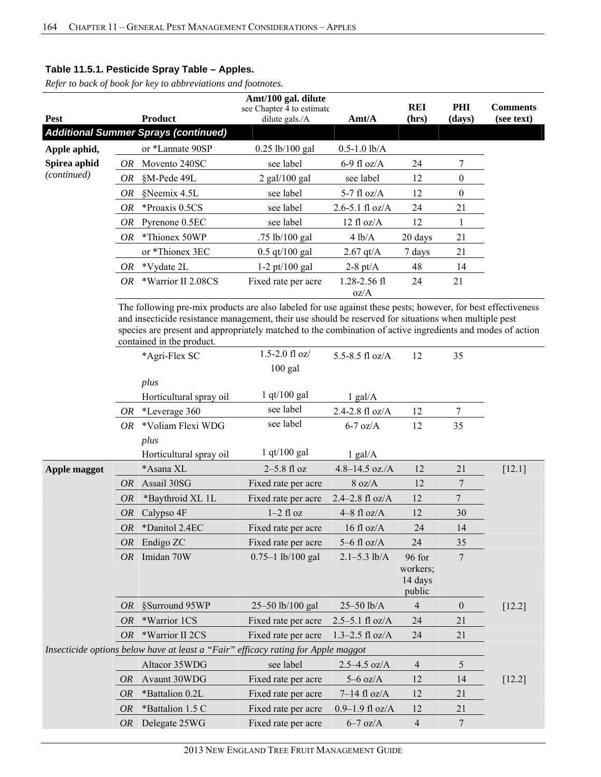*Refer to back of book for key to abbreviations and footnotes.*

| Pest         |     | Product                                     | Amt/100 gal. dilute<br>see Chapter 4 to estimate<br>dilute gals./A | $\text{A}$ mt/ $\text{A}$ | <b>REI</b><br>(hrs) | PHI<br>(days) | <b>Comments</b><br>(see text) |
|--------------|-----|---------------------------------------------|--------------------------------------------------------------------|---------------------------|---------------------|---------------|-------------------------------|
|              |     | <b>Additional Summer Sprays (continued)</b> |                                                                    |                           |                     |               |                               |
| Apple aphid, |     | or *Lannate 90SP                            | $0.25$ lb/100 gal                                                  | $0.5 - 1.0$ lb/A          |                     |               |                               |
| Spirea aphid | OR. | Movento 240SC                               | see label                                                          | 6-9 fl oz/A               | 24                  |               |                               |
| (continued)  | OR. | §M-Pede 49L                                 | $2$ gal/100 gal                                                    | see label                 | 12                  | $\mathbf{0}$  |                               |
|              | OR  | §Neemix 4.5L                                | see label                                                          | 5-7 fl $oz/A$             | 12                  | $\theta$      |                               |
|              | OR. | *Proaxis 0.5CS                              | see label                                                          | $2.6 - 5.1$ fl oz/A       | 24                  | 21            |                               |
|              | OR  | Pyrenone 0.5EC                              | see label                                                          | $12 \text{ fl oz/A}$      | 12                  |               |                               |
|              | OR. | *Thionex 50WP                               | .75 $lb/100$ gal                                                   | 4 lb/A                    | 20 days             | 21            |                               |
|              |     | or *Thionex 3EC                             | $0.5 \frac{\text{qt}}{100 \text{ gal}}$                            | $2.67$ qt/A               | 7 days              | 21            |                               |
|              | OR  | *Vydate 2L                                  | $1-2 \text{ pt}/100 \text{ gal}$                                   | 2-8 pt/ $A$               | 48                  | 14            |                               |
|              | OR. | *Warrior II 2.08CS                          | Fixed rate per acre                                                | $1.28 - 2.56$ fl<br>oz/A  | 24                  | 21            |                               |

The following pre-mix products are also labeled for use against these pests; however, for best effectiveness and insecticide resistance management, their use should be reserved for situations when multiple pest species are present and appropriately matched to the combination of active ingredients and modes of action contained in the product.

|              |           | *Agri-Flex SC                                                                     | $1.5 - 2.0$ fl oz/    | 5.5-8.5 fl $oz/A$   | 12                | 35               |          |
|--------------|-----------|-----------------------------------------------------------------------------------|-----------------------|---------------------|-------------------|------------------|----------|
|              |           |                                                                                   | $100$ gal             |                     |                   |                  |          |
|              |           | plus                                                                              |                       |                     |                   |                  |          |
|              |           | Horticultural spray oil                                                           | $1$ qt/100 gal        | $1$ gal/A           |                   |                  |          |
|              | OR        | *Leverage 360                                                                     | see label             | 2.4-2.8 fl oz/A     | 12                | 7                |          |
|              | OR        | *Voliam Flexi WDG                                                                 | see label             | $6-7$ oz/A          | 12                | 35               |          |
|              |           | plus                                                                              |                       |                     |                   |                  |          |
|              |           | Horticultural spray oil                                                           | $1$ qt/100 gal        | $1$ gal/ $A$        |                   |                  |          |
| Apple maggot |           | *Asana XL                                                                         | $2-5.8$ fl oz         | $4.8 - 14.5$ oz./A  | 12                | 21               | $[12.1]$ |
|              | <i>OR</i> | Assail 30SG                                                                       | Fixed rate per acre   | 8 oz/A              | 12                | 7                |          |
|              | <i>OR</i> | *Baythroid XL 1L                                                                  | Fixed rate per acre   | $2.4 - 2.8$ fl oz/A | 12                | $\overline{7}$   |          |
|              | <b>OR</b> | Calypso 4F                                                                        | $1-2$ fl oz           | $4-8$ fl oz/A       | 12                | 30               |          |
|              | <i>OR</i> | *Danitol 2.4EC                                                                    | Fixed rate per acre   | 16 fl $oz/A$        | 24                | 14               |          |
|              | <i>OR</i> | Endigo ZC                                                                         | Fixed rate per acre   | $5-6$ fl oz/A       | 24                | 35               |          |
|              | OR        | Imidan 70W                                                                        | $0.75 - 1$ lb/100 gal | $2.1 - 5.3$ lb/A    | 96 for            | $7\phantom{.0}$  |          |
|              |           |                                                                                   |                       |                     | workers;          |                  |          |
|              |           |                                                                                   |                       |                     | 14 days<br>public |                  |          |
|              | <b>OR</b> | §Surround 95WP                                                                    | 25-50 lb/100 gal      | 25-50 lb/A          | 4                 | $\boldsymbol{0}$ | [12.2]   |
|              | <b>OR</b> | *Warrior 1CS                                                                      | Fixed rate per acre   | $2.5 - 5.1$ fl oz/A | 24                | 21               |          |
|              | <b>OR</b> | *Warrior II 2CS                                                                   | Fixed rate per acre   | $1.3 - 2.5$ fl oz/A | 24                | 21               |          |
|              |           | Insecticide options below have at least a "Fair" efficacy rating for Apple maggot |                       |                     |                   |                  |          |
|              |           | Altacor 35WDG                                                                     | see label             | $2.5 - 4.5$ oz/A    | $\overline{4}$    | 5                |          |
|              | <i>OR</i> | Avaunt 30WDG                                                                      | Fixed rate per acre   | $5-6$ oz/A          | 12                | 14               | $[12.2]$ |
|              | <i>OR</i> | *Battalion 0.2L                                                                   | Fixed rate per acre   | $7-14$ fl oz/A      | 12                | 21               |          |
|              | <b>OR</b> | *Battalion 1.5 C                                                                  | Fixed rate per acre   | $0.9 - 1.9$ fl oz/A | 12                | 21               |          |
|              | <b>OR</b> | Delegate 25WG                                                                     | Fixed rate per acre   | $6-7$ oz/A          | $\overline{4}$    | $7\phantom{.0}$  |          |
|              |           |                                                                                   |                       |                     |                   |                  |          |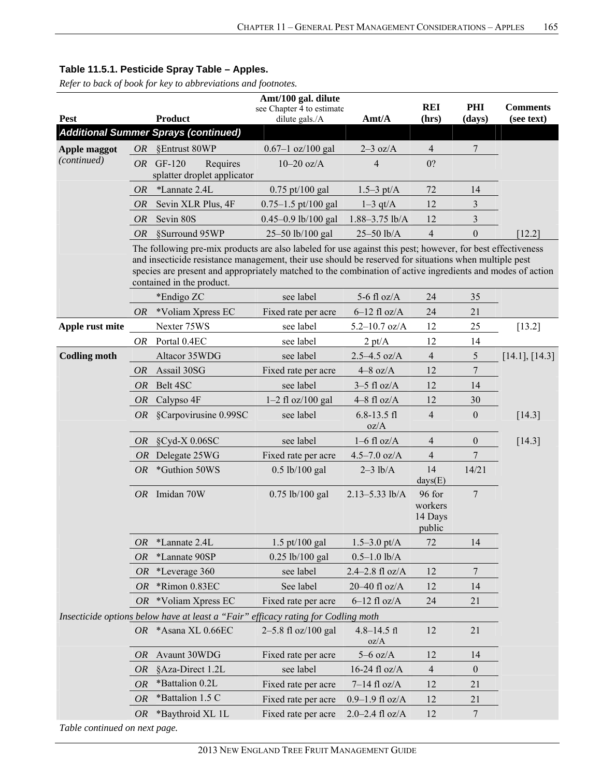*Refer to back of book for key to abbreviations and footnotes.*

|                     | Amt/100 gal. dilute |                                                                                                                                         |                                             |                         |                     |                  |                               |  |
|---------------------|---------------------|-----------------------------------------------------------------------------------------------------------------------------------------|---------------------------------------------|-------------------------|---------------------|------------------|-------------------------------|--|
| Pest                |                     | <b>Product</b>                                                                                                                          | see Chapter 4 to estimate<br>dilute gals./A | Amt/A                   | <b>REI</b><br>(hrs) | PHI<br>(days)    | <b>Comments</b><br>(see text) |  |
|                     |                     | <b>Additional Summer Sprays (continued)</b>                                                                                             |                                             |                         |                     |                  |                               |  |
| Apple maggot        | <i>OR</i>           | §Entrust 80WP                                                                                                                           | $0.67 - 1$ oz/100 gal                       | $2-3$ oz/A              | $\overline{4}$      | $\boldsymbol{7}$ |                               |  |
| (continued)         |                     | Requires<br>$OR$ GF-120                                                                                                                 | $10-20$ oz/A                                | 4                       | 0?                  |                  |                               |  |
|                     |                     | splatter droplet applicator                                                                                                             |                                             |                         |                     |                  |                               |  |
|                     | <i>OR</i>           | *Lannate 2.4L                                                                                                                           | $0.75$ pt/100 gal                           | $1.5 - 3 \text{ pt/A}$  | 72                  | 14               |                               |  |
|                     | <b>OR</b>           | Sevin XLR Plus, 4F                                                                                                                      | $0.75 - 1.5$ pt/100 gal                     | $1-3$ qt/A              | 12                  | $\mathfrak{Z}$   |                               |  |
|                     | <b>OR</b>           | Sevin 80S                                                                                                                               | 0.45-0.9 lb/100 gal                         | 1.88-3.75 lb/A          | 12                  | 3                |                               |  |
|                     | <i>OR</i>           | §Surround 95WP                                                                                                                          | 25-50 lb/100 gal                            | 25-50 lb/A              | $\overline{4}$      | $\boldsymbol{0}$ | [12.2]                        |  |
|                     |                     | The following pre-mix products are also labeled for use against this pest; however, for best effectiveness                              |                                             |                         |                     |                  |                               |  |
|                     |                     | and insecticide resistance management, their use should be reserved for situations when multiple pest                                   |                                             |                         |                     |                  |                               |  |
|                     |                     | species are present and appropriately matched to the combination of active ingredients and modes of action<br>contained in the product. |                                             |                         |                     |                  |                               |  |
|                     |                     | *Endigo ZC                                                                                                                              | see label                                   | 5-6 fl $oz/A$           | 24                  | 35               |                               |  |
|                     | <i>OR</i>           | *Voliam Xpress EC                                                                                                                       | Fixed rate per acre                         | $6-12$ fl oz/A          | 24                  | 21               |                               |  |
| Apple rust mite     |                     | Nexter 75WS                                                                                                                             | see label                                   | $5.2 - 10.7$ oz/A       | 12                  | 25               | $[13.2]$                      |  |
|                     | OR                  | Portal 0.4EC                                                                                                                            | see label                                   | 2 pt/A                  | 12                  | 14               |                               |  |
| <b>Codling moth</b> |                     | Altacor 35WDG                                                                                                                           | see label                                   | $2.5 - 4.5$ oz/A        | $\overline{4}$      | 5                | [14.1], [14.3]                |  |
|                     | <i>OR</i>           | Assail 30SG                                                                                                                             | Fixed rate per acre                         | $4-8$ oz/A              | 12                  | 7                |                               |  |
|                     | OR                  | Belt 4SC                                                                                                                                | see label                                   | $3-5$ fl oz/A           | 12                  | 14               |                               |  |
|                     | <i>OR</i>           | Calypso 4F                                                                                                                              | $1-2$ fl oz/100 gal                         | $4-8$ fl oz/A           | 12                  | 30               |                               |  |
|                     |                     | OR §Carpovirusine 0.99SC                                                                                                                | see label                                   | $6.8 - 13.5$ fl         | $\overline{4}$      | $\boldsymbol{0}$ | [14.3]                        |  |
|                     |                     |                                                                                                                                         |                                             | oz/A                    |                     |                  |                               |  |
|                     | <i>OR</i>           | $\text{SCyd-X } 0.06$ SC                                                                                                                | see label                                   | $1-6$ fl oz/A           | $\overline{4}$      | $\boldsymbol{0}$ | $[14.3]$                      |  |
|                     | OR                  | Delegate 25WG                                                                                                                           | Fixed rate per acre                         | $4.5 - 7.0$ oz/A        | $\overline{4}$      | 7                |                               |  |
|                     | <i>OR</i>           | *Guthion 50WS                                                                                                                           | $0.5$ lb/100 gal                            | $2-3$ lb/A              | 14<br>days(E)       | 14/21            |                               |  |
|                     |                     | OR Imidan 70W                                                                                                                           | $0.75$ lb/100 gal                           | $2.13 - 5.33$ lb/A      | 96 for              | 7                |                               |  |
|                     |                     |                                                                                                                                         |                                             |                         | workers             |                  |                               |  |
|                     |                     |                                                                                                                                         |                                             |                         | 14 Days             |                  |                               |  |
|                     | OR                  | *Lannate 2.4L                                                                                                                           | $1.5$ pt/100 gal                            | $1.5 - 3.0$ pt/A        | public<br>72        | 14               |                               |  |
|                     | <b>OR</b>           | *Lannate 90SP                                                                                                                           | $0.25$ lb/100 gal                           | $0.5 - 1.0$ lb/A        |                     |                  |                               |  |
|                     | <i>OR</i>           | *Leverage 360                                                                                                                           | see label                                   | 2.4-2.8 fl oz/A         | 12                  | 7                |                               |  |
|                     | OR                  | *Rimon 0.83EC                                                                                                                           | See label                                   | 20-40 fl oz/A           | 12                  | 14               |                               |  |
|                     | <i>OR</i>           | *Voliam Xpress EC                                                                                                                       | Fixed rate per acre                         | $6-12$ fl oz/A          | 24                  | 21               |                               |  |
|                     |                     | Insecticide options below have at least a "Fair" efficacy rating for Codling moth                                                       |                                             |                         |                     |                  |                               |  |
|                     |                     | OR *Asana XL 0.66EC                                                                                                                     | 2-5.8 fl oz/100 gal                         | $4.8 - 14.5$ fl<br>oz/A | 12                  | 21               |                               |  |
|                     | <i>OR</i>           | Avaunt 30WDG                                                                                                                            | Fixed rate per acre                         | $5-6$ oz/A              | 12                  | 14               |                               |  |
|                     | OR                  | §Aza-Direct 1.2L                                                                                                                        | see label                                   | 16-24 fl oz/A           | $\overline{4}$      | $\boldsymbol{0}$ |                               |  |
|                     | <b>OR</b>           | *Battalion 0.2L                                                                                                                         | Fixed rate per acre                         | $7-14$ fl oz/A          | 12                  | 21               |                               |  |
|                     | OR                  | *Battalion 1.5 C                                                                                                                        | Fixed rate per acre                         | $0.9 - 1.9$ fl oz/A     | 12                  | 21               |                               |  |
|                     | OR                  | *Baythroid XL 1L                                                                                                                        | Fixed rate per acre                         | $2.0 - 2.4$ fl oz/A     | 12                  | 7                |                               |  |
|                     |                     |                                                                                                                                         |                                             |                         |                     |                  |                               |  |

*Table continued on next page.*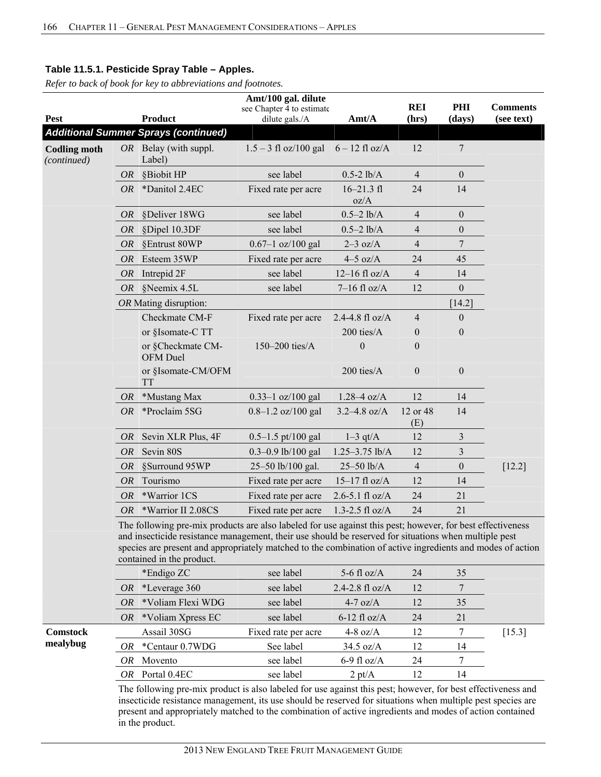*Refer to back of book for key to abbreviations and footnotes.*

|                                    |           |                                                                                                                                                                                                                                                                                                                                                                | Amt/100 gal. dilute                         |                                |                     |                  |                               |
|------------------------------------|-----------|----------------------------------------------------------------------------------------------------------------------------------------------------------------------------------------------------------------------------------------------------------------------------------------------------------------------------------------------------------------|---------------------------------------------|--------------------------------|---------------------|------------------|-------------------------------|
| Pest                               |           | <b>Product</b>                                                                                                                                                                                                                                                                                                                                                 | see Chapter 4 to estimate<br>dilute gals./A | Amt/A                          | <b>REI</b><br>(hrs) | PHI<br>(days)    | <b>Comments</b><br>(see text) |
|                                    |           | <b>Additional Summer Sprays (continued)</b>                                                                                                                                                                                                                                                                                                                    |                                             |                                |                     |                  |                               |
| <b>Codling moth</b><br>(continued) |           | $OR$ Belay (with suppl.<br>Label)                                                                                                                                                                                                                                                                                                                              | $1.5 - 3$ fl oz/100 gal                     | $6 - 12$ fl oz/A               | 12                  | $\boldsymbol{7}$ |                               |
|                                    | <i>OR</i> | §Biobit HP                                                                                                                                                                                                                                                                                                                                                     | see label                                   | $0.5 - 2$ lb/A                 | $\overline{4}$      | $\boldsymbol{0}$ |                               |
|                                    | OR        | *Danitol 2.4EC                                                                                                                                                                                                                                                                                                                                                 | Fixed rate per acre                         | $16 - 21.3 \text{ fl}$<br>oz/A | 24                  | 14               |                               |
|                                    | OR        | §Deliver 18WG                                                                                                                                                                                                                                                                                                                                                  | see label                                   | $0.5 - 2$ lb/A                 | $\overline{4}$      | $\boldsymbol{0}$ |                               |
|                                    | OR        | §Dipel 10.3DF                                                                                                                                                                                                                                                                                                                                                  | see label                                   | $0.5 - 2$ lb/A                 | $\overline{4}$      | $\boldsymbol{0}$ |                               |
|                                    | OR        | §Entrust 80WP                                                                                                                                                                                                                                                                                                                                                  | $0.67 - 1$ oz/100 gal                       | $2-3$ oz/A                     | $\overline{4}$      | 7                |                               |
|                                    | OR        | Esteem 35WP                                                                                                                                                                                                                                                                                                                                                    | Fixed rate per acre                         | $4-5$ oz/A                     | 24                  | 45               |                               |
|                                    | OR        | Intrepid 2F                                                                                                                                                                                                                                                                                                                                                    | see label                                   | $12-16$ fl oz/A                | $\overline{4}$      | 14               |                               |
|                                    | OR        | §Neemix 4.5L                                                                                                                                                                                                                                                                                                                                                   | see label                                   | $7-16$ fl oz/A                 | 12                  | $\boldsymbol{0}$ |                               |
|                                    |           | OR Mating disruption:                                                                                                                                                                                                                                                                                                                                          |                                             |                                |                     | [14.2]           |                               |
|                                    |           | Checkmate CM-F                                                                                                                                                                                                                                                                                                                                                 | Fixed rate per acre                         | 2.4-4.8 fl $oz/A$              | $\overline{4}$      | $\boldsymbol{0}$ |                               |
|                                    |           | or §Isomate-C TT                                                                                                                                                                                                                                                                                                                                               |                                             | 200 ties/A                     | $\boldsymbol{0}$    | $\boldsymbol{0}$ |                               |
|                                    |           | or §Checkmate CM-<br>OFM Duel                                                                                                                                                                                                                                                                                                                                  | 150-200 ties/A                              | $\theta$                       | $\mathbf{0}$        |                  |                               |
|                                    |           | or §Isomate-CM/OFM<br><b>TT</b>                                                                                                                                                                                                                                                                                                                                |                                             | 200 ties/A                     | $\boldsymbol{0}$    | $\boldsymbol{0}$ |                               |
|                                    | OR        | *Mustang Max                                                                                                                                                                                                                                                                                                                                                   | $0.33 - 1$ oz/100 gal                       | $1.28 - 4$ oz/A                | 12                  | 14               |                               |
|                                    | OR        | *Proclaim 5SG                                                                                                                                                                                                                                                                                                                                                  | $0.8 - 1.2$ oz/100 gal                      | $3.2 - 4.8$ oz/A               | 12 or 48<br>(E)     | 14               |                               |
|                                    | OR        | Sevin XLR Plus, 4F                                                                                                                                                                                                                                                                                                                                             | $0.5 - 1.5$ pt/100 gal                      | $1-3$ qt/A                     | 12                  | $\mathfrak{Z}$   |                               |
|                                    | OR        | Sevin 80S                                                                                                                                                                                                                                                                                                                                                      | $0.3 - 0.9$ lb/100 gal                      | $1.25 - 3.75$ lb/A             | 12                  | $\mathfrak{Z}$   |                               |
|                                    | <i>OR</i> | §Surround 95WP                                                                                                                                                                                                                                                                                                                                                 | 25-50 lb/100 gal.                           | 25-50 lb/A                     | $\overline{4}$      | $\boldsymbol{0}$ | $[12.2]$                      |
|                                    | <b>OR</b> | Tourismo                                                                                                                                                                                                                                                                                                                                                       | Fixed rate per acre                         | $15-17$ fl oz/A                | 12                  | 14               |                               |
|                                    | <i>OR</i> | *Warrior 1CS                                                                                                                                                                                                                                                                                                                                                   | Fixed rate per acre                         | $2.6 - 5.1$ fl oz/A            | 24                  | 21               |                               |
|                                    | OR        | *Warrior II 2.08CS                                                                                                                                                                                                                                                                                                                                             | Fixed rate per acre                         | $1.3 - 2.5$ fl oz/A            | 24                  | 21               |                               |
|                                    |           | The following pre-mix products are also labeled for use against this pest; however, for best effectiveness<br>and insecticide resistance management, their use should be reserved for situations when multiple pest<br>species are present and appropriately matched to the combination of active ingredients and modes of action<br>contained in the product. |                                             |                                |                     |                  |                               |
|                                    |           | *Endigo ZC                                                                                                                                                                                                                                                                                                                                                     | see label                                   | 5-6 fl $oz/A$                  | 24                  | 35               |                               |
|                                    | <i>OR</i> | *Leverage 360                                                                                                                                                                                                                                                                                                                                                  | see label                                   | $2.4 - 2.8$ fl oz/A            | 12                  | 7                |                               |
|                                    | OR        | *Voliam Flexi WDG                                                                                                                                                                                                                                                                                                                                              | see label                                   | $4-7$ oz/A                     | 12                  | 35               |                               |
|                                    | OR        | *Voliam Xpress EC                                                                                                                                                                                                                                                                                                                                              | see label                                   | $6-12$ fl oz/A                 | 24                  | 21               |                               |
| <b>Comstock</b>                    |           | Assail 30SG                                                                                                                                                                                                                                                                                                                                                    | Fixed rate per acre                         | 4-8 oz/ $A$                    | 12                  | 7                | $[15.3]$                      |
| mealybug                           | OR        | *Centaur 0.7WDG                                                                                                                                                                                                                                                                                                                                                | See label                                   | 34.5 oz/A                      | 12                  | 14               |                               |
|                                    | OR        | Movento                                                                                                                                                                                                                                                                                                                                                        | see label                                   | $6-9$ fl oz/A                  | 24                  | 7                |                               |
|                                    | OR        | Portal 0.4EC                                                                                                                                                                                                                                                                                                                                                   | see label                                   | $2 \text{ pt/A}$               | 12                  | 14               |                               |
|                                    |           | The following pre-mix product is also labeled for use against this pest; however, for best effectiveness and                                                                                                                                                                                                                                                   |                                             |                                |                     |                  |                               |

insecticide resistance management, its use should be reserved for situations when multiple pest species are present and appropriately matched to the combination of active ingredients and modes of action contained in the product.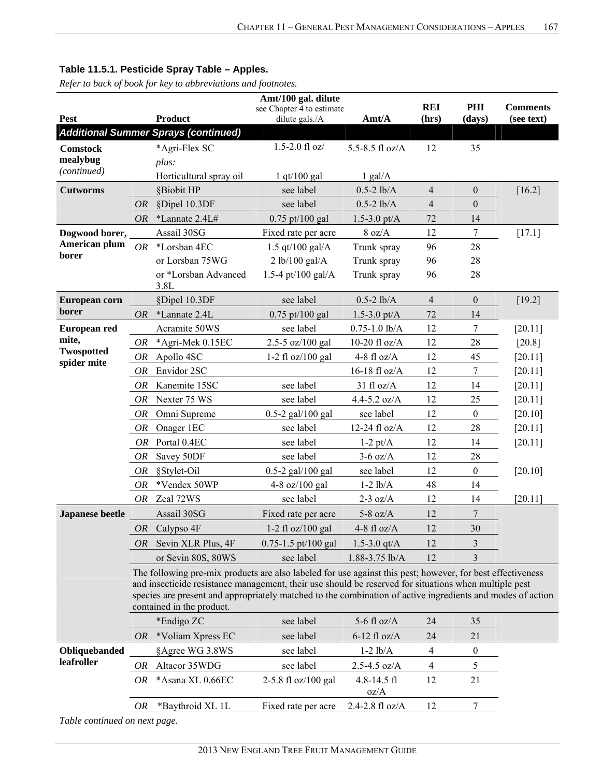*Refer to back of book for key to abbreviations and footnotes.*

|                           | Amt/100 gal. dilute |                                                                                                                                                                                                                                                                                                                                   |                                             |                         |                     |                  |                               |  |  |
|---------------------------|---------------------|-----------------------------------------------------------------------------------------------------------------------------------------------------------------------------------------------------------------------------------------------------------------------------------------------------------------------------------|---------------------------------------------|-------------------------|---------------------|------------------|-------------------------------|--|--|
| <b>Pest</b>               |                     | <b>Product</b>                                                                                                                                                                                                                                                                                                                    | see Chapter 4 to estimate<br>dilute gals./A | Amt/A                   | <b>REI</b><br>(hrs) | PHI<br>(days)    | <b>Comments</b><br>(see text) |  |  |
|                           |                     | <b>Additional Summer Sprays (continued)</b>                                                                                                                                                                                                                                                                                       |                                             |                         |                     |                  |                               |  |  |
| <b>Comstock</b>           |                     |                                                                                                                                                                                                                                                                                                                                   | $1.5 - 2.0$ fl oz/                          | 5.5-8.5 fl oz/A         | 12                  | 35               |                               |  |  |
| mealybug                  |                     | *Agri-Flex SC                                                                                                                                                                                                                                                                                                                     |                                             |                         |                     |                  |                               |  |  |
| (continued)               |                     | plus:<br>Horticultural spray oil                                                                                                                                                                                                                                                                                                  | $1$ qt/100 gal                              | $1$ gal/A               |                     |                  |                               |  |  |
| <b>Cutworms</b>           |                     | §Biobit HP                                                                                                                                                                                                                                                                                                                        | see label                                   | $0.5 - 2$ lb/A          | $\overline{4}$      | $\boldsymbol{0}$ | $[16.2]$                      |  |  |
|                           | <b>OR</b>           | §Dipel 10.3DF                                                                                                                                                                                                                                                                                                                     | see label                                   | $0.5 - 2$ lb/A          | $\overline{4}$      | $\boldsymbol{0}$ |                               |  |  |
|                           | <b>OR</b>           | *Lannate 2.4L#                                                                                                                                                                                                                                                                                                                    | $0.75$ pt/100 gal                           | $1.5 - 3.0$ pt/A        | 72                  | 14               |                               |  |  |
| Dogwood borer,            |                     | Assail 30SG                                                                                                                                                                                                                                                                                                                       | Fixed rate per acre                         | 8 oz/A                  | 12                  | 7                | $[17.1]$                      |  |  |
| American plum             | <b>OR</b>           | *Lorsban 4EC                                                                                                                                                                                                                                                                                                                      | 1.5 qt/100 gal/ $A$                         | Trunk spray             | 96                  | 28               |                               |  |  |
| borer                     |                     | or Lorsban 75WG                                                                                                                                                                                                                                                                                                                   | 2 lb/100 gal/A                              | Trunk spray             | 96                  | 28               |                               |  |  |
|                           |                     | or *Lorsban Advanced                                                                                                                                                                                                                                                                                                              | 1.5-4 pt/100 gal/A                          | Trunk spray             | 96                  | 28               |                               |  |  |
|                           |                     | 3.8L                                                                                                                                                                                                                                                                                                                              |                                             |                         |                     |                  |                               |  |  |
| European corn             |                     | §Dipel 10.3DF                                                                                                                                                                                                                                                                                                                     | see label                                   | $0.5 - 2$ lb/A          | $\overline{4}$      | $\boldsymbol{0}$ | [19.2]                        |  |  |
| borer                     | <b>OR</b>           | *Lannate 2.4L                                                                                                                                                                                                                                                                                                                     | $0.75$ pt/100 gal                           | $1.5 - 3.0$ pt/A        | 72                  | 14               |                               |  |  |
| <b>European red</b>       |                     | Acramite 50WS                                                                                                                                                                                                                                                                                                                     | see label                                   | $0.75 - 1.0$ lb/A       | 12                  | $\boldsymbol{7}$ | [20.11]                       |  |  |
| mite,                     | <b>OR</b>           | *Agri-Mek 0.15EC                                                                                                                                                                                                                                                                                                                  | 2.5-5 oz/100 gal                            | 10-20 fl $oz/A$         | 12                  | 28               | $[20.8]$                      |  |  |
| Twospotted<br>spider mite | <b>OR</b>           | Apollo 4SC                                                                                                                                                                                                                                                                                                                        | 1-2 fl oz/100 gal                           | 4-8 fl $oz/A$           | 12                  | 45               | [20.11]                       |  |  |
|                           | OR                  | Envidor 2SC                                                                                                                                                                                                                                                                                                                       |                                             | 16-18 fl oz/A           | 12                  | $\tau$           | [20.11]                       |  |  |
|                           | OR                  | Kanemite 15SC                                                                                                                                                                                                                                                                                                                     | see label                                   | $31$ fl oz/A            | 12                  | 14               | [20.11]                       |  |  |
|                           | OR                  | Nexter 75 WS                                                                                                                                                                                                                                                                                                                      | see label                                   | $4.4 - 5.2$ oz/A        | 12                  | 25               | [20.11]                       |  |  |
|                           | <b>OR</b>           | Omni Supreme                                                                                                                                                                                                                                                                                                                      | $0.5 - 2$ gal/100 gal                       | see label               | 12                  | $\boldsymbol{0}$ | [20.10]                       |  |  |
|                           | OR                  | Onager 1EC                                                                                                                                                                                                                                                                                                                        | see label                                   | 12-24 fl oz/A           | 12                  | 28               | $[20.11]$                     |  |  |
|                           | OR                  | Portal 0.4EC                                                                                                                                                                                                                                                                                                                      | see label                                   | $1-2$ pt/A              | 12                  | 14               | $[20.11]$                     |  |  |
|                           | <b>OR</b>           | Savey 50DF                                                                                                                                                                                                                                                                                                                        | see label                                   | $3-6$ oz/A              | 12                  | 28               |                               |  |  |
|                           | OR                  | §Stylet-Oil                                                                                                                                                                                                                                                                                                                       | $0.5 - 2$ gal/100 gal                       | see label               | 12                  | $\boldsymbol{0}$ | [20.10]                       |  |  |
|                           | OR                  | *Vendex 50WP                                                                                                                                                                                                                                                                                                                      | 4-8 oz/100 gal                              | $1-2$ $lb/A$            | 48                  | 14               |                               |  |  |
|                           | OR                  | Zeal 72WS                                                                                                                                                                                                                                                                                                                         | see label                                   | $2-3$ oz/A              | 12                  | 14               | [20.11]                       |  |  |
| Japanese beetle           |                     | Assail 30SG                                                                                                                                                                                                                                                                                                                       | Fixed rate per acre                         | $5-8$ oz/A              | 12                  | $\tau$           |                               |  |  |
|                           |                     | OR Calypso $4F$                                                                                                                                                                                                                                                                                                                   | 1-2 fl oz/100 gal                           | 4-8 fl $oz/A$           | 12                  | 30               |                               |  |  |
|                           | OR.                 | Sevin XLR Plus, 4F                                                                                                                                                                                                                                                                                                                | $0.75 - 1.5$ pt/100 gal                     | 1.5-3.0 $qt/A$          | 12                  | 3                |                               |  |  |
|                           |                     | or Sevin 80S, 80WS                                                                                                                                                                                                                                                                                                                | see label                                   | $1.88 - 3.75$ lb/A      | 12                  | 3                |                               |  |  |
|                           |                     | The following pre-mix products are also labeled for use against this pest; however, for best effectiveness<br>and insecticide resistance management, their use should be reserved for situations when multiple pest<br>species are present and appropriately matched to the combination of active ingredients and modes of action |                                             |                         |                     |                  |                               |  |  |
|                           |                     | contained in the product.                                                                                                                                                                                                                                                                                                         |                                             |                         |                     |                  |                               |  |  |
|                           |                     | *Endigo ZC                                                                                                                                                                                                                                                                                                                        | see label                                   | 5-6 fl $oz/A$           | 24                  | 35               |                               |  |  |
|                           | OR                  | *Voliam Xpress EC                                                                                                                                                                                                                                                                                                                 | see label                                   | $6-12$ fl oz/A          | 24                  | 21               |                               |  |  |
| Obliquebanded             |                     | §Agree WG 3.8WS                                                                                                                                                                                                                                                                                                                   | see label                                   | $1-2 lb/A$              | 4                   | $\boldsymbol{0}$ |                               |  |  |
| leafroller                | OR                  | Altacor 35WDG                                                                                                                                                                                                                                                                                                                     | see label                                   | $2.5 - 4.5$ oz/A        | 4                   | 5                |                               |  |  |
|                           | OR                  | *Asana XL 0.66EC                                                                                                                                                                                                                                                                                                                  | 2-5.8 fl oz/100 gal                         | $4.8 - 14.5$ fl<br>oz/A | 12                  | 21               |                               |  |  |
|                           | OR                  | *Baythroid XL 1L                                                                                                                                                                                                                                                                                                                  | Fixed rate per acre                         | 2.4-2.8 fl oz/A         | 12                  | 7                |                               |  |  |
|                           |                     |                                                                                                                                                                                                                                                                                                                                   |                                             |                         |                     |                  |                               |  |  |

*Table continued on next page.*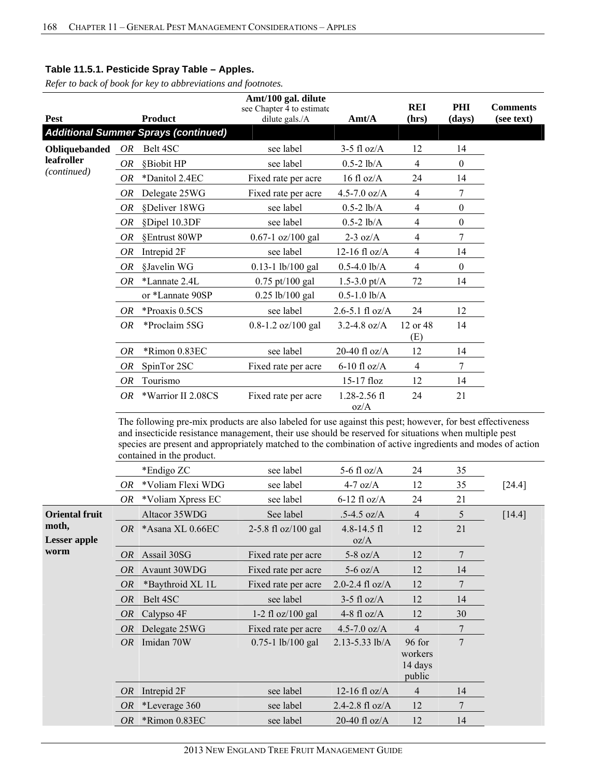|               |           |                                                                                                                                                                                                                                                                                                                                                               | Amt/100 gal. dilute<br>see Chapter 4 to estimate |                      | <b>REI</b>      | PHI              | <b>Comments</b> |
|---------------|-----------|---------------------------------------------------------------------------------------------------------------------------------------------------------------------------------------------------------------------------------------------------------------------------------------------------------------------------------------------------------------|--------------------------------------------------|----------------------|-----------------|------------------|-----------------|
| Pest          |           | <b>Product</b>                                                                                                                                                                                                                                                                                                                                                | dilute gals./A                                   | Amt/A                | (hrs)           | (days)           | (see text)      |
|               |           | <b>Additional Summer Sprays (continued)</b>                                                                                                                                                                                                                                                                                                                   |                                                  |                      |                 |                  |                 |
| Obliquebanded | OR        | Belt 4SC                                                                                                                                                                                                                                                                                                                                                      | see label                                        | $3-5$ fl oz/A        | 12              | 14               |                 |
| leafroller    | OR        | §Biobit HP                                                                                                                                                                                                                                                                                                                                                    | see label                                        | $0.5-2$ lb/A         | 4               | $\theta$         |                 |
| (continued)   | OR        | *Danitol 2.4EC                                                                                                                                                                                                                                                                                                                                                | Fixed rate per acre                              | $16$ fl oz/A         | 24              | 14               |                 |
|               | <i>OR</i> | Delegate 25WG                                                                                                                                                                                                                                                                                                                                                 | Fixed rate per acre                              | 4.5-7.0 $oz/A$       | 4               | 7                |                 |
|               | <b>OR</b> | §Deliver 18WG                                                                                                                                                                                                                                                                                                                                                 | see label                                        | $0.5-2$ lb/A         | 4               | $\boldsymbol{0}$ |                 |
|               | OR        | §Dipel 10.3DF                                                                                                                                                                                                                                                                                                                                                 | see label                                        | $0.5 - 2$ lb/A       | 4               | $\theta$         |                 |
|               | OR        | §Entrust 80WP                                                                                                                                                                                                                                                                                                                                                 | $0.67 - 1$ oz/100 gal                            | $2-3$ oz/A           | 4               | 7                |                 |
|               | OR        | Intrepid 2F                                                                                                                                                                                                                                                                                                                                                   | see label                                        | $12-16$ fl oz/A      | 4               | 14               |                 |
|               | OR        | §Javelin WG                                                                                                                                                                                                                                                                                                                                                   | 0.13-1 lb/100 gal                                | $0.5 - 4.0$ lb/A     | 4               | $\theta$         |                 |
|               | <i>OR</i> | *Lannate 2.4L                                                                                                                                                                                                                                                                                                                                                 | $0.75$ pt/100 gal                                | 1.5-3.0 pt/ $A$      | 72              | 14               |                 |
|               |           | or *Lannate 90SP                                                                                                                                                                                                                                                                                                                                              | $0.25$ lb/100 gal                                | $0.5 - 1.0$ lb/A     |                 |                  |                 |
|               | OR        | *Proaxis 0.5CS                                                                                                                                                                                                                                                                                                                                                | see label                                        | $2.6 - 5.1$ fl oz/A  | 24              | 12               |                 |
|               | OR        | *Proclaim 5SG                                                                                                                                                                                                                                                                                                                                                 | 0.8-1.2 oz/100 gal                               | $3.2 - 4.8$ oz/A     | 12 or 48<br>(E) | 14               |                 |
|               | <b>OR</b> | *Rimon 0.83EC                                                                                                                                                                                                                                                                                                                                                 | see label                                        | $20-40$ fl oz/A      | 12              | 14               |                 |
|               | OR        | SpinTor 2SC                                                                                                                                                                                                                                                                                                                                                   | Fixed rate per acre                              | $6-10$ fl oz/A       | 4               | 7                |                 |
|               | OR        | Tourismo                                                                                                                                                                                                                                                                                                                                                      |                                                  | 15-17 floz           | 12              | 14               |                 |
|               | <i>OR</i> | *Warrior II 2.08CS                                                                                                                                                                                                                                                                                                                                            | Fixed rate per acre                              | 1.28-2.56 fl<br>oz/A | 24              | 21               |                 |
|               |           | The following pre-mix products are also labeled for use against this pest; however, for best effectiveness<br>and insecticide resistance management, their use should be reserved for situations when multiple pest<br>species are present and appropriately matched to the combination of active ingredients and modes of action<br>contained in the product |                                                  |                      |                 |                  |                 |

|                       |           | comunica in the product. |                       |                     |                              |    |          |
|-----------------------|-----------|--------------------------|-----------------------|---------------------|------------------------------|----|----------|
|                       |           | *Endigo ZC               | see label             | 5-6 fl $oz/A$       | 24                           | 35 |          |
|                       | OR        | *Voliam Flexi WDG        | see label             | $4-7$ oz/A          | 12                           | 35 | $[24.4]$ |
|                       | OR        | *Voliam Xpress EC        | see label             | $6-12$ fl oz/A      | 24                           | 21 |          |
| <b>Oriental fruit</b> |           | Altacor 35WDG            | See label             | $.5-4.5$ oz/A       | 4                            | 5  | $[14.4]$ |
| moth,                 |           | OR *Asana XL $0.66EC$    | 2-5.8 fl $oz/100$ gal | $4.8 - 14.5$ fl     | 12                           | 21 |          |
| <b>Lesser</b> apple   |           |                          |                       | oz/A                |                              |    |          |
| worm                  | OR        | Assail 30SG              | Fixed rate per acre   | 5-8 oz/ $A$         | 12                           | 7  |          |
|                       | <i>OR</i> | Avaunt 30WDG             | Fixed rate per acre   | $5-6$ oz/A          | 12                           | 14 |          |
|                       | <i>OR</i> | *Baythroid XL 1L         | Fixed rate per acre   | 2.0-2.4 fl $oz/A$   | 12                           | 7  |          |
|                       | <i>OR</i> | Belt 4SC                 | see label             | $3-5$ fl oz/A       | 12                           | 14 |          |
|                       | OR        | Calypso 4F               | $1-2$ fl oz/100 gal   | 4-8 fl $oz/A$       | 12                           | 30 |          |
|                       | OR        | Delegate 25WG            | Fixed rate per acre   | 4.5-7.0 $oz/A$      | 4                            | 7  |          |
|                       | OR        | Imidan 70W               | $0.75 - 1$ lb/100 gal | $2.13 - 5.33$ lb/A  | 96 for                       | 7  |          |
|                       |           |                          |                       |                     | workers<br>14 days<br>public |    |          |
|                       | OR        | Intrepid 2F              | see label             | 12-16 fl $oz/A$     | 4                            | 14 |          |
|                       | <i>OR</i> | *Leverage 360            | see label             | $2.4 - 2.8$ fl oz/A | 12                           | 7  |          |
|                       | <i>OR</i> | *Rimon 0.83EC            | see label             | 20-40 fl $oz/A$     | 12                           | 14 |          |
|                       |           |                          |                       |                     |                              |    |          |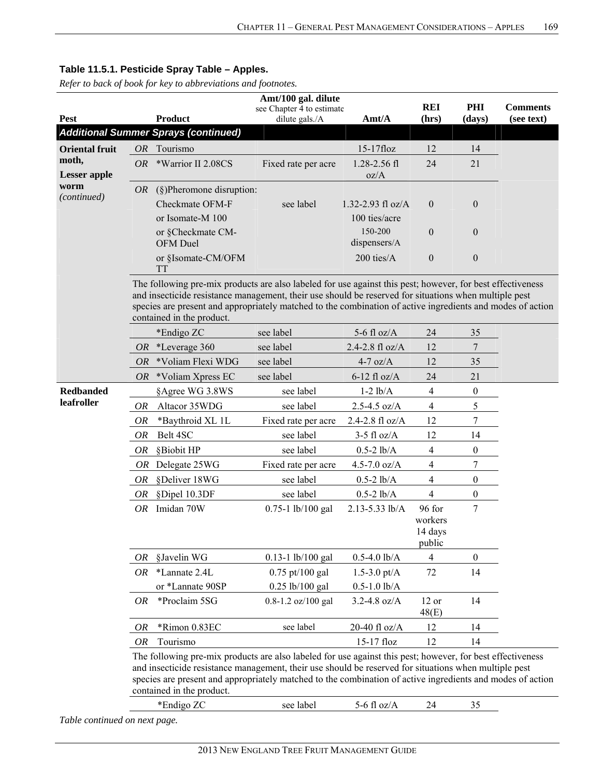*Refer to back of book for key to abbreviations and footnotes.*

|                       | Amt/100 gal. dilute |                                                                                                                                                                                                                                                                                                                                                                |                                             |                         |                                        |                  |                               |  |  |  |  |  |
|-----------------------|---------------------|----------------------------------------------------------------------------------------------------------------------------------------------------------------------------------------------------------------------------------------------------------------------------------------------------------------------------------------------------------------|---------------------------------------------|-------------------------|----------------------------------------|------------------|-------------------------------|--|--|--|--|--|
| <b>Pest</b>           |                     | <b>Product</b>                                                                                                                                                                                                                                                                                                                                                 | see Chapter 4 to estimate<br>dilute gals./A | Amt/A                   | <b>REI</b><br>(hrs)                    | PHI<br>(days)    | <b>Comments</b><br>(see text) |  |  |  |  |  |
|                       |                     | <b>Additional Summer Sprays (continued)</b>                                                                                                                                                                                                                                                                                                                    |                                             |                         |                                        |                  |                               |  |  |  |  |  |
| <b>Oriental fruit</b> |                     | OR Tourismo                                                                                                                                                                                                                                                                                                                                                    |                                             | 15-17floz               | 12                                     | 14               |                               |  |  |  |  |  |
| moth,                 | <i>OR</i>           | *Warrior II 2.08CS                                                                                                                                                                                                                                                                                                                                             | Fixed rate per acre                         | 1.28-2.56 fl            | 24                                     | 21               |                               |  |  |  |  |  |
| <b>Lesser</b> apple   |                     |                                                                                                                                                                                                                                                                                                                                                                |                                             | oz/A                    |                                        |                  |                               |  |  |  |  |  |
| worm                  | OR                  | $(\S)$ Pheromone disruption:                                                                                                                                                                                                                                                                                                                                   |                                             |                         |                                        |                  |                               |  |  |  |  |  |
| (continued)           |                     | Checkmate OFM-F                                                                                                                                                                                                                                                                                                                                                | see label                                   | 1.32-2.93 fl $oz/A$     | $\mathbf{0}$                           | $\boldsymbol{0}$ |                               |  |  |  |  |  |
|                       |                     | or Isomate-M 100                                                                                                                                                                                                                                                                                                                                               |                                             | 100 ties/acre           |                                        |                  |                               |  |  |  |  |  |
|                       |                     | or §Checkmate CM-<br>OFM Duel                                                                                                                                                                                                                                                                                                                                  |                                             | 150-200<br>dispensers/A | $\overline{0}$                         | $\boldsymbol{0}$ |                               |  |  |  |  |  |
|                       |                     | or §Isomate-CM/OFM<br><b>TT</b>                                                                                                                                                                                                                                                                                                                                |                                             | 200 ties/A              | $\mathbf{0}$                           | $\boldsymbol{0}$ |                               |  |  |  |  |  |
|                       |                     | The following pre-mix products are also labeled for use against this pest; however, for best effectiveness<br>and insecticide resistance management, their use should be reserved for situations when multiple pest<br>species are present and appropriately matched to the combination of active ingredients and modes of action<br>contained in the product. |                                             |                         |                                        |                  |                               |  |  |  |  |  |
|                       |                     | *Endigo ZC                                                                                                                                                                                                                                                                                                                                                     | see label                                   | 5-6 fl $oz/A$           | 24                                     | 35               |                               |  |  |  |  |  |
|                       | OR.                 | *Leverage 360                                                                                                                                                                                                                                                                                                                                                  | see label                                   | 2.4-2.8 fl oz/A         | 12                                     | 7                |                               |  |  |  |  |  |
|                       | <i>OR</i>           | *Voliam Flexi WDG                                                                                                                                                                                                                                                                                                                                              | see label                                   | $4-7$ oz/A              | 12                                     | 35               |                               |  |  |  |  |  |
|                       | OR.                 | *Voliam Xpress EC                                                                                                                                                                                                                                                                                                                                              | see label                                   | $6-12$ fl oz/A          | 24                                     | 21               |                               |  |  |  |  |  |
| <b>Redbanded</b>      |                     | §Agree WG 3.8WS                                                                                                                                                                                                                                                                                                                                                | see label                                   | $1-2$ $lb/A$            | $\overline{4}$                         | $\boldsymbol{0}$ |                               |  |  |  |  |  |
| leafroller            | OR                  | Altacor 35WDG                                                                                                                                                                                                                                                                                                                                                  | see label                                   | $2.5 - 4.5$ oz/A        | $\overline{4}$                         | 5                |                               |  |  |  |  |  |
|                       | 0R                  | *Baythroid XL 1L                                                                                                                                                                                                                                                                                                                                               | Fixed rate per acre                         | 2.4-2.8 fl oz/A         | 12                                     | 7                |                               |  |  |  |  |  |
|                       | OR                  | Belt 4SC                                                                                                                                                                                                                                                                                                                                                       | see label                                   | $3-5$ fl oz/A           | 12                                     | 14               |                               |  |  |  |  |  |
|                       | OR                  | §Biobit HP                                                                                                                                                                                                                                                                                                                                                     | see label                                   | $0.5 - 2$ lb/A          | $\overline{4}$                         | $\boldsymbol{0}$ |                               |  |  |  |  |  |
|                       | OR                  | Delegate 25WG                                                                                                                                                                                                                                                                                                                                                  | Fixed rate per acre                         | $4.5 - 7.0$ oz/A        | $\overline{4}$                         | 7                |                               |  |  |  |  |  |
|                       | OR                  | §Deliver 18WG                                                                                                                                                                                                                                                                                                                                                  | see label                                   | $0.5 - 2$ lb/A          | $\overline{4}$                         | $\boldsymbol{0}$ |                               |  |  |  |  |  |
|                       | OR                  | §Dipel 10.3DF                                                                                                                                                                                                                                                                                                                                                  | see label                                   | $0.5 - 2$ lb/A          | $\overline{4}$                         | $\boldsymbol{0}$ |                               |  |  |  |  |  |
|                       |                     | OR Imidan 70W                                                                                                                                                                                                                                                                                                                                                  | $0.75 - 1$ lb/100 gal                       | 2.13-5.33 lb/A          | 96 for<br>workers<br>14 days<br>public | 7                |                               |  |  |  |  |  |
|                       | 0R                  | §Javelin WG                                                                                                                                                                                                                                                                                                                                                    | 0.13-1 lb/100 gal                           | $0.5 - 4.0$ lb/A        | $\overline{4}$                         | $\boldsymbol{0}$ |                               |  |  |  |  |  |
|                       | OR                  | *Lannate 2.4L                                                                                                                                                                                                                                                                                                                                                  | $0.75$ pt/100 gal                           | $1.5 - 3.0$ pt/A        | 72                                     | 14               |                               |  |  |  |  |  |
|                       |                     | or *Lannate 90SP                                                                                                                                                                                                                                                                                                                                               | $0.25$ lb/100 gal                           | $0.5 - 1.0$ lb/A        |                                        |                  |                               |  |  |  |  |  |
|                       | OR                  | *Proclaim 5SG                                                                                                                                                                                                                                                                                                                                                  | 0.8-1.2 oz/100 gal                          | $3.2 - 4.8$ oz/A        | 12 or<br>48(E)                         | 14               |                               |  |  |  |  |  |
|                       | OR                  | *Rimon 0.83EC                                                                                                                                                                                                                                                                                                                                                  | see label                                   | 20-40 fl oz/A           | 12                                     | 14               |                               |  |  |  |  |  |
|                       | OR                  | Tourismo                                                                                                                                                                                                                                                                                                                                                       |                                             | 15-17 floz              | 12                                     | 14               |                               |  |  |  |  |  |
|                       |                     | The following pre-mix products are also labeled for use against this pest; however, for best effectiveness<br>and insecticide resistance management, their use should be reserved for situations when multiple pest<br>species are present and appropriately matched to the combination of active ingredients and modes of action<br>contained in the product. |                                             |                         |                                        |                  |                               |  |  |  |  |  |

| $*$ Endigo ZC<br><b>Luu</b> | see label | ۱-h |  |  |
|-----------------------------|-----------|-----|--|--|
|                             |           |     |  |  |

*Table continued on next page.*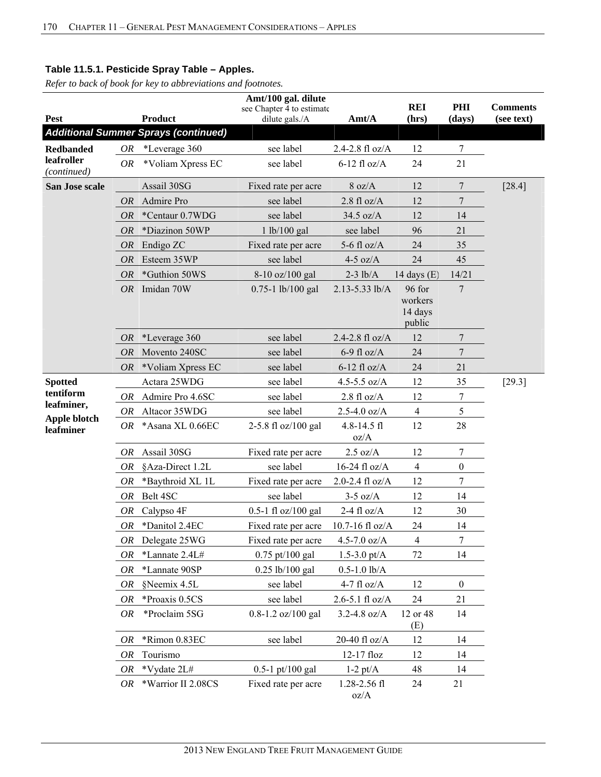|                           |           |                                             | Amt/100 gal. dilute                         |                       |                              |                  |                               |
|---------------------------|-----------|---------------------------------------------|---------------------------------------------|-----------------------|------------------------------|------------------|-------------------------------|
| <b>Pest</b>               |           | <b>Product</b>                              | see Chapter 4 to estimate<br>dilute gals./A | Amt/A                 | <b>REI</b><br>(hrs)          | PHI<br>(days)    | <b>Comments</b><br>(see text) |
|                           |           | <b>Additional Summer Sprays (continued)</b> |                                             |                       |                              |                  |                               |
| <b>Redbanded</b>          | OR        | *Leverage 360                               | see label                                   | 2.4-2.8 $fl$ oz/A     | 12                           | $\overline{7}$   |                               |
| leafroller                | <b>OR</b> | *Voliam Xpress EC                           | see label                                   | $6-12$ fl oz/A        | 24                           | 21               |                               |
| (continued)               |           |                                             |                                             |                       |                              |                  |                               |
| San Jose scale            |           | Assail 30SG                                 | Fixed rate per acre                         | 8 oz/A                | 12                           | $\overline{7}$   | [28.4]                        |
|                           | <i>OR</i> | Admire Pro                                  | see label                                   | $2.8$ fl oz/A         | 12                           | $\overline{7}$   |                               |
|                           | <b>OR</b> | *Centaur 0.7WDG                             | see label                                   | $34.5$ oz/A           | 12                           | 14               |                               |
|                           | <b>OR</b> | *Diazinon 50WP                              | 1 lb/100 gal                                | see label             | 96                           | 21               |                               |
|                           | <i>OR</i> | Endigo ZC                                   | Fixed rate per acre                         | 5-6 fl $oz/A$         | 24                           | 35               |                               |
|                           | <b>OR</b> | Esteem 35WP                                 | see label                                   | $4-5$ oz/A            | 24                           | 45               |                               |
|                           | <b>OR</b> | *Guthion 50WS                               | 8-10 oz/100 gal                             | $2-3$ lb/A            | 14 days $(E)$                | 14/21            |                               |
|                           | <b>OR</b> | Imidan 70W                                  | $0.75 - 1$ lb/100 gal                       | 2.13-5.33 lb/A        | 96 for                       | $7\phantom{.0}$  |                               |
|                           |           |                                             |                                             |                       | workers<br>14 days<br>public |                  |                               |
|                           | <i>OR</i> | *Leverage 360                               | see label                                   | 2.4-2.8 fl oz/A       | 12                           | 7                |                               |
|                           | <i>OR</i> | Movento 240SC                               | see label                                   | $6-9$ fl oz/A         | 24                           | $\overline{7}$   |                               |
|                           | OR        | *Voliam Xpress EC                           | see label                                   | $6-12$ fl oz/A        | 24                           | 21               |                               |
| <b>Spotted</b>            |           | Actara 25WDG                                | see label                                   | 4.5-5.5 $oz/A$        | 12                           | 35               | $[29.3]$                      |
| tentiform                 | OR        | Admire Pro 4.6SC                            | see label                                   | $2.8 \text{ fl oz/A}$ | 12                           | 7                |                               |
| leafminer,                | OR        | Altacor 35WDG                               | see label                                   | $2.5 - 4.0$ oz/A      | $\overline{4}$               | 5                |                               |
| Apple blotch<br>leafminer | OR        | *Asana XL 0.66EC                            | 2-5.8 fl oz/100 gal                         | 4.8-14.5 fl<br>oz/A   | 12                           | 28               |                               |
|                           | OR        | Assail 30SG                                 | Fixed rate per acre                         | $2.5 \text{ oz/A}$    | 12                           | $\overline{7}$   |                               |
|                           | <b>OR</b> | §Aza-Direct 1.2L                            | see label                                   | 16-24 fl $oz/A$       | 4                            | $\boldsymbol{0}$ |                               |
|                           | <b>OR</b> | *Baythroid XL 1L                            | Fixed rate per acre                         | $2.0 - 2.4$ fl oz/A   | 12                           | $\tau$           |                               |
|                           | OR        | Belt 4SC                                    | see label                                   | $3-5$ oz/A            | 12                           | 14               |                               |
|                           | OR        | Calypso 4F                                  | $0.5-1$ fl oz/100 gal                       | $2-4$ fl $oz/A$       | 12                           | 30               |                               |
|                           | OR        | *Danitol 2.4EC                              | Fixed rate per acre                         | 10.7-16 fl oz/A       | 24                           | 14               |                               |
|                           | OR        | Delegate 25WG                               | Fixed rate per acre                         | $4.5 - 7.0$ oz/A      | 4                            | 7                |                               |
|                           | <b>OR</b> | *Lannate 2.4L#                              | 0.75 pt/100 gal                             | 1.5-3.0 pt/ $A$       | 72                           | 14               |                               |
|                           | OR        | *Lannate 90SP                               | $0.25$ lb/100 gal                           | $0.5 - 1.0$ lb/A      |                              |                  |                               |
|                           | OR        | §Neemix 4.5L                                | see label                                   | 4-7 fl $oz/A$         | 12                           | $\boldsymbol{0}$ |                               |
|                           | OR        | *Proaxis 0.5CS                              | see label                                   | $2.6 - 5.1$ fl oz/A   | 24                           | 21               |                               |
|                           | OR        | *Proclaim 5SG                               | 0.8-1.2 oz/100 gal                          | $3.2 - 4.8$ oz/A      | 12 or 48                     | 14               |                               |
|                           |           |                                             |                                             |                       | (E)                          |                  |                               |
|                           | OR        | *Rimon 0.83EC                               | see label                                   | 20-40 fl oz/A         | 12                           | 14               |                               |
|                           | OR        | Tourismo                                    |                                             | 12-17 floz            | 12                           | 14               |                               |
|                           | OR        | *Vydate 2L#                                 | $0.5-1$ pt/100 gal                          | $1-2$ pt/A            | 48                           | 14               |                               |
|                           | OR        | *Warrior II 2.08CS                          | Fixed rate per acre                         | 1.28-2.56 fl<br>oz/A  | 24                           | 21               |                               |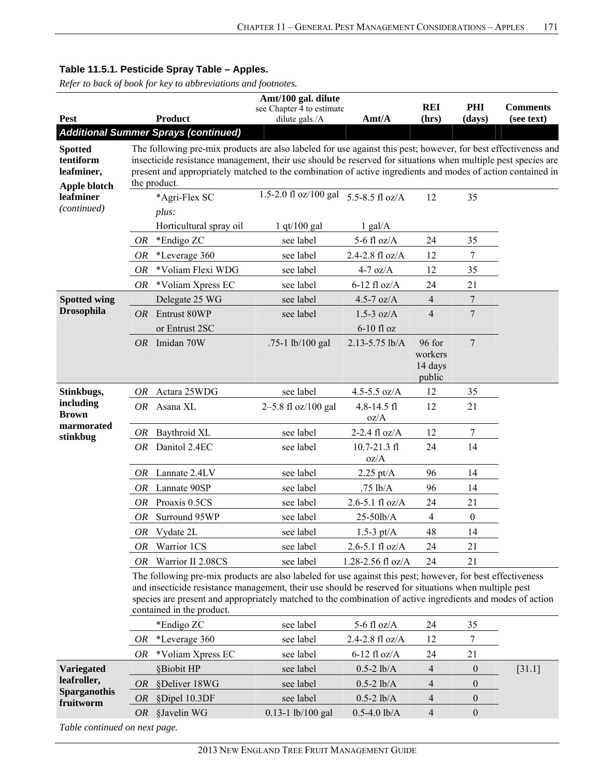|                                                           |     |                                                                                                                                                                                                                                                                                                                                                                | Amt/100 gal. dilute                         |                              |                                        |                  |                               |
|-----------------------------------------------------------|-----|----------------------------------------------------------------------------------------------------------------------------------------------------------------------------------------------------------------------------------------------------------------------------------------------------------------------------------------------------------------|---------------------------------------------|------------------------------|----------------------------------------|------------------|-------------------------------|
| <b>Pest</b>                                               |     | <b>Product</b>                                                                                                                                                                                                                                                                                                                                                 | see Chapter 4 to estimate<br>dilute gals./A | Amt/A                        | <b>REI</b><br>(hrs)                    | PHI<br>(days)    | <b>Comments</b><br>(see text) |
|                                                           |     | <b>Additional Summer Sprays (continued)</b>                                                                                                                                                                                                                                                                                                                    |                                             |                              |                                        |                  |                               |
| <b>Spotted</b><br>tentiform<br>leafminer,<br>Apple blotch |     | The following pre-mix products are also labeled for use against this pest; however, for best effectiveness and<br>insecticide resistance management, their use should be reserved for situations when multiple pest species are<br>present and appropriately matched to the combination of active ingredients and modes of action contained in<br>the product. |                                             |                              |                                        |                  |                               |
| leafminer<br>(continued)                                  |     | *Agri-Flex SC<br>plus:                                                                                                                                                                                                                                                                                                                                         | 1.5-2.0 fl oz/100 gal                       | 5.5-8.5 fl oz/A              | 12                                     | 35               |                               |
|                                                           |     | Horticultural spray oil                                                                                                                                                                                                                                                                                                                                        | $1$ qt/100 gal                              | $1$ gal/A                    |                                        |                  |                               |
|                                                           | OR  | *Endigo ZC                                                                                                                                                                                                                                                                                                                                                     | see label                                   | 5-6 fl $oz/A$                | 24                                     | 35               |                               |
|                                                           | OR  | *Leverage 360                                                                                                                                                                                                                                                                                                                                                  | see label                                   | 2.4-2.8 fl oz/A              | 12                                     | 7                |                               |
|                                                           | OR  | *Voliam Flexi WDG                                                                                                                                                                                                                                                                                                                                              | see label                                   | $4-7$ oz/A                   | 12                                     | 35               |                               |
|                                                           | OR  | *Voliam Xpress EC                                                                                                                                                                                                                                                                                                                                              | see label                                   | $6-12$ fl oz/A               | 24                                     | 21               |                               |
| <b>Spotted wing</b>                                       |     | Delegate 25 WG                                                                                                                                                                                                                                                                                                                                                 | see label                                   | 4.5-7 $oz/A$                 | $\overline{4}$                         | 7                |                               |
| <b>Drosophila</b>                                         |     | OR Entrust 80WP<br>or Entrust 2SC                                                                                                                                                                                                                                                                                                                              | see label                                   | $1.5-3$ oz/A<br>$6-10$ fl oz | $\overline{4}$                         | $\overline{7}$   |                               |
|                                                           | OR  | Imidan 70W                                                                                                                                                                                                                                                                                                                                                     | .75-1 lb/100 gal                            | 2.13-5.75 lb/A               | 96 for<br>workers<br>14 days<br>public | 7                |                               |
| Stinkbugs,                                                | OR  | Actara 25WDG                                                                                                                                                                                                                                                                                                                                                   | see label                                   | 4.5-5.5 $oz/A$               | 12                                     | 35               |                               |
| including<br><b>Brown</b>                                 |     | OR Asana XL                                                                                                                                                                                                                                                                                                                                                    | 2-5.8 fl oz/100 gal                         | $4.8 - 14.5$ fl<br>oz/A      | 12                                     | 21               |                               |
| marmorated<br>stinkbug                                    |     | OR Baythroid XL                                                                                                                                                                                                                                                                                                                                                | see label                                   | 2-2.4 $fl$ oz/A              | 12                                     | 7                |                               |
|                                                           |     | OR Danitol 2.4EC                                                                                                                                                                                                                                                                                                                                               | see label                                   | $10.7 - 21.3$ fl<br>oz/A     | 24                                     | 14               |                               |
|                                                           | OR. | Lannate 2.4LV                                                                                                                                                                                                                                                                                                                                                  | see label                                   | $2.25 \text{ pt/A}$          | 96                                     | 14               |                               |
|                                                           | 0R  | Lannate 90SP                                                                                                                                                                                                                                                                                                                                                   | see label                                   | .75 lb/A                     | 96                                     | 14               |                               |
|                                                           | OR  | Proaxis 0.5CS                                                                                                                                                                                                                                                                                                                                                  | see label                                   | $2.6 - 5.1$ fl oz/A          | 24                                     | 21               |                               |
|                                                           | OR  | Surround 95WP                                                                                                                                                                                                                                                                                                                                                  | see label                                   | 25-50lb/A                    | $\overline{4}$                         | $\boldsymbol{0}$ |                               |
|                                                           |     | OR Vydate 2L                                                                                                                                                                                                                                                                                                                                                   | see label                                   | 1.5-3 $pt/A$                 | 48                                     | 14               |                               |
|                                                           | 0R  | Warrior 1CS                                                                                                                                                                                                                                                                                                                                                    | see label                                   | $2.6 - 5.1$ fl oz/A          | 24                                     | 21               |                               |
|                                                           | OR  | Warrior II 2.08CS                                                                                                                                                                                                                                                                                                                                              | see label                                   | 1.28-2.56 fl oz/A            | 24                                     | 21               |                               |
|                                                           |     | The following pre-mix products are also labeled for use against this pest; however, for best effectiveness<br>and insecticide resistance management, their use should be reserved for situations when multiple pest<br>species are present and appropriately matched to the combination of active ingredients and modes of action<br>contained in the product. |                                             |                              |                                        |                  |                               |
|                                                           |     | *Endigo ZC                                                                                                                                                                                                                                                                                                                                                     | see label                                   | 5-6 fl $oz/A$                | 24                                     | 35               |                               |
|                                                           | OR  | *Leverage 360                                                                                                                                                                                                                                                                                                                                                  | see label                                   | 2.4-2.8 fl oz/A              | 12                                     | 7                |                               |
|                                                           | OR  | *Voliam Xpress EC                                                                                                                                                                                                                                                                                                                                              | see label                                   | $6-12$ fl oz/A               | 24                                     | 21               |                               |
| Variegated                                                |     | §Biobit HP                                                                                                                                                                                                                                                                                                                                                     | see label                                   | $0.5 - 2$ lb/A               | $\overline{4}$                         | $\boldsymbol{0}$ | $[31.1]$                      |
| leafroller,                                               | OR  | §Deliver 18WG                                                                                                                                                                                                                                                                                                                                                  | see label                                   | $0.5 - 2$ lb/A               | 4                                      | $\boldsymbol{0}$ |                               |
| <b>Sparganothis</b><br>fruitworm                          | OR  | §Dipel 10.3DF                                                                                                                                                                                                                                                                                                                                                  | see label                                   | $0.5 - 2$ lb/A               | 4                                      | $\boldsymbol{0}$ |                               |
|                                                           | OR  | §Javelin WG                                                                                                                                                                                                                                                                                                                                                    | $0.13 - 1$ lb/100 gal                       | $0.5 - 4.0$ lb/A             | $\overline{4}$                         | $\boldsymbol{0}$ |                               |
| Table continued on next page.                             |     |                                                                                                                                                                                                                                                                                                                                                                |                                             |                              |                                        |                  |                               |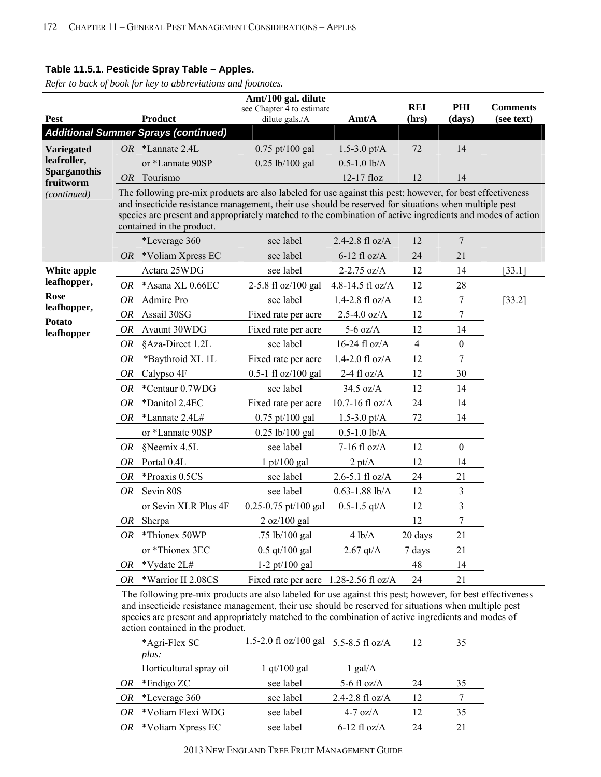*Refer to back of book for key to abbreviations and footnotes.*

| Amt/100 gal. dilute<br><b>REI</b><br>PHI<br><b>Comments</b>   |           |                                                                                                                                                                                                                                                                                                                                                                |                                             |                     |                |                  |            |  |  |  |  |
|---------------------------------------------------------------|-----------|----------------------------------------------------------------------------------------------------------------------------------------------------------------------------------------------------------------------------------------------------------------------------------------------------------------------------------------------------------------|---------------------------------------------|---------------------|----------------|------------------|------------|--|--|--|--|
| <b>Pest</b>                                                   |           | <b>Product</b>                                                                                                                                                                                                                                                                                                                                                 | see Chapter 4 to estimate<br>dilute gals./A | Amt/A               | (hrs)          | (days)           | (see text) |  |  |  |  |
|                                                               |           | <b>Additional Summer Sprays (continued)</b>                                                                                                                                                                                                                                                                                                                    |                                             |                     |                |                  |            |  |  |  |  |
| Variegated<br>leafroller,<br><b>Sparganothis</b><br>fruitworm |           | $OR$ *Lannate 2.4L                                                                                                                                                                                                                                                                                                                                             | 0.75 pt/100 gal                             | $1.5 - 3.0$ pt/A    | 72             | 14               |            |  |  |  |  |
|                                                               |           | or *Lannate 90SP                                                                                                                                                                                                                                                                                                                                               | $0.25$ lb/100 gal                           | $0.5 - 1.0$ lb/A    |                |                  |            |  |  |  |  |
|                                                               | <i>OR</i> | Tourismo                                                                                                                                                                                                                                                                                                                                                       |                                             | $12-17$ floz        | 12             | 14               |            |  |  |  |  |
| (continued)                                                   |           | The following pre-mix products are also labeled for use against this pest; however, for best effectiveness<br>and insecticide resistance management, their use should be reserved for situations when multiple pest<br>species are present and appropriately matched to the combination of active ingredients and modes of action<br>contained in the product. |                                             |                     |                |                  |            |  |  |  |  |
|                                                               |           | *Leverage 360                                                                                                                                                                                                                                                                                                                                                  | see label                                   | 2.4-2.8 fl oz/A     | 12             | $\boldsymbol{7}$ |            |  |  |  |  |
|                                                               | OR        | *Voliam Xpress EC                                                                                                                                                                                                                                                                                                                                              | see label                                   | $6-12$ fl oz/A      | 24             | 21               |            |  |  |  |  |
| White apple                                                   |           | Actara 25WDG                                                                                                                                                                                                                                                                                                                                                   | see label                                   | $2 - 2.75$ oz/A     | 12             | 14               | [33.1]     |  |  |  |  |
| leafhopper,                                                   | OR        | *Asana XL 0.66EC                                                                                                                                                                                                                                                                                                                                               | 2-5.8 fl oz/100 gal                         | 4.8-14.5 fl oz/A    | 12             | 28               |            |  |  |  |  |
| Rose                                                          | OR        | Admire Pro                                                                                                                                                                                                                                                                                                                                                     | see label                                   | $1.4 - 2.8$ fl oz/A | 12             | $\boldsymbol{7}$ | [33.2]     |  |  |  |  |
| leafhopper,<br><b>Potato</b>                                  | <b>OR</b> | Assail 30SG                                                                                                                                                                                                                                                                                                                                                    | Fixed rate per acre                         | $2.5 - 4.0$ oz/A    | 12             | $\tau$           |            |  |  |  |  |
| leafhopper                                                    | OR        | Avaunt 30WDG                                                                                                                                                                                                                                                                                                                                                   | Fixed rate per acre                         | $5-6$ oz/A          | 12             | 14               |            |  |  |  |  |
|                                                               | <b>OR</b> | §Aza-Direct 1.2L                                                                                                                                                                                                                                                                                                                                               | see label                                   | 16-24 fl $oz/A$     | $\overline{4}$ | $\boldsymbol{0}$ |            |  |  |  |  |
|                                                               | <b>OR</b> | *Baythroid XL 1L                                                                                                                                                                                                                                                                                                                                               | Fixed rate per acre                         | 1.4-2.0 $f1 oz/A$   | 12             | $\tau$           |            |  |  |  |  |
|                                                               | OR        | Calypso 4F                                                                                                                                                                                                                                                                                                                                                     | $0.5 - 1$ fl oz/100 gal                     | 2-4 fl $oz/A$       | 12             | 30               |            |  |  |  |  |
|                                                               | OR        | *Centaur 0.7WDG                                                                                                                                                                                                                                                                                                                                                | see label                                   | 34.5 oz/A           | 12             | 14               |            |  |  |  |  |
|                                                               | <b>OR</b> | *Danitol 2.4EC                                                                                                                                                                                                                                                                                                                                                 | Fixed rate per acre                         | 10.7-16 fl $oz/A$   | 24             | 14               |            |  |  |  |  |
|                                                               | OR        | *Lannate 2.4L#                                                                                                                                                                                                                                                                                                                                                 | $0.75$ pt/100 gal                           | $1.5 - 3.0$ pt/A    | 72             | 14               |            |  |  |  |  |
|                                                               |           | or *Lannate 90SP                                                                                                                                                                                                                                                                                                                                               | $0.25$ lb/100 gal                           | $0.5 - 1.0$ lb/A    |                |                  |            |  |  |  |  |
|                                                               | OR        | §Neemix 4.5L                                                                                                                                                                                                                                                                                                                                                   | see label                                   | $7-16$ fl oz/A      | 12             | $\boldsymbol{0}$ |            |  |  |  |  |
|                                                               | OR        | Portal 0.4L                                                                                                                                                                                                                                                                                                                                                    | $1$ pt/100 gal                              | $2 \text{ pt/A}$    | 12             | 14               |            |  |  |  |  |
|                                                               | OR        | *Proaxis 0.5CS                                                                                                                                                                                                                                                                                                                                                 | see label                                   | $2.6 - 5.1$ fl oz/A | 24             | 21               |            |  |  |  |  |
|                                                               | OR        | Sevin 80S                                                                                                                                                                                                                                                                                                                                                      | see label                                   | $0.63 - 1.88$ lb/A  | 12             | $\mathfrak{Z}$   |            |  |  |  |  |
|                                                               |           | or Sevin XLR Plus 4F                                                                                                                                                                                                                                                                                                                                           | $0.25 - 0.75$ pt/100 gal                    | $0.5 - 1.5$ qt/A    | 12             | $\mathfrak{Z}$   |            |  |  |  |  |
|                                                               | OR        | Sherpa                                                                                                                                                                                                                                                                                                                                                         | 2 oz/100 gal                                |                     | 12             | $\overline{7}$   |            |  |  |  |  |
|                                                               | OR        | *Thionex 50WP                                                                                                                                                                                                                                                                                                                                                  | .75 lb/100 gal                              | 4 lb/A              | 20 days        | 21               |            |  |  |  |  |
|                                                               |           | or *Thionex 3EC                                                                                                                                                                                                                                                                                                                                                | $0.5$ qt/100 gal                            | $2.67$ qt/A         | 7 days         | 21               |            |  |  |  |  |
|                                                               | OR        | *Vydate 2L#                                                                                                                                                                                                                                                                                                                                                    | $1-2$ pt/100 gal                            |                     | 48             | 14               |            |  |  |  |  |
|                                                               | OR        | *Warrior II 2.08CS                                                                                                                                                                                                                                                                                                                                             | Fixed rate per acre 1.28-2.56 fl oz/A       |                     | 24             | 21               |            |  |  |  |  |
|                                                               |           |                                                                                                                                                                                                                                                                                                                                                                |                                             |                     |                |                  |            |  |  |  |  |

The following pre-mix products are also labeled for use against this pest; however, for best effectiveness and insecticide resistance management, their use should be reserved for situations when multiple pest species are present and appropriately matched to the combination of active ingredients and modes of action contained in the product.

|     | *Agri-Flex SC<br>plus:  | 1.5-2.0 fl oz/100 gal $5.5-8.5$ fl oz/A |                   | 12 | 35 |  |
|-----|-------------------------|-----------------------------------------|-------------------|----|----|--|
|     | Horticultural spray oil | $1$ qt/ $100$ gal                       | $1$ gal/A         |    |    |  |
| OR  | *Endigo ZC              | see label                               | 5-6 fl $oz/A$     | 24 | 35 |  |
| OR. | *Leverage 360           | see label                               | 2.4-2.8 fl $oz/A$ | 12 |    |  |
| OR  | *Voliam Flexi WDG       | see label                               | $4-7$ oz/A        | 12 | 35 |  |
| OR. | *Voliam Xpress EC       | see label                               | $6-12$ fl oz/A    | 24 | 21 |  |
|     |                         |                                         |                   |    |    |  |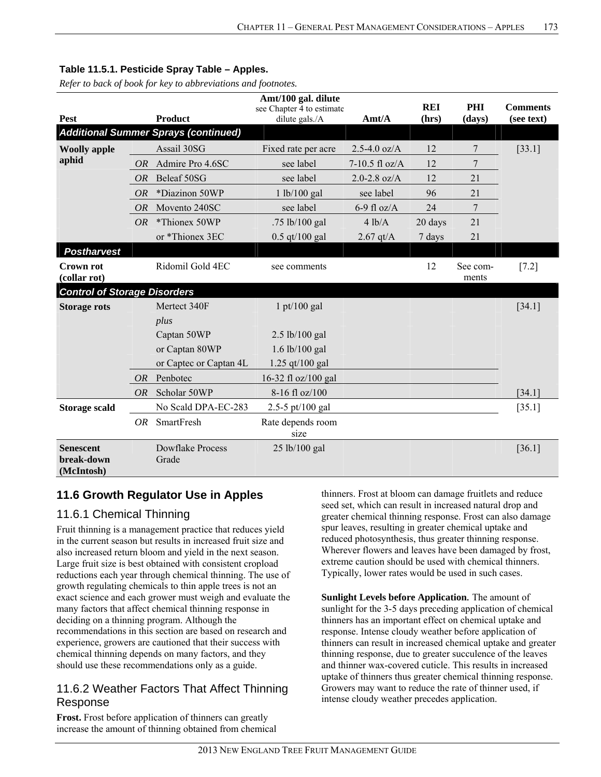*Refer to back of book for key to abbreviations and footnotes.*

| Amt/100 gal. dilute<br><b>REI</b><br>PHI     |           |                                             |                                             |                  |         |                   | <b>Comments</b> |
|----------------------------------------------|-----------|---------------------------------------------|---------------------------------------------|------------------|---------|-------------------|-----------------|
| Pest                                         |           | <b>Product</b>                              | see Chapter 4 to estimate<br>dilute gals./A | Amt/A            | (hrs)   | (days)            | (see text)      |
|                                              |           | <b>Additional Summer Sprays (continued)</b> |                                             |                  |         |                   |                 |
| <b>Woolly apple</b>                          |           | Assail 30SG                                 | Fixed rate per acre                         | $2.5 - 4.0$ oz/A | 12      | 7                 | [33.1]          |
| aphid                                        | <i>OR</i> | Admire Pro 4.6SC                            | see label                                   | $7-10.5$ fl oz/A | 12      | 7                 |                 |
|                                              | <b>OR</b> | Beleaf 50SG                                 | see label                                   | $2.0 - 2.8$ oz/A | 12      | 21                |                 |
|                                              | <b>OR</b> | *Diazinon 50WP                              | 1 lb/100 gal                                | see label        | 96      | 21                |                 |
|                                              | <i>OR</i> | Movento 240SC                               | see label                                   | 6-9 fl $oz/A$    | 24      | 7                 |                 |
|                                              | OR        | *Thionex 50WP                               | .75 lb/100 gal                              | 4 lb/A           | 20 days | 21                |                 |
|                                              |           | or *Thionex 3EC                             | $0.5$ qt/100 gal                            | $2.67$ qt/A      | 7 days  | 21                |                 |
| <b>Postharvest</b>                           |           |                                             |                                             |                  |         |                   |                 |
| <b>Crown rot</b><br>(collar rot)             |           | Ridomil Gold 4EC                            | see comments                                |                  | 12      | See com-<br>ments | $[7.2]$         |
| <b>Control of Storage Disorders</b>          |           |                                             |                                             |                  |         |                   |                 |
| <b>Storage rots</b>                          |           | Mertect 340F                                | $1 \frac{\text{pt}}{100 \text{ gal}}$       |                  |         |                   | [34.1]          |
|                                              |           | plus                                        |                                             |                  |         |                   |                 |
|                                              |           | Captan 50WP                                 | $2.5$ lb/100 gal                            |                  |         |                   |                 |
|                                              |           | or Captan 80WP                              | $1.6$ lb/100 gal                            |                  |         |                   |                 |
|                                              |           | or Captec or Captan 4L                      | 1.25 qt/100 gal                             |                  |         |                   |                 |
|                                              | OR        | Penbotec                                    | 16-32 fl oz/100 gal                         |                  |         |                   |                 |
|                                              | <i>OR</i> | Scholar 50WP                                | 8-16 fl oz/100                              |                  |         |                   | [34.1]          |
| <b>Storage scald</b>                         |           | No Scald DPA-EC-283                         | 2.5-5 pt/100 gal                            |                  |         |                   | [35.1]          |
|                                              | OR        | SmartFresh                                  | Rate depends room<br>size                   |                  |         |                   |                 |
| <b>Senescent</b><br>break-down<br>(McIntosh) |           | <b>Dowflake Process</b><br>Grade            | 25 lb/100 gal                               |                  |         |                   | [36.1]          |

# **11.6 Growth Regulator Use in Apples**

# 11.6.1 Chemical Thinning

Fruit thinning is a management practice that reduces yield in the current season but results in increased fruit size and also increased return bloom and yield in the next season. Large fruit size is best obtained with consistent cropload reductions each year through chemical thinning. The use of growth regulating chemicals to thin apple trees is not an exact science and each grower must weigh and evaluate the many factors that affect chemical thinning response in deciding on a thinning program. Although the recommendations in this section are based on research and experience, growers are cautioned that their success with chemical thinning depends on many factors, and they should use these recommendations only as a guide.

# 11.6.2 Weather Factors That Affect Thinning Response

**Frost.** Frost before application of thinners can greatly increase the amount of thinning obtained from chemical thinners. Frost at bloom can damage fruitlets and reduce seed set, which can result in increased natural drop and greater chemical thinning response. Frost can also damage spur leaves, resulting in greater chemical uptake and reduced photosynthesis, thus greater thinning response. Wherever flowers and leaves have been damaged by frost, extreme caution should be used with chemical thinners. Typically, lower rates would be used in such cases.

**Sunlight Levels before Application***.* The amount of sunlight for the 3-5 days preceding application of chemical thinners has an important effect on chemical uptake and response. Intense cloudy weather before application of thinners can result in increased chemical uptake and greater thinning response, due to greater succulence of the leaves and thinner wax-covered cuticle. This results in increased uptake of thinners thus greater chemical thinning response. Growers may want to reduce the rate of thinner used, if intense cloudy weather precedes application.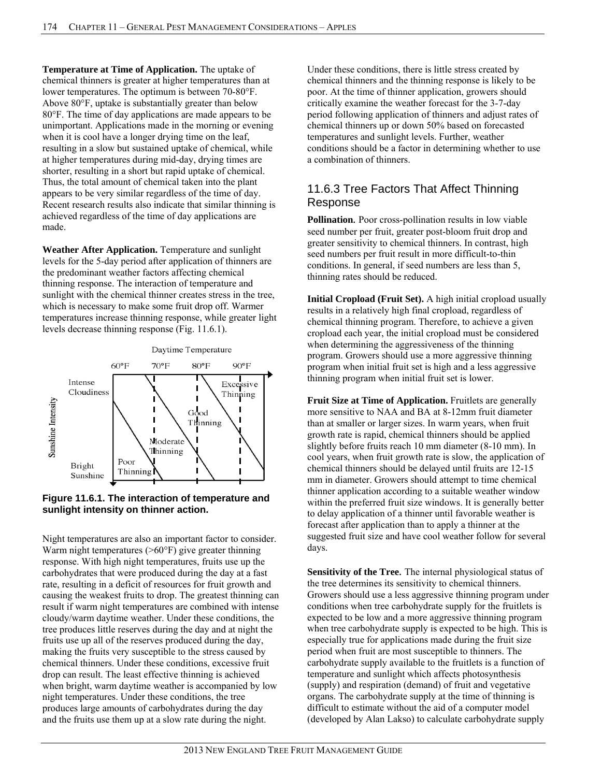**Temperature at Time of Application.** The uptake of chemical thinners is greater at higher temperatures than at lower temperatures. The optimum is between 70-80°F. Above 80°F, uptake is substantially greater than below 80°F. The time of day applications are made appears to be unimportant. Applications made in the morning or evening when it is cool have a longer drying time on the leaf, resulting in a slow but sustained uptake of chemical, while at higher temperatures during mid-day, drying times are shorter, resulting in a short but rapid uptake of chemical. Thus, the total amount of chemical taken into the plant appears to be very similar regardless of the time of day. Recent research results also indicate that similar thinning is achieved regardless of the time of day applications are made.

**Weather After Application.** Temperature and sunlight levels for the 5-day period after application of thinners are the predominant weather factors affecting chemical thinning response. The interaction of temperature and sunlight with the chemical thinner creates stress in the tree, which is necessary to make some fruit drop off. Warmer temperatures increase thinning response, while greater light levels decrease thinning response (Fig. 11.6.1).



### **Figure 11.6.1. The interaction of temperature and sunlight intensity on thinner action.**

Night temperatures are also an important factor to consider. Warm night temperatures (>60°F) give greater thinning response. With high night temperatures, fruits use up the carbohydrates that were produced during the day at a fast rate, resulting in a deficit of resources for fruit growth and causing the weakest fruits to drop. The greatest thinning can result if warm night temperatures are combined with intense cloudy/warm daytime weather. Under these conditions, the tree produces little reserves during the day and at night the fruits use up all of the reserves produced during the day, making the fruits very susceptible to the stress caused by chemical thinners. Under these conditions, excessive fruit drop can result. The least effective thinning is achieved when bright, warm daytime weather is accompanied by low night temperatures. Under these conditions, the tree produces large amounts of carbohydrates during the day and the fruits use them up at a slow rate during the night.

Under these conditions, there is little stress created by chemical thinners and the thinning response is likely to be poor. At the time of thinner application, growers should critically examine the weather forecast for the 3-7-day period following application of thinners and adjust rates of chemical thinners up or down 50% based on forecasted temperatures and sunlight levels. Further, weather conditions should be a factor in determining whether to use a combination of thinners.

# 11.6.3 Tree Factors That Affect Thinning Response

**Pollination***.* Poor cross-pollination results in low viable seed number per fruit, greater post-bloom fruit drop and greater sensitivity to chemical thinners. In contrast, high seed numbers per fruit result in more difficult-to-thin conditions. In general, if seed numbers are less than 5, thinning rates should be reduced.

**Initial Cropload (Fruit Set).** A high initial cropload usually results in a relatively high final cropload, regardless of chemical thinning program. Therefore, to achieve a given cropload each year, the initial cropload must be considered when determining the aggressiveness of the thinning program. Growers should use a more aggressive thinning program when initial fruit set is high and a less aggressive thinning program when initial fruit set is lower.

**Fruit Size at Time of Application.** Fruitlets are generally more sensitive to NAA and BA at 8-12mm fruit diameter than at smaller or larger sizes. In warm years, when fruit growth rate is rapid, chemical thinners should be applied slightly before fruits reach 10 mm diameter (8-10 mm). In cool years, when fruit growth rate is slow, the application of chemical thinners should be delayed until fruits are 12-15 mm in diameter. Growers should attempt to time chemical thinner application according to a suitable weather window within the preferred fruit size windows. It is generally better to delay application of a thinner until favorable weather is forecast after application than to apply a thinner at the suggested fruit size and have cool weather follow for several days.

**Sensitivity of the Tree***.* The internal physiological status of the tree determines its sensitivity to chemical thinners. Growers should use a less aggressive thinning program under conditions when tree carbohydrate supply for the fruitlets is expected to be low and a more aggressive thinning program when tree carbohydrate supply is expected to be high. This is especially true for applications made during the fruit size period when fruit are most susceptible to thinners. The carbohydrate supply available to the fruitlets is a function of temperature and sunlight which affects photosynthesis (supply) and respiration (demand) of fruit and vegetative organs. The carbohydrate supply at the time of thinning is difficult to estimate without the aid of a computer model (developed by Alan Lakso) to calculate carbohydrate supply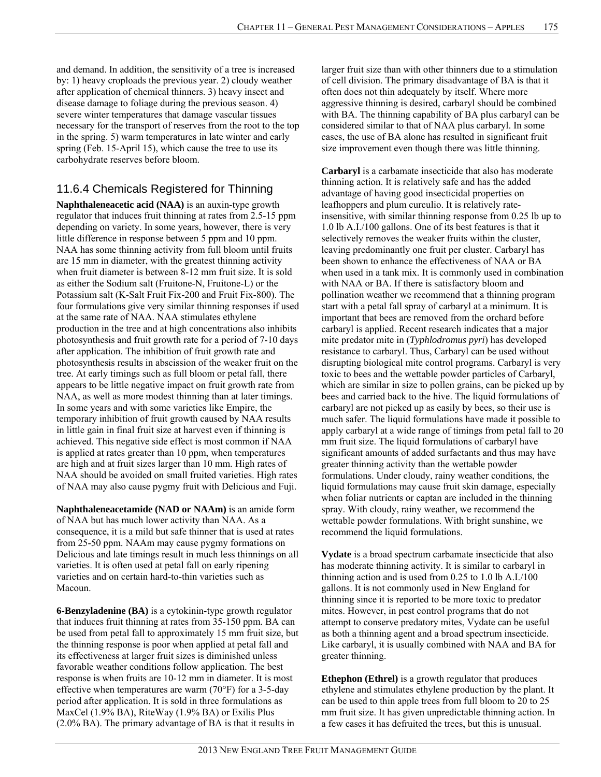and demand. In addition, the sensitivity of a tree is increased by: 1) heavy croploads the previous year. 2) cloudy weather after application of chemical thinners. 3) heavy insect and disease damage to foliage during the previous season. 4) severe winter temperatures that damage vascular tissues necessary for the transport of reserves from the root to the top in the spring. 5) warm temperatures in late winter and early spring (Feb. 15-April 15), which cause the tree to use its carbohydrate reserves before bloom.

# 11.6.4 Chemicals Registered for Thinning

**Naphthaleneacetic acid (NAA)** is an auxin-type growth regulator that induces fruit thinning at rates from 2.5-15 ppm depending on variety. In some years, however, there is very little difference in response between 5 ppm and 10 ppm. NAA has some thinning activity from full bloom until fruits are 15 mm in diameter, with the greatest thinning activity when fruit diameter is between 8-12 mm fruit size. It is sold as either the Sodium salt (Fruitone-N, Fruitone-L) or the Potassium salt (K-Salt Fruit Fix-200 and Fruit Fix-800). The four formulations give very similar thinning responses if used at the same rate of NAA. NAA stimulates ethylene production in the tree and at high concentrations also inhibits photosynthesis and fruit growth rate for a period of 7-10 days after application. The inhibition of fruit growth rate and photosynthesis results in abscission of the weaker fruit on the tree. At early timings such as full bloom or petal fall, there appears to be little negative impact on fruit growth rate from NAA, as well as more modest thinning than at later timings. In some years and with some varieties like Empire, the temporary inhibition of fruit growth caused by NAA results in little gain in final fruit size at harvest even if thinning is achieved. This negative side effect is most common if NAA is applied at rates greater than 10 ppm, when temperatures are high and at fruit sizes larger than 10 mm. High rates of NAA should be avoided on small fruited varieties. High rates of NAA may also cause pygmy fruit with Delicious and Fuji.

**Naphthaleneacetamide (NAD or NAAm)** is an amide form of NAA but has much lower activity than NAA. As a consequence, it is a mild but safe thinner that is used at rates from 25-50 ppm. NAAm may cause pygmy formations on Delicious and late timings result in much less thinnings on all varieties. It is often used at petal fall on early ripening varieties and on certain hard-to-thin varieties such as Macoun.

**6-Benzyladenine (BA)** is a cytokinin-type growth regulator that induces fruit thinning at rates from 35-150 ppm. BA can be used from petal fall to approximately 15 mm fruit size, but the thinning response is poor when applied at petal fall and its effectiveness at larger fruit sizes is diminished unless favorable weather conditions follow application. The best response is when fruits are 10-12 mm in diameter. It is most effective when temperatures are warm (70°F) for a 3-5-day period after application. It is sold in three formulations as MaxCel (1.9% BA), RiteWay (1.9% BA) or Exilis Plus (2.0% BA). The primary advantage of BA is that it results in

larger fruit size than with other thinners due to a stimulation of cell division. The primary disadvantage of BA is that it often does not thin adequately by itself. Where more aggressive thinning is desired, carbaryl should be combined with BA. The thinning capability of BA plus carbaryl can be considered similar to that of NAA plus carbaryl. In some cases, the use of BA alone has resulted in significant fruit size improvement even though there was little thinning.

**Carbaryl** is a carbamate insecticide that also has moderate thinning action. It is relatively safe and has the added advantage of having good insecticidal properties on leafhoppers and plum curculio. It is relatively rateinsensitive, with similar thinning response from 0.25 lb up to 1.0 lb A.I./100 gallons. One of its best features is that it selectively removes the weaker fruits within the cluster, leaving predominantly one fruit per cluster. Carbaryl has been shown to enhance the effectiveness of NAA or BA when used in a tank mix. It is commonly used in combination with NAA or BA. If there is satisfactory bloom and pollination weather we recommend that a thinning program start with a petal fall spray of carbaryl at a minimum. It is important that bees are removed from the orchard before carbaryl is applied. Recent research indicates that a major mite predator mite in (*Typhlodromus pyri*) has developed resistance to carbaryl. Thus, Carbaryl can be used without disrupting biological mite control programs. Carbaryl is very toxic to bees and the wettable powder particles of Carbaryl, which are similar in size to pollen grains, can be picked up by bees and carried back to the hive. The liquid formulations of carbaryl are not picked up as easily by bees, so their use is much safer. The liquid formulations have made it possible to apply carbaryl at a wide range of timings from petal fall to 20 mm fruit size. The liquid formulations of carbaryl have significant amounts of added surfactants and thus may have greater thinning activity than the wettable powder formulations. Under cloudy, rainy weather conditions, the liquid formulations may cause fruit skin damage, especially when foliar nutrients or captan are included in the thinning spray. With cloudy, rainy weather, we recommend the wettable powder formulations. With bright sunshine, we recommend the liquid formulations.

**Vydate** is a broad spectrum carbamate insecticide that also has moderate thinning activity. It is similar to carbaryl in thinning action and is used from 0.25 to 1.0 lb A.I./100 gallons. It is not commonly used in New England for thinning since it is reported to be more toxic to predator mites. However, in pest control programs that do not attempt to conserve predatory mites, Vydate can be useful as both a thinning agent and a broad spectrum insecticide. Like carbaryl, it is usually combined with NAA and BA for greater thinning.

**Ethephon (Ethrel)** is a growth regulator that produces ethylene and stimulates ethylene production by the plant. It can be used to thin apple trees from full bloom to 20 to 25 mm fruit size. It has given unpredictable thinning action. In a few cases it has defruited the trees, but this is unusual.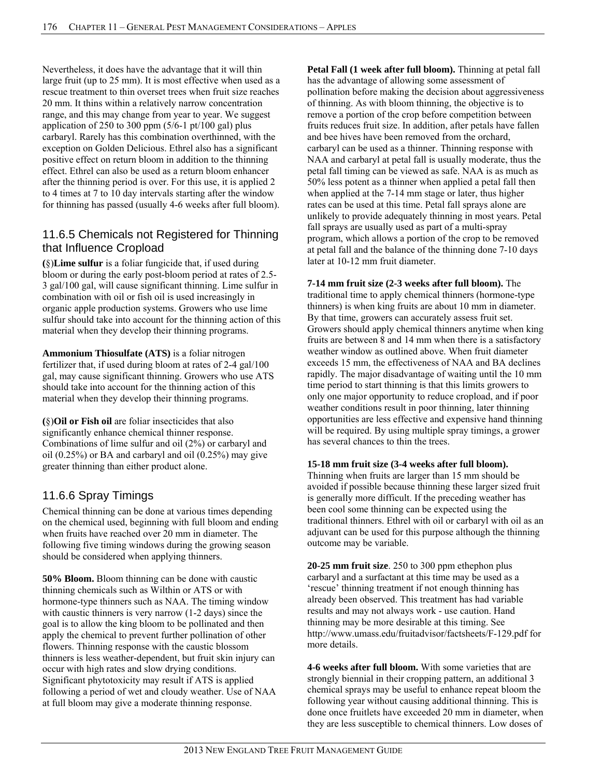Nevertheless, it does have the advantage that it will thin large fruit (up to 25 mm). It is most effective when used as a rescue treatment to thin overset trees when fruit size reaches 20 mm. It thins within a relatively narrow concentration range, and this may change from year to year. We suggest application of 250 to 300 ppm  $(5/6-1 \text{ pt}/100 \text{ gal})$  plus carbaryl. Rarely has this combination overthinned, with the exception on Golden Delicious. Ethrel also has a significant positive effect on return bloom in addition to the thinning effect. Ethrel can also be used as a return bloom enhancer after the thinning period is over. For this use, it is applied 2 to 4 times at 7 to 10 day intervals starting after the window for thinning has passed (usually 4-6 weeks after full bloom).

### 11.6.5 Chemicals not Registered for Thinning that Influence Cropload

**(**§)**Lime sulfur** is a foliar fungicide that, if used during bloom or during the early post-bloom period at rates of 2.5- 3 gal/100 gal, will cause significant thinning. Lime sulfur in combination with oil or fish oil is used increasingly in organic apple production systems. Growers who use lime sulfur should take into account for the thinning action of this material when they develop their thinning programs.

**Ammonium Thiosulfate (ATS)** is a foliar nitrogen fertilizer that, if used during bloom at rates of 2-4 gal/100 gal, may cause significant thinning. Growers who use ATS should take into account for the thinning action of this material when they develop their thinning programs.

**(**§)**Oil or Fish oil** are foliar insecticides that also significantly enhance chemical thinner response. Combinations of lime sulfur and oil (2%) or carbaryl and oil (0.25%) or BA and carbaryl and oil (0.25%) may give greater thinning than either product alone.

# 11.6.6 Spray Timings

Chemical thinning can be done at various times depending on the chemical used, beginning with full bloom and ending when fruits have reached over 20 mm in diameter. The following five timing windows during the growing season should be considered when applying thinners.

**50% Bloom.** Bloom thinning can be done with caustic thinning chemicals such as Wilthin or ATS or with hormone-type thinners such as NAA. The timing window with caustic thinners is very narrow  $(1-2 \text{ days})$  since the goal is to allow the king bloom to be pollinated and then apply the chemical to prevent further pollination of other flowers. Thinning response with the caustic blossom thinners is less weather-dependent, but fruit skin injury can occur with high rates and slow drying conditions. Significant phytotoxicity may result if ATS is applied following a period of wet and cloudy weather. Use of NAA at full bloom may give a moderate thinning response.

**Petal Fall (1 week after full bloom).** Thinning at petal fall has the advantage of allowing some assessment of pollination before making the decision about aggressiveness of thinning. As with bloom thinning, the objective is to remove a portion of the crop before competition between fruits reduces fruit size. In addition, after petals have fallen and bee hives have been removed from the orchard, carbaryl can be used as a thinner. Thinning response with NAA and carbaryl at petal fall is usually moderate, thus the petal fall timing can be viewed as safe. NAA is as much as 50% less potent as a thinner when applied a petal fall then when applied at the 7-14 mm stage or later, thus higher rates can be used at this time. Petal fall sprays alone are unlikely to provide adequately thinning in most years. Petal fall sprays are usually used as part of a multi-spray program, which allows a portion of the crop to be removed at petal fall and the balance of the thinning done 7-10 days later at 10-12 mm fruit diameter.

### **7-14 mm fruit size (2-3 weeks after full bloom).** The

traditional time to apply chemical thinners (hormone-type thinners) is when king fruits are about 10 mm in diameter. By that time, growers can accurately assess fruit set. Growers should apply chemical thinners anytime when king fruits are between 8 and 14 mm when there is a satisfactory weather window as outlined above. When fruit diameter exceeds 15 mm, the effectiveness of NAA and BA declines rapidly. The major disadvantage of waiting until the 10 mm time period to start thinning is that this limits growers to only one major opportunity to reduce cropload, and if poor weather conditions result in poor thinning, later thinning opportunities are less effective and expensive hand thinning will be required. By using multiple spray timings, a grower has several chances to thin the trees.

### **15-18 mm fruit size (3-4 weeks after full bloom).**

Thinning when fruits are larger than 15 mm should be avoided if possible because thinning these larger sized fruit is generally more difficult. If the preceding weather has been cool some thinning can be expected using the traditional thinners. Ethrel with oil or carbaryl with oil as an adjuvant can be used for this purpose although the thinning outcome may be variable.

**20-25 mm fruit size**. 250 to 300 ppm ethephon plus carbaryl and a surfactant at this time may be used as a 'rescue' thinning treatment if not enough thinning has already been observed. This treatment has had variable results and may not always work - use caution. Hand thinning may be more desirable at this timing. See http://www.umass.edu/fruitadvisor/factsheets/F-129.pdf for more details.

**4-6 weeks after full bloom.** With some varieties that are strongly biennial in their cropping pattern, an additional 3 chemical sprays may be useful to enhance repeat bloom the following year without causing additional thinning. This is done once fruitlets have exceeded 20 mm in diameter, when they are less susceptible to chemical thinners. Low doses of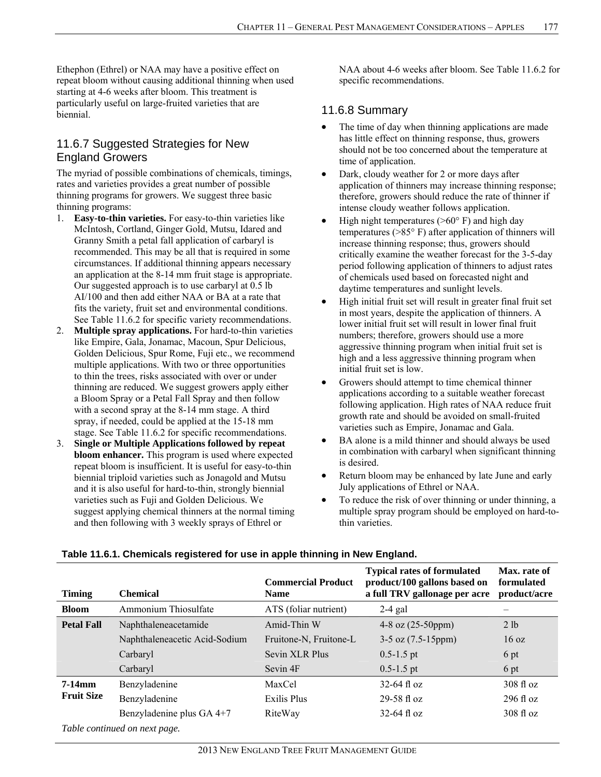Ethephon (Ethrel) or NAA may have a positive effect on repeat bloom without causing additional thinning when used starting at 4-6 weeks after bloom. This treatment is particularly useful on large-fruited varieties that are biennial.

# 11.6.7 Suggested Strategies for New England Growers

The myriad of possible combinations of chemicals, timings, rates and varieties provides a great number of possible thinning programs for growers. We suggest three basic thinning programs:

- 1. **Easy-to-thin varieties.** For easy-to-thin varieties like McIntosh, Cortland, Ginger Gold, Mutsu, Idared and Granny Smith a petal fall application of carbaryl is recommended. This may be all that is required in some circumstances. If additional thinning appears necessary an application at the 8-14 mm fruit stage is appropriate. Our suggested approach is to use carbaryl at 0.5 lb AI/100 and then add either NAA or BA at a rate that fits the variety, fruit set and environmental conditions. See Table 11.6.2 for specific variety recommendations.
- 2. **Multiple spray applications.** For hard-to-thin varieties like Empire, Gala, Jonamac, Macoun, Spur Delicious, Golden Delicious, Spur Rome, Fuji etc., we recommend multiple applications. With two or three opportunities to thin the trees, risks associated with over or under thinning are reduced. We suggest growers apply either a Bloom Spray or a Petal Fall Spray and then follow with a second spray at the 8-14 mm stage. A third spray, if needed, could be applied at the 15-18 mm stage. See Table 11.6.2 for specific recommendations.
- 3. **Single or Multiple Applications followed by repeat bloom enhancer.** This program is used where expected repeat bloom is insufficient. It is useful for easy-to-thin biennial triploid varieties such as Jonagold and Mutsu and it is also useful for hard-to-thin, strongly biennial varieties such as Fuji and Golden Delicious. We suggest applying chemical thinners at the normal timing and then following with 3 weekly sprays of Ethrel or

NAA about 4-6 weeks after bloom. See Table 11.6.2 for specific recommendations.

# 11.6.8 Summary

- The time of day when thinning applications are made has little effect on thinning response, thus, growers should not be too concerned about the temperature at time of application.
- Dark, cloudy weather for 2 or more days after application of thinners may increase thinning response; therefore, growers should reduce the rate of thinner if intense cloudy weather follows application.
- High night temperatures ( $>60^{\circ}$  F) and high day temperatures (>85° F) after application of thinners will increase thinning response; thus, growers should critically examine the weather forecast for the 3-5-day period following application of thinners to adjust rates of chemicals used based on forecasted night and daytime temperatures and sunlight levels.
- High initial fruit set will result in greater final fruit set in most years, despite the application of thinners. A lower initial fruit set will result in lower final fruit numbers; therefore, growers should use a more aggressive thinning program when initial fruit set is high and a less aggressive thinning program when initial fruit set is low.
- Growers should attempt to time chemical thinner applications according to a suitable weather forecast following application. High rates of NAA reduce fruit growth rate and should be avoided on small-fruited varieties such as Empire, Jonamac and Gala.
- BA alone is a mild thinner and should always be used in combination with carbaryl when significant thinning is desired.
- Return bloom may be enhanced by late June and early July applications of Ethrel or NAA.
- To reduce the risk of over thinning or under thinning, a multiple spray program should be employed on hard-tothin varieties.

| <b>Timing</b>     | <b>Chemical</b>               | <b>Commercial Product</b><br><b>Name</b> | <b>Typical rates of formulated</b><br>product/100 gallons based on<br>a full TRV gallonage per acre | Max. rate of<br>formulated<br>product/acre |
|-------------------|-------------------------------|------------------------------------------|-----------------------------------------------------------------------------------------------------|--------------------------------------------|
| <b>Bloom</b>      | Ammonium Thiosulfate          | ATS (foliar nutrient)                    | $2-4$ gal                                                                                           |                                            |
| <b>Petal Fall</b> | Naphthaleneacetamide          | Amid-Thin W                              | $4-8$ oz $(25-50$ ppm $)$                                                                           | 2 lb                                       |
|                   | Naphthaleneacetic Acid-Sodium | Fruitone-N, Fruitone-L                   | $3-5$ oz $(7.5-15$ ppm $)$                                                                          | 16 oz                                      |
|                   | Carbaryl                      | Sevin XLR Plus                           | $0.5 - 1.5$ pt                                                                                      | 6 pt                                       |
|                   | Carbaryl                      | Sevin 4F                                 | $0.5 - 1.5$ pt                                                                                      | 6 pt                                       |
| $7-14$ mm         | Benzyladenine                 | MaxCel                                   | $32-64$ fl oz                                                                                       | $308 \text{ fl oz}$                        |
| <b>Fruit Size</b> | Benzyladenine                 | Exilis Plus                              | $29 - 58$ fl oz                                                                                     | $296 \text{ fl oz}$                        |
|                   | Benzyladenine plus GA 4+7     | RiteWay                                  | $32-64$ fl oz                                                                                       | $308 \text{ fl oz}$                        |
|                   | Table continued on next page. |                                          |                                                                                                     |                                            |

### **Table 11.6.1. Chemicals registered for use in apple thinning in New England.**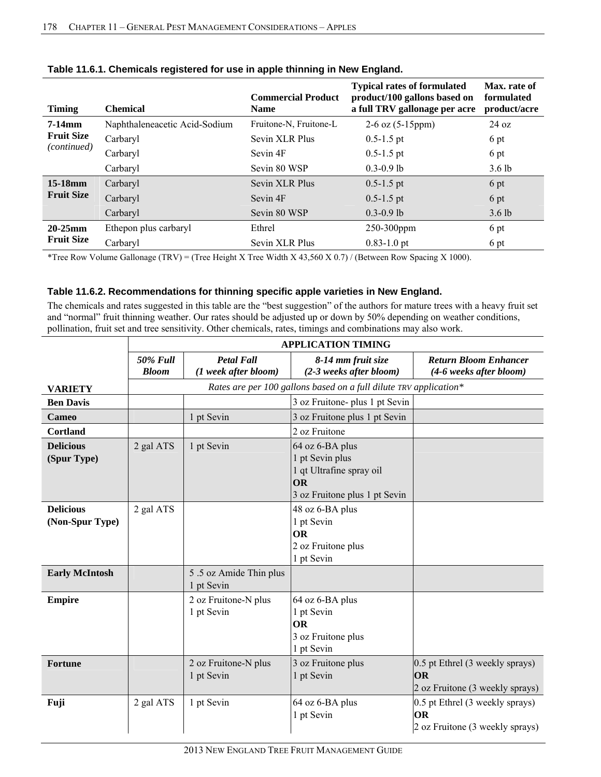| <b>Timing</b>      | <b>Chemical</b>               | <b>Commercial Product</b><br><b>Name</b> | <b>Typical rates of formulated</b><br>product/100 gallons based on<br>a full TRV gallonage per acre | Max. rate of<br>formulated<br>product/acre |
|--------------------|-------------------------------|------------------------------------------|-----------------------------------------------------------------------------------------------------|--------------------------------------------|
| $7-14$ mm          | Naphthaleneacetic Acid-Sodium | Fruitone-N, Fruitone-L                   | $2-6$ oz $(5-15$ ppm $)$                                                                            | $24 \text{ oz}$                            |
| <b>Fruit Size</b>  | Carbaryl                      | Sevin XLR Plus                           | $0.5 - 1.5$ pt                                                                                      | 6 pt                                       |
| <i>(continued)</i> | Carbaryl                      | Sevin 4F                                 | $0.5 - 1.5$ pt                                                                                      | 6 pt                                       |
|                    | Carbaryl                      | Sevin 80 WSP                             | $0.3 - 0.9$ lb                                                                                      | $3.6$ lb                                   |
| $15-18$ mm         | Carbaryl                      | Sevin XLR Plus                           | $0.5 - 1.5$ pt                                                                                      | 6 pt                                       |
| <b>Fruit Size</b>  | Carbaryl                      | Sevin 4F                                 | $0.5 - 1.5$ pt                                                                                      | 6 pt                                       |
|                    | Carbaryl                      | Sevin 80 WSP                             | $0.3 - 0.9$ lb                                                                                      | $3.6$ lb                                   |
| $20-25$ mm         | Ethepon plus carbaryl         | Ethrel                                   | $250-300$ ppm                                                                                       | 6 pt                                       |
| <b>Fruit Size</b>  | Carbaryl                      | Sevin XLR Plus                           | $0.83 - 1.0$ pt                                                                                     | 6 pt                                       |

\*Tree Row Volume Gallonage (TRV) = (Tree Height X Tree Width X 43,560 X 0.7) / (Between Row Spacing X 1000).

### **Table 11.6.2. Recommendations for thinning specific apple varieties in New England.**

The chemicals and rates suggested in this table are the "best suggestion" of the authors for mature trees with a heavy fruit set and "normal" fruit thinning weather. Our rates should be adjusted up or down by 50% depending on weather conditions, pollination, fruit set and tree sensitivity. Other chemicals, rates, timings and combinations may also work.

|                                     | <b>APPLICATION TIMING</b>       |                                           |                                                                                                       |                                                                          |  |
|-------------------------------------|---------------------------------|-------------------------------------------|-------------------------------------------------------------------------------------------------------|--------------------------------------------------------------------------|--|
|                                     | <b>50% Full</b><br><b>Bloom</b> | <b>Petal Fall</b><br>(1 week after bloom) | 8-14 mm fruit size<br>(2-3 weeks after bloom)                                                         | <b>Return Bloom Enhancer</b><br>(4-6 weeks after bloom)                  |  |
| <b>VARIETY</b>                      |                                 |                                           | Rates are per 100 gallons based on a full dilute TRV application*                                     |                                                                          |  |
| <b>Ben Davis</b>                    |                                 |                                           | 3 oz Fruitone- plus 1 pt Sevin                                                                        |                                                                          |  |
| Cameo                               |                                 | 1 pt Sevin                                | 3 oz Fruitone plus 1 pt Sevin                                                                         |                                                                          |  |
| Cortland                            |                                 |                                           | 2 oz Fruitone                                                                                         |                                                                          |  |
| <b>Delicious</b><br>(Spur Type)     | 2 gal ATS                       | 1 pt Sevin                                | 64 oz 6-BA plus<br>1 pt Sevin plus<br>1 qt Ultrafine spray oil<br>OR<br>3 oz Fruitone plus 1 pt Sevin |                                                                          |  |
| <b>Delicious</b><br>(Non-Spur Type) | 2 gal ATS                       |                                           | 48 oz 6-BA plus<br>1 pt Sevin<br><b>OR</b><br>2 oz Fruitone plus<br>1 pt Sevin                        |                                                                          |  |
| <b>Early McIntosh</b>               |                                 | 5.5 oz Amide Thin plus<br>1 pt Sevin      |                                                                                                       |                                                                          |  |
| <b>Empire</b>                       |                                 | 2 oz Fruitone-N plus<br>1 pt Sevin        | 64 oz 6-BA plus<br>1 pt Sevin<br><b>OR</b><br>3 oz Fruitone plus<br>1 pt Sevin                        |                                                                          |  |
| <b>Fortune</b>                      |                                 | 2 oz Fruitone-N plus<br>1 pt Sevin        | 3 oz Fruitone plus<br>1 pt Sevin                                                                      | 0.5 pt Ethrel (3 weekly sprays)<br>OR<br>2 oz Fruitone (3 weekly sprays) |  |
| Fuji                                | 2 gal ATS                       | 1 pt Sevin                                | 64 oz 6-BA plus<br>1 pt Sevin                                                                         | 0.5 pt Ethrel (3 weekly sprays)<br>OR<br>2 oz Fruitone (3 weekly sprays) |  |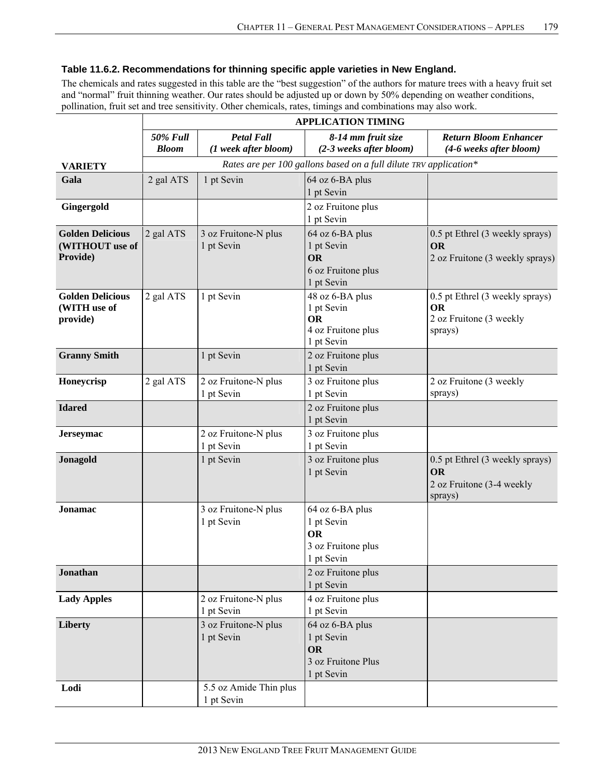### **Table 11.6.2. Recommendations for thinning specific apple varieties in New England.**

The chemicals and rates suggested in this table are the "best suggestion" of the authors for mature trees with a heavy fruit set and "normal" fruit thinning weather. Our rates should be adjusted up or down by 50% depending on weather conditions, pollination, fruit set and tree sensitivity. Other chemicals, rates, timings and combinations may also work.

**APPLICATION TIMING** 

|                                                        | <b>APPLICATION TIMING</b>       |                                           |                                                                                |                                                                                    |  |
|--------------------------------------------------------|---------------------------------|-------------------------------------------|--------------------------------------------------------------------------------|------------------------------------------------------------------------------------|--|
|                                                        | <b>50% Full</b><br><b>Bloom</b> | <b>Petal Fall</b><br>(1 week after bloom) | 8-14 mm fruit size<br>(2-3 weeks after bloom)                                  | <b>Return Bloom Enhancer</b><br>(4-6 weeks after bloom)                            |  |
| <b>VARIETY</b>                                         |                                 |                                           | Rates are per 100 gallons based on a full dilute TRV application*              |                                                                                    |  |
| Gala                                                   | 2 gal ATS                       | 1 pt Sevin                                | 64 oz 6-BA plus<br>1 pt Sevin                                                  |                                                                                    |  |
| Gingergold                                             |                                 |                                           | 2 oz Fruitone plus<br>1 pt Sevin                                               |                                                                                    |  |
| <b>Golden Delicious</b><br>(WITHOUT use of<br>Provide) | 2 gal ATS                       | 3 oz Fruitone-N plus<br>1 pt Sevin        | 64 oz 6-BA plus<br>1 pt Sevin<br><b>OR</b><br>6 oz Fruitone plus<br>1 pt Sevin | 0.5 pt Ethrel (3 weekly sprays)<br>OR<br>2 oz Fruitone (3 weekly sprays)           |  |
| <b>Golden Delicious</b><br>(WITH use of<br>provide)    | 2 gal ATS                       | 1 pt Sevin                                | 48 oz 6-BA plus<br>1 pt Sevin<br><b>OR</b><br>4 oz Fruitone plus<br>1 pt Sevin | 0.5 pt Ethrel (3 weekly sprays)<br><b>OR</b><br>2 oz Fruitone (3 weekly<br>sprays) |  |
| <b>Granny Smith</b>                                    |                                 | 1 pt Sevin                                | 2 oz Fruitone plus<br>1 pt Sevin                                               |                                                                                    |  |
| Honeycrisp                                             | 2 gal ATS                       | 2 oz Fruitone-N plus<br>1 pt Sevin        | 3 oz Fruitone plus<br>1 pt Sevin                                               | 2 oz Fruitone (3 weekly<br>sprays)                                                 |  |
| <b>Idared</b>                                          |                                 |                                           | 2 oz Fruitone plus<br>1 pt Sevin                                               |                                                                                    |  |
| Jerseymac                                              |                                 | 2 oz Fruitone-N plus<br>1 pt Sevin        | 3 oz Fruitone plus<br>1 pt Sevin                                               |                                                                                    |  |
| Jonagold                                               |                                 | 1 pt Sevin                                | 3 oz Fruitone plus<br>1 pt Sevin                                               | 0.5 pt Ethrel (3 weekly sprays)<br>OR<br>2 oz Fruitone (3-4 weekly<br>sprays)      |  |
| Jonamac                                                |                                 | 3 oz Fruitone-N plus<br>1 pt Sevin        | 64 oz 6-BA plus<br>1 pt Sevin<br><b>OR</b><br>3 oz Fruitone plus<br>1 pt Sevin |                                                                                    |  |
| <b>Jonathan</b>                                        |                                 |                                           | 2 oz Fruitone plus<br>1 pt Sevin                                               |                                                                                    |  |
| <b>Lady Apples</b>                                     |                                 | 2 oz Fruitone-N plus<br>1 pt Sevin        | 4 oz Fruitone plus<br>1 pt Sevin                                               |                                                                                    |  |
| Liberty                                                |                                 | 3 oz Fruitone-N plus<br>1 pt Sevin        | 64 oz 6-BA plus<br>1 pt Sevin<br><b>OR</b><br>3 oz Fruitone Plus<br>1 pt Sevin |                                                                                    |  |
| Lodi                                                   |                                 | 5.5 oz Amide Thin plus<br>1 pt Sevin      |                                                                                |                                                                                    |  |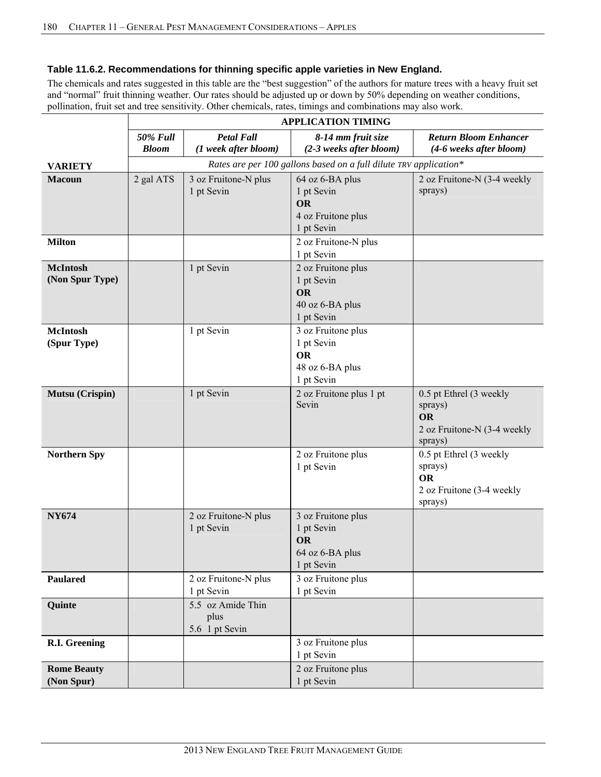### **Table 11.6.2. Recommendations for thinning specific apple varieties in New England.**

The chemicals and rates suggested in this table are the "best suggestion" of the authors for mature trees with a heavy fruit set and "normal" fruit thinning weather. Our rates should be adjusted up or down by 50% depending on weather conditions, pollination, fruit set and tree sensitivity. Other chemicals, rates, timings and combinations may also work.

 $\lambda$ 

|                                    | APPLICATION TIMING                                                                                                            |                                                                   |                                                                                |                                                                                           |  |  |  |
|------------------------------------|-------------------------------------------------------------------------------------------------------------------------------|-------------------------------------------------------------------|--------------------------------------------------------------------------------|-------------------------------------------------------------------------------------------|--|--|--|
|                                    | <b>Petal Fall</b><br><b>50% Full</b><br>8-14 mm fruit size<br>(1 week after bloom)<br>(2-3 weeks after bloom)<br><b>Bloom</b> |                                                                   | <b>Return Bloom Enhancer</b><br>(4-6 weeks after bloom)                        |                                                                                           |  |  |  |
| <b>VARIETY</b>                     |                                                                                                                               | Rates are per 100 gallons based on a full dilute TRV application* |                                                                                |                                                                                           |  |  |  |
| <b>Macoun</b>                      | 2 gal ATS                                                                                                                     | 3 oz Fruitone-N plus<br>1 pt Sevin                                | 64 oz 6-BA plus<br>1 pt Sevin<br><b>OR</b><br>4 oz Fruitone plus<br>1 pt Sevin | 2 oz Fruitone-N (3-4 weekly<br>sprays)                                                    |  |  |  |
| <b>Milton</b>                      |                                                                                                                               |                                                                   | 2 oz Fruitone-N plus<br>1 pt Sevin                                             |                                                                                           |  |  |  |
| <b>McIntosh</b><br>(Non Spur Type) |                                                                                                                               | 1 pt Sevin                                                        | 2 oz Fruitone plus<br>1 pt Sevin<br><b>OR</b><br>40 oz 6-BA plus<br>1 pt Sevin |                                                                                           |  |  |  |
| <b>McIntosh</b><br>(Spur Type)     |                                                                                                                               | 1 pt Sevin                                                        | 3 oz Fruitone plus<br>1 pt Sevin<br><b>OR</b><br>48 oz 6-BA plus<br>1 pt Sevin |                                                                                           |  |  |  |
| Mutsu (Crispin)                    |                                                                                                                               | 1 pt Sevin                                                        | 2 oz Fruitone plus 1 pt<br>Sevin                                               | 0.5 pt Ethrel (3 weekly<br>sprays)<br><b>OR</b><br>2 oz Fruitone-N (3-4 weekly<br>sprays) |  |  |  |
| <b>Northern Spy</b>                |                                                                                                                               |                                                                   | 2 oz Fruitone plus<br>1 pt Sevin                                               | 0.5 pt Ethrel (3 weekly<br>sprays)<br><b>OR</b><br>2 oz Fruitone (3-4 weekly<br>sprays)   |  |  |  |
| <b>NY674</b>                       |                                                                                                                               | 2 oz Fruitone-N plus<br>1 pt Sevin                                | 3 oz Fruitone plus<br>1 pt Sevin<br><b>OR</b><br>64 oz 6-BA plus<br>1 pt Sevin |                                                                                           |  |  |  |
| Paulared                           |                                                                                                                               | 2 oz Fruitone-N plus<br>1 pt Sevin                                | 3 oz Fruitone plus<br>1 pt Sevin                                               |                                                                                           |  |  |  |
| <b>Quinte</b>                      |                                                                                                                               | 5.5 oz Amide Thin<br>plus<br>5.6 1 pt Sevin                       |                                                                                |                                                                                           |  |  |  |
| R.I. Greening                      |                                                                                                                               |                                                                   | 3 oz Fruitone plus<br>1 pt Sevin                                               |                                                                                           |  |  |  |
| <b>Rome Beauty</b><br>(Non Spur)   |                                                                                                                               |                                                                   | 2 oz Fruitone plus<br>1 pt Sevin                                               |                                                                                           |  |  |  |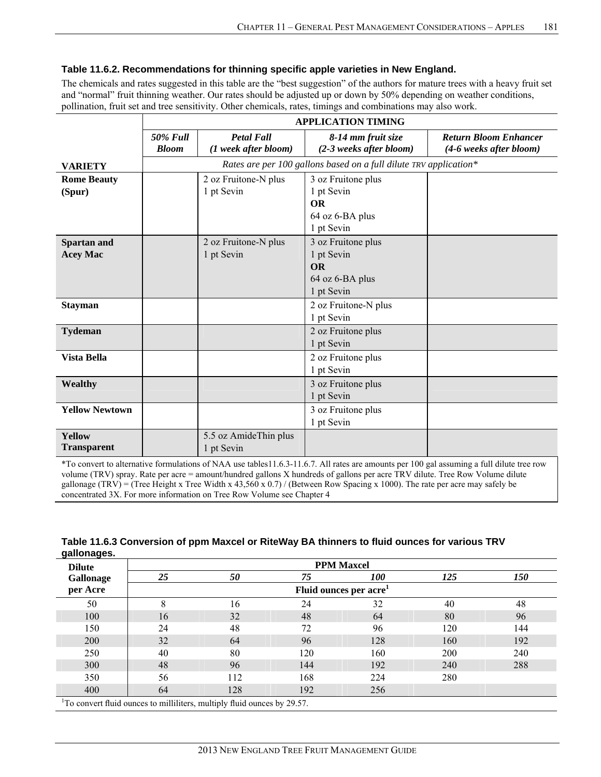### **Table 11.6.2. Recommendations for thinning specific apple varieties in New England.**

The chemicals and rates suggested in this table are the "best suggestion" of the authors for mature trees with a heavy fruit set and "normal" fruit thinning weather. Our rates should be adjusted up or down by 50% depending on weather conditions, pollination, fruit set and tree sensitivity. Other chemicals, rates, timings and combinations may also work.

**APPLICATION TIMING** 

|                       | <b>APPLICATION TIMING</b>       |                                                                   |                                               |                                                         |  |  |  |
|-----------------------|---------------------------------|-------------------------------------------------------------------|-----------------------------------------------|---------------------------------------------------------|--|--|--|
|                       | <b>50% Full</b><br><b>Bloom</b> | <b>Petal Fall</b><br>(1 week after bloom)                         | 8-14 mm fruit size<br>(2-3 weeks after bloom) | <b>Return Bloom Enhancer</b><br>(4-6 weeks after bloom) |  |  |  |
| <b>VARIETY</b>        |                                 | Rates are per 100 gallons based on a full dilute TRV application* |                                               |                                                         |  |  |  |
| <b>Rome Beauty</b>    |                                 | 2 oz Fruitone-N plus                                              | 3 oz Fruitone plus                            |                                                         |  |  |  |
| (Spur)                |                                 | 1 pt Sevin                                                        | 1 pt Sevin                                    |                                                         |  |  |  |
|                       |                                 |                                                                   | <b>OR</b>                                     |                                                         |  |  |  |
|                       |                                 |                                                                   | 64 oz 6-BA plus                               |                                                         |  |  |  |
|                       |                                 |                                                                   | 1 pt Sevin                                    |                                                         |  |  |  |
| Spartan and           |                                 | 2 oz Fruitone-N plus                                              | 3 oz Fruitone plus                            |                                                         |  |  |  |
| <b>Acey Mac</b>       |                                 | 1 pt Sevin                                                        | 1 pt Sevin                                    |                                                         |  |  |  |
|                       |                                 |                                                                   | <b>OR</b>                                     |                                                         |  |  |  |
|                       |                                 |                                                                   | 64 oz 6-BA plus                               |                                                         |  |  |  |
|                       |                                 |                                                                   | 1 pt Sevin                                    |                                                         |  |  |  |
| <b>Stayman</b>        |                                 |                                                                   | 2 oz Fruitone-N plus                          |                                                         |  |  |  |
|                       |                                 |                                                                   | 1 pt Sevin                                    |                                                         |  |  |  |
| <b>Tydeman</b>        |                                 |                                                                   | 2 oz Fruitone plus                            |                                                         |  |  |  |
|                       |                                 |                                                                   | 1 pt Sevin                                    |                                                         |  |  |  |
| Vista Bella           |                                 |                                                                   | 2 oz Fruitone plus                            |                                                         |  |  |  |
|                       |                                 |                                                                   | 1 pt Sevin                                    |                                                         |  |  |  |
| Wealthy               |                                 |                                                                   | 3 oz Fruitone plus                            |                                                         |  |  |  |
|                       |                                 |                                                                   | 1 pt Sevin                                    |                                                         |  |  |  |
| <b>Yellow Newtown</b> |                                 |                                                                   | 3 oz Fruitone plus                            |                                                         |  |  |  |
|                       |                                 |                                                                   | 1 pt Sevin                                    |                                                         |  |  |  |
| <b>Yellow</b>         |                                 | 5.5 oz AmideThin plus                                             |                                               |                                                         |  |  |  |
| <b>Transparent</b>    |                                 | 1 pt Sevin                                                        |                                               |                                                         |  |  |  |

\*To convert to alternative formulations of NAA use tables11.6.3-11.6.7. All rates are amounts per 100 gal assuming a full dilute tree row volume (TRV) spray. Rate per acre = amount/hundred gallons X hundreds of gallons per acre TRV dilute. Tree Row Volume dilute gallonage (TRV) = (Tree Height x Tree Width x 43,560 x 0.7) / (Between Row Spacing x 1000). The rate per acre may safely be concentrated 3X. For more information on Tree Row Volume see Chapter 4

| Table 11.6.3 Conversion of ppm Maxcel or RiteWay BA thinners to fluid ounces for various TRV |  |
|----------------------------------------------------------------------------------------------|--|
| gallonages.                                                                                  |  |

| <b>Dilute</b> |                                                                                      |     |     | <b>PPM Maxcel</b> |     |     |  |
|---------------|--------------------------------------------------------------------------------------|-----|-----|-------------------|-----|-----|--|
| Gallonage     | 25                                                                                   | 50  | 75  | <i>100</i>        | 125 | 150 |  |
| per Acre      | Fluid ounces per acre <sup>1</sup>                                                   |     |     |                   |     |     |  |
| 50            | 8                                                                                    | 16  | 24  | 32                | 40  | 48  |  |
| 100           | 16                                                                                   | 32  | 48  | 64                | 80  | 96  |  |
| 150           | 24                                                                                   | 48  | 72  | 96                | 120 | 144 |  |
| 200           | 32                                                                                   | 64  | 96  | 128               | 160 | 192 |  |
| 250           | 40                                                                                   | 80  | 120 | 160               | 200 | 240 |  |
| 300           | 48                                                                                   | 96  | 144 | 192               | 240 | 288 |  |
| 350           | 56                                                                                   | 112 | 168 | 224               | 280 |     |  |
| 400           | 64                                                                                   | 128 | 192 | 256               |     |     |  |
|               | <sup>1</sup> To convert fluid ounces to milliliters, multiply fluid ounces by 29.57. |     |     |                   |     |     |  |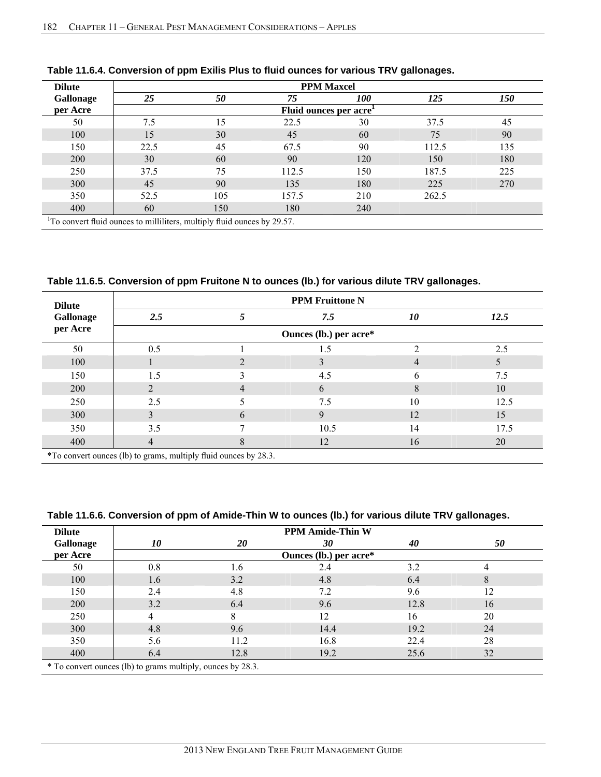| <b>Dilute</b>                                                                        | <b>PPM Maxcel</b> |     |                        |            |       |            |
|--------------------------------------------------------------------------------------|-------------------|-----|------------------------|------------|-------|------------|
| <b>Gallonage</b>                                                                     | 25                | 50  | 75                     | <i>100</i> | 125   | <i>150</i> |
| per Acre                                                                             |                   |     | Fluid ounces per acre' |            |       |            |
| 50                                                                                   | 7.5               | 15  | 22.5                   | 30         | 37.5  | 45         |
| 100                                                                                  | 15                | 30  | 45                     | 60         | 75    | 90         |
| 150                                                                                  | 22.5              | 45  | 67.5                   | 90         | 112.5 | 135        |
| 200                                                                                  | 30                | 60  | 90                     | 120        | 150   | 180        |
| 250                                                                                  | 37.5              | 75  | 112.5                  | 150        | 187.5 | 225        |
| 300                                                                                  | 45                | 90  | 135                    | 180        | 225   | 270        |
| 350                                                                                  | 52.5              | 105 | 157.5                  | 210        | 262.5 |            |
| 400                                                                                  | 60                | 150 | 180                    | 240        |       |            |
| <sup>1</sup> To convert fluid ounces to milliliters, multiply fluid ounces by 29.57. |                   |     |                        |            |       |            |

### **Table 11.6.4. Conversion of ppm Exilis Plus to fluid ounces for various TRV gallonages.**

**Table 11.6.5. Conversion of ppm Fruitone N to ounces (lb.) for various dilute TRV gallonages.**

| <b>Dilute</b> |                                                                |   | <b>PPM Fruittone N</b> |    |      |
|---------------|----------------------------------------------------------------|---|------------------------|----|------|
| Gallonage     | 2.5                                                            |   | 7.5                    | 10 | 12.5 |
| per Acre      |                                                                |   | Ounces (lb.) per acre* |    |      |
| 50            | 0.5                                                            |   | 1.5                    |    | 2.5  |
| 100           |                                                                |   |                        | 4  |      |
| 150           | 1.5                                                            |   | 4.5                    | 6  | 7.5  |
| 200           | $\mathfrak{D}$                                                 | 4 | 6                      | 8  | 10   |
| 250           | 2.5                                                            |   | 7.5                    | 10 | 12.5 |
| 300           |                                                                | 6 | 9                      | 12 | 15   |
| 350           | 3.5                                                            |   | 10.5                   | 14 | 17.5 |
| 400           | 4                                                              | 8 | 12                     | 16 | 20   |
|               | *To convert ounces (lb) to grams multiply fluid ounces by 28.3 |   |                        |    |      |

\*To convert ounces (lb) to grams, multiply fluid ounces by 28.3.

### **Table 11.6.6. Conversion of ppm of Amide-Thin W to ounces (lb.) for various dilute TRV gallonages.**

| <b>Dilute</b>                                               | <b>PPM Amide-Thin W</b> |      |                        |      |    |
|-------------------------------------------------------------|-------------------------|------|------------------------|------|----|
| Gallonage                                                   | 10                      | 20   | 30                     | 40   | 50 |
| per Acre                                                    |                         |      | Ounces (lb.) per acre* |      |    |
| 50                                                          | 0.8                     | .6   | 2.4                    | 3.2  | 4  |
| 100                                                         | 1.6                     | 3.2  | 4.8                    | 6.4  | 8  |
| 150                                                         | 2.4                     | 4.8  | 7.2                    | 9.6  | 12 |
| 200                                                         | 3.2                     | 6.4  | 9.6                    | 12.8 | 16 |
| 250                                                         | 4                       | 8    | 12                     | 16   | 20 |
| 300                                                         | 4.8                     | 9.6  | 14.4                   | 19.2 | 24 |
| 350                                                         | 5.6                     | 11.2 | 16.8                   | 22.4 | 28 |
| 400                                                         | 6.4                     | 12.8 | 19.2                   | 25.6 | 32 |
| * To convert ounces (lb) to grams multiply, ounces by 28.3. |                         |      |                        |      |    |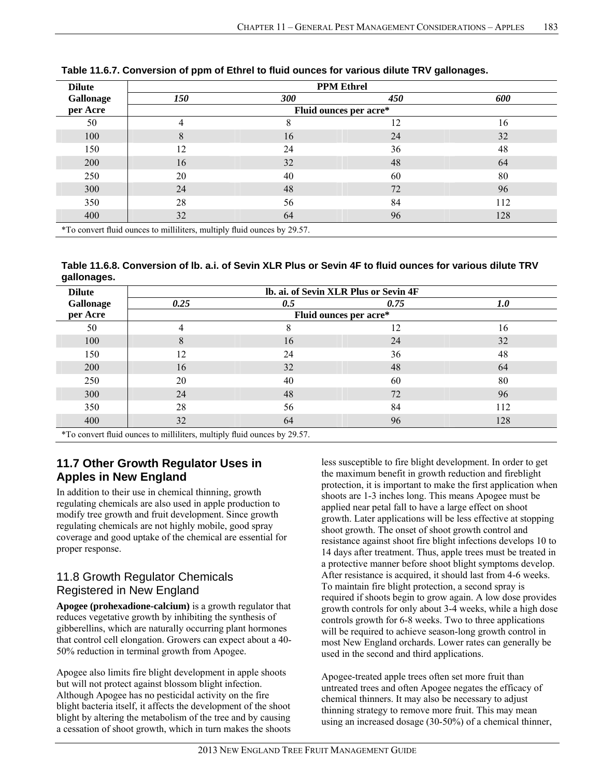| <b>Dilute</b> | <b>PPM Ethrel</b>                                                        |                        |     |     |  |
|---------------|--------------------------------------------------------------------------|------------------------|-----|-----|--|
| Gallonage     | 150                                                                      | <b>300</b>             | 450 | 600 |  |
| per Acre      |                                                                          | Fluid ounces per acre* |     |     |  |
| 50            | 4                                                                        | 8                      | 12  | 16  |  |
| 100           | 8                                                                        | 16                     | 24  | 32  |  |
| 150           | 12                                                                       | 24                     | 36  | 48  |  |
| <b>200</b>    | 16                                                                       | 32                     | 48  | 64  |  |
| 250           | 20                                                                       | 40                     | 60  | 80  |  |
| 300           | 24                                                                       | 48                     | 72  | 96  |  |
| 350           | 28                                                                       | 56                     | 84  | 112 |  |
| 400           | 32                                                                       | 64                     | 96  | 128 |  |
|               | *To convert fluid ounces to milliliters, multiply fluid ounces by 29.57. |                        |     |     |  |

**Table 11.6.7. Conversion of ppm of Ethrel to fluid ounces for various dilute TRV gallonages.** 

**Table 11.6.8. Conversion of lb. a.i. of Sevin XLR Plus or Sevin 4F to fluid ounces for various dilute TRV gallonages.** 

| <b>Dilute</b>                                                             |      | lb. ai. of Sevin XLR Plus or Sevin 4F |      |     |  |  |
|---------------------------------------------------------------------------|------|---------------------------------------|------|-----|--|--|
| Gallonage                                                                 | 0.25 | 0.5                                   | 0.75 | 1.0 |  |  |
| per Acre                                                                  |      | Fluid ounces per acre*                |      |     |  |  |
| 50                                                                        | 4    | 8                                     | 12   | 16  |  |  |
| 100                                                                       | 8    | 16                                    | 24   | 32  |  |  |
| 150                                                                       | 12   | 24                                    | 36   | 48  |  |  |
| 200                                                                       | 16   | 32                                    | 48   | 64  |  |  |
| 250                                                                       | 20   | 40                                    | 60   | 80  |  |  |
| 300                                                                       | 24   | 48                                    | 72   | 96  |  |  |
| 350                                                                       | 28   | 56                                    | 84   | 112 |  |  |
| 400                                                                       | 32   | 64                                    | 96   | 128 |  |  |
| $*T_0$ convert fluid ounces to milliltors, multiply fluid ounces by 20.57 |      |                                       |      |     |  |  |

\*To convert fluid ounces to milliliters, multiply fluid ounces by 29.57.

# **11.7 Other Growth Regulator Uses in Apples in New England**

In addition to their use in chemical thinning, growth regulating chemicals are also used in apple production to modify tree growth and fruit development. Since growth regulating chemicals are not highly mobile, good spray coverage and good uptake of the chemical are essential for proper response.

# 11.8 Growth Regulator Chemicals Registered in New England

**Apogee (prohexadione-calcium)** is a growth regulator that reduces vegetative growth by inhibiting the synthesis of gibberellins, which are naturally occurring plant hormones that control cell elongation. Growers can expect about a 40- 50% reduction in terminal growth from Apogee.

Apogee also limits fire blight development in apple shoots but will not protect against blossom blight infection. Although Apogee has no pesticidal activity on the fire blight bacteria itself, it affects the development of the shoot blight by altering the metabolism of the tree and by causing a cessation of shoot growth, which in turn makes the shoots less susceptible to fire blight development. In order to get the maximum benefit in growth reduction and fireblight protection, it is important to make the first application when shoots are 1-3 inches long. This means Apogee must be applied near petal fall to have a large effect on shoot growth. Later applications will be less effective at stopping shoot growth. The onset of shoot growth control and resistance against shoot fire blight infections develops 10 to 14 days after treatment. Thus, apple trees must be treated in a protective manner before shoot blight symptoms develop. After resistance is acquired, it should last from 4-6 weeks. To maintain fire blight protection, a second spray is required if shoots begin to grow again. A low dose provides growth controls for only about 3-4 weeks, while a high dose controls growth for 6-8 weeks. Two to three applications will be required to achieve season-long growth control in most New England orchards. Lower rates can generally be used in the second and third applications.

Apogee-treated apple trees often set more fruit than untreated trees and often Apogee negates the efficacy of chemical thinners. It may also be necessary to adjust thinning strategy to remove more fruit. This may mean using an increased dosage (30-50%) of a chemical thinner,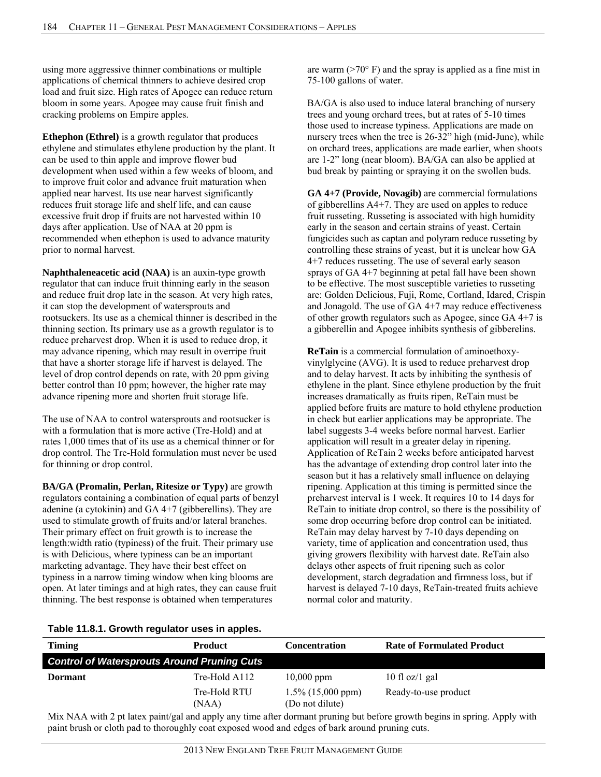using more aggressive thinner combinations or multiple applications of chemical thinners to achieve desired crop load and fruit size. High rates of Apogee can reduce return bloom in some years. Apogee may cause fruit finish and cracking problems on Empire apples.

**Ethephon (Ethrel)** is a growth regulator that produces ethylene and stimulates ethylene production by the plant. It can be used to thin apple and improve flower bud development when used within a few weeks of bloom, and to improve fruit color and advance fruit maturation when applied near harvest. Its use near harvest significantly reduces fruit storage life and shelf life, and can cause excessive fruit drop if fruits are not harvested within 10 days after application. Use of NAA at 20 ppm is recommended when ethephon is used to advance maturity prior to normal harvest.

**Naphthaleneacetic acid (NAA)** is an auxin-type growth regulator that can induce fruit thinning early in the season and reduce fruit drop late in the season. At very high rates, it can stop the development of watersprouts and rootsuckers. Its use as a chemical thinner is described in the thinning section. Its primary use as a growth regulator is to reduce preharvest drop. When it is used to reduce drop, it may advance ripening, which may result in overripe fruit that have a shorter storage life if harvest is delayed. The level of drop control depends on rate, with 20 ppm giving better control than 10 ppm; however, the higher rate may advance ripening more and shorten fruit storage life.

The use of NAA to control watersprouts and rootsucker is with a formulation that is more active (Tre-Hold) and at rates 1,000 times that of its use as a chemical thinner or for drop control. The Tre-Hold formulation must never be used for thinning or drop control.

**BA/GA (Promalin, Perlan, Ritesize or Typy)** are growth regulators containing a combination of equal parts of benzyl adenine (a cytokinin) and GA 4+7 (gibberellins). They are used to stimulate growth of fruits and/or lateral branches. Their primary effect on fruit growth is to increase the length:width ratio (typiness) of the fruit. Their primary use is with Delicious, where typiness can be an important marketing advantage. They have their best effect on typiness in a narrow timing window when king blooms are open. At later timings and at high rates, they can cause fruit thinning. The best response is obtained when temperatures

are warm  $(>=70^{\circ} \text{ F})$  and the spray is applied as a fine mist in 75-100 gallons of water.

BA/GA is also used to induce lateral branching of nursery trees and young orchard trees, but at rates of 5-10 times those used to increase typiness. Applications are made on nursery trees when the tree is 26-32" high (mid-June), while on orchard trees, applications are made earlier, when shoots are 1-2" long (near bloom). BA/GA can also be applied at bud break by painting or spraying it on the swollen buds.

**GA 4+7 (Provide, Novagib)** are commercial formulations of gibberellins A4+7. They are used on apples to reduce fruit russeting. Russeting is associated with high humidity early in the season and certain strains of yeast. Certain fungicides such as captan and polyram reduce russeting by controlling these strains of yeast, but it is unclear how GA 4+7 reduces russeting. The use of several early season sprays of GA 4+7 beginning at petal fall have been shown to be effective. The most susceptible varieties to russeting are: Golden Delicious, Fuji, Rome, Cortland, Idared, Crispin and Jonagold. The use of GA 4+7 may reduce effectiveness of other growth regulators such as Apogee, since GA 4+7 is a gibberellin and Apogee inhibits synthesis of gibberelins.

**ReTain** is a commercial formulation of aminoethoxyvinylglycine (AVG). It is used to reduce preharvest drop and to delay harvest. It acts by inhibiting the synthesis of ethylene in the plant. Since ethylene production by the fruit increases dramatically as fruits ripen, ReTain must be applied before fruits are mature to hold ethylene production in check but earlier applications may be appropriate. The label suggests 3-4 weeks before normal harvest. Earlier application will result in a greater delay in ripening. Application of ReTain 2 weeks before anticipated harvest has the advantage of extending drop control later into the season but it has a relatively small influence on delaying ripening. Application at this timing is permitted since the preharvest interval is 1 week. It requires 10 to 14 days for ReTain to initiate drop control, so there is the possibility of some drop occurring before drop control can be initiated. ReTain may delay harvest by 7-10 days depending on variety, time of application and concentration used, thus giving growers flexibility with harvest date. ReTain also delays other aspects of fruit ripening such as color development, starch degradation and firmness loss, but if harvest is delayed 7-10 days, ReTain-treated fruits achieve normal color and maturity.

| Table 11.8.1. Growth regulator uses in apples. |  |  |
|------------------------------------------------|--|--|
|------------------------------------------------|--|--|

| Timing                                             | <b>Product</b>        | <b>Concentration</b>                    | <b>Rate of Formulated Product</b> |
|----------------------------------------------------|-----------------------|-----------------------------------------|-----------------------------------|
| <b>Control of Watersprouts Around Pruning Cuts</b> |                       |                                         |                                   |
| Dormant                                            | Tre-Hold A112         | $10,000$ ppm                            | $10 \text{ fl oz}/1 \text{ gal}$  |
|                                                    | Tre-Hold RTU<br>(NAA) | $1.5\%$ (15,000 ppm)<br>(Do not dilute) | Ready-to-use product              |

Mix NAA with 2 pt latex paint/gal and apply any time after dormant pruning but before growth begins in spring. Apply with paint brush or cloth pad to thoroughly coat exposed wood and edges of bark around pruning cuts.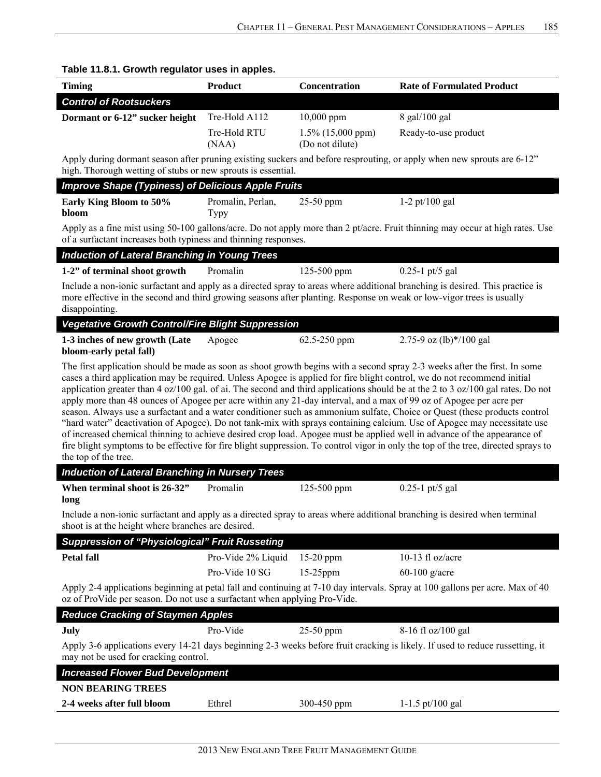| <b>Timing</b>                                                                                                                                                                                                                                                                                                                                                                                                                                                                                                                                                                                                                                                                                                                                                                                                                                                                                                                                                                                                                                                      | <b>Product</b>                   | Concentration                           | <b>Rate of Formulated Product</b>                                                                                             |  |  |  |
|--------------------------------------------------------------------------------------------------------------------------------------------------------------------------------------------------------------------------------------------------------------------------------------------------------------------------------------------------------------------------------------------------------------------------------------------------------------------------------------------------------------------------------------------------------------------------------------------------------------------------------------------------------------------------------------------------------------------------------------------------------------------------------------------------------------------------------------------------------------------------------------------------------------------------------------------------------------------------------------------------------------------------------------------------------------------|----------------------------------|-----------------------------------------|-------------------------------------------------------------------------------------------------------------------------------|--|--|--|
| <b>Control of Rootsuckers</b>                                                                                                                                                                                                                                                                                                                                                                                                                                                                                                                                                                                                                                                                                                                                                                                                                                                                                                                                                                                                                                      |                                  |                                         |                                                                                                                               |  |  |  |
| Dormant or 6-12" sucker height                                                                                                                                                                                                                                                                                                                                                                                                                                                                                                                                                                                                                                                                                                                                                                                                                                                                                                                                                                                                                                     | Tre-Hold A112                    | 10,000 ppm                              | 8 gal/100 gal                                                                                                                 |  |  |  |
|                                                                                                                                                                                                                                                                                                                                                                                                                                                                                                                                                                                                                                                                                                                                                                                                                                                                                                                                                                                                                                                                    | Tre-Hold RTU<br>(NAA)            | $1.5\%$ (15,000 ppm)<br>(Do not dilute) | Ready-to-use product                                                                                                          |  |  |  |
| Apply during dormant season after pruning existing suckers and before resprouting, or apply when new sprouts are 6-12"<br>high. Thorough wetting of stubs or new sprouts is essential.                                                                                                                                                                                                                                                                                                                                                                                                                                                                                                                                                                                                                                                                                                                                                                                                                                                                             |                                  |                                         |                                                                                                                               |  |  |  |
| <b>Improve Shape (Typiness) of Delicious Apple Fruits</b>                                                                                                                                                                                                                                                                                                                                                                                                                                                                                                                                                                                                                                                                                                                                                                                                                                                                                                                                                                                                          |                                  |                                         |                                                                                                                               |  |  |  |
| Early King Bloom to 50%<br>bloom                                                                                                                                                                                                                                                                                                                                                                                                                                                                                                                                                                                                                                                                                                                                                                                                                                                                                                                                                                                                                                   | Promalin, Perlan,<br><b>Typy</b> | 25-50 ppm                               | $1-2$ pt/100 gal                                                                                                              |  |  |  |
| of a surfactant increases both typiness and thinning responses.                                                                                                                                                                                                                                                                                                                                                                                                                                                                                                                                                                                                                                                                                                                                                                                                                                                                                                                                                                                                    |                                  |                                         | Apply as a fine mist using 50-100 gallons/acre. Do not apply more than 2 pt/acre. Fruit thinning may occur at high rates. Use |  |  |  |
| <b>Induction of Lateral Branching in Young Trees</b>                                                                                                                                                                                                                                                                                                                                                                                                                                                                                                                                                                                                                                                                                                                                                                                                                                                                                                                                                                                                               |                                  |                                         |                                                                                                                               |  |  |  |
| 1-2" of terminal shoot growth                                                                                                                                                                                                                                                                                                                                                                                                                                                                                                                                                                                                                                                                                                                                                                                                                                                                                                                                                                                                                                      | Promalin                         | 125-500 ppm                             | $0.25 - 1$ pt/5 gal                                                                                                           |  |  |  |
| more effective in the second and third growing seasons after planting. Response on weak or low-vigor trees is usually<br>disappointing.                                                                                                                                                                                                                                                                                                                                                                                                                                                                                                                                                                                                                                                                                                                                                                                                                                                                                                                            |                                  |                                         | Include a non-ionic surfactant and apply as a directed spray to areas where additional branching is desired. This practice is |  |  |  |
| <b>Vegetative Growth Control/Fire Blight Suppression</b>                                                                                                                                                                                                                                                                                                                                                                                                                                                                                                                                                                                                                                                                                                                                                                                                                                                                                                                                                                                                           |                                  |                                         |                                                                                                                               |  |  |  |
| 1-3 inches of new growth (Late                                                                                                                                                                                                                                                                                                                                                                                                                                                                                                                                                                                                                                                                                                                                                                                                                                                                                                                                                                                                                                     | Apogee                           | 62.5-250 ppm                            | 2.75-9 oz (lb) $*/100$ gal                                                                                                    |  |  |  |
| bloom-early petal fall)                                                                                                                                                                                                                                                                                                                                                                                                                                                                                                                                                                                                                                                                                                                                                                                                                                                                                                                                                                                                                                            |                                  |                                         |                                                                                                                               |  |  |  |
| The first application should be made as soon as shoot growth begins with a second spray 2-3 weeks after the first. In some<br>cases a third application may be required. Unless Apogee is applied for fire blight control, we do not recommend initial<br>application greater than 4 oz/100 gal. of ai. The second and third applications should be at the 2 to 3 oz/100 gal rates. Do not<br>apply more than 48 ounces of Apogee per acre within any 21-day interval, and a max of 99 oz of Apogee per acre per<br>season. Always use a surfactant and a water conditioner such as ammonium sulfate, Choice or Quest (these products control<br>"hard water" deactivation of Apogee). Do not tank-mix with sprays containing calcium. Use of Apogee may necessitate use<br>of increased chemical thinning to achieve desired crop load. Apogee must be applied well in advance of the appearance of<br>fire blight symptoms to be effective for fire blight suppression. To control vigor in only the top of the tree, directed sprays to<br>the top of the tree. |                                  |                                         |                                                                                                                               |  |  |  |
| <b>Induction of Lateral Branching in Nursery Trees</b>                                                                                                                                                                                                                                                                                                                                                                                                                                                                                                                                                                                                                                                                                                                                                                                                                                                                                                                                                                                                             |                                  |                                         |                                                                                                                               |  |  |  |
| When terminal shoot is 26-32"<br>long                                                                                                                                                                                                                                                                                                                                                                                                                                                                                                                                                                                                                                                                                                                                                                                                                                                                                                                                                                                                                              | Promalin                         | 125-500 ppm                             | $0.25 - 1$ pt/5 gal                                                                                                           |  |  |  |
| shoot is at the height where branches are desired.                                                                                                                                                                                                                                                                                                                                                                                                                                                                                                                                                                                                                                                                                                                                                                                                                                                                                                                                                                                                                 |                                  |                                         | Include a non-ionic surfactant and apply as a directed spray to areas where additional branching is desired when terminal     |  |  |  |
| <b>Suppression of "Physiological" Fruit Russeting</b>                                                                                                                                                                                                                                                                                                                                                                                                                                                                                                                                                                                                                                                                                                                                                                                                                                                                                                                                                                                                              |                                  |                                         |                                                                                                                               |  |  |  |
| <b>Petal fall</b>                                                                                                                                                                                                                                                                                                                                                                                                                                                                                                                                                                                                                                                                                                                                                                                                                                                                                                                                                                                                                                                  | Pro-Vide 2% Liquid               | 15-20 ppm                               | 10-13 fl oz/acre                                                                                                              |  |  |  |
|                                                                                                                                                                                                                                                                                                                                                                                                                                                                                                                                                                                                                                                                                                                                                                                                                                                                                                                                                                                                                                                                    | Pro-Vide 10 SG                   | $15-25$ ppm                             | $60-100$ g/acre                                                                                                               |  |  |  |
| Apply 2-4 applications beginning at petal fall and continuing at 7-10 day intervals. Spray at 100 gallons per acre. Max of 40<br>oz of ProVide per season. Do not use a surfactant when applying Pro-Vide.                                                                                                                                                                                                                                                                                                                                                                                                                                                                                                                                                                                                                                                                                                                                                                                                                                                         |                                  |                                         |                                                                                                                               |  |  |  |
| <b>Reduce Cracking of Staymen Apples</b>                                                                                                                                                                                                                                                                                                                                                                                                                                                                                                                                                                                                                                                                                                                                                                                                                                                                                                                                                                                                                           |                                  |                                         |                                                                                                                               |  |  |  |
| July                                                                                                                                                                                                                                                                                                                                                                                                                                                                                                                                                                                                                                                                                                                                                                                                                                                                                                                                                                                                                                                               | Pro-Vide                         | 25-50 ppm                               |                                                                                                                               |  |  |  |
| Apply 3-6 applications every 14-21 days beginning 2-3 weeks before fruit cracking is likely. If used to reduce russetting, it<br>may not be used for cracking control.                                                                                                                                                                                                                                                                                                                                                                                                                                                                                                                                                                                                                                                                                                                                                                                                                                                                                             |                                  |                                         |                                                                                                                               |  |  |  |
|                                                                                                                                                                                                                                                                                                                                                                                                                                                                                                                                                                                                                                                                                                                                                                                                                                                                                                                                                                                                                                                                    |                                  |                                         | 8-16 fl oz/100 gal                                                                                                            |  |  |  |
| <b>Increased Flower Bud Development</b>                                                                                                                                                                                                                                                                                                                                                                                                                                                                                                                                                                                                                                                                                                                                                                                                                                                                                                                                                                                                                            |                                  |                                         |                                                                                                                               |  |  |  |
| <b>NON BEARING TREES</b>                                                                                                                                                                                                                                                                                                                                                                                                                                                                                                                                                                                                                                                                                                                                                                                                                                                                                                                                                                                                                                           | Ethrel                           |                                         | 1-1.5 pt/100 gal                                                                                                              |  |  |  |